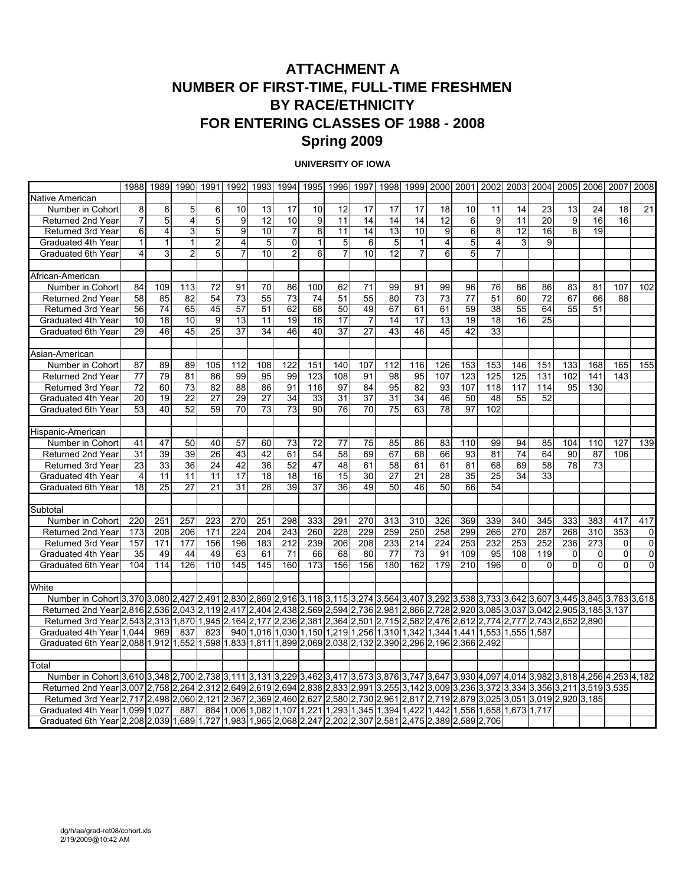# **ATTACHMENT A NUMBER OF FIRST-TIME, FULL-TIME FRESHMEN BY RACE/ETHNICITY FOR ENTERING CLASSES OF 1988 - 2008 Spring 2009**

#### **UNIVERSITY OF IOWA**

|                                                                                                                                                |                | 1988 1989 1990  |                 | 1991            | 1992                    | 1993                                                                              |                 | 1994 1995      | 1996           |                 |     |                 | 1997   1998   1999   2000   2001   2002   2003   2004   2005   2006   2007 |                |     |     |          |     |     |     | 2008           |
|------------------------------------------------------------------------------------------------------------------------------------------------|----------------|-----------------|-----------------|-----------------|-------------------------|-----------------------------------------------------------------------------------|-----------------|----------------|----------------|-----------------|-----|-----------------|----------------------------------------------------------------------------|----------------|-----|-----|----------|-----|-----|-----|----------------|
| Native American                                                                                                                                |                |                 |                 |                 |                         |                                                                                   |                 |                |                |                 |     |                 |                                                                            |                |     |     |          |     |     |     |                |
| Number in Cohort                                                                                                                               | 8              | 6               | 5               | 6               | 10                      | 13                                                                                | 17              | 10             | 12             | 17              | 17  | 17              | 18                                                                         | 10             | 11  | 14  | 23       | 13  | 24  | 18  | 21             |
| Returned 2nd Year                                                                                                                              | $\overline{7}$ | 5               | 4               | $\overline{5}$  | 9                       | 12                                                                                | 10              | 9              | 11             | 14              | 14  | 14              | 12                                                                         | 6              | 9   | 11  | 20       | 9   | 16  | 16  |                |
| <b>Returned 3rd Year</b>                                                                                                                       | 6              | $\overline{4}$  | 3               | 5               | 9                       | 10                                                                                | 7               | 8 <sup>1</sup> | 11             | 14              | 13  | 10              | 9                                                                          | 6              | 8   | 12  | 16       | 8   | 19  |     |                |
| Graduated 4th Year                                                                                                                             | $\mathbf{1}$   | $\mathbf{1}$    | $\mathbf{1}$    | $\overline{2}$  | $\overline{\mathbf{4}}$ | 5                                                                                 | $\mathbf 0$     | $\mathbf{1}$   | 5              | 6               | 5   | $\vert$ 1       | $\overline{4}$                                                             | $\overline{5}$ | 4   | 3   | 9        |     |     |     |                |
| Graduated 6th Year                                                                                                                             | 4              | 3               | $\overline{2}$  | 5               | $\overline{7}$          | 10                                                                                | $\overline{2}$  | 6              | $\overline{7}$ | 10              | 12  | $\overline{7}$  | $6 \,$                                                                     | 5              | 7   |     |          |     |     |     |                |
|                                                                                                                                                |                |                 |                 |                 |                         |                                                                                   |                 |                |                |                 |     |                 |                                                                            |                |     |     |          |     |     |     |                |
| African-American                                                                                                                               |                |                 |                 |                 |                         |                                                                                   |                 |                |                |                 |     |                 |                                                                            |                |     |     |          |     |     |     |                |
| Number in Cohort                                                                                                                               | 84             | 109             | 113             | 72              | 91                      | 70                                                                                | 86              | 100            | 62             | 71              | 99  | 91              | 99                                                                         | 96             | 76  | 86  | 86       | 83  | 81  | 107 | 102            |
| Returned 2nd Year                                                                                                                              | 58             | 85              | 82              | 54              | 73                      | 55                                                                                | 73              | 74             | 51             | 55              | 80  | 73              | 73                                                                         | 77             | 51  | 60  | 72       | 67  | 66  | 88  |                |
| Returned 3rd Year                                                                                                                              | 56             | 74              | 65              | 45              | 57                      | 51                                                                                | 62              | 68             | 50             | 49              | 67  | 61              | 61                                                                         | 59             | 38  | 55  | 64       | 55  | 51  |     |                |
| Graduated 4th Year                                                                                                                             | 10             | 18              | 10              | 9               | 13                      | 11                                                                                | 19              | 16             | 17             | $\overline{7}$  | 14  | 17              | 13                                                                         | 19             | 18  | 16  | 25       |     |     |     |                |
| Graduated 6th Year                                                                                                                             | 29             | 46              | 45              | $\overline{25}$ | 37                      | $\overline{34}$                                                                   | 46              | 40             | 37             | $\overline{27}$ | 43  | 46              | 45                                                                         | 42             | 33  |     |          |     |     |     |                |
|                                                                                                                                                |                |                 |                 |                 |                         |                                                                                   |                 |                |                |                 |     |                 |                                                                            |                |     |     |          |     |     |     |                |
| Asian-American                                                                                                                                 |                |                 |                 |                 |                         |                                                                                   |                 |                |                |                 |     |                 |                                                                            |                |     |     |          |     |     |     |                |
| Number in Cohort                                                                                                                               | 87             | 89              | 89              | 105             | 112                     | 108                                                                               | 122             | 151            | 140            | 107             | 112 | 116             | 126                                                                        | 153            | 153 | 146 | 151      | 133 | 168 | 165 | 155            |
| Returned 2nd Year                                                                                                                              | 77             | 79              | 81              | 86              | 99                      | 95                                                                                | 99              | 123            | 108            | 91              | 98  | 95              | 107                                                                        | 123            | 125 | 125 | 131      | 102 | 141 | 143 |                |
| Returned 3rd Year                                                                                                                              | 72             | 60              | 73              | 82              | 88                      | 86                                                                                | 91              | 116            | 97             | 84              | 95  | 82              | 93                                                                         | 107            | 118 | 117 | 114      | 95  | 130 |     |                |
| Graduated 4th Year                                                                                                                             | 20             | 19              | $\overline{22}$ | $\overline{27}$ | 29                      | $\overline{27}$                                                                   | 34              | 33             | 31             | 37              | 31  | 34              | 46                                                                         | 50             | 48  | 55  | 52       |     |     |     |                |
| Graduated 6th Year                                                                                                                             | 53             | 40              | $\overline{52}$ | $\overline{59}$ | 70                      | 73                                                                                | $\overline{73}$ | 90             | 76             | 70              | 75  | 63              | $\overline{78}$                                                            | 97             | 102 |     |          |     |     |     |                |
|                                                                                                                                                |                |                 |                 |                 |                         |                                                                                   |                 |                |                |                 |     |                 |                                                                            |                |     |     |          |     |     |     |                |
| Hispanic-American                                                                                                                              |                |                 |                 |                 |                         |                                                                                   |                 |                |                |                 |     |                 |                                                                            |                |     |     |          |     |     |     |                |
| Number in Cohort                                                                                                                               | 41             | 47              | 50              | 40              | 57                      | 60                                                                                | 73              | 72             | 77             | 75              | 85  | 86              | 83                                                                         | 110            | 99  | 94  | 85       | 104 | 110 | 127 | 139            |
| Returned 2nd Year                                                                                                                              | 31             | 39              | 39              | 26              | 43                      | 42                                                                                | 61              | 54             | 58             | 69              | 67  | 68              | 66                                                                         | 93             | 81  | 74  | 64       | 90  | 87  | 106 |                |
| <b>Returned 3rd Year</b>                                                                                                                       | 23             | 33              | 36              | 24              | 42                      | 36                                                                                | 52              | 47             | 48             | 61              | 58  | 61              | 61                                                                         | 81             | 68  | 69  | 58       | 78  | 73  |     |                |
| Graduated 4th Year                                                                                                                             | $\overline{4}$ | 11              | 11              | 11              | 17                      | 18                                                                                | 18              | 16             | 15             | 30              | 27  | 21              | 28                                                                         | 35             | 25  | 34  | 33       |     |     |     |                |
| Graduated 6th Year                                                                                                                             | 18             | $\overline{25}$ | 27              | $\overline{21}$ | $\overline{31}$         | $\overline{28}$                                                                   | 39              | 37             | 36             | 49              | 50  | 46              | 50                                                                         | 66             | 54  |     |          |     |     |     |                |
|                                                                                                                                                |                |                 |                 |                 |                         |                                                                                   |                 |                |                |                 |     |                 |                                                                            |                |     |     |          |     |     |     |                |
| Subtotal                                                                                                                                       |                |                 |                 |                 |                         |                                                                                   |                 |                |                |                 |     |                 |                                                                            |                |     |     |          |     |     |     |                |
| Number in Cohort                                                                                                                               | 220            | 251             | 257             | 223             | 270                     | 251                                                                               | 298             | 333            | 291            | 270             | 313 | 310             | 326                                                                        | 369            | 339 | 340 | 345      | 333 | 383 | 417 | 417            |
| Returned 2nd Year                                                                                                                              | 173            | 208             | 206             | 171             | 224                     | 204                                                                               | 243             | 260            | 228            | 229             | 259 | 250             | 258                                                                        | 299            | 266 | 270 | 287      | 268 | 310 | 353 | 0              |
| <b>Returned 3rd Year</b>                                                                                                                       | 157            | 171             | 177             | 156             | 196                     | 183                                                                               | 212             | 239            | 206            | 208             | 233 | 214             | 224                                                                        | 253            | 232 | 253 | 252      | 236 | 273 | 0   | $\overline{0}$ |
| Graduated 4th Year                                                                                                                             | 35             | 49              | 44              | 49              | 63                      | 61                                                                                | 71              | 66             | 68             | 80              | 77  | $\overline{73}$ | 91                                                                         | 109            | 95  | 108 | 119      | 0   | 0   | 0   | 0              |
| Graduated 6th Year                                                                                                                             | 104            | 114             | 126             | 110             | 145                     | 145                                                                               | 160             | 173            | 156            | 156             | 180 | 162             | 179                                                                        | 210            | 196 | 0   | $\Omega$ | 0   | 0   | 0   | 0              |
|                                                                                                                                                |                |                 |                 |                 |                         |                                                                                   |                 |                |                |                 |     |                 |                                                                            |                |     |     |          |     |     |     |                |
| White                                                                                                                                          |                |                 |                 |                 |                         |                                                                                   |                 |                |                |                 |     |                 |                                                                            |                |     |     |          |     |     |     |                |
| Number in Cohort 3,370 3,080 2,427 2,491 2,830 2,869 2,916 3,118 3,115 3,274 3,564 3,407 3,292 3,538 3,733 3,642 3,607 3,445 3,845 3,783 3,618 |                |                 |                 |                 |                         |                                                                                   |                 |                |                |                 |     |                 |                                                                            |                |     |     |          |     |     |     |                |
| Returned 2nd Year 2,816 2,536 2,043 2,119 2,417 2,404 2,438 2,569 2,594 2,736 2,981 2,866 2,728 2,920 3,085 3,037 3,042 2,905 3,185 3,137      |                |                 |                 |                 |                         |                                                                                   |                 |                |                |                 |     |                 |                                                                            |                |     |     |          |     |     |     |                |
| Returned 3rd Year 2,543 2,313 1,870 1,945 2,164 2,177 2,236 2,381 2,364 2,501 2,715 2,582 2,476 2,612 2,774 2,777 2,743 2,652 2,890            |                |                 |                 |                 |                         |                                                                                   |                 |                |                |                 |     |                 |                                                                            |                |     |     |          |     |     |     |                |
| Graduated 4th Yearl1.044                                                                                                                       |                | 969             | 837             | 823             |                         | 940 1.016 1.030 1.150 1.219 1.256 1.310 1.342 1.344 1.441 1.553 1.555 1.587       |                 |                |                |                 |     |                 |                                                                            |                |     |     |          |     |     |     |                |
| Graduated 6th Year 2,088 1,912 1,552 1,598 1,833 1,811 1,899 2,069 2,038 2,132 2,390 2,296 2,196 2,366 2,492                                   |                |                 |                 |                 |                         |                                                                                   |                 |                |                |                 |     |                 |                                                                            |                |     |     |          |     |     |     |                |
|                                                                                                                                                |                |                 |                 |                 |                         |                                                                                   |                 |                |                |                 |     |                 |                                                                            |                |     |     |          |     |     |     |                |
| Total                                                                                                                                          |                |                 |                 |                 |                         |                                                                                   |                 |                |                |                 |     |                 |                                                                            |                |     |     |          |     |     |     |                |
| Number in Cohort 3,610 3,348 2,700 2,738 3,111 3,131 3,229 3,462 3,417 3,573 3,876 3,747 3,647 3,930 4,097 4,014 3,982 3,818 4,256 4,253 4,182 |                |                 |                 |                 |                         |                                                                                   |                 |                |                |                 |     |                 |                                                                            |                |     |     |          |     |     |     |                |
| Returned 2nd Year 3,007 2,758 2,264 2,312 2,649 2,619 2,694 2,838 2,833 2,991 3,255 3,142 3,009 3,236 3,372 3,334 3,356 3,211 3,519 3,535      |                |                 |                 |                 |                         |                                                                                   |                 |                |                |                 |     |                 |                                                                            |                |     |     |          |     |     |     |                |
| Returned 3rd Year 2,717 2,498 2,060 2,121 2,367 2,369 2,460 2,627 2,580 2,730 2,961 2,817 2,719 2,879 3,025 3,051 3,019 2,920 3,185            |                |                 |                 |                 |                         |                                                                                   |                 |                |                |                 |     |                 |                                                                            |                |     |     |          |     |     |     |                |
| Graduated 4th Year 1,099 1,027                                                                                                                 |                |                 | 887             |                 |                         | 884 1,006 1,082 1,107 1,221 1,293 1,345 1,394 1,422 1,442 1,556 1,658 1,673 1,717 |                 |                |                |                 |     |                 |                                                                            |                |     |     |          |     |     |     |                |
| Graduated 6th Yearl2.20812.03911.68911.72711.98311.96512.06812.24712.20212.30712.58112.47512.38912.58912.706                                   |                |                 |                 |                 |                         |                                                                                   |                 |                |                |                 |     |                 |                                                                            |                |     |     |          |     |     |     |                |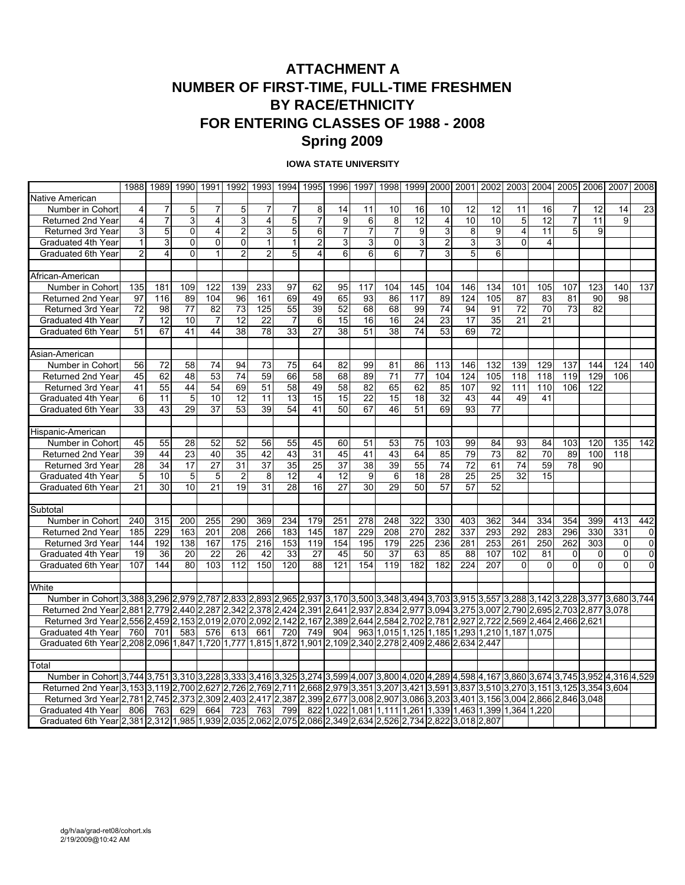# **ATTACHMENT A NUMBER OF FIRST-TIME, FULL-TIME FRESHMEN BY RACE/ETHNICITY FOR ENTERING CLASSES OF 1988 - 2008 Spring 2009**

#### **IOWA STATE UNIVERSITY**

|                                                                                                                                                |                | 1988 1989 1990  |          | 1991            | 1992           |                         |                | 1993 1994 1995 | 1996            |                | 1997 1998   |                | 1999 2000 2001 2002                                                         |                 |                 |          | 2003 2004 |                | 2005 2006 2007 |     | 2008             |
|------------------------------------------------------------------------------------------------------------------------------------------------|----------------|-----------------|----------|-----------------|----------------|-------------------------|----------------|----------------|-----------------|----------------|-------------|----------------|-----------------------------------------------------------------------------|-----------------|-----------------|----------|-----------|----------------|----------------|-----|------------------|
| Native American                                                                                                                                |                |                 |          |                 |                |                         |                |                |                 |                |             |                |                                                                             |                 |                 |          |           |                |                |     |                  |
| Number in Cohort                                                                                                                               | 4              | 7               | 5        | 7               | 5              | 7                       | 7              | 8              | 14              | 11             | 10          | 16             | 10                                                                          | 12              | 12              | 11       | 16        | 7              | 12             | 14  | 23               |
| Returned 2nd Year                                                                                                                              | 4              | $\overline{7}$  | 3        | 4               | 3              | $\overline{\mathbf{4}}$ | 5              | $\overline{7}$ | 9               | 6              | 8           | 12             | $\overline{4}$                                                              | 10              | 10              | 5        | 12        | $\overline{7}$ | 11             | 9   |                  |
| Returned 3rd Year                                                                                                                              | 3              | 5               | 0        | $\overline{4}$  | $\overline{2}$ | 3                       | 5              | 6              | 7               | $\overline{7}$ | 7           | 9              | $\mathbf{3}$                                                                | 8               | 9               | 4        | 11        | 5              | 9              |     |                  |
| Graduated 4th Year                                                                                                                             | $\mathbf{1}$   | 3               | 0        | $\overline{0}$  | $\mathbf 0$    | $\mathbf{1}$            | $\mathbf{1}$   | $\overline{c}$ | 3               | 3              | $\mathbf 0$ | 3 <sup>1</sup> | $\overline{a}$                                                              | $\mathsf 3$     | 3               | $\Omega$ | 4         |                |                |     |                  |
| Graduated 6th Year                                                                                                                             | $\overline{c}$ | $\overline{4}$  | $\Omega$ | $\mathbf{1}$    | $\overline{2}$ | $\overline{2}$          | 5              | 4              | 6               | 6              | 6           | $\overline{7}$ | 3                                                                           | 5               | 6               |          |           |                |                |     |                  |
|                                                                                                                                                |                |                 |          |                 |                |                         |                |                |                 |                |             |                |                                                                             |                 |                 |          |           |                |                |     |                  |
| African-American                                                                                                                               |                |                 |          |                 |                |                         |                |                |                 |                |             |                |                                                                             |                 |                 |          |           |                |                |     |                  |
| Number in Cohort                                                                                                                               | 135            | 181             | 109      | 122             | 139            | 233                     | 97             | 62             | 95              | 117            | 104         | 145            | 104                                                                         | 146             | 134             | 101      | 105       | 107            | 123            | 140 | $\overline{137}$ |
| Returned 2nd Year                                                                                                                              | 97             | 116             | 89       | 104             | 96             | 161                     | 69             | 49             | 65              | 93             | 86          | 117            | 89                                                                          | 124             | 105             | 87       | 83        | 81             | 90             | 98  |                  |
| Returned 3rd Year                                                                                                                              | 72             | 98              | 77       | 82              | 73             | 125                     | 55             | 39             | 52              | 68             | 68          | 99             | 74                                                                          | 94              | 91              | 72       | 70        | 73             | 82             |     |                  |
| Graduated 4th Year                                                                                                                             | 7              | 12              | 10       | $\overline{7}$  | 12             | 22                      | $\overline{7}$ | 6              | 15              | 16             | 16          | 24             | 23                                                                          | 17              | 35              | 21       | 21        |                |                |     |                  |
| Graduated 6th Year                                                                                                                             | 51             | 67              | 41       | 44              | 38             | 78                      | 33             | 27             | 38              | 51             | 38          | 74             | 53                                                                          | 69              | 72              |          |           |                |                |     |                  |
|                                                                                                                                                |                |                 |          |                 |                |                         |                |                |                 |                |             |                |                                                                             |                 |                 |          |           |                |                |     |                  |
| Asian-American                                                                                                                                 |                |                 |          |                 |                |                         |                |                |                 |                |             |                |                                                                             |                 |                 |          |           |                |                |     |                  |
| Number in Cohort                                                                                                                               | 56             | 72              | 58       | 74              | 94             | 73                      | 75             | 64             | 82              | 99             | 81          | 86             | 113                                                                         | 146             | 132             | 139      | 129       | 137            | 144            | 124 | 140              |
| Returned 2nd Year                                                                                                                              | 45             | 62              | 48       | 53              | 74             | 59                      | 66             | 58             | 68              | 89             | 71          | 77             | 104                                                                         | 124             | 105             | 118      | 118       | 119            | 129            | 106 |                  |
| Returned 3rd Year                                                                                                                              | 41             | 55              | 44       | 54              | 69             | 51                      | 58             | 49             | 58              | 82             | 65          | 62             | 85                                                                          | 107             | 92              | 111      | 110       | 106            | 122            |     |                  |
| Graduated 4th Year                                                                                                                             | 6              | 11              | 5        | 10              | 12             | 11                      | 13             | 15             | 15              | 22             | 15          | 18             | 32                                                                          | 43              | 44              | 49       | 41        |                |                |     |                  |
| Graduated 6th Year                                                                                                                             | 33             | 43              | 29       | 37              | 53             | 39                      | 54             | 41             | 50              | 67             | 46          | 51             | 69                                                                          | 93              | 77              |          |           |                |                |     |                  |
|                                                                                                                                                |                |                 |          |                 |                |                         |                |                |                 |                |             |                |                                                                             |                 |                 |          |           |                |                |     |                  |
| Hispanic-American                                                                                                                              |                |                 |          |                 |                |                         |                |                |                 |                |             |                |                                                                             |                 |                 |          |           |                |                |     |                  |
| Number in Cohort                                                                                                                               | 45             | 55              | 28       | 52              | 52             | 56                      | 55             | 45             | 60              | 51             | 53          | 75             | 103                                                                         | 99              | 84              | 93       | 84        | 103            | 120            | 135 | 142              |
| Returned 2nd Year                                                                                                                              | 39             | 44              | 23       | 40              | 35             | 42                      | 43             | 31             | 45              | 41             | 43          | 64             | 85                                                                          | 79              | 73              | 82       | 70        | 89             | 100            | 118 |                  |
| Returned 3rd Year                                                                                                                              | 28             | 34              | 17       | 27              | 31             | 37                      | 35             | 25             | 37              | 38             | 39          | 55             | 74                                                                          | 72              | 61              | 74       | 59        | 78             | 90             |     |                  |
| Graduated 4th Year                                                                                                                             | 5              | 10              | 5        | 5               | $\overline{2}$ | 8                       | 12             | 4              | 12              | 9              | 6           | 18             | 28                                                                          | $\overline{25}$ | 25              | 32       | 15        |                |                |     |                  |
| Graduated 6th Year                                                                                                                             | 21             | $\overline{30}$ | 10       | $\overline{21}$ | 19             | 31                      | 28             | 16             | $\overline{27}$ | 30             | 29          | 50             | 57                                                                          | 57              | $\overline{52}$ |          |           |                |                |     |                  |
|                                                                                                                                                |                |                 |          |                 |                |                         |                |                |                 |                |             |                |                                                                             |                 |                 |          |           |                |                |     |                  |
| Subtotal                                                                                                                                       |                |                 |          |                 |                |                         |                |                |                 |                |             |                |                                                                             |                 |                 |          |           |                |                |     |                  |
| Number in Cohort                                                                                                                               | 240            | 315             | 200      | 255             | 290            | 369                     | 234            | 179            | 251             | 278            | 248         | 322            | 330                                                                         | 403             | 362             | 344      | 334       | 354            | 399            | 413 | 442              |
| Returned 2nd Year                                                                                                                              | 185            | 229             | 163      | 201             | 208            | 266                     | 183            | 145            | 187             | 229            | 208         | 270            | 282                                                                         | 337             | 293             | 292      | 283       | 296            | 330            | 331 | $\Omega$         |
| Returned 3rd Year                                                                                                                              | 144            | 192             | 138      | 167             | 175            | 216                     | 153            | 119            | 154             | 195            | 179         | 225            | 236                                                                         | 281             | 253             | 261      | 250       | 262            | 303            | 0   | $\overline{0}$   |
| Graduated 4th Year                                                                                                                             | 19             | 36              | 20       | 22              | 26             | 42                      | 33             | 27             | 45              | 50             | 37          | 63             | 85                                                                          | 88              | 107             | 102      | 81        | 0              | 0              | 0   | 0                |
| Graduated 6th Year                                                                                                                             | 107            | 144             | 80       | 103             | 112            | 150                     | 120            | 88             | 121             | 154            | 119         | 182            | 182                                                                         | 224             | 207             | $\Omega$ | $\Omega$  | $\Omega$       | 0              | 0   | 0                |
|                                                                                                                                                |                |                 |          |                 |                |                         |                |                |                 |                |             |                |                                                                             |                 |                 |          |           |                |                |     |                  |
| White                                                                                                                                          |                |                 |          |                 |                |                         |                |                |                 |                |             |                |                                                                             |                 |                 |          |           |                |                |     |                  |
| Number in Cohort 3,388 3,296 2,979 2,787 2,833 2,893 2,965 2,937 3,170 3,500 3,348 3,494 3,703 3,915 3,557 3,288 3,142 3,228 3,377 3,680 3,744 |                |                 |          |                 |                |                         |                |                |                 |                |             |                |                                                                             |                 |                 |          |           |                |                |     |                  |
| Returned 2nd Year 2,881 2,779 2,440 2,287 2,342 2,378 2,424 2,391 2,641 2,937 2,834 2,977 3,094 3,275 3,007 2,790 2,695 2,703 2,877 3,078      |                |                 |          |                 |                |                         |                |                |                 |                |             |                |                                                                             |                 |                 |          |           |                |                |     |                  |
| Returned 3rd Year 2,556 2,459 2,153 2,019 2,070 2,092 2,142 2,167                                                                              |                |                 |          |                 |                |                         |                |                |                 |                |             |                | 2,389  2,644  2,584  2,702  2,781  2,927  2,722  2,569  2,464  2,466  2,621 |                 |                 |          |           |                |                |     |                  |
| Graduated 4th Year                                                                                                                             | 760            | 701             | 583      | 576             | 613            | 661                     | 720            | 749            | 904             |                |             |                | 963 1,015 1,125 1,185 1,293 1,210 1,187                                     |                 |                 |          | 1.075     |                |                |     |                  |
| Graduated 6th Year 2.208 2.096 1.847 1.720 1.777 1.815 1.872 1.901 2.109 2.340 2.278 2.409 2.486 2.634 2.447                                   |                |                 |          |                 |                |                         |                |                |                 |                |             |                |                                                                             |                 |                 |          |           |                |                |     |                  |
|                                                                                                                                                |                |                 |          |                 |                |                         |                |                |                 |                |             |                |                                                                             |                 |                 |          |           |                |                |     |                  |
| Total                                                                                                                                          |                |                 |          |                 |                |                         |                |                |                 |                |             |                |                                                                             |                 |                 |          |           |                |                |     |                  |
| Number in Cohort 3.744 3.751 3.310 3.228 3.333 3.416 3.325 3.274 3.599 4.007 3.800 4.020 4.289 4.598 4.167 3.860 3.674 3.745 3.952 4.316 4.529 |                |                 |          |                 |                |                         |                |                |                 |                |             |                |                                                                             |                 |                 |          |           |                |                |     |                  |
| Returned 2nd Year 3,153 3,119 2,700 2,627 2,726 2,769 2,711 2,668 2,979 3,351 3,207 3,421 3,591 3,837 3,510 3,270 3,151 3,125 3,354 3,604      |                |                 |          |                 |                |                         |                |                |                 |                |             |                |                                                                             |                 |                 |          |           |                |                |     |                  |
| Returned 3rd Year 2,781 2,745 2,373 2,309                                                                                                      |                |                 |          |                 | 2,403 2,417    |                         | 2,387          | 2,399 2,677    |                 |                |             |                | 3,008 2,907 3,086 3,203 3,401 3,156 3,004 2,866 2,846 3,048                 |                 |                 |          |           |                |                |     |                  |
| Graduated 4th Year                                                                                                                             | 806            | 763             | 629      | 664             | 723            | 763                     | 799            |                |                 |                |             |                | 822 1.022 1.081 1.111 1.261 1.339 1.463 1.399 1.364                         |                 |                 |          | 1.220     |                |                |     |                  |
| Graduated 6th Year 2,381 2,312 1,985 1,939 2,035 2,062 2,075 2,086 2,349 2,634 2,526 2,734 2,822 3,018 2,807                                   |                |                 |          |                 |                |                         |                |                |                 |                |             |                |                                                                             |                 |                 |          |           |                |                |     |                  |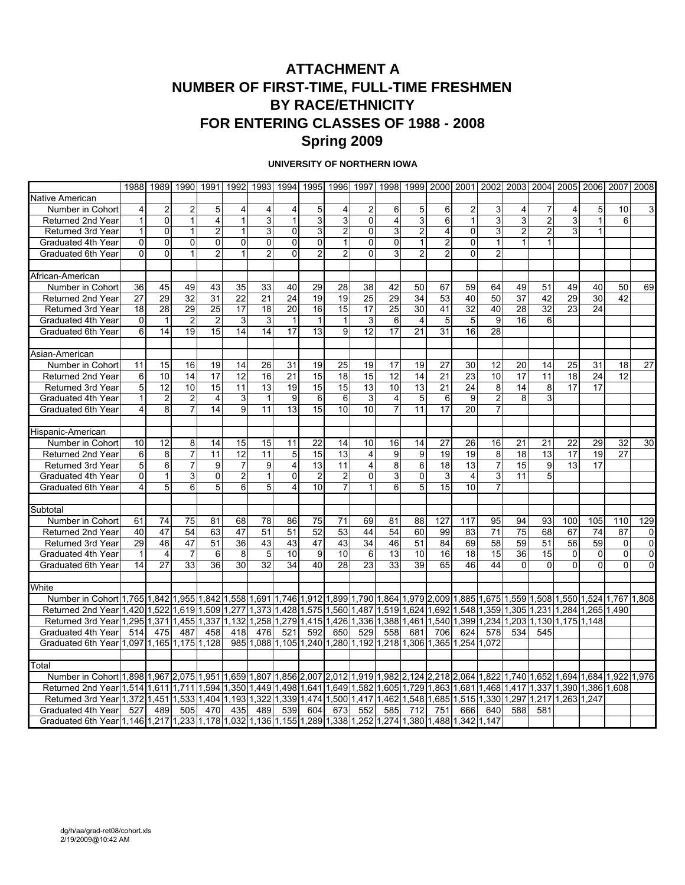# **ATTACHMENT A NUMBER OF FIRST-TIME, FULL-TIME FRESHMEN BY RACE/ETHNICITY FOR ENTERING CLASSES OF 1988 - 2008 Spring 2009**

#### **UNIVERSITY OF NORTHERN IOWA**

|                                                                                                              |                         |                |                 | 1988 1989 1990 1991 |                | 1992 1993      | 1994           |                                                       | 1995 1996               | 1997                    |                         |                | 1998 1999 2000 2001 2002 2003 2004 2005 2006 2007 |                   |                |          |                         |                         |              |             | 2008           |
|--------------------------------------------------------------------------------------------------------------|-------------------------|----------------|-----------------|---------------------|----------------|----------------|----------------|-------------------------------------------------------|-------------------------|-------------------------|-------------------------|----------------|---------------------------------------------------|-------------------|----------------|----------|-------------------------|-------------------------|--------------|-------------|----------------|
| Native American                                                                                              |                         |                |                 |                     |                |                |                |                                                       |                         |                         |                         |                |                                                   |                   |                |          |                         |                         |              |             |                |
| Number in Cohort                                                                                             | 4                       | $\overline{2}$ | 2               | 5                   | 4              | 4              | 4              | 5                                                     | 4                       | $\overline{2}$          | 6                       | 5              | 6                                                 | 2                 | 3              | 4        |                         | 4                       | 5            | 10          | 3              |
| Returned 2nd Year                                                                                            | 1                       | $\mathbf 0$    | $\mathbf{1}$    | $\overline{4}$      | 1              | $\overline{3}$ | 1              | 3                                                     | $\mathsf 3$             | $\mathbf 0$             | $\overline{\mathbf{4}}$ | 3              | 6                                                 | $\mathbf{1}$      | 3              | 3        | $\overline{\mathbf{c}}$ | 3                       | $\mathbf{1}$ | 6           |                |
| Returned 3rd Year                                                                                            | 1                       | 0              | 1               | $\overline{c}$      | 1              | 3              | 0              | 3                                                     | $\overline{2}$          | $\mathbf{0}$            | 3                       | $\overline{2}$ | $\overline{4}$                                    | $\overline{0}$    | 3              | 2        | $\overline{2}$          | 3                       |              |             |                |
| Graduated 4th Year                                                                                           | 0                       | 0              | 0               | 0                   | 0              | 0              | 0              | 0                                                     | $\mathbf{1}$            | $\mathbf 0$             | $\mathbf 0$             | $\overline{1}$ | 2                                                 | $\mathbf{0}$      | $\mathbf{1}$   | 1        |                         |                         |              |             |                |
| Graduated 6th Year                                                                                           | 0                       | 0              | 1               | $\overline{2}$      | $\mathbf{1}$   | $\overline{2}$ | 0              | $\overline{2}$                                        | $\overline{2}$          | $\overline{0}$          | 3                       | $\overline{2}$ | $\overline{2}$                                    | $\Omega$          | $\overline{c}$ |          |                         |                         |              |             |                |
|                                                                                                              |                         |                |                 |                     |                |                |                |                                                       |                         |                         |                         |                |                                                   |                   |                |          |                         |                         |              |             |                |
| African-American                                                                                             |                         |                |                 |                     |                |                |                |                                                       |                         |                         |                         |                |                                                   |                   |                |          |                         |                         |              |             |                |
| Number in Cohort                                                                                             | 36                      | 45             | 49              | 43                  | 35             | 33             | 40             | 29                                                    | 28                      | 38                      | 42                      | 50             | 67                                                | 59                | 64             | 49       | 51                      | 49                      | 40           | 50          | 69             |
| Returned 2nd Year                                                                                            | 27                      | 29             | 32              | 31                  | 22             | 21             | 24             | 19                                                    | 19                      | 25                      | 29                      | 34             | 53                                                | 40                | 50             | 37       | 42                      | 29                      | 30           | 42          |                |
| Returned 3rd Year                                                                                            | 18                      | 28             | 29              | 25                  | 17             | 18             | 20             | 16                                                    | 15                      | 17                      | 25                      | 30             | 41                                                | 32                | 40             | 28       | 32                      | 23                      | 24           |             |                |
| Graduated 4th Year                                                                                           | 0                       | $\mathbf{1}$   | $\overline{2}$  | $\overline{c}$      | 3              | 3              | $\mathbf{1}$   | 1                                                     | $\mathbf{1}$            | 3                       | 6                       | 4              | 5                                                 | 5                 | 9              | 16       | 6                       |                         |              |             |                |
| Graduated 6th Year                                                                                           | 6                       | 14             | 19              | 15                  | 14             | 14             | 17             | 13                                                    | 9                       | 12                      | 17                      | 21             | 31                                                | 16                | 28             |          |                         |                         |              |             |                |
|                                                                                                              |                         |                |                 |                     |                |                |                |                                                       |                         |                         |                         |                |                                                   |                   |                |          |                         |                         |              |             |                |
| Asian-American                                                                                               |                         |                |                 |                     |                |                |                |                                                       |                         |                         |                         |                |                                                   |                   |                |          |                         |                         |              |             |                |
| Number in Cohort                                                                                             | 11                      | 15             | 16              | 19                  | 14             | 26             | 31             | 19                                                    | 25                      | 19                      | 17                      | 19             | 27                                                | 30                | 12             | 20       | 14                      | 25                      | 31           | 18          | 27             |
| Returned 2nd Year                                                                                            | 6                       | 10             | 14              | 17                  | 12             | 16             | 21             | 15                                                    | 18                      | 15                      | 12                      | 14             | 21                                                | 23                | 10             | 17       | 11                      | 18                      | 24           | 12          |                |
| <b>Returned 3rd Year</b>                                                                                     | 5                       | 12             | 10              | 15                  | 11             | 13             | 19             | 15                                                    | 15                      | 13                      | 10                      | 13             | 21                                                | $\overline{24}$   | 8              | 14       | 8                       | 17                      | 17           |             |                |
| Graduated 4th Year                                                                                           | 1                       | $\overline{2}$ | $\overline{2}$  | $\overline{4}$      | 3              | $\mathbf{1}$   | 9              | 6                                                     | 6                       | 3                       | $\overline{4}$          | 5              | 6                                                 | 9                 | $\overline{c}$ | 8        | 3                       |                         |              |             |                |
| Graduated 6th Year                                                                                           | 4                       | 8              | $\overline{7}$  | 14                  | $\overline{9}$ | 11             | 13             | 15                                                    | 10                      | 10                      | $\overline{7}$          | 11             | 17                                                | 20                | $\overline{7}$ |          |                         |                         |              |             |                |
|                                                                                                              |                         |                |                 |                     |                |                |                |                                                       |                         |                         |                         |                |                                                   |                   |                |          |                         |                         |              |             |                |
| Hispanic-American                                                                                            |                         |                |                 |                     |                |                |                |                                                       |                         |                         |                         |                |                                                   |                   |                |          |                         |                         |              |             |                |
| Number in Cohort                                                                                             | 10                      | 12             | 8               | 14                  | 15             | 15             | 11             | 22                                                    | 14                      | 10                      | 16                      | 14             | 27                                                | 26                | 16             | 21       | 21                      | 22                      | 29           | 32          | 30             |
| Returned 2nd Year                                                                                            | 6                       | 8              | $\overline{7}$  | 11                  | 12             | 11             | 5              | 15                                                    | 13                      | $\overline{4}$          | 9                       | 9              | 19                                                | 19                | 8              | 18       | 13                      | 17                      | 19           | 27          |                |
| Returned 3rd Year                                                                                            | 5                       | 6              | $\overline{7}$  | 9                   | $\overline{7}$ | 9              | $\overline{4}$ | 13                                                    | 11                      | $\overline{\mathbf{4}}$ | 8                       | 6              | 18                                                | 13                | $\overline{7}$ | 15       | 9                       | 13                      | 17           |             |                |
| Graduated 4th Year                                                                                           | 0                       | $\mathbf{1}$   | 3               | 0                   | $\overline{c}$ | $\mathbf{1}$   | $\mathbf 0$    | $\overline{2}$                                        | $\overline{2}$          | $\mathbf 0$             | 3                       | $\mathbf 0$    | 3                                                 | 4                 | $\overline{3}$ | 11       | 5                       |                         |              |             |                |
| Graduated 6th Year                                                                                           | 4                       | $\overline{5}$ | 6               | 5                   | $\overline{6}$ | 5              | 4              | $\overline{10}$                                       | $\overline{\mathbf{7}}$ | $\overline{1}$          | 6                       | 5              | 15                                                | 10                | $\overline{7}$ |          |                         |                         |              |             |                |
|                                                                                                              |                         |                |                 |                     |                |                |                |                                                       |                         |                         |                         |                |                                                   |                   |                |          |                         |                         |              |             |                |
| Subtotal                                                                                                     |                         |                |                 |                     |                |                |                |                                                       |                         |                         |                         |                |                                                   |                   |                |          |                         |                         |              |             |                |
| Number in Cohort                                                                                             | 61                      | 74             | $\overline{75}$ | 81                  | 68             | 78             | 86             | $\overline{75}$                                       | 71                      | 69                      | 81                      | 88             | 127                                               | 117               | 95             | 94       | 93                      | 100                     | 105          | 110         | 129            |
| Returned 2nd Year                                                                                            | 40                      | 47             | 54              | 63                  | 47             | 51             | 51             | 52                                                    | 53                      | 44                      | 54                      | 60             | 99                                                | 83                | 71             | 75       | 68                      | 67                      | 74           | 87          | $\Omega$       |
| Returned 3rd Year                                                                                            | 29                      | 46             | 47              | 51                  | 36             | 43             | 43             | 47                                                    | 43                      | 34                      | 46                      | 51             | 84                                                | 69                | 58             | 59       | 51                      | 56                      | 59           | $\mathbf 0$ | $\overline{0}$ |
| Graduated 4th Year                                                                                           | 1                       | $\overline{4}$ | $\overline{7}$  | 6                   | 8              | 5              | 10             | 9                                                     | 10                      | 6                       | 13                      | 10             | 16                                                | 18                | 15             | 36       | 15                      | 0                       | $\mathbf 0$  | 0           | 0              |
| Graduated 6th Year                                                                                           | 14                      | 27             | 33              | 36                  | 30             | 32             | 34             | 40                                                    | 28                      | 23                      | 33                      | 39             | 65                                                | 46                | 44             | $\Omega$ | $\Omega$                | $\Omega$                | 0            | $\Omega$    | $\Omega$       |
|                                                                                                              |                         |                |                 |                     |                |                |                |                                                       |                         |                         |                         |                |                                                   |                   |                |          |                         |                         |              |             |                |
| White                                                                                                        |                         |                |                 |                     |                |                |                |                                                       |                         |                         |                         |                |                                                   |                   |                |          |                         |                         |              |             |                |
| Number in Cohort 1,765 1,842 1,955 1,842                                                                     |                         |                |                 |                     | 1,558 1,691    |                | 1,746 1,912    |                                                       |                         |                         |                         |                | 1,899 1,790 1,864 1,979 2,009 1,885 1,675 1,559   |                   |                |          |                         | 1,508 1,550 1,524 1,767 |              |             | 1,808          |
| Returned 2nd Year 1,420 1,522                                                                                |                         |                |                 | 1,619 1,509         | 1,277          | 1,373          | 1,428          | 1,575                                                 | 1,560                   | 1,487                   | 1,519                   | 1,624          | 1,692 1,548                                       |                   | 1,359          | 1,305    | 1,231                   | 1,284                   | 1,265 1,490  |             |                |
| Returned 3rd Year                                                                                            | 1,295 1,371             |                | 1,455 1,337     |                     | 1,132          | ,258           | 1,279          | 1,415                                                 | 1,426                   | 1,336                   | 1,388                   | 1,461          |                                                   | 1,540 1,399       | 1,234          | 1,203    | 1,130                   | 1,175                   | 1.148        |             |                |
| Graduated 4th Year                                                                                           | 514                     | 475            | 487             | 458                 | 418            | 476            | 521            | 592                                                   | 650                     | 529                     | 558                     | 681            | 706                                               | 624               | 578            | 534      | 545                     |                         |              |             |                |
| Graduated 6th Year                                                                                           | 1,097 1,165 1,175 1,128 |                |                 |                     | 985            | 1,088          |                | 1,105 1,240 1,280 1,192                               |                         |                         | 1,218 1,306             |                |                                                   | 1,365 1,254 1,072 |                |          |                         |                         |              |             |                |
|                                                                                                              |                         |                |                 |                     |                |                |                |                                                       |                         |                         |                         |                |                                                   |                   |                |          |                         |                         |              |             |                |
| Total                                                                                                        |                         |                |                 |                     |                |                |                |                                                       |                         |                         |                         |                |                                                   |                   |                |          |                         |                         |              |             |                |
| Number in Cohort 1,898 1,967 2,075 1,951                                                                     |                         |                |                 |                     | 1,659 1,807    |                |                | 1,856 2,007 2,012 1,919 1,982 2,124 2,218 2,064 1,822 |                         |                         |                         |                |                                                   |                   |                | 1,740    | 1,652                   | 1.694                   | 1.684        | 1,922 1,976 |                |
| Returned 2nd Year 1,514 1,611 1,711 1,594                                                                    |                         |                |                 |                     | 1,350 1,449    |                | 1,498 1,641    |                                                       | 1,649 1,582             |                         | 1,605                   | 1,729          | 1,863 1,681 1,468                                 |                   |                | 1,417    | 1,337                   | 1,390                   | 1,386 1,608  |             |                |
| Returned 3rd Year 1,372 1,451                                                                                |                         |                | 1,533           | 1.404               | 1,193          | 1,322          | 1,339          | 1,474                                                 | 1,500                   | 1,417                   | 1,462                   | 1,548          | 1,685                                             | 1,515 1,330       |                | 1,297    | 1,217                   | 1,263                   | 1.247        |             |                |
| Graduated 4th Year                                                                                           | 527                     | 489            | 505             | 470                 | 435            | 489            | 539            | 604                                                   | 673                     | 552                     | 585                     | 712            | 751                                               | 666               | 640            | 588      | 581                     |                         |              |             |                |
| Graduated 6th Year 1,146 1,217 1,233 1,178 1,032 1,136 1,155 1,289 1,338 1,252 1,274 1,380 1,488 1,342 1,147 |                         |                |                 |                     |                |                |                |                                                       |                         |                         |                         |                |                                                   |                   |                |          |                         |                         |              |             |                |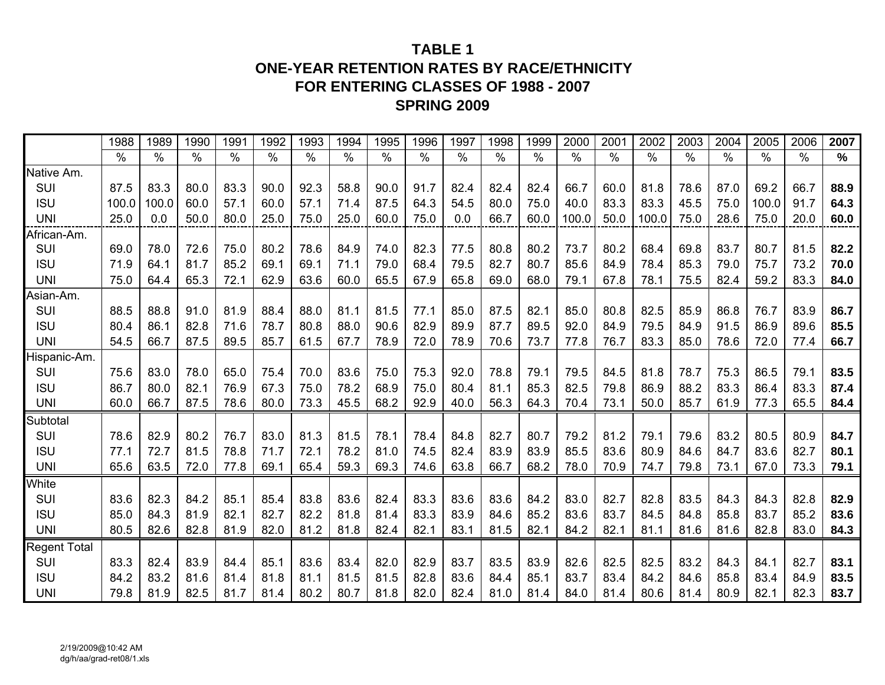# **TABLE 1ONE-YEAR RETENTION RATES BY RACE/ETHNICITY FOR ENTERING CLASSES OF 1988 - 2007 SPRING 2009**

|              | 1988  | 1989  | 1990 | 1991 | 1992 | 1993 | 1994          | 1995 | 1996          | 1997 | 1998          | 1999 | 2000  | 2001 | 2002  | 2003          | 2004 | 2005          | 2006          | 2007 |
|--------------|-------|-------|------|------|------|------|---------------|------|---------------|------|---------------|------|-------|------|-------|---------------|------|---------------|---------------|------|
|              | $\%$  | $\%$  | $\%$ | %    | $\%$ | $\%$ | $\frac{0}{0}$ | $\%$ | $\frac{0}{0}$ | $\%$ | $\frac{0}{0}$ | $\%$ | %     | $\%$ | $\%$  | $\frac{0}{0}$ | $\%$ | $\frac{0}{0}$ | $\frac{0}{0}$ | $\%$ |
| Native Am.   |       |       |      |      |      |      |               |      |               |      |               |      |       |      |       |               |      |               |               |      |
| SUI          | 87.5  | 83.3  | 80.0 | 83.3 | 90.0 | 92.3 | 58.8          | 90.0 | 91.7          | 82.4 | 82.4          | 82.4 | 66.7  | 60.0 | 81.8  | 78.6          | 87.0 | 69.2          | 66.7          | 88.9 |
| <b>ISU</b>   | 100.0 | 100.0 | 60.0 | 57.1 | 60.0 | 57.1 | 71.4          | 87.5 | 64.3          | 54.5 | 80.0          | 75.0 | 40.0  | 83.3 | 83.3  | 45.5          | 75.0 | 100.0         | 91.7          | 64.3 |
| <b>UNI</b>   | 25.0  | 0.0   | 50.0 | 80.0 | 25.0 | 75.0 | 25.0          | 60.0 | 75.0          | 0.0  | 66.7          | 60.0 | 100.0 | 50.0 | 100.0 | 75.0          | 28.6 | 75.0          | 20.0          | 60.0 |
| African-Am.  |       |       |      |      |      |      |               |      |               |      |               |      |       |      |       |               |      |               |               |      |
| SUI          | 69.0  | 78.0  | 72.6 | 75.0 | 80.2 | 78.6 | 84.9          | 74.0 | 82.3          | 77.5 | 80.8          | 80.2 | 73.7  | 80.2 | 68.4  | 69.8          | 83.7 | 80.7          | 81.5          | 82.2 |
| <b>ISU</b>   | 71.9  | 64.1  | 81.7 | 85.2 | 69.1 | 69.1 | 71.1          | 79.0 | 68.4          | 79.5 | 82.7          | 80.7 | 85.6  | 84.9 | 78.4  | 85.3          | 79.0 | 75.7          | 73.2          | 70.0 |
| <b>UNI</b>   | 75.0  | 64.4  | 65.3 | 72.1 | 62.9 | 63.6 | 60.0          | 65.5 | 67.9          | 65.8 | 69.0          | 68.0 | 79.1  | 67.8 | 78.1  | 75.5          | 82.4 | 59.2          | 83.3          | 84.0 |
| Asian-Am.    |       |       |      |      |      |      |               |      |               |      |               |      |       |      |       |               |      |               |               |      |
| SUI          | 88.5  | 88.8  | 91.0 | 81.9 | 88.4 | 88.0 | 81.1          | 81.5 | 77.1          | 85.0 | 87.5          | 82.1 | 85.0  | 80.8 | 82.5  | 85.9          | 86.8 | 76.7          | 83.9          | 86.7 |
| <b>ISU</b>   | 80.4  | 86.1  | 82.8 | 71.6 | 78.7 | 80.8 | 88.0          | 90.6 | 82.9          | 89.9 | 87.7          | 89.5 | 92.0  | 84.9 | 79.5  | 84.9          | 91.5 | 86.9          | 89.6          | 85.5 |
| <b>UNI</b>   | 54.5  | 66.7  | 87.5 | 89.5 | 85.7 | 61.5 | 67.7          | 78.9 | 72.0          | 78.9 | 70.6          | 73.7 | 77.8  | 76.7 | 83.3  | 85.0          | 78.6 | 72.0          | 77.4          | 66.7 |
| Hispanic-Am. |       |       |      |      |      |      |               |      |               |      |               |      |       |      |       |               |      |               |               |      |
| SUI          | 75.6  | 83.0  | 78.0 | 65.0 | 75.4 | 70.0 | 83.6          | 75.0 | 75.3          | 92.0 | 78.8          | 79.1 | 79.5  | 84.5 | 81.8  | 78.7          | 75.3 | 86.5          | 79.1          | 83.5 |
| <b>ISU</b>   | 86.7  | 80.0  | 82.1 | 76.9 | 67.3 | 75.0 | 78.2          | 68.9 | 75.0          | 80.4 | 81.1          | 85.3 | 82.5  | 79.8 | 86.9  | 88.2          | 83.3 | 86.4          | 83.3          | 87.4 |
| <b>UNI</b>   | 60.0  | 66.7  | 87.5 | 78.6 | 80.0 | 73.3 | 45.5          | 68.2 | 92.9          | 40.0 | 56.3          | 64.3 | 70.4  | 73.1 | 50.0  | 85.7          | 61.9 | 77.3          | 65.5          | 84.4 |
| Subtotal     |       |       |      |      |      |      |               |      |               |      |               |      |       |      |       |               |      |               |               |      |
| SUI          | 78.6  | 82.9  | 80.2 | 76.7 | 83.0 | 81.3 | 81.5          | 78.1 | 78.4          | 84.8 | 82.7          | 80.7 | 79.2  | 81.2 | 79.1  | 79.6          | 83.2 | 80.5          | 80.9          | 84.7 |
| <b>ISU</b>   | 77.1  | 72.7  | 81.5 | 78.8 | 71.7 | 72.1 | 78.2          | 81.0 | 74.5          | 82.4 | 83.9          | 83.9 | 85.5  | 83.6 | 80.9  | 84.6          | 84.7 | 83.6          | 82.7          | 80.1 |
| <b>UNI</b>   | 65.6  | 63.5  | 72.0 | 77.8 | 69.1 | 65.4 | 59.3          | 69.3 | 74.6          | 63.8 | 66.7          | 68.2 | 78.0  | 70.9 | 74.7  | 79.8          | 73.1 | 67.0          | 73.3          | 79.1 |
| White        |       |       |      |      |      |      |               |      |               |      |               |      |       |      |       |               |      |               |               |      |
| SUI          | 83.6  | 82.3  | 84.2 | 85.1 | 85.4 | 83.8 | 83.6          | 82.4 | 83.3          | 83.6 | 83.6          | 84.2 | 83.0  | 82.7 | 82.8  | 83.5          | 84.3 | 84.3          | 82.8          | 82.9 |
| <b>ISU</b>   | 85.0  | 84.3  | 81.9 | 82.1 | 82.7 | 82.2 | 81.8          | 81.4 | 83.3          | 83.9 | 84.6          | 85.2 | 83.6  | 83.7 | 84.5  | 84.8          | 85.8 | 83.7          | 85.2          | 83.6 |
| <b>UNI</b>   | 80.5  | 82.6  | 82.8 | 81.9 | 82.0 | 81.2 | 81.8          | 82.4 | 82.1          | 83.1 | 81.5          | 82.1 | 84.2  | 82.1 | 81.1  | 81.6          | 81.6 | 82.8          | 83.0          | 84.3 |
| Regent Total |       |       |      |      |      |      |               |      |               |      |               |      |       |      |       |               |      |               |               |      |
| SUI          | 83.3  | 82.4  | 83.9 | 84.4 | 85.1 | 83.6 | 83.4          | 82.0 | 82.9          | 83.7 | 83.5          | 83.9 | 82.6  | 82.5 | 82.5  | 83.2          | 84.3 | 84.1          | 82.7          | 83.1 |
| <b>ISU</b>   | 84.2  | 83.2  | 81.6 | 81.4 | 81.8 | 81.1 | 81.5          | 81.5 | 82.8          | 83.6 | 84.4          | 85.1 | 83.7  | 83.4 | 84.2  | 84.6          | 85.8 | 83.4          | 84.9          | 83.5 |
| <b>UNI</b>   | 79.8  | 81.9  | 82.5 | 81.7 | 81.4 | 80.2 | 80.7          | 81.8 | 82.0          | 82.4 | 81.0          | 81.4 | 84.0  | 81.4 | 80.6  | 81.4          | 80.9 | 82.1          | 82.3          | 83.7 |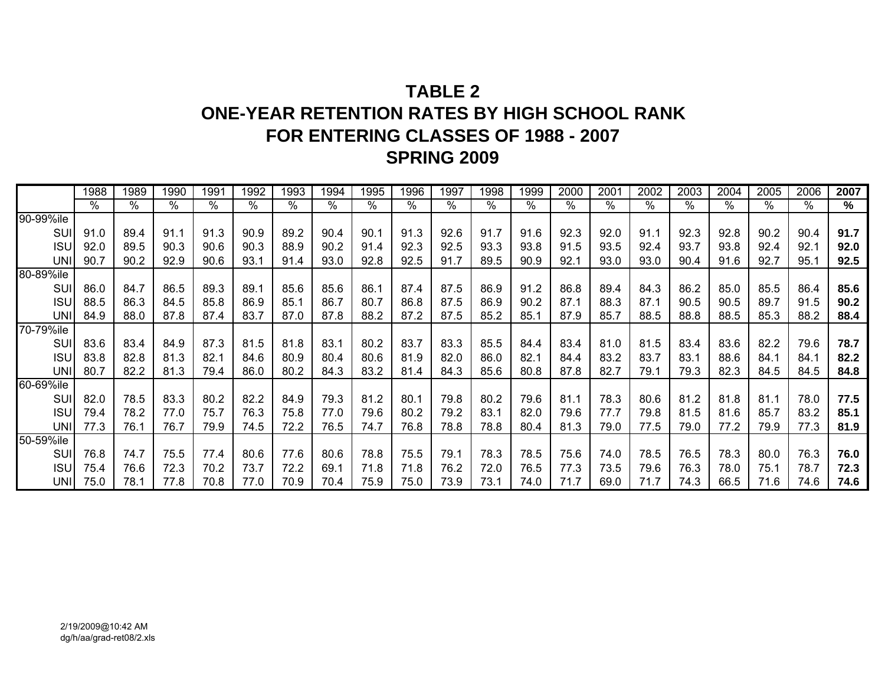# **TABLE 2ONE-YEAR RETENTION RATES BY HIGH SCHOOL RANK FOR ENTERING CLASSES OF 1988 - 2007 SPRING 2009**

|            | 1988 | 1989 | 1990 | 1991 | 1992 | 1993 | 1994 | 1995 | 1996 | 1997 | 1998 | 1999 | 2000 | 2001 | 2002 | 2003 | 2004 | 2005 | 2006 | 2007 |
|------------|------|------|------|------|------|------|------|------|------|------|------|------|------|------|------|------|------|------|------|------|
|            | %    | %    | %    | $\%$ | $\%$ | %    | %    | %    | %    | $\%$ | %    | %    | %    | %    | $\%$ | %    | $\%$ | %    | %    | %    |
| 90-99%ile  |      |      |      |      |      |      |      |      |      |      |      |      |      |      |      |      |      |      |      |      |
| SUI        | 91.0 | 89.4 | 91.1 | 91.3 | 90.9 | 89.2 | 90.4 | 90.1 | 91.3 | 92.6 | 91.7 | 91.6 | 92.3 | 92.0 | 91.1 | 92.3 | 92.8 | 90.2 | 90.4 | 91.7 |
| <b>ISU</b> | 92.0 | 89.5 | 90.3 | 90.6 | 90.3 | 88.9 | 90.2 | 91.4 | 92.3 | 92.5 | 93.3 | 93.8 | 91.5 | 93.5 | 92.4 | 93.7 | 93.8 | 92.4 | 92.1 | 92.0 |
| <b>UNI</b> | 90.7 | 90.2 | 92.9 | 90.6 | 93.7 | 91.4 | 93.0 | 92.8 | 92.5 | 91.7 | 89.5 | 90.9 | 92.1 | 93.0 | 93.0 | 90.4 | 91.6 | 92.7 | 95.1 | 92.5 |
| 80-89%ile  |      |      |      |      |      |      |      |      |      |      |      |      |      |      |      |      |      |      |      |      |
| SUI        | 86.0 | 84.7 | 86.5 | 89.3 | 89.1 | 85.6 | 85.6 | 86.1 | 87.4 | 87.5 | 86.9 | 91.2 | 86.8 | 89.4 | 84.3 | 86.2 | 85.0 | 85.5 | 86.4 | 85.6 |
| <b>ISU</b> | 88.5 | 86.3 | 84.5 | 85.8 | 86.9 | 85.1 | 86.7 | 80.7 | 86.8 | 87.5 | 86.9 | 90.2 | 87.1 | 88.3 | 87.1 | 90.5 | 90.5 | 89.7 | 91.5 | 90.2 |
| <b>UNI</b> | 84.9 | 88.0 | 87.8 | 87.4 | 83.7 | 87.0 | 87.8 | 88.2 | 87.2 | 87.5 | 85.2 | 85.1 | 87.9 | 85.7 | 88.5 | 88.8 | 88.5 | 85.3 | 88.2 | 88.4 |
| 70-79%ile  |      |      |      |      |      |      |      |      |      |      |      |      |      |      |      |      |      |      |      |      |
| SUI        | 83.6 | 83.4 | 84.9 | 87.3 | 81.5 | 81.8 | 83.1 | 80.2 | 83.7 | 83.3 | 85.5 | 84.4 | 83.4 | 81.0 | 81.5 | 83.4 | 83.6 | 82.2 | 79.6 | 78.7 |
| <b>ISU</b> | 83.8 | 82.8 | 81.3 | 82.7 | 84.6 | 80.9 | 80.4 | 80.6 | 81.9 | 82.0 | 86.0 | 82.1 | 84.4 | 83.2 | 83.7 | 83.1 | 88.6 | 84.1 | 84.1 | 82.2 |
| <b>UNI</b> | 80.7 | 82.2 | 81.3 | 79.4 | 86.0 | 80.2 | 84.3 | 83.2 | 81.4 | 84.3 | 85.6 | 80.8 | 87.8 | 82.7 | 79.1 | 79.3 | 82.3 | 84.5 | 84.5 | 84.8 |
| 60-69%ile  |      |      |      |      |      |      |      |      |      |      |      |      |      |      |      |      |      |      |      |      |
| <b>SUI</b> | 82.0 | 78.5 | 83.3 | 80.2 | 82.2 | 84.9 | 79.3 | 81.2 | 80.1 | 79.8 | 80.2 | 79.6 | 81.1 | 78.3 | 80.6 | 81.2 | 81.8 | 81.1 | 78.0 | 77.5 |
| <b>ISU</b> | 79.4 | 78.2 | 77.0 | 75.7 | 76.3 | 75.8 | 77.0 | 79.6 | 80.2 | 79.2 | 83.1 | 82.0 | 79.6 | 77.7 | 79.8 | 81.5 | 81.6 | 85.7 | 83.2 | 85.1 |
| UNI        | 77.3 | 76.1 | 76.7 | 79.9 | 74.5 | 72.2 | 76.5 | 74.7 | 76.8 | 78.8 | 78.8 | 80.4 | 81.3 | 79.0 | 77.5 | 79.0 | 77.2 | 79.9 | 77.3 | 81.9 |
| 50-59%ile  |      |      |      |      |      |      |      |      |      |      |      |      |      |      |      |      |      |      |      |      |
| SUI        | 76.8 | 74.7 | 75.5 | 77.4 | 80.6 | 77.6 | 80.6 | 78.8 | 75.5 | 79.1 | 78.3 | 78.5 | 75.6 | 74.0 | 78.5 | 76.5 | 78.3 | 80.0 | 76.3 | 76.0 |
| <b>ISU</b> | 75.4 | 76.6 | 72.3 | 70.2 | 73.7 | 72.2 | 69.1 | 71.8 | 71.8 | 76.2 | 72.0 | 76.5 | 77.3 | 73.5 | 79.6 | 76.3 | 78.0 | 75.1 | 78.7 | 72.3 |
| <b>UNI</b> | 75.0 | 78.1 | 77.8 | 70.8 | 77.0 | 70.9 | 70.4 | 75.9 | 75.0 | 73.9 | 73.1 | 74.0 | 71.7 | 69.0 | 71.7 | 74.3 | 66.5 | 71.6 | 74.6 | 74.6 |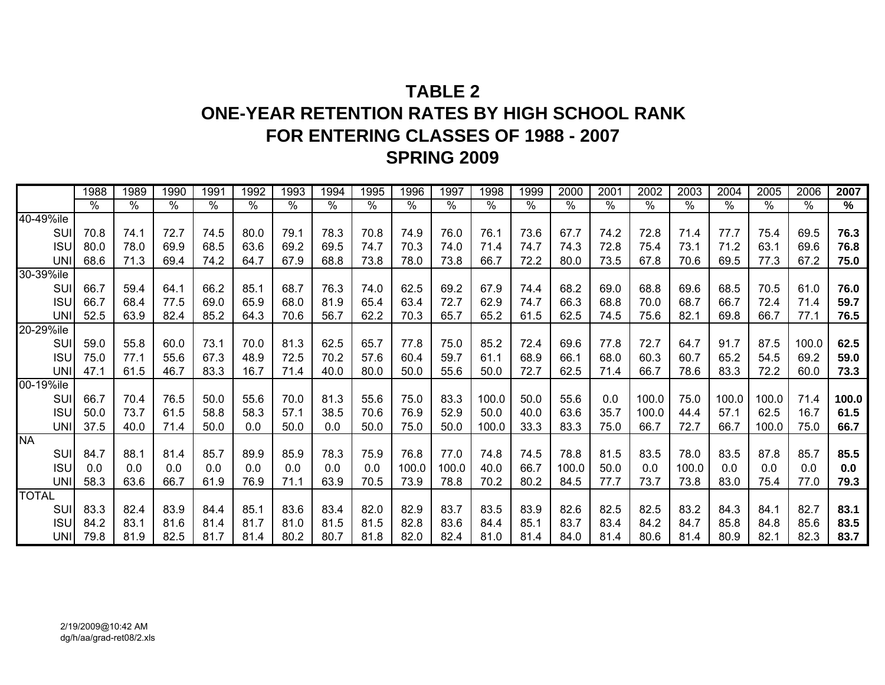# **TABLE 2ONE-YEAR RETENTION RATES BY HIGH SCHOOL RANK FOR ENTERING CLASSES OF 1988 - 2007 SPRING 2009**

|              | 1988 | 1989            | 1990       | 1991          | 1992 | 1993 | 1994            | 1995 | 1996  | 1997            | 1998       | 1999          | 2000  | $200^{\circ}$ | 2002          | 2003  | 2004  | 2005  | 2006  | 2007  |
|--------------|------|-----------------|------------|---------------|------|------|-----------------|------|-------|-----------------|------------|---------------|-------|---------------|---------------|-------|-------|-------|-------|-------|
|              | $\%$ | $\overline{\%}$ | $\sqrt{0}$ | $\frac{0}{0}$ | %    | $\%$ | $\overline{\%}$ | $\%$ | $\%$  | $\overline{\%}$ | $\sqrt{6}$ | $\frac{1}{2}$ | $\%$  | $\%$          | $\frac{1}{2}$ | $\%$  | $\%$  | $\%$  | $\%$  | %     |
| 40-49%ile    |      |                 |            |               |      |      |                 |      |       |                 |            |               |       |               |               |       |       |       |       |       |
| <b>SUI</b>   | 70.8 | 74.1            | 72.7       | 74.5          | 80.0 | 79.1 | 78.3            | 70.8 | 74.9  | 76.0            | 76.1       | 73.6          | 67.7  | 74.2          | 72.8          | 71.4  | 77.7  | 75.4  | 69.5  | 76.3  |
| <b>ISU</b>   | 80.0 | 78.0            | 69.9       | 68.5          | 63.6 | 69.2 | 69.5            | 74.7 | 70.3  | 74.0            | 71.4       | 74.7          | 74.3  | 72.8          | 75.4          | 73.1  | 71.2  | 63.1  | 69.6  | 76.8  |
| <b>UNI</b>   | 68.6 | 71.3            | 69.4       | 74.2          | 64.7 | 67.9 | 68.8            | 73.8 | 78.0  | 73.8            | 66.7       | 72.2          | 80.0  | 73.5          | 67.8          | 70.6  | 69.5  | 77.3  | 67.2  | 75.0  |
| 30-39%ile    |      |                 |            |               |      |      |                 |      |       |                 |            |               |       |               |               |       |       |       |       |       |
| <b>SUI</b>   | 66.7 | 59.4            | 64.1       | 66.2          | 85.1 | 68.7 | 76.3            | 74.0 | 62.5  | 69.2            | 67.9       | 74.4          | 68.2  | 69.0          | 68.8          | 69.6  | 68.5  | 70.5  | 61.0  | 76.0  |
| <b>ISU</b>   | 66.7 | 68.4            | 77.5       | 69.0          | 65.9 | 68.0 | 81.9            | 65.4 | 63.4  | 72.7            | 62.9       | 74.7          | 66.3  | 68.8          | 70.0          | 68.7  | 66.7  | 72.4  | 71.4  | 59.7  |
| <b>UNI</b>   | 52.5 | 63.9            | 82.4       | 85.2          | 64.3 | 70.6 | 56.7            | 62.2 | 70.3  | 65.7            | 65.2       | 61.5          | 62.5  | 74.5          | 75.6          | 82.1  | 69.8  | 66.7  | 77.1  | 76.5  |
| 20-29%ile    |      |                 |            |               |      |      |                 |      |       |                 |            |               |       |               |               |       |       |       |       |       |
| <b>SUI</b>   | 59.0 | 55.8            | 60.0       | 73.1          | 70.0 | 81.3 | 62.5            | 65.7 | 77.8  | 75.0            | 85.2       | 72.4          | 69.6  | 77.8          | 72.7          | 64.7  | 91.7  | 87.5  | 100.0 | 62.5  |
| <b>ISU</b>   | 75.0 | 77.1            | 55.6       | 67.3          | 48.9 | 72.5 | 70.2            | 57.6 | 60.4  | 59.7            | 61.1       | 68.9          | 66.1  | 68.0          | 60.3          | 60.7  | 65.2  | 54.5  | 69.2  | 59.0  |
| UNI          | 47.1 | 61.5            | 46.7       | 83.3          | 16.7 | 71.4 | 40.0            | 80.0 | 50.0  | 55.6            | 50.0       | 72.7          | 62.5  | 71.4          | 66.7          | 78.6  | 83.3  | 72.2  | 60.0  | 73.3  |
| 00-19%ile    |      |                 |            |               |      |      |                 |      |       |                 |            |               |       |               |               |       |       |       |       |       |
| <b>SUI</b>   | 66.7 | 70.4            | 76.5       | 50.0          | 55.6 | 70.0 | 81.3            | 55.6 | 75.0  | 83.3            | 100.0      | 50.0          | 55.6  | 0.0           | 100.0         | 75.0  | 100.0 | 100.0 | 71.4  | 100.0 |
| <b>ISU</b>   | 50.0 | 73.7            | 61.5       | 58.8          | 58.3 | 57.1 | 38.5            | 70.6 | 76.9  | 52.9            | 50.0       | 40.0          | 63.6  | 35.7          | 100.0         | 44.4  | 57.1  | 62.5  | 16.7  | 61.5  |
| <b>UNI</b>   | 37.5 | 40.0            | 71.4       | 50.0          | 0.0  | 50.0 | 0.0             | 50.0 | 75.0  | 50.0            | 100.0      | 33.3          | 83.3  | 75.0          | 66.7          | 72.7  | 66.7  | 100.0 | 75.0  | 66.7  |
| <b>NA</b>    |      |                 |            |               |      |      |                 |      |       |                 |            |               |       |               |               |       |       |       |       |       |
| <b>SUI</b>   | 84.7 | 88.1            | 81.4       | 85.7          | 89.9 | 85.9 | 78.3            | 75.9 | 76.8  | 77.0            | 74.8       | 74.5          | 78.8  | 81.5          | 83.5          | 78.0  | 83.5  | 87.8  | 85.7  | 85.5  |
| <b>ISU</b>   | 0.0  | 0.0             | 0.0        | 0.0           | 0.0  | 0.0  | 0.0             | 0.0  | 100.0 | 100.0           | 40.0       | 66.7          | 100.0 | 50.0          | 0.0           | 100.0 | 0.0   | 0.0   | 0.0   | 0.0   |
| UNI          | 58.3 | 63.6            | 66.7       | 61.9          | 76.9 | 71.1 | 63.9            | 70.5 | 73.9  | 78.8            | 70.2       | 80.2          | 84.5  | 77.7          | 73.7          | 73.8  | 83.0  | 75.4  | 77.0  | 79.3  |
| <b>TOTAL</b> |      |                 |            |               |      |      |                 |      |       |                 |            |               |       |               |               |       |       |       |       |       |
| <b>SUI</b>   | 83.3 | 82.4            | 83.9       | 84.4          | 85.1 | 83.6 | 83.4            | 82.0 | 82.9  | 83.7            | 83.5       | 83.9          | 82.6  | 82.5          | 82.5          | 83.2  | 84.3  | 84.1  | 82.7  | 83.1  |
| <b>ISU</b>   | 84.2 | 83.1            | 81.6       | 81.4          | 81.7 | 81.0 | 81.5            | 81.5 | 82.8  | 83.6            | 84.4       | 85.1          | 83.7  | 83.4          | 84.2          | 84.7  | 85.8  | 84.8  | 85.6  | 83.5  |
| UNI          | 79.8 | 81.9            | 82.5       | 81.7          | 81.4 | 80.2 | 80.7            | 81.8 | 82.0  | 82.4            | 81.0       | 81.4          | 84.0  | 81.4          | 80.6          | 81.4  | 80.9  | 82.1  | 82.3  | 83.7  |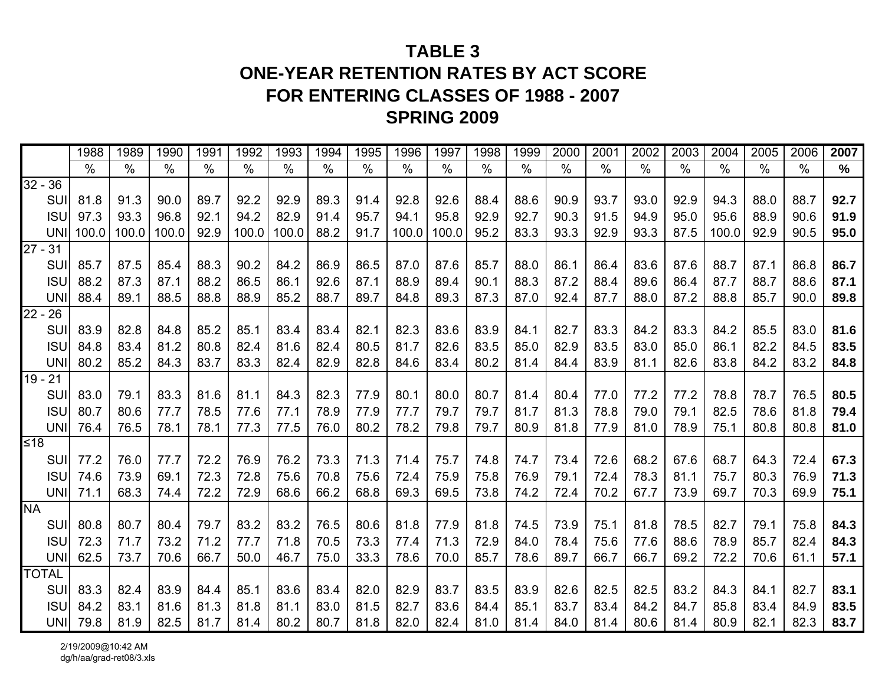# **TABLE 3ONE-YEAR RETENTION RATES BY ACT SCORE FOR ENTERING CLASSES OF 1988 - 2007 SPRING 2009**

|                      |            | 1988          | 1989          | 1990          | 1991          | 1992  | 1993          | 1994          | 1995 | 1996            | 1997  | 1998 | 1999 | 2000 | 2001 | 2002          | 2003          | 2004  | 2005 | 2006          | 2007 |
|----------------------|------------|---------------|---------------|---------------|---------------|-------|---------------|---------------|------|-----------------|-------|------|------|------|------|---------------|---------------|-------|------|---------------|------|
|                      |            | $\frac{0}{0}$ | $\frac{0}{0}$ | $\frac{0}{0}$ | $\frac{0}{0}$ | $\%$  | $\frac{0}{0}$ | $\frac{0}{0}$ | $\%$ | $\overline{\%}$ | $\%$  | $\%$ | $\%$ | $\%$ | $\%$ | $\frac{0}{0}$ | $\frac{0}{0}$ | $\%$  | $\%$ | $\frac{0}{0}$ | $\%$ |
| $32 - 36$            |            |               |               |               |               |       |               |               |      |                 |       |      |      |      |      |               |               |       |      |               |      |
|                      | SUI        | 81.8          | 91.3          | 90.0          | 89.7          | 92.2  | 92.9          | 89.3          | 91.4 | 92.8            | 92.6  | 88.4 | 88.6 | 90.9 | 93.7 | 93.0          | 92.9          | 94.3  | 88.0 | 88.7          | 92.7 |
|                      | <b>ISU</b> | 97.3          | 93.3          | 96.8          | 92.1          | 94.2  | 82.9          | 91.4          | 95.7 | 94.1            | 95.8  | 92.9 | 92.7 | 90.3 | 91.5 | 94.9          | 95.0          | 95.6  | 88.9 | 90.6          | 91.9 |
|                      | <b>UNI</b> | 100.0         | 100.0         | 100.0         | 92.9          | 100.0 | 100.0         | 88.2          | 91.7 | 100.0           | 100.0 | 95.2 | 83.3 | 93.3 | 92.9 | 93.3          | 87.5          | 100.0 | 92.9 | 90.5          | 95.0 |
| $27 - 31$            |            |               |               |               |               |       |               |               |      |                 |       |      |      |      |      |               |               |       |      |               |      |
|                      | SUI        | 85.7          | 87.5          | 85.4          | 88.3          | 90.2  | 84.2          | 86.9          | 86.5 | 87.0            | 87.6  | 85.7 | 88.0 | 86.1 | 86.4 | 83.6          | 87.6          | 88.7  | 87.1 | 86.8          | 86.7 |
|                      | <b>ISU</b> | 88.2          | 87.3          | 87.1          | 88.2          | 86.5  | 86.1          | 92.6          | 87.1 | 88.9            | 89.4  | 90.1 | 88.3 | 87.2 | 88.4 | 89.6          | 86.4          | 87.7  | 88.7 | 88.6          | 87.1 |
|                      | <b>UNI</b> | 88.4          | 89.1          | 88.5          | 88.8          | 88.9  | 85.2          | 88.7          | 89.7 | 84.8            | 89.3  | 87.3 | 87.0 | 92.4 | 87.7 | 88.0          | 87.2          | 88.8  | 85.7 | 90.0          | 89.8 |
| $22 - 26$            |            |               |               |               |               |       |               |               |      |                 |       |      |      |      |      |               |               |       |      |               |      |
|                      | SUI        | 83.9          | 82.8          | 84.8          | 85.2          | 85.1  | 83.4          | 83.4          | 82.1 | 82.3            | 83.6  | 83.9 | 84.1 | 82.7 | 83.3 | 84.2          | 83.3          | 84.2  | 85.5 | 83.0          | 81.6 |
|                      | <b>ISU</b> | 84.8          | 83.4          | 81.2          | 80.8          | 82.4  | 81.6          | 82.4          | 80.5 | 81.7            | 82.6  | 83.5 | 85.0 | 82.9 | 83.5 | 83.0          | 85.0          | 86.1  | 82.2 | 84.5          | 83.5 |
|                      | <b>UN</b>  | 80.2          | 85.2          | 84.3          | 83.7          | 83.3  | 82.4          | 82.9          | 82.8 | 84.6            | 83.4  | 80.2 | 81.4 | 84.4 | 83.9 | 81.1          | 82.6          | 83.8  | 84.2 | 83.2          | 84.8 |
| $\overline{19} - 21$ |            |               |               |               |               |       |               |               |      |                 |       |      |      |      |      |               |               |       |      |               |      |
|                      | SUI        | 83.0          | 79.1          | 83.3          | 81.6          | 81.1  | 84.3          | 82.3          | 77.9 | 80.1            | 80.0  | 80.7 | 81.4 | 80.4 | 77.0 | 77.2          | 77.2          | 78.8  | 78.7 | 76.5          | 80.5 |
|                      | <b>ISU</b> | 80.7          | 80.6          | 77.7          | 78.5          | 77.6  | 77.1          | 78.9          | 77.9 | 77.7            | 79.7  | 79.7 | 81.7 | 81.3 | 78.8 | 79.0          | 79.1          | 82.5  | 78.6 | 81.8          | 79.4 |
|                      | <b>UNI</b> | 76.4          | 76.5          | 78.1          | 78.1          | 77.3  | 77.5          | 76.0          | 80.2 | 78.2            | 79.8  | 79.7 | 80.9 | 81.8 | 77.9 | 81.0          | 78.9          | 75.1  | 80.8 | 80.8          | 81.0 |
| $≤18$                |            |               |               |               |               |       |               |               |      |                 |       |      |      |      |      |               |               |       |      |               |      |
|                      | SUI        | 77.2          | 76.0          | 77.7          | 72.2          | 76.9  | 76.2          | 73.3          | 71.3 | 71.4            | 75.7  | 74.8 | 74.7 | 73.4 | 72.6 | 68.2          | 67.6          | 68.7  | 64.3 | 72.4          | 67.3 |
|                      | <b>ISU</b> | 74.6          | 73.9          | 69.1          | 72.3          | 72.8  | 75.6          | 70.8          | 75.6 | 72.4            | 75.9  | 75.8 | 76.9 | 79.1 | 72.4 | 78.3          | 81.1          | 75.7  | 80.3 | 76.9          | 71.3 |
|                      | <b>UNI</b> | 71.1          | 68.3          | 74.4          | 72.2          | 72.9  | 68.6          | 66.2          | 68.8 | 69.3            | 69.5  | 73.8 | 74.2 | 72.4 | 70.2 | 67.7          | 73.9          | 69.7  | 70.3 | 69.9          | 75.1 |
| <b>NA</b>            |            |               |               |               |               |       |               |               |      |                 |       |      |      |      |      |               |               |       |      |               |      |
|                      | SUI        | 80.8          | 80.7          | 80.4          | 79.7          | 83.2  | 83.2          | 76.5          | 80.6 | 81.8            | 77.9  | 81.8 | 74.5 | 73.9 | 75.1 | 81.8          | 78.5          | 82.7  | 79.1 | 75.8          | 84.3 |
|                      | <b>ISU</b> | 72.3          | 71.7          | 73.2          | 71.2          | 77.7  | 71.8          | 70.5          | 73.3 | 77.4            | 71.3  | 72.9 | 84.0 | 78.4 | 75.6 | 77.6          | 88.6          | 78.9  | 85.7 | 82.4          | 84.3 |
|                      | <b>UNI</b> | 62.5          | 73.7          | 70.6          | 66.7          | 50.0  | 46.7          | 75.0          | 33.3 | 78.6            | 70.0  | 85.7 | 78.6 | 89.7 | 66.7 | 66.7          | 69.2          | 72.2  | 70.6 | 61.1          | 57.1 |
| <b>TOTAL</b>         |            |               |               |               |               |       |               |               |      |                 |       |      |      |      |      |               |               |       |      |               |      |
|                      | SUI        | 83.3          | 82.4          | 83.9          | 84.4          | 85.1  | 83.6          | 83.4          | 82.0 | 82.9            | 83.7  | 83.5 | 83.9 | 82.6 | 82.5 | 82.5          | 83.2          | 84.3  | 84.1 | 82.7          | 83.1 |
|                      | <b>ISU</b> | 84.2          | 83.1          | 81.6          | 81.3          | 81.8  | 81.1          | 83.0          | 81.5 | 82.7            | 83.6  | 84.4 | 85.1 | 83.7 | 83.4 | 84.2          | 84.7          | 85.8  | 83.4 | 84.9          | 83.5 |
|                      | <b>UNI</b> | 79.8          | 81.9          | 82.5          | 81.7          | 81.4  | 80.2          | 80.7          | 81.8 | 82.0            | 82.4  | 81.0 | 81.4 | 84.0 | 81.4 | 80.6          | 81.4          | 80.9  | 82.1 | 82.3          | 83.7 |

2/19/2009@10:42 AM dg/h/aa/grad-ret08/3.xls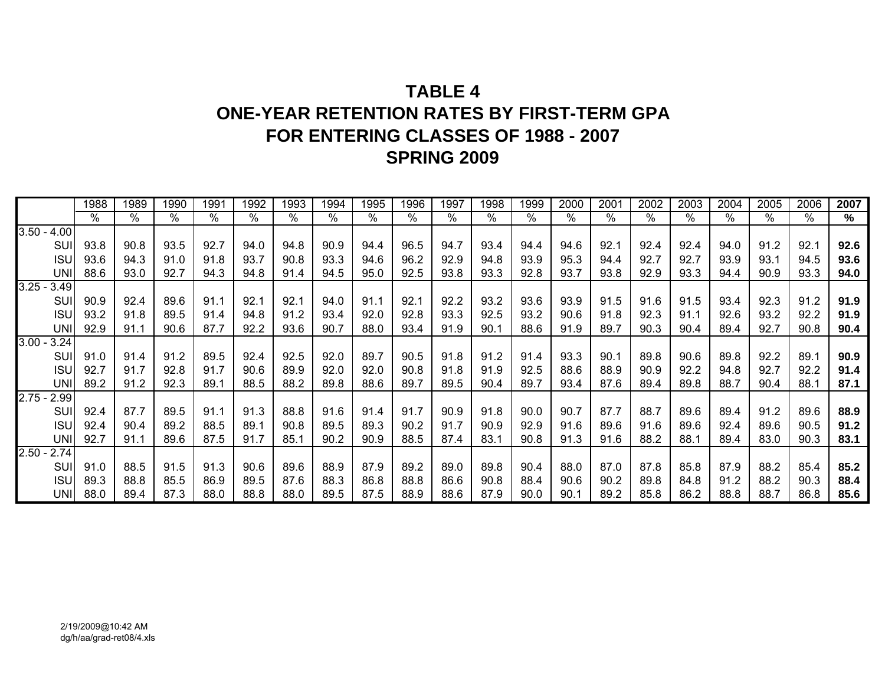# **TABLE 4ONE-YEAR RETENTION RATES BY FIRST-TERM GPAFOR ENTERING CLASSES OF 1988 - 2007 SPRING 2009**

|               |            | 1988 | 1989 | 1990 | 1991       | 1992 | 1993 | 1994 | 1995 | 1996 | 1997 | 1998       | 1999          | 2000 | 2001 | 2002 | 2003 | 2004 | 2005          | 2006 | 2007 |
|---------------|------------|------|------|------|------------|------|------|------|------|------|------|------------|---------------|------|------|------|------|------|---------------|------|------|
|               |            | ℅    | %    | %    | $\sqrt{6}$ | $\%$ | $\%$ | %    | %    | %    | $\%$ | $\sqrt{6}$ | $\frac{9}{6}$ | %    | %    | ℅    | $\%$ | $\%$ | $\frac{9}{6}$ | %    | %    |
| $3.50 - 4.00$ |            |      |      |      |            |      |      |      |      |      |      |            |               |      |      |      |      |      |               |      |      |
|               | SUI        | 93.8 | 90.8 | 93.5 | 92.7       | 94.0 | 94.8 | 90.9 | 94.4 | 96.5 | 94.7 | 93.4       | 94.4          | 94.6 | 92.1 | 92.4 | 92.4 | 94.0 | 91.2          | 92.1 | 92.6 |
|               | <b>ISU</b> | 93.6 | 94.3 | 91.0 | 91.8       | 93.7 | 90.8 | 93.3 | 94.6 | 96.2 | 92.9 | 94.8       | 93.9          | 95.3 | 94.4 | 92.7 | 92.7 | 93.9 | 93.1          | 94.5 | 93.6 |
|               | <b>UNI</b> | 88.6 | 93.0 | 92.7 | 94.3       | 94.8 | 91.4 | 94.5 | 95.0 | 92.5 | 93.8 | 93.3       | 92.8          | 93.7 | 93.8 | 92.9 | 93.3 | 94.4 | 90.9          | 93.3 | 94.0 |
| $3.25 - 3.49$ |            |      |      |      |            |      |      |      |      |      |      |            |               |      |      |      |      |      |               |      |      |
|               | SUI        | 90.9 | 92.4 | 89.6 | 91.1       | 92.1 | 92.1 | 94.0 | 91.1 | 92.1 | 92.2 | 93.2       | 93.6          | 93.9 | 91.5 | 91.6 | 91.5 | 93.4 | 92.3          | 91.2 | 91.9 |
|               | <b>ISU</b> | 93.2 | 91.8 | 89.5 | 91.4       | 94.8 | 91.2 | 93.4 | 92.0 | 92.8 | 93.3 | 92.5       | 93.2          | 90.6 | 91.8 | 92.3 | 91.1 | 92.6 | 93.2          | 92.2 | 91.9 |
|               | <b>UNI</b> | 92.9 | 91.1 | 90.6 | 87.7       | 92.2 | 93.6 | 90.7 | 88.0 | 93.4 | 91.9 | 90.1       | 88.6          | 91.9 | 89.7 | 90.3 | 90.4 | 89.4 | 92.7          | 90.8 | 90.4 |
| $3.00 - 3.24$ |            |      |      |      |            |      |      |      |      |      |      |            |               |      |      |      |      |      |               |      |      |
|               | SUI        | 91.0 | 91.4 | 91.2 | 89.5       | 92.4 | 92.5 | 92.0 | 89.7 | 90.5 | 91.8 | 91.2       | 91.4          | 93.3 | 90.1 | 89.8 | 90.6 | 89.8 | 92.2          | 89.1 | 90.9 |
|               | <b>ISU</b> | 92.7 | 91.7 | 92.8 | 91.7       | 90.6 | 89.9 | 92.0 | 92.0 | 90.8 | 91.8 | 91.9       | 92.5          | 88.6 | 88.9 | 90.9 | 92.2 | 94.8 | 92.7          | 92.2 | 91.4 |
|               | UNI        | 89.2 | 91.2 | 92.3 | 89.1       | 88.5 | 88.2 | 89.8 | 88.6 | 89.7 | 89.5 | 90.4       | 89.7          | 93.4 | 87.6 | 89.4 | 89.8 | 88.7 | 90.4          | 88.1 | 87.1 |
| $2.75 - 2.99$ |            |      |      |      |            |      |      |      |      |      |      |            |               |      |      |      |      |      |               |      |      |
|               | SUI        | 92.4 | 87.7 | 89.5 | 91.1       | 91.3 | 88.8 | 91.6 | 91.4 | 91.7 | 90.9 | 91.8       | 90.0          | 90.7 | 87.7 | 88.7 | 89.6 | 89.4 | 91.2          | 89.6 | 88.9 |
|               | <b>ISU</b> | 92.4 | 90.4 | 89.2 | 88.5       | 89.1 | 90.8 | 89.5 | 89.3 | 90.2 | 91.7 | 90.9       | 92.9          | 91.6 | 89.6 | 91.6 | 89.6 | 92.4 | 89.6          | 90.5 | 91.2 |
|               | UNII       | 92.7 | 91.1 | 89.6 | 87.5       | 91.7 | 85.1 | 90.2 | 90.9 | 88.5 | 87.4 | 83.1       | 90.8          | 91.3 | 91.6 | 88.2 | 88.1 | 89.4 | 83.0          | 90.3 | 83.1 |
| $2.50 -$      | 2.74       |      |      |      |            |      |      |      |      |      |      |            |               |      |      |      |      |      |               |      |      |
|               | <b>SUI</b> | 91.0 | 88.5 | 91.5 | 91.3       | 90.6 | 89.6 | 88.9 | 87.9 | 89.2 | 89.0 | 89.8       | 90.4          | 88.0 | 87.0 | 87.8 | 85.8 | 87.9 | 88.2          | 85.4 | 85.2 |
|               | <b>ISU</b> | 89.3 | 88.8 | 85.5 | 86.9       | 89.5 | 87.6 | 88.3 | 86.8 | 88.8 | 86.6 | 90.8       | 88.4          | 90.6 | 90.2 | 89.8 | 84.8 | 91.2 | 88.2          | 90.3 | 88.4 |
|               | <b>UNI</b> | 88.0 | 89.4 | 87.3 | 88.0       | 88.8 | 88.0 | 89.5 | 87.5 | 88.9 | 88.6 | 87.9       | 90.0          | 90.1 | 89.2 | 85.8 | 86.2 | 88.8 | 88.7          | 86.8 | 85.6 |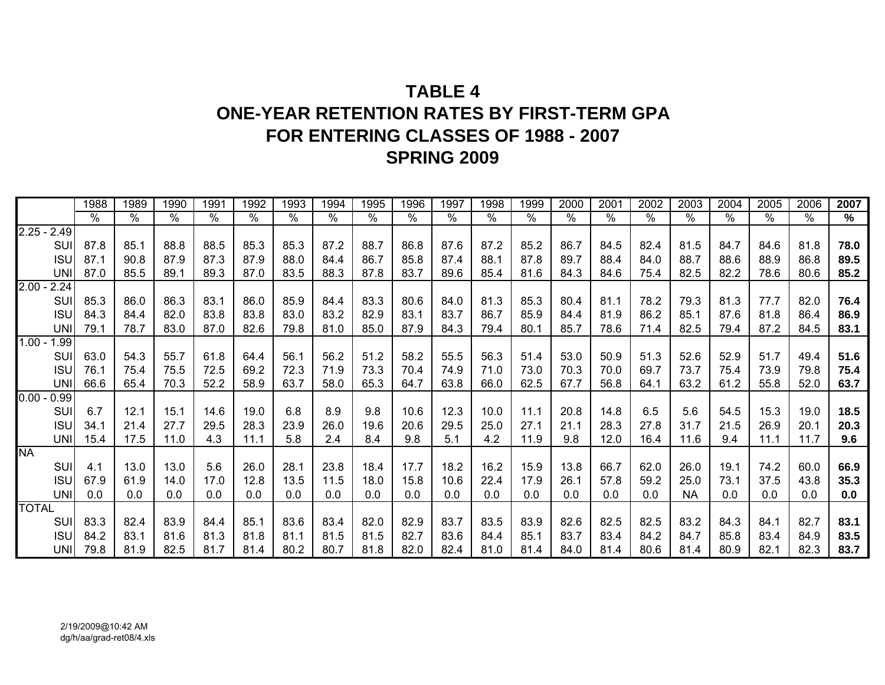# **TABLE 4ONE-YEAR RETENTION RATES BY FIRST-TERM GPAFOR ENTERING CLASSES OF 1988 - 2007 SPRING 2009**

|               | 1988 | 1989          | 1990          | 1991                 | 1992                    | 1993 | 1994 | 1995                 | 1996          | 1997          | 1998                | 1999       | 2000 | $200^{\circ}$ | 2002          | 2003      | 2004 | 2005          | 2006       | 2007 |
|---------------|------|---------------|---------------|----------------------|-------------------------|------|------|----------------------|---------------|---------------|---------------------|------------|------|---------------|---------------|-----------|------|---------------|------------|------|
|               | %    | $\frac{1}{2}$ | $\frac{8}{6}$ | $\frac{1}{\sqrt{2}}$ | $\sqrt[6]{\phantom{.}}$ | %    | %    | $\frac{1}{\sqrt{2}}$ | $\frac{1}{6}$ | $\frac{8}{6}$ | $\sqrt{\frac{6}{}}$ | $\sqrt{0}$ | $\%$ | %             | $\frac{8}{6}$ | %         | %    | $\frac{1}{6}$ | $\sqrt{6}$ | %    |
| $2.25 - 2.49$ |      |               |               |                      |                         |      |      |                      |               |               |                     |            |      |               |               |           |      |               |            |      |
| SUI           | 87.8 | 85.1          | 88.8          | 88.5                 | 85.3                    | 85.3 | 87.2 | 88.7                 | 86.8          | 87.6          | 87.2                | 85.2       | 86.7 | 84.5          | 82.4          | 81.5      | 84.7 | 84.6          | 81.8       | 78.0 |
| <b>ISU</b>    | 87.1 | 90.8          | 87.9          | 87.3                 | 87.9                    | 88.0 | 84.4 | 86.7                 | 85.8          | 87.4          | 88.1                | 87.8       | 89.7 | 88.4          | 84.0          | 88.7      | 88.6 | 88.9          | 86.8       | 89.5 |
| <b>UNI</b>    | 87.0 | 85.5          | 89.1          | 89.3                 | 87.0                    | 83.5 | 88.3 | 87.8                 | 83.7          | 89.6          | 85.4                | 81.6       | 84.3 | 84.6          | 75.4          | 82.5      | 82.2 | 78.6          | 80.6       | 85.2 |
| $2.00 - 2.24$ |      |               |               |                      |                         |      |      |                      |               |               |                     |            |      |               |               |           |      |               |            |      |
| SUI           | 85.3 | 86.0          | 86.3          | 83.1                 | 86.0                    | 85.9 | 84.4 | 83.3                 | 80.6          | 84.0          | 81.3                | 85.3       | 80.4 | 81.1          | 78.2          | 79.3      | 81.3 | 77.7          | 82.0       | 76.4 |
| <b>ISU</b>    | 84.3 | 84.4          | 82.0          | 83.8                 | 83.8                    | 83.0 | 83.2 | 82.9                 | 83.1          | 83.7          | 86.7                | 85.9       | 84.4 | 81.9          | 86.2          | 85.1      | 87.6 | 81.8          | 86.4       | 86.9 |
| <b>UNI</b>    | 79.1 | 78.7          | 83.0          | 87.0                 | 82.6                    | 79.8 | 81.0 | 85.0                 | 87.9          | 84.3          | 79.4                | 80.1       | 85.7 | 78.6          | 71.4          | 82.5      | 79.4 | 87.2          | 84.5       | 83.1 |
| $1.00 - 1.99$ |      |               |               |                      |                         |      |      |                      |               |               |                     |            |      |               |               |           |      |               |            |      |
| SUI           | 63.0 | 54.3          | 55.7          | 61.8                 | 64.4                    | 56.1 | 56.2 | 51.2                 | 58.2          | 55.5          | 56.3                | 51.4       | 53.0 | 50.9          | 51.3          | 52.6      | 52.9 | 51.7          | 49.4       | 51.6 |
| <b>ISU</b>    | 76.1 | 75.4          | 75.5          | 72.5                 | 69.2                    | 72.3 | 71.9 | 73.3                 | 70.4          | 74.9          | 71.0                | 73.0       | 70.3 | 70.0          | 69.7          | 73.7      | 75.4 | 73.9          | 79.8       | 75.4 |
| <b>UNI</b>    | 66.6 | 65.4          | 70.3          | 52.2                 | 58.9                    | 63.7 | 58.0 | 65.3                 | 64.7          | 63.8          | 66.0                | 62.5       | 67.7 | 56.8          | 64.1          | 63.2      | 61.2 | 55.8          | 52.0       | 63.7 |
| $0.00 - 0.99$ |      |               |               |                      |                         |      |      |                      |               |               |                     |            |      |               |               |           |      |               |            |      |
| SUI           | 6.7  | 12.1          | 15.1          | 14.6                 | 19.0                    | 6.8  | 8.9  | 9.8                  | 10.6          | 12.3          | 10.0                | 11.1       | 20.8 | 14.8          | 6.5           | 5.6       | 54.5 | 15.3          | 19.0       | 18.5 |
| <b>ISU</b>    | 34.1 | 21.4          | 27.7          | 29.5                 | 28.3                    | 23.9 | 26.0 | 19.6                 | 20.6          | 29.5          | 25.0                | 27.1       | 21.1 | 28.3          | 27.8          | 31.7      | 21.5 | 26.9          | 20.1       | 20.3 |
| UNI           | 15.4 | 17.5          | 11.0          | 4.3                  | 11.1                    | 5.8  | 2.4  | 8.4                  | 9.8           | 5.1           | 4.2                 | 11.9       | 9.8  | 12.0          | 16.4          | 11.6      | 9.4  | 11.1          | 11.7       | 9.6  |
| <b>NA</b>     |      |               |               |                      |                         |      |      |                      |               |               |                     |            |      |               |               |           |      |               |            |      |
| SUI           | 4.1  | 13.0          | 13.0          | 5.6                  | 26.0                    | 28.1 | 23.8 | 18.4                 | 17.7          | 18.2          | 16.2                | 15.9       | 13.8 | 66.7          | 62.0          | 26.0      | 19.1 | 74.2          | 60.0       | 66.9 |
| <b>ISU</b>    | 67.9 | 61.9          | 14.0          | 17.0                 | 12.8                    | 13.5 | 11.5 | 18.0                 | 15.8          | 10.6          | 22.4                | 17.9       | 26.1 | 57.8          | 59.2          | 25.0      | 73.1 | 37.5          | 43.8       | 35.3 |
| <b>UNI</b>    | 0.0  | 0.0           | 0.0           | 0.0                  | 0.0                     | 0.0  | 0.0  | 0.0                  | 0.0           | 0.0           | 0.0                 | 0.0        | 0.0  | 0.0           | 0.0           | <b>NA</b> | 0.0  | 0.0           | 0.0        | 0.0  |
| <b>TOTAL</b>  |      |               |               |                      |                         |      |      |                      |               |               |                     |            |      |               |               |           |      |               |            |      |
| SUI           | 83.3 | 82.4          | 83.9          | 84.4                 | 85.1                    | 83.6 | 83.4 | 82.0                 | 82.9          | 83.7          | 83.5                | 83.9       | 82.6 | 82.5          | 82.5          | 83.2      | 84.3 | 84.1          | 82.7       | 83.1 |
| <b>ISU</b>    | 84.2 | 83.1          | 81.6          | 81.3                 | 81.8                    | 81.1 | 81.5 | 81.5                 | 82.7          | 83.6          | 84.4                | 85.1       | 83.7 | 83.4          | 84.2          | 84.7      | 85.8 | 83.4          | 84.9       | 83.5 |
| UNII          | 79.8 | 81.9          | 82.5          | 81.7                 | 81.4                    | 80.2 | 80.7 | 81.8                 | 82.0          | 82.4          | 81.0                | 81.4       | 84.0 | 81.4          | 80.6          | 81.4      | 80.9 | 82.1          | 82.3       | 83.7 |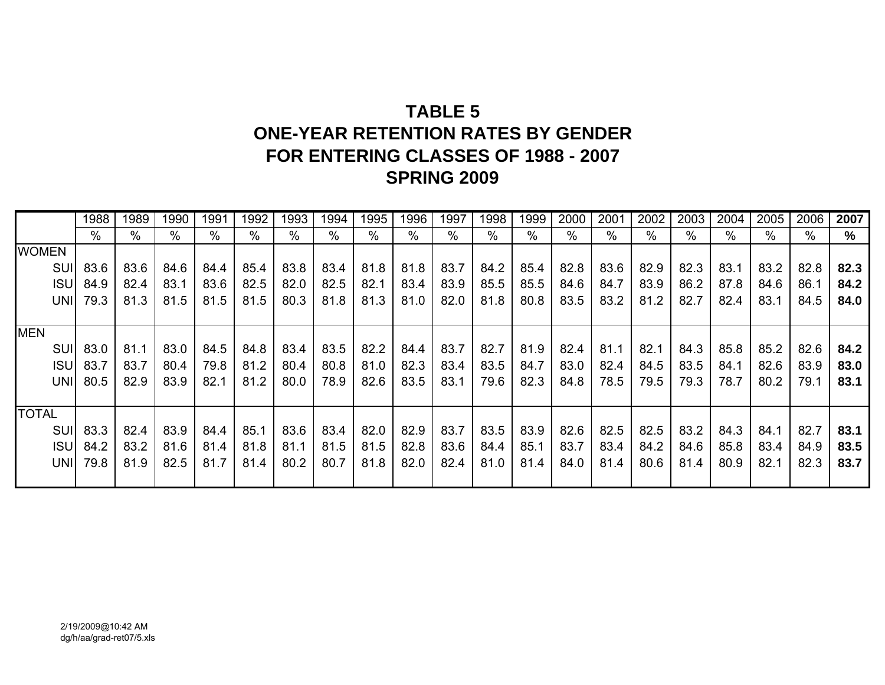# **TABLE 5ONE-YEAR RETENTION RATES BY GENDER FOR ENTERING CLASSES OF 1988 - 2007 SPRING 2009**

|              | 1988            | 1989 | 1990 | 1991 | 1992 | 1993 | 1994 | 1995 | 1996 | 1997 | 1998 | 1999 | 2000 | 2001 | 2002 | 2003 | 2004 | 2005 | 2006 | 2007 |
|--------------|-----------------|------|------|------|------|------|------|------|------|------|------|------|------|------|------|------|------|------|------|------|
|              | %               | $\%$ | $\%$ | %    | %    | %    | %    | $\%$ | $\%$ | $\%$ | $\%$ | %    | %    | $\%$ | %    | $\%$ | %    | %    | %    | %    |
| <b>WOMEN</b> |                 |      |      |      |      |      |      |      |      |      |      |      |      |      |      |      |      |      |      |      |
| SUI          | 83.6            | 83.6 | 84.6 | 84.4 | 85.4 | 83.8 | 83.4 | 81.8 | 81.8 | 83.7 | 84.2 | 85.4 | 82.8 | 83.6 | 82.9 | 82.3 | 83.1 | 83.2 | 82.8 | 82.3 |
| <b>ISUI</b>  | 84.9            | 82.4 | 83.1 | 83.6 | 82.5 | 82.0 | 82.5 | 82.1 | 83.4 | 83.9 | 85.5 | 85.5 | 84.6 | 84.7 | 83.9 | 86.2 | 87.8 | 84.6 | 86.1 | 84.2 |
| UNII         | 79.3            | 81.3 | 81.5 | 81.5 | 81.5 | 80.3 | 81.8 | 81.3 | 81.0 | 82.0 | 81.8 | 80.8 | 83.5 | 83.2 | 81.2 | 82.7 | 82.4 | 83.1 | 84.5 | 84.0 |
|              |                 |      |      |      |      |      |      |      |      |      |      |      |      |      |      |      |      |      |      |      |
| <b>MEN</b>   |                 |      |      |      |      |      |      |      |      |      |      |      |      |      |      |      |      |      |      |      |
| SUI          | 83.0            | 81.1 | 83.0 | 84.5 | 84.8 | 83.4 | 83.5 | 82.2 | 84.4 | 83.7 | 82.7 | 81.9 | 82.4 | 81.1 | 82.1 | 84.3 | 85.8 | 85.2 | 82.6 | 84.2 |
|              | <b>ISU</b> 83.7 | 83.7 | 80.4 | 79.8 | 81.2 | 80.4 | 80.8 | 81.0 | 82.3 | 83.4 | 83.5 | 84.7 | 83.0 | 82.4 | 84.5 | 83.5 | 84.1 | 82.6 | 83.9 | 83.0 |
| UNII         | 80.5            | 82.9 | 83.9 | 82.1 | 81.2 | 80.0 | 78.9 | 82.6 | 83.5 | 83.1 | 79.6 | 82.3 | 84.8 | 78.5 | 79.5 | 79.3 | 78.7 | 80.2 | 79.1 | 83.1 |
|              |                 |      |      |      |      |      |      |      |      |      |      |      |      |      |      |      |      |      |      |      |
| <b>TOTAL</b> |                 |      |      |      |      |      |      |      |      |      |      |      |      |      |      |      |      |      |      |      |
| SUI          | 83.3            | 82.4 | 83.9 | 84.4 | 85.1 | 83.6 | 83.4 | 82.0 | 82.9 | 83.7 | 83.5 | 83.9 | 82.6 | 82.5 | 82.5 | 83.2 | 84.3 | 84.1 | 82.7 | 83.1 |
| <b>ISUI</b>  | 84.2            | 83.2 | 81.6 | 81.4 | 81.8 | 81.1 | 81.5 | 81.5 | 82.8 | 83.6 | 84.4 | 85.1 | 83.7 | 83.4 | 84.2 | 84.6 | 85.8 | 83.4 | 84.9 | 83.5 |
| UNII         | 79.8            | 81.9 | 82.5 | 81.7 | 81.4 | 80.2 | 80.7 | 81.8 | 82.0 | 82.4 | 81.0 | 81.4 | 84.0 | 81.4 | 80.6 | 81.4 | 80.9 | 82.1 | 82.3 | 83.7 |
|              |                 |      |      |      |      |      |      |      |      |      |      |      |      |      |      |      |      |      |      |      |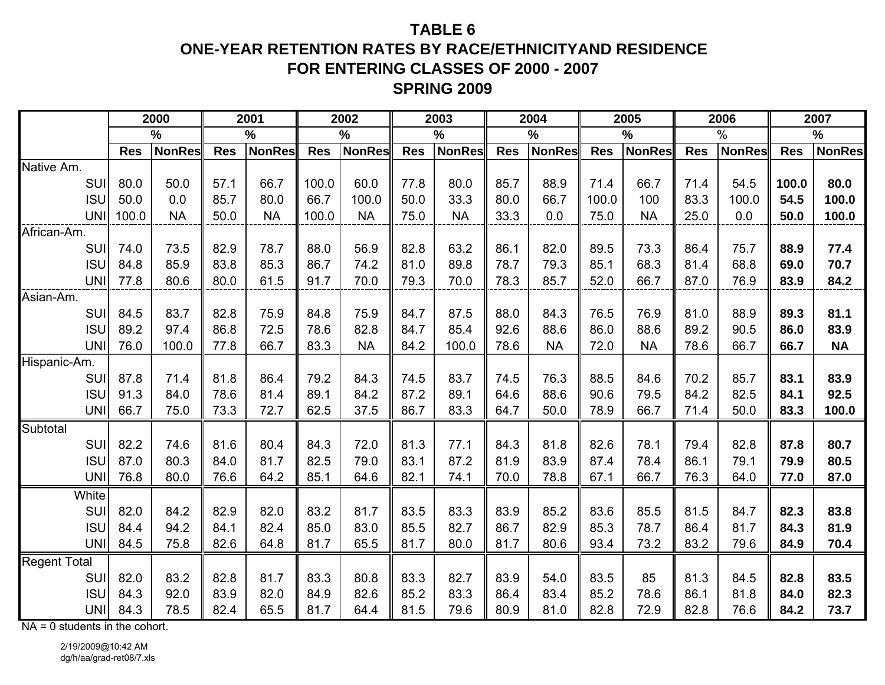# **TABLE 6ONE-YEAR RETENTION RATES BY RACE/ETHNICITYAND RESIDENCEFOR ENTERING CLASSES OF 2000 - 2007 SPRING 2009**

|                     |            | 2000          |            | 2001          |            | 2002          |            | 2003          |            | 2004          |            | 2005          |            | 2006          |            | 2007          |
|---------------------|------------|---------------|------------|---------------|------------|---------------|------------|---------------|------------|---------------|------------|---------------|------------|---------------|------------|---------------|
|                     |            | $\frac{0}{0}$ |            | $\frac{9}{6}$ |            | $\frac{0}{0}$ |            | $\frac{0}{0}$ |            | $\frac{0}{0}$ |            | $\frac{9}{6}$ |            | $\frac{0}{0}$ |            | $\frac{9}{6}$ |
|                     | <b>Res</b> | <b>NonRes</b> | <b>Res</b> | <b>NonRes</b> | <b>Res</b> | <b>NonRes</b> | <b>Res</b> | NonRes        | <b>Res</b> | <b>NonRes</b> | <b>Res</b> | <b>NonRes</b> | <b>Res</b> | <b>NonRes</b> | <b>Res</b> | <b>NonRes</b> |
| Native Am.          |            |               |            |               |            |               |            |               |            |               |            |               |            |               |            |               |
| SUI                 | 80.0       | 50.0          | 57.1       | 66.7          | 100.0      | 60.0          | 77.8       | 80.0          | 85.7       | 88.9          | 71.4       | 66.7          | 71.4       | 54.5          | 100.0      | 80.0          |
| <b>ISU</b>          | 50.0       | 0.0           | 85.7       | 80.0          | 66.7       | 100.0         | 50.0       | 33.3          | 80.0       | 66.7          | 100.0      | 100           | 83.3       | 100.0         | 54.5       | 100.0         |
| UNI                 | 100.0      | <b>NA</b>     | 50.0       | <b>NA</b>     | 100.0      | <b>NA</b>     | 75.0       | <b>NA</b>     | 33.3       | 0.0           | 75.0       | <b>NA</b>     | 25.0       | 0.0           | 50.0       | 100.0         |
| African-Am.         |            |               |            |               |            |               |            |               |            |               |            |               |            |               |            |               |
| SUI                 | 74.0       | 73.5          | 82.9       | 78.7          | 88.0       | 56.9          | 82.8       | 63.2          | 86.1       | 82.0          | 89.5       | 73.3          | 86.4       | 75.7          | 88.9       | 77.4          |
| <b>ISU</b>          | 84.8       | 85.9          | 83.8       | 85.3          | 86.7       | 74.2          | 81.0       | 89.8          | 78.7       | 79.3          | 85.1       | 68.3          | 81.4       | 68.8          | 69.0       | 70.7          |
| <b>UNI</b>          | 77.8       | 80.6          | 80.0       | 61.5          | 91.7       | 70.0          | 79.3       | 70.0          | 78.3       | 85.7          | 52.0       | 66.7          | 87.0       | 76.9          | 83.9       | 84.2          |
| Asian-Am.           |            |               |            |               |            |               |            |               |            |               |            |               |            |               |            |               |
| SUI                 | 84.5       | 83.7          | 82.8       | 75.9          | 84.8       | 75.9          | 84.7       | 87.5          | 88.0       | 84.3          | 76.5       | 76.9          | 81.0       | 88.9          | 89.3       | 81.1          |
| <b>ISU</b>          | 89.2       | 97.4          | 86.8       | 72.5          | 78.6       | 82.8          | 84.7       | 85.4          | 92.6       | 88.6          | 86.0       | 88.6          | 89.2       | 90.5          | 86.0       | 83.9          |
| <b>UNI</b>          | 76.0       | 100.0         | 77.8       | 66.7          | 83.3       | <b>NA</b>     | 84.2       | 100.0         | 78.6       | <b>NA</b>     | 72.0       | <b>NA</b>     | 78.6       | 66.7          | 66.7       | <b>NA</b>     |
| Hispanic-Am.        |            |               |            |               |            |               |            |               |            |               |            |               |            |               |            |               |
| SUI                 | 87.8       | 71.4          | 81.8       | 86.4          | 79.2       | 84.3          | 74.5       | 83.7          | 74.5       | 76.3          | 88.5       | 84.6          | 70.2       | 85.7          | 83.1       | 83.9          |
| <b>ISU</b>          | 91.3       | 84.0          | 78.6       | 81.4          | 89.1       | 84.2          | 87.2       | 89.1          | 64.6       | 88.6          | 90.6       | 79.5          | 84.2       | 82.5          | 84.1       | 92.5          |
| <b>UNI</b>          | 66.7       | 75.0          | 73.3       | 72.7          | 62.5       | 37.5          | 86.7       | 83.3          | 64.7       | 50.0          | 78.9       | 66.7          | 71.4       | 50.0          | 83.3       | 100.0         |
| Subtotal            |            |               |            |               |            |               |            |               |            |               |            |               |            |               |            |               |
| SUI                 | 82.2       | 74.6          | 81.6       | 80.4          | 84.3       | 72.0          | 81.3       | 77.1          | 84.3       | 81.8          | 82.6       | 78.1          | 79.4       | 82.8          | 87.8       | 80.7          |
| <b>ISU</b>          | 87.0       | 80.3          | 84.0       | 81.7          | 82.5       | 79.0          | 83.1       | 87.2          | 81.9       | 83.9          | 87.4       | 78.4          | 86.1       | 79.1          | 79.9       | 80.5          |
| <b>UNI</b>          | 76.8       | 80.0          | 76.6       | 64.2          | 85.1       | 64.6          | 82.1       | 74.1          | 70.0       | 78.8          | 67.1       | 66.7          | 76.3       | 64.0          | 77.0       | 87.0          |
| White               |            |               |            |               |            |               |            |               |            |               |            |               |            |               |            |               |
| SUI                 | 82.0       | 84.2          | 82.9       | 82.0          | 83.2       | 81.7          | 83.5       | 83.3          | 83.9       | 85.2          | 83.6       | 85.5          | 81.5       | 84.7          | 82.3       | 83.8          |
| <b>ISU</b>          | 84.4       | 94.2          | 84.1       | 82.4          | 85.0       | 83.0          | 85.5       | 82.7          | 86.7       | 82.9          | 85.3       | 78.7          | 86.4       | 81.7          | 84.3       | 81.9          |
| UNI                 | 84.5       | 75.8          | 82.6       | 64.8          | 81.7       | 65.5          | 81.7       | 80.0          | 81.7       | 80.6          | 93.4       | 73.2          | 83.2       | 79.6          | 84.9       | 70.4          |
| <b>Regent Total</b> |            |               |            |               |            |               |            |               |            |               |            |               |            |               |            |               |
| SUI                 | 82.0       | 83.2          | 82.8       | 81.7          | 83.3       | 80.8          | 83.3       | 82.7          | 83.9       | 54.0          | 83.5       | 85            | 81.3       | 84.5          | 82.8       | 83.5          |
| <b>ISU</b>          | 84.3       | 92.0          | 83.9       | 82.0          | 84.9       | 82.6          | 85.2       | 83.3          | 86.4       | 83.4          | 85.2       | 78.6          | 86.1       | 81.8          | 84.0       | 82.3          |
| <b>UNI</b>          | 84.3       | 78.5          | 82.4       | 65.5          | 81.7       | 64.4          | 81.5       | 79.6          | 80.9       | 81.0          | 82.8       | 72.9          | 82.8       | 76.6          | 84.2       | 73.7          |

NA = 0 students in the cohort.

2/19/2009@10:42 AM dg/h/aa/grad-ret08/7.xls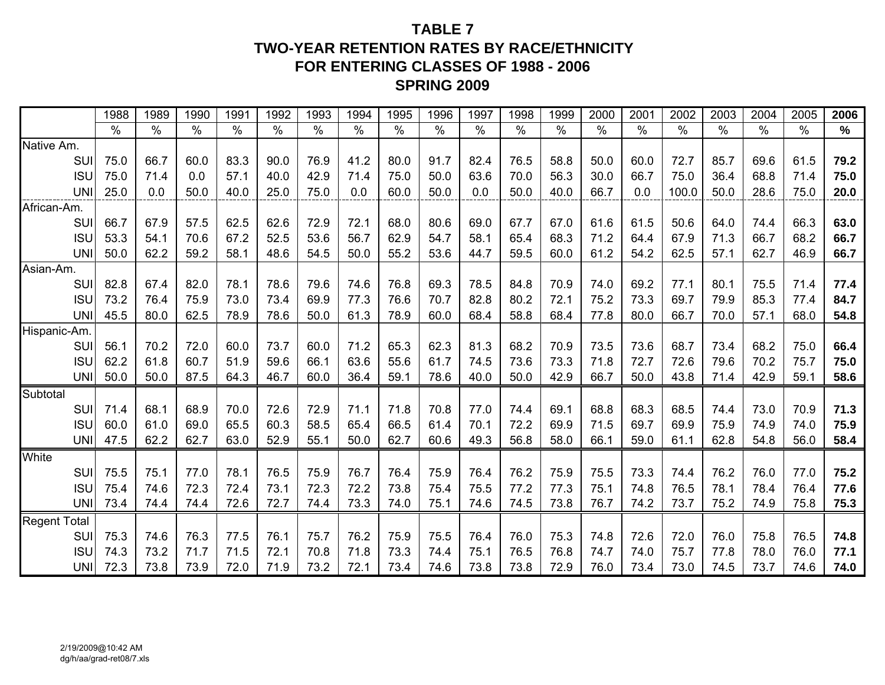# **TABLE 7TWO-YEAR RETENTION RATES BY RACE/ETHNICITYFOR ENTERING CLASSES OF 1988 - 2006 SPRING 2009**

|                     | 1988 | 1989 | 1990 | 1991 | 1992 | 1993 | 1994 | 1995 | 1996          | 1997          | 1998 | 1999 | 2000 | 200 <sup>1</sup> | 2002          | 2003 | 2004 | 2005          | 2006          |
|---------------------|------|------|------|------|------|------|------|------|---------------|---------------|------|------|------|------------------|---------------|------|------|---------------|---------------|
|                     | $\%$ | $\%$ | $\%$ | $\%$ | $\%$ | $\%$ | $\%$ | $\%$ | $\frac{0}{0}$ | $\frac{0}{0}$ | $\%$ | %    | $\%$ | $\frac{0}{0}$    | $\frac{0}{0}$ | $\%$ | $\%$ | $\frac{0}{0}$ | $\frac{9}{6}$ |
| Native Am.          |      |      |      |      |      |      |      |      |               |               |      |      |      |                  |               |      |      |               |               |
| SUI                 | 75.0 | 66.7 | 60.0 | 83.3 | 90.0 | 76.9 | 41.2 | 80.0 | 91.7          | 82.4          | 76.5 | 58.8 | 50.0 | 60.0             | 72.7          | 85.7 | 69.6 | 61.5          | 79.2          |
| <b>ISU</b>          | 75.0 | 71.4 | 0.0  | 57.1 | 40.0 | 42.9 | 71.4 | 75.0 | 50.0          | 63.6          | 70.0 | 56.3 | 30.0 | 66.7             | 75.0          | 36.4 | 68.8 | 71.4          | 75.0          |
| <b>UNI</b>          | 25.0 | 0.0  | 50.0 | 40.0 | 25.0 | 75.0 | 0.0  | 60.0 | 50.0          | 0.0           | 50.0 | 40.0 | 66.7 | 0.0              | 100.0         | 50.0 | 28.6 | 75.0          | 20.0          |
| African-Am.         |      |      |      |      |      |      |      |      |               |               |      |      |      |                  |               |      |      |               |               |
| SUI                 | 66.7 | 67.9 | 57.5 | 62.5 | 62.6 | 72.9 | 72.1 | 68.0 | 80.6          | 69.0          | 67.7 | 67.0 | 61.6 | 61.5             | 50.6          | 64.0 | 74.4 | 66.3          | 63.0          |
| <b>ISU</b>          | 53.3 | 54.1 | 70.6 | 67.2 | 52.5 | 53.6 | 56.7 | 62.9 | 54.7          | 58.1          | 65.4 | 68.3 | 71.2 | 64.4             | 67.9          | 71.3 | 66.7 | 68.2          | 66.7          |
| <b>UNI</b>          | 50.0 | 62.2 | 59.2 | 58.1 | 48.6 | 54.5 | 50.0 | 55.2 | 53.6          | 44.7          | 59.5 | 60.0 | 61.2 | 54.2             | 62.5          | 57.1 | 62.7 | 46.9          | 66.7          |
| Asian-Am.           |      |      |      |      |      |      |      |      |               |               |      |      |      |                  |               |      |      |               |               |
| <b>SUI</b>          | 82.8 | 67.4 | 82.0 | 78.1 | 78.6 | 79.6 | 74.6 | 76.8 | 69.3          | 78.5          | 84.8 | 70.9 | 74.0 | 69.2             | 77.1          | 80.1 | 75.5 | 71.4          | 77.4          |
| <b>ISU</b>          | 73.2 | 76.4 | 75.9 | 73.0 | 73.4 | 69.9 | 77.3 | 76.6 | 70.7          | 82.8          | 80.2 | 72.1 | 75.2 | 73.3             | 69.7          | 79.9 | 85.3 | 77.4          | 84.7          |
| <b>UNI</b>          | 45.5 | 80.0 | 62.5 | 78.9 | 78.6 | 50.0 | 61.3 | 78.9 | 60.0          | 68.4          | 58.8 | 68.4 | 77.8 | 80.0             | 66.7          | 70.0 | 57.1 | 68.0          | 54.8          |
| Hispanic-Am.        |      |      |      |      |      |      |      |      |               |               |      |      |      |                  |               |      |      |               |               |
| SUI                 | 56.1 | 70.2 | 72.0 | 60.0 | 73.7 | 60.0 | 71.2 | 65.3 | 62.3          | 81.3          | 68.2 | 70.9 | 73.5 | 73.6             | 68.7          | 73.4 | 68.2 | 75.0          | 66.4          |
| <b>ISU</b>          | 62.2 | 61.8 | 60.7 | 51.9 | 59.6 | 66.1 | 63.6 | 55.6 | 61.7          | 74.5          | 73.6 | 73.3 | 71.8 | 72.7             | 72.6          | 79.6 | 70.2 | 75.7          | 75.0          |
| <b>UNI</b>          | 50.0 | 50.0 | 87.5 | 64.3 | 46.7 | 60.0 | 36.4 | 59.1 | 78.6          | 40.0          | 50.0 | 42.9 | 66.7 | 50.0             | 43.8          | 71.4 | 42.9 | 59.1          | 58.6          |
| Subtotal            |      |      |      |      |      |      |      |      |               |               |      |      |      |                  |               |      |      |               |               |
| SUI                 | 71.4 | 68.1 | 68.9 | 70.0 | 72.6 | 72.9 | 71.1 | 71.8 | 70.8          | 77.0          | 74.4 | 69.1 | 68.8 | 68.3             | 68.5          | 74.4 | 73.0 | 70.9          | 71.3          |
| <b>ISU</b>          | 60.0 | 61.0 | 69.0 | 65.5 | 60.3 | 58.5 | 65.4 | 66.5 | 61.4          | 70.1          | 72.2 | 69.9 | 71.5 | 69.7             | 69.9          | 75.9 | 74.9 | 74.0          | 75.9          |
| <b>UNI</b>          | 47.5 | 62.2 | 62.7 | 63.0 | 52.9 | 55.1 | 50.0 | 62.7 | 60.6          | 49.3          | 56.8 | 58.0 | 66.1 | 59.0             | 61.1          | 62.8 | 54.8 | 56.0          | 58.4          |
| <b>White</b>        |      |      |      |      |      |      |      |      |               |               |      |      |      |                  |               |      |      |               |               |
| <b>SUI</b>          | 75.5 | 75.1 | 77.0 | 78.1 | 76.5 | 75.9 | 76.7 | 76.4 | 75.9          | 76.4          | 76.2 | 75.9 | 75.5 | 73.3             | 74.4          | 76.2 | 76.0 | 77.0          | 75.2          |
| <b>ISU</b>          | 75.4 | 74.6 | 72.3 | 72.4 | 73.1 | 72.3 | 72.2 | 73.8 | 75.4          | 75.5          | 77.2 | 77.3 | 75.1 | 74.8             | 76.5          | 78.1 | 78.4 | 76.4          | 77.6          |
| <b>UNI</b>          | 73.4 | 74.4 | 74.4 | 72.6 | 72.7 | 74.4 | 73.3 | 74.0 | 75.1          | 74.6          | 74.5 | 73.8 | 76.7 | 74.2             | 73.7          | 75.2 | 74.9 | 75.8          | 75.3          |
| <b>Regent Total</b> |      |      |      |      |      |      |      |      |               |               |      |      |      |                  |               |      |      |               |               |
| SUI                 | 75.3 | 74.6 | 76.3 | 77.5 | 76.1 | 75.7 | 76.2 | 75.9 | 75.5          | 76.4          | 76.0 | 75.3 | 74.8 | 72.6             | 72.0          | 76.0 | 75.8 | 76.5          | 74.8          |
| <b>ISU</b>          | 74.3 | 73.2 | 71.7 | 71.5 | 72.1 | 70.8 | 71.8 | 73.3 | 74.4          | 75.1          | 76.5 | 76.8 | 74.7 | 74.0             | 75.7          | 77.8 | 78.0 | 76.0          | 77.1          |
| <b>UNI</b>          | 72.3 | 73.8 | 73.9 | 72.0 | 71.9 | 73.2 | 72.1 | 73.4 | 74.6          | 73.8          | 73.8 | 72.9 | 76.0 | 73.4             | 73.0          | 74.5 | 73.7 | 74.6          | 74.0          |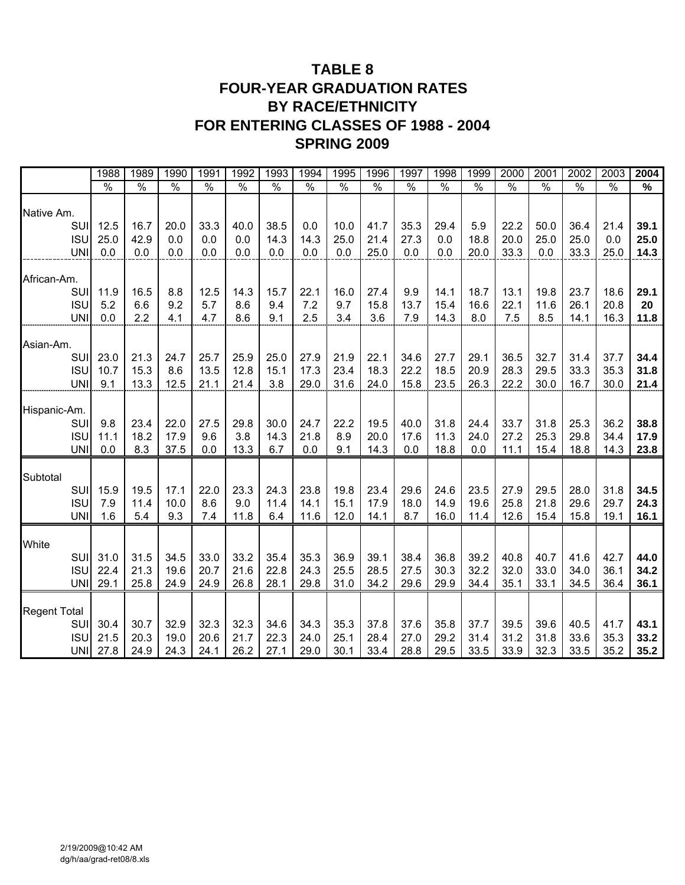# **TABLE 8 FOUR-YEAR GRADUATION RATES BY RACE/ETHNICITY FOR ENTERING CLASSES OF 1988 - 2004 SPRING 2009**

|                          | 1988          | 1989          | 1990          | 1991          | 1992          | 1993          | 1994          | 1995          | 1996          | 1997          | 1998          | 1999          | 2000          | 2001          | 2002          | 2003          | 2004         |
|--------------------------|---------------|---------------|---------------|---------------|---------------|---------------|---------------|---------------|---------------|---------------|---------------|---------------|---------------|---------------|---------------|---------------|--------------|
|                          | $\frac{1}{2}$ | $\frac{1}{2}$ | $\frac{1}{2}$ | $\frac{1}{2}$ | $\frac{1}{2}$ | $\frac{1}{2}$ | $\frac{1}{2}$ | $\frac{1}{2}$ | $\frac{1}{2}$ | $\frac{1}{2}$ | $\frac{0}{0}$ | $\frac{0}{6}$ | $\frac{1}{2}$ | $\frac{1}{2}$ | $\frac{1}{2}$ | $\frac{1}{2}$ | $\%$         |
| Native Am.               |               |               |               |               |               |               |               |               |               |               |               |               |               |               |               |               |              |
| SUI                      | 12.5          | 16.7          | 20.0          | 33.3          | 40.0          | 38.5          | 0.0           | 10.0          | 41.7          | 35.3          | 29.4          | 5.9           | 22.2          | 50.0          | 36.4          | 21.4          | 39.1         |
| <b>ISU</b>               | 25.0          | 42.9          | 0.0           | 0.0           | 0.0           | 14.3          | 14.3          | 25.0          | 21.4          | 27.3          | 0.0           | 18.8          | 20.0          | 25.0          | 25.0          | 0.0           | 25.0         |
| <b>UNI</b>               | 0.0           | 0.0           | 0.0           | 0.0           | 0.0           | 0.0           | 0.0           | 0.0           | 25.0          | 0.0           | 0.0           | 20.0          | 33.3          | 0.0           | 33.3          | 25.0          | 14.3         |
| African-Am.              |               |               |               |               |               |               |               |               |               |               |               |               |               |               |               |               |              |
| SUI                      | 11.9          | 16.5          | 8.8           | 12.5          | 14.3          | 15.7          | 22.1          | 16.0          | 27.4          | 9.9           | 14.1          | 18.7          | 13.1          | 19.8          | 23.7          | 18.6          | 29.1         |
| <b>ISU</b>               | 5.2           | 6.6           | 9.2           | 5.7           | 8.6           | 9.4           | 7.2           | 9.7           | 15.8          | 13.7          | 15.4          | 16.6          | 22.1          | 11.6          | 26.1          | 20.8          | 20           |
| <b>UNI</b>               | 0.0           | 2.2           | 4.1           | 4.7           | 8.6           | 9.1           | 2.5           | 3.4           | 3.6           | 7.9           | 14.3          | 8.0           | 7.5           | 8.5           | 14.1          | 16.3          | 11.8         |
| Asian-Am.                |               |               |               |               |               |               |               |               |               |               |               |               |               |               |               |               |              |
| SUI                      | 23.0          | 21.3          | 24.7          | 25.7          | 25.9          | 25.0          | 27.9          | 21.9          | 22.1          | 34.6          | 27.7          | 29.1          | 36.5          | 32.7          | 31.4          | 37.7          | 34.4         |
| <b>ISU</b>               | 10.7          | 15.3          | 8.6           | 13.5          | 12.8          | 15.1          | 17.3          | 23.4          | 18.3          | 22.2          | 18.5          | 20.9          | 28.3          | 29.5          | 33.3          | 35.3          | 31.8         |
| <b>UN</b>                | 9.1           | 13.3          | 12.5          | 21.1          | 21.4          | 3.8           | 29.0          | 31.6          | 24.0          | 15.8          | 23.5          | 26.3          | 22.2          | 30.0          | 16.7          | 30.0          | 21.4         |
| Hispanic-Am.             |               |               |               |               |               |               |               |               |               |               |               |               |               |               |               |               |              |
| SUI                      | 9.8           | 23.4          | 22.0          | 27.5          | 29.8          | 30.0          | 24.7          | 22.2          | 19.5          | 40.0          | 31.8          | 24.4          | 33.7          | 31.8          | 25.3          | 36.2          | 38.8         |
| <b>ISU</b>               | 11.1          | 18.2          | 17.9          | 9.6           | 3.8           | 14.3          | 21.8          | 8.9           | 20.0          | 17.6          | 11.3          | 24.0          | 27.2          | 25.3          | 29.8          | 34.4          | 17.9         |
| <b>UNI</b>               | 0.0           | 8.3           | 37.5          | 0.0           | 13.3          | 6.7           | 0.0           | 9.1           | 14.3          | 0.0           | 18.8          | 0.0           | 11.1          | 15.4          | 18.8          | 14.3          | 23.8         |
| Subtotal                 |               |               |               |               |               |               |               |               |               |               |               |               |               |               |               |               |              |
| SUI                      | 15.9          | 19.5          | 17.1          | 22.0          | 23.3          | 24.3          | 23.8          | 19.8          | 23.4          | 29.6          | 24.6          | 23.5          | 27.9          | 29.5          | 28.0          | 31.8          | 34.5         |
| <b>ISU</b>               | 7.9           | 11.4          | 10.0          | 8.6           | 9.0           | 11.4          | 14.1          | 15.1          | 17.9          | 18.0          | 14.9          | 19.6          | 25.8          | 21.8          | 29.6          | 29.7          | 24.3         |
| <b>UNI</b>               | 1.6           | 5.4           | 9.3           | 7.4           | 11.8          | 6.4           | 11.6          | 12.0          | 14.1          | 8.7           | 16.0          | 11.4          | 12.6          | 15.4          | 15.8          | 19.1          | 16.1         |
| White                    |               |               |               |               |               |               |               |               |               |               |               |               |               |               |               |               |              |
| SUI                      | 31.0          | 31.5          | 34.5          | 33.0          | 33.2          | 35.4          | 35.3          | 36.9          | 39.1          | 38.4          | 36.8          | 39.2          | 40.8          | 40.7          | 41.6          | 42.7          | 44.0         |
| <b>ISU</b>               | 22.4          | 21.3          | 19.6          | 20.7          | 21.6          | 22.8          | 24.3          | 25.5          | 28.5          | 27.5          | 30.3          | 32.2          | 32.0          | 33.0          | 34.0          | 36.1          | 34.2         |
| <b>UNI</b>               | 29.1          | 25.8          | 24.9          | 24.9          | 26.8          | 28.1          | 29.8          | 31.0          | 34.2          | 29.6          | 29.9          | 34.4          | 35.1          | 33.1          | 34.5          | 36.4          | 36.1         |
|                          |               |               |               |               |               |               |               |               |               |               |               |               |               |               |               |               |              |
| <b>Regent Total</b>      |               |               |               |               |               |               |               |               |               |               |               |               |               |               |               |               |              |
| SUI                      | 30.4          | 30.7          | 32.9          | 32.3          | 32.3          | 34.6          | 34.3          | 35.3          | 37.8          | 37.6          | 35.8          | 37.7          | 39.5          | 39.6          | 40.5          | 41.7          | 43.1         |
| <b>ISU</b><br><b>UNI</b> | 21.5<br>27.8  | 20.3<br>24.9  | 19.0<br>24.3  | 20.6<br>24.1  | 21.7<br>26.2  | 22.3<br>27.1  | 24.0<br>29.0  | 25.1<br>30.1  | 28.4<br>33.4  | 27.0<br>28.8  | 29.2<br>29.5  | 31.4<br>33.5  | 31.2<br>33.9  | 31.8<br>32.3  | 33.6<br>33.5  | 35.3<br>35.2  | 33.2<br>35.2 |
|                          |               |               |               |               |               |               |               |               |               |               |               |               |               |               |               |               |              |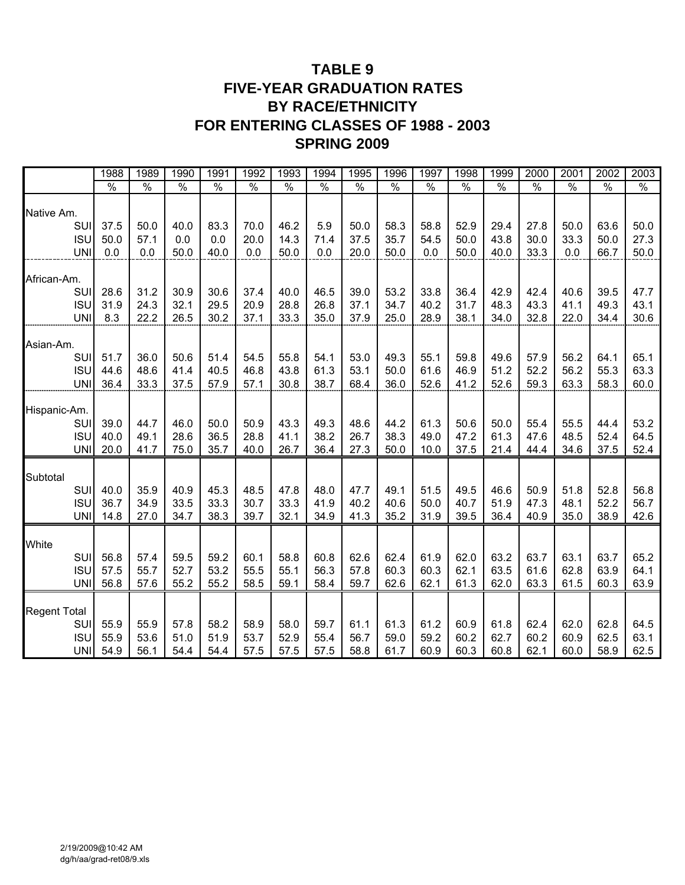# **TABLE 9 FIVE-YEAR GRADUATION RATES BY RACE/ETHNICITY FOR ENTERING CLASSES OF 1988 - 2003 SPRING 2009**

|                          | 1988          | 1989          | 1990          | 1991          | 1992          | 1993          | 1994          | 1995          | 1996          | 1997          | 1998          | 1999          | 2000          | 2001          | 2002          | 2003          |
|--------------------------|---------------|---------------|---------------|---------------|---------------|---------------|---------------|---------------|---------------|---------------|---------------|---------------|---------------|---------------|---------------|---------------|
|                          | $\frac{1}{6}$ | $\frac{0}{6}$ | $\frac{1}{2}$ | $\frac{0}{6}$ | $\frac{1}{2}$ | $\frac{0}{6}$ | $\frac{0}{6}$ | $\frac{0}{0}$ | $\frac{1}{2}$ | $\frac{1}{2}$ | $\frac{1}{2}$ | $\frac{1}{2}$ | $\frac{0}{0}$ | $\frac{1}{2}$ | $\frac{1}{2}$ | $\frac{1}{2}$ |
| Native Am.               |               |               |               |               |               |               |               |               |               |               |               |               |               |               |               |               |
| SUI                      | 37.5          | 50.0          | 40.0          | 83.3          | 70.0          | 46.2          | 5.9           | 50.0          | 58.3          | 58.8          | 52.9          | 29.4          | 27.8          | 50.0          | 63.6          | 50.0          |
| <b>ISU</b><br><b>UNI</b> | 50.0<br>0.0   | 57.1<br>0.0   | 0.0<br>50.0   | 0.0<br>40.0   | 20.0<br>0.0   | 14.3<br>50.0  | 71.4<br>0.0   | 37.5<br>20.0  | 35.7<br>50.0  | 54.5<br>0.0   | 50.0<br>50.0  | 43.8<br>40.0  | 30.0<br>33.3  | 33.3<br>0.0   | 50.0<br>66.7  | 27.3<br>50.0  |
|                          |               |               |               |               |               |               |               |               |               |               |               |               |               |               |               |               |
| African-Am.              |               |               |               |               |               |               |               |               |               |               |               |               |               |               |               |               |
| SUI                      | 28.6          | 31.2          | 30.9          | 30.6          | 37.4          | 40.0          | 46.5          | 39.0          | 53.2          | 33.8          | 36.4          | 42.9          | 42.4          | 40.6          | 39.5          | 47.7          |
| <b>ISU</b>               | 31.9          | 24.3          | 32.1          | 29.5          | 20.9          | 28.8          | 26.8          | 37.1          | 34.7          | 40.2          | 31.7          | 48.3          | 43.3          | 41.1          | 49.3          | 43.1          |
| <b>UNI</b>               | 8.3           | 22.2          | 26.5          | 30.2          | 37.1          | 33.3          | 35.0          | 37.9          | 25.0          | 28.9          | 38.1          | 34.0          | 32.8          | 22.0          | 34.4          | 30.6          |
| Asian-Am.                |               |               |               |               |               |               |               |               |               |               |               |               |               |               |               |               |
| SUI                      | 51.7          | 36.0          | 50.6          | 51.4          | 54.5          | 55.8          | 54.1          | 53.0          | 49.3          | 55.1          | 59.8          | 49.6          | 57.9          | 56.2          | 64.1          | 65.1          |
| <b>ISU</b>               | 44.6          | 48.6          | 41.4          | 40.5          | 46.8          | 43.8          | 61.3          | 53.1          | 50.0          | 61.6          | 46.9          | 51.2          | 52.2          | 56.2          | 55.3          | 63.3          |
| <b>UNI</b>               | 36.4          | 33.3          | 37.5          | 57.9          | 57.1          | 30.8          | 38.7          | 68.4          | 36.0          | 52.6          | 41.2          | 52.6          | 59.3          | 63.3          | 58.3          | 60.0          |
|                          |               |               |               |               |               |               |               |               |               |               |               |               |               |               |               |               |
| Hispanic-Am.<br>SUI      | 39.0          | 44.7          | 46.0          | 50.0          | 50.9          | 43.3          | 49.3          | 48.6          | 44.2          | 61.3          | 50.6          | 50.0          | 55.4          | 55.5          | 44.4          | 53.2          |
| <b>ISU</b>               | 40.0          | 49.1          | 28.6          | 36.5          | 28.8          | 41.1          | 38.2          | 26.7          | 38.3          | 49.0          | 47.2          | 61.3          | 47.6          | 48.5          | 52.4          | 64.5          |
| <b>UNI</b>               | 20.0          | 41.7          | 75.0          | 35.7          | 40.0          | 26.7          | 36.4          | 27.3          | 50.0          | 10.0          | 37.5          | 21.4          | 44.4          | 34.6          | 37.5          | 52.4          |
|                          |               |               |               |               |               |               |               |               |               |               |               |               |               |               |               |               |
| Subtotal<br>SUI          | 40.0          | 35.9          | 40.9          | 45.3          | 48.5          | 47.8          | 48.0          | 47.7          | 49.1          | 51.5          | 49.5          | 46.6          | 50.9          | 51.8          |               | 56.8          |
| <b>ISU</b>               | 36.7          | 34.9          | 33.5          | 33.3          | 30.7          | 33.3          | 41.9          | 40.2          | 40.6          | 50.0          | 40.7          | 51.9          | 47.3          | 48.1          | 52.8<br>52.2  | 56.7          |
| <b>UNI</b>               | 14.8          | 27.0          | 34.7          | 38.3          | 39.7          | 32.1          | 34.9          | 41.3          | 35.2          | 31.9          | 39.5          | 36.4          | 40.9          | 35.0          | 38.9          | 42.6          |
|                          |               |               |               |               |               |               |               |               |               |               |               |               |               |               |               |               |
| White                    |               |               |               |               |               |               |               |               |               |               |               |               |               |               |               |               |
| SUI                      | 56.8<br>57.5  | 57.4          | 59.5          | 59.2          | 60.1<br>55.5  | 58.8          | 60.8<br>56.3  | 62.6<br>57.8  | 62.4<br>60.3  | 61.9<br>60.3  | 62.0<br>62.1  | 63.2<br>63.5  | 63.7          | 63.1          | 63.7<br>63.9  | 65.2<br>64.1  |
| <b>ISU</b><br><b>UNI</b> | 56.8          | 55.7<br>57.6  | 52.7<br>55.2  | 53.2<br>55.2  | 58.5          | 55.1<br>59.1  | 58.4          | 59.7          | 62.6          | 62.1          | 61.3          | 62.0          | 61.6<br>63.3  | 62.8<br>61.5  | 60.3          | 63.9          |
|                          |               |               |               |               |               |               |               |               |               |               |               |               |               |               |               |               |
| <b>Regent Total</b>      |               |               |               |               |               |               |               |               |               |               |               |               |               |               |               |               |
| SUI                      | 55.9          | 55.9          | 57.8          | 58.2          | 58.9          | 58.0          | 59.7          | 61.1          | 61.3          | 61.2          | 60.9          | 61.8          | 62.4          | 62.0          | 62.8          | 64.5          |
| <b>ISU</b>               | 55.9          | 53.6          | 51.0          | 51.9          | 53.7          | 52.9          | 55.4          | 56.7          | 59.0          | 59.2          | 60.2          | 62.7          | 60.2          | 60.9          | 62.5          | 63.1          |
| <b>UNI</b>               | 54.9          | 56.1          | 54.4          | 54.4          | 57.5          | 57.5          | 57.5          | 58.8          | 61.7          | 60.9          | 60.3          | 60.8          | 62.1          | 60.0          | 58.9          | 62.5          |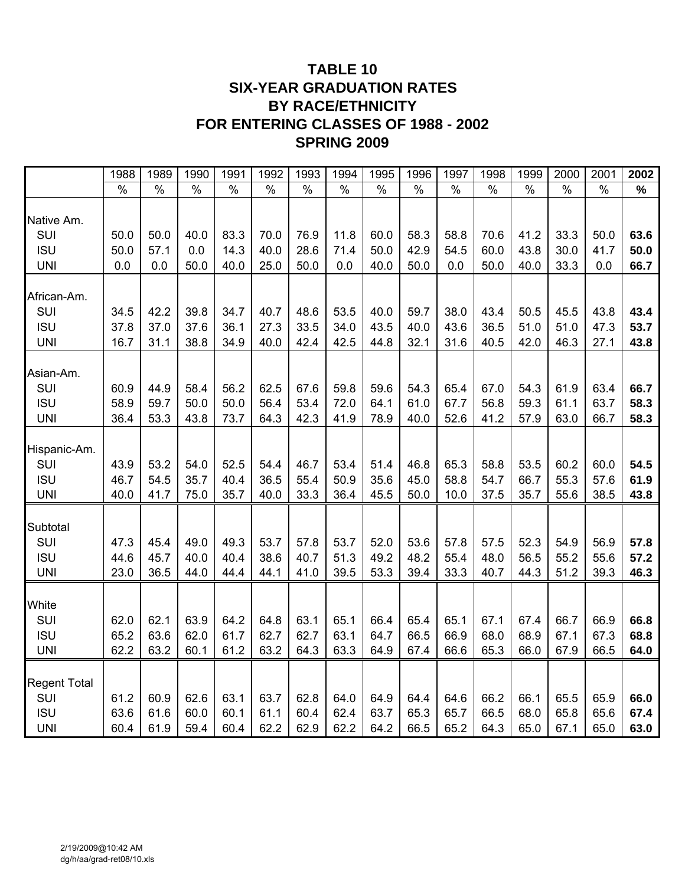# **TABLE 10 SIX-YEAR GRADUATION RATES BY RACE/ETHNICITY FOR ENTERING CLASSES OF 1988 - 2002 SPRING 2009**

|                     | 1988          | 1989          | 1990          | 1991          | 1992          | 1993          | 1994          | 1995          | 1996          | 1997          | 1998          | 1999          | 2000 | 2001          | 2002 |
|---------------------|---------------|---------------|---------------|---------------|---------------|---------------|---------------|---------------|---------------|---------------|---------------|---------------|------|---------------|------|
|                     | $\frac{1}{2}$ | $\frac{1}{2}$ | $\frac{1}{2}$ | $\frac{1}{2}$ | $\frac{1}{2}$ | $\frac{1}{2}$ | $\frac{9}{6}$ | $\frac{1}{2}$ | $\frac{1}{2}$ | $\frac{1}{2}$ | $\frac{1}{2}$ | $\frac{1}{2}$ | $\%$ | $\frac{1}{2}$ | $\%$ |
| Native Am.          |               |               |               |               |               |               |               |               |               |               |               |               |      |               |      |
| SUI                 | 50.0          | 50.0          | 40.0          | 83.3          | 70.0          | 76.9          | 11.8          | 60.0          | 58.3          | 58.8          | 70.6          | 41.2          | 33.3 | 50.0          | 63.6 |
| <b>ISU</b>          | 50.0          | 57.1          | 0.0           | 14.3          | 40.0          | 28.6          | 71.4          | 50.0          | 42.9          | 54.5          | 60.0          | 43.8          | 30.0 | 41.7          | 50.0 |
| <b>UNI</b>          | 0.0           | 0.0           | 50.0          | 40.0          | 25.0          | 50.0          | 0.0           | 40.0          | 50.0          | 0.0           | 50.0          | 40.0          | 33.3 | 0.0           | 66.7 |
| African-Am.         |               |               |               |               |               |               |               |               |               |               |               |               |      |               |      |
| SUI                 | 34.5          | 42.2          | 39.8          | 34.7          | 40.7          | 48.6          | 53.5          | 40.0          | 59.7          | 38.0          | 43.4          | 50.5          | 45.5 | 43.8          | 43.4 |
| <b>ISU</b>          | 37.8          | 37.0          | 37.6          | 36.1          | 27.3          | 33.5          | 34.0          | 43.5          | 40.0          | 43.6          | 36.5          | 51.0          | 51.0 | 47.3          | 53.7 |
| <b>UNI</b>          | 16.7          | 31.1          | 38.8          | 34.9          | 40.0          | 42.4          | 42.5          | 44.8          | 32.1          | 31.6          | 40.5          | 42.0          | 46.3 | 27.1          | 43.8 |
| Asian-Am.           |               |               |               |               |               |               |               |               |               |               |               |               |      |               |      |
| SUI                 | 60.9          | 44.9          | 58.4          | 56.2          | 62.5          | 67.6          | 59.8          | 59.6          | 54.3          | 65.4          | 67.0          | 54.3          | 61.9 | 63.4          | 66.7 |
| <b>ISU</b>          | 58.9          | 59.7          | 50.0          | 50.0          | 56.4          | 53.4          | 72.0          | 64.1          | 61.0          | 67.7          | 56.8          | 59.3          | 61.1 | 63.7          | 58.3 |
| <b>UNI</b>          | 36.4          | 53.3          | 43.8          | 73.7          | 64.3          | 42.3          | 41.9          | 78.9          | 40.0          | 52.6          | 41.2          | 57.9          | 63.0 | 66.7          | 58.3 |
| Hispanic-Am.        |               |               |               |               |               |               |               |               |               |               |               |               |      |               |      |
| SUI                 | 43.9          | 53.2          | 54.0          | 52.5          | 54.4          | 46.7          | 53.4          | 51.4          | 46.8          | 65.3          | 58.8          | 53.5          | 60.2 | 60.0          | 54.5 |
| <b>ISU</b>          | 46.7          | 54.5          | 35.7          | 40.4          | 36.5          | 55.4          | 50.9          | 35.6          | 45.0          | 58.8          | 54.7          | 66.7          | 55.3 | 57.6          | 61.9 |
| <b>UNI</b>          | 40.0          | 41.7          | 75.0          | 35.7          | 40.0          | 33.3          | 36.4          | 45.5          | 50.0          | 10.0          | 37.5          | 35.7          | 55.6 | 38.5          | 43.8 |
| Subtotal            |               |               |               |               |               |               |               |               |               |               |               |               |      |               |      |
| SUI                 | 47.3          | 45.4          | 49.0          | 49.3          | 53.7          | 57.8          | 53.7          | 52.0          | 53.6          | 57.8          | 57.5          | 52.3          | 54.9 | 56.9          | 57.8 |
| <b>ISU</b>          | 44.6          | 45.7          | 40.0          | 40.4          | 38.6          | 40.7          | 51.3          | 49.2          | 48.2          | 55.4          | 48.0          | 56.5          | 55.2 | 55.6          | 57.2 |
| <b>UNI</b>          | 23.0          | 36.5          | 44.0          | 44.4          | 44.1          | 41.0          | 39.5          | 53.3          | 39.4          | 33.3          | 40.7          | 44.3          | 51.2 | 39.3          | 46.3 |
| White               |               |               |               |               |               |               |               |               |               |               |               |               |      |               |      |
| SUI                 | 62.0          | 62.1          | 63.9          | 64.2          | 64.8          | 63.1          | 65.1          | 66.4          | 65.4          | 65.1          | 67.1          | 67.4          | 66.7 | 66.9          | 66.8 |
| <b>ISU</b>          | 65.2          | 63.6          | 62.0          | 61.7          | 62.7          | 62.7          | 63.1          | 64.7          | 66.5          | 66.9          | 68.0          | 68.9          | 67.1 | 67.3          | 68.8 |
| <b>UNI</b>          | 62.2          | 63.2          | 60.1          | 61.2          | 63.2          | 64.3          | 63.3          | 64.9          | 67.4          | 66.6          | 65.3          | 66.0          | 67.9 | 66.5          | 64.0 |
|                     |               |               |               |               |               |               |               |               |               |               |               |               |      |               |      |
| <b>Regent Total</b> |               |               |               |               |               |               |               |               |               |               |               |               |      |               |      |
| SUI                 | 61.2          | 60.9          | 62.6          | 63.1          | 63.7          | 62.8          | 64.0          | 64.9          | 64.4          | 64.6          | 66.2          | 66.1          | 65.5 | 65.9          | 66.0 |
| <b>ISU</b>          | 63.6          | 61.6          | 60.0          | 60.1          | 61.1          | 60.4          | 62.4          | 63.7          | 65.3          | 65.7          | 66.5          | 68.0          | 65.8 | 65.6          | 67.4 |
| <b>UNI</b>          | 60.4          | 61.9          | 59.4          | 60.4          | 62.2          | 62.9          | 62.2          | 64.2          | 66.5          | 65.2          | 64.3          | 65.0          | 67.1 | 65.0          | 63.0 |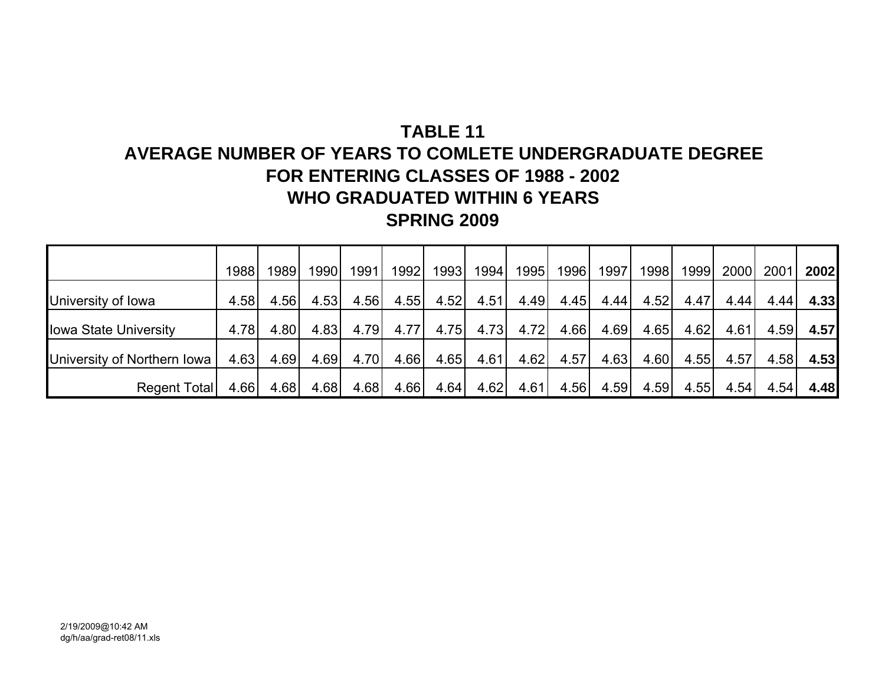# **AVERAGE NUMBER OF YEARS TO COMLETE UNDERGRADUATE DEGREEFOR ENTERING CLASSES OF 1988 - 2002WHO GRADUATED WITHIN 6 YEARSSPRING 2009**

|                              | 1988 | 1989 | 1990 | 1991 | 1992 | 1993 | 1994 | 1995 | 1996 | 1997 | 19981 | 1999 | 2000 | 2001 | 2002 |
|------------------------------|------|------|------|------|------|------|------|------|------|------|-------|------|------|------|------|
| University of Iowa           | 4.58 | 4.56 | 4.53 | 4.56 | 4.55 | 4.52 | 4.51 | 4.49 | 4.45 | 4.44 | 4.52  | 4.47 | 4.44 | 4.44 | 4.33 |
| <b>Iowa State University</b> | 4.78 | 4.80 | 4.83 | 4.79 | 4.77 | 4.75 | 4.73 | 4.72 | 4.66 | 4.69 | 4.65  | 4.62 | 4.61 | 4.59 | 4.57 |
| University of Northern Iowa  | 4.63 | 4.69 | 4.69 | 4.70 | 4.66 | 4.65 | 4.61 | 4.62 | 4.57 | 4.63 | 4.60  | 4.55 | 4.57 | 4.58 | 4.53 |
| Regent Total                 | 4.66 | 4.68 | 4.68 | 4.68 | 4.66 | 4.64 | 4.62 | 4.61 | 4.56 | 4.59 | 4.59  | 4.55 | 4.54 | 4.54 | 4.48 |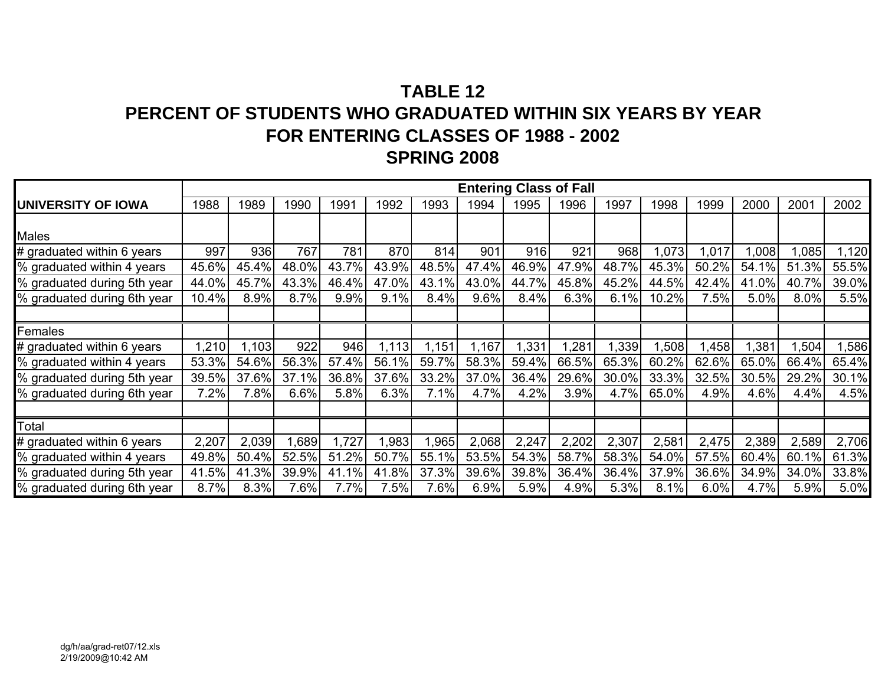# **TABLE 12PERCENT OF STUDENTS WHO GRADUATED WITHIN SIX YEARS BY YEARFOR ENTERING CLASSES OF 1988 - 2002 SPRING 2008**

|                             |       |       |       |       |       |       |       |       | <b>Entering Class of Fall</b> |       |       |       |       |       |       |
|-----------------------------|-------|-------|-------|-------|-------|-------|-------|-------|-------------------------------|-------|-------|-------|-------|-------|-------|
| <b>UNIVERSITY OF IOWA</b>   | 1988  | 1989  | 1990  | 1991  | 1992  | 1993  | 1994  | 1995  | 1996                          | 1997  | 1998  | 1999  | 2000  | 2001  | 2002  |
|                             |       |       |       |       |       |       |       |       |                               |       |       |       |       |       |       |
| <b>Males</b>                |       |       |       |       |       |       |       |       |                               |       |       |       |       |       |       |
| # graduated within 6 years  | 997   | 936   | 767   | 781   | 870   | 814   | 901   | 916   | 921                           | 968   | ,073  | 1,017 | ,008  | ,085  | 1,120 |
| % graduated within 4 years  | 45.6% | 45.4% | 48.0% | 43.7% | 43.9% | 48.5% | 47.4% | 46.9% | 47.9%                         | 48.7% | 45.3% | 50.2% | 54.1% | 51.3% | 55.5% |
| % graduated during 5th year | 44.0% | 45.7% | 43.3% | 46.4% | 47.0% | 43.1% | 43.0% | 44.7% | 45.8%                         | 45.2% | 44.5% | 42.4% | 41.0% | 40.7% | 39.0% |
| % graduated during 6th year | 10.4% | 8.9%  | 8.7%  | 9.9%  | 9.1%  | 8.4%  | 9.6%  | 8.4%  | 6.3%                          | 6.1%  | 10.2% | 7.5%  | 5.0%  | 8.0%  | 5.5%  |
|                             |       |       |       |       |       |       |       |       |                               |       |       |       |       |       |       |
| Females                     |       |       |       |       |       |       |       |       |                               |       |       |       |       |       |       |
| # graduated within 6 years  | 1,210 | 1,103 | 922   | 946   | 1,113 | ,151  | ,167  | 1,331 | 1,281                         | ,339  | ,508  | ,458  | ,381  | ,504  | ,586  |
| % graduated within 4 years  | 53.3% | 54.6% | 56.3% | 57.4% | 56.1% | 59.7% | 58.3% | 59.4% | 66.5%                         | 65.3% | 60.2% | 62.6% | 65.0% | 66.4% | 65.4% |
| % graduated during 5th year | 39.5% | 37.6% | 37.1% | 36.8% | 37.6% | 33.2% | 37.0% | 36.4% | 29.6%                         | 30.0% | 33.3% | 32.5% | 30.5% | 29.2% | 30.1% |
| % graduated during 6th year | 7.2%  | 7.8%  | 6.6%  | 5.8%  | 6.3%  | 7.1%  | 4.7%  | 4.2%  | 3.9%                          | 4.7%  | 65.0% | 4.9%  | 4.6%  | 4.4%  | 4.5%  |
|                             |       |       |       |       |       |       |       |       |                               |       |       |       |       |       |       |
| Total                       |       |       |       |       |       |       |       |       |                               |       |       |       |       |       |       |
| # graduated within 6 years  | 2,207 | 2,039 | ,689  | 1,727 | 1,983 | 1,965 | 2,068 | 2,247 | 2,202                         | 2,307 | 2,581 | 2,475 | 2,389 | 2,589 | 2,706 |
| % graduated within 4 years  | 49.8% | 50.4% | 52.5% | 51.2% | 50.7% | 55.1% | 53.5% | 54.3% | 58.7%                         | 58.3% | 54.0% | 57.5% | 60.4% | 60.1% | 61.3% |
| % graduated during 5th year | 41.5% | 41.3% | 39.9% | 41.1% | 41.8% | 37.3% | 39.6% | 39.8% | 36.4%                         | 36.4% | 37.9% | 36.6% | 34.9% | 34.0% | 33.8% |
| % graduated during 6th year | 8.7%  | 8.3%  | 7.6%  | 7.7%  | 7.5%  | 7.6%  | 6.9%  | 5.9%  | 4.9%                          | 5.3%  | 8.1%  | 6.0%  | 4.7%  | 5.9%  | 5.0%  |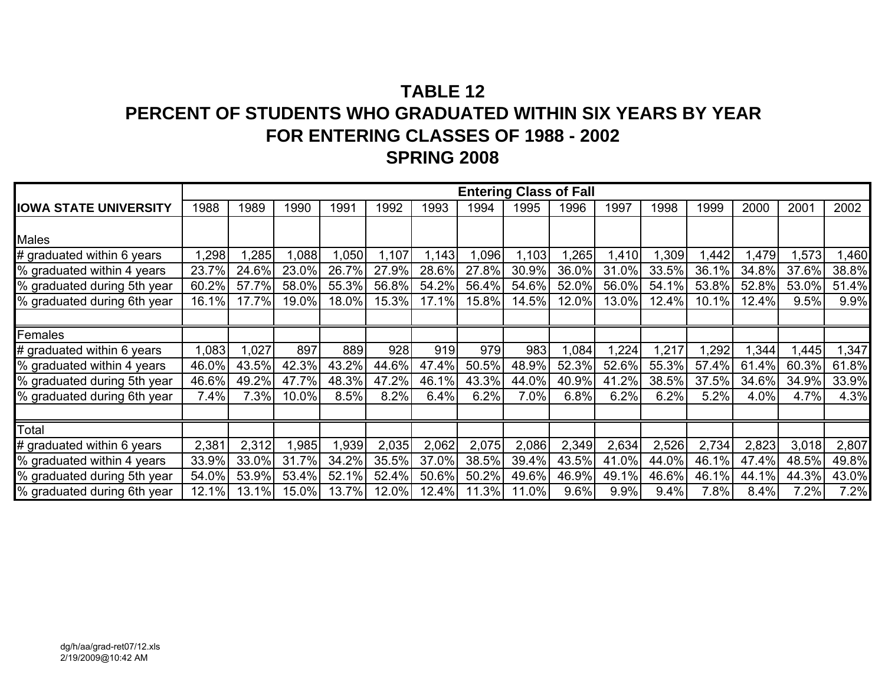# **TABLE 12PERCENT OF STUDENTS WHO GRADUATED WITHIN SIX YEARS BY YEARFOR ENTERING CLASSES OF 1988 - 2002 SPRING 2008**

|                              |       |       |       |       |       |       |       | <b>Entering Class of Fall</b> |       |       |       |       |       |       |       |
|------------------------------|-------|-------|-------|-------|-------|-------|-------|-------------------------------|-------|-------|-------|-------|-------|-------|-------|
| <b>IOWA STATE UNIVERSITY</b> | 1988  | 1989  | 1990  | 1991  | 1992  | 1993  | 1994  | 1995                          | 1996  | 1997  | 1998  | 1999  | 2000  | 2001  | 2002  |
|                              |       |       |       |       |       |       |       |                               |       |       |       |       |       |       |       |
| Males                        |       |       |       |       |       |       |       |                               |       |       |       |       |       |       |       |
| # graduated within 6 years   | ,298  | ,285  | 1,088 | 1,050 | 1,107 | .143  | 0.096 | 1,103                         | ,265  | 1,410 | 1,309 | .442  | .479  | ,573  | ,460  |
| % graduated within 4 years   | 23.7% | 24.6% | 23.0% | 26.7% | 27.9% | 28.6% | 27.8% | 30.9%                         | 36.0% | 31.0% | 33.5% | 36.1% | 34.8% | 37.6% | 38.8% |
| % graduated during 5th year  | 60.2% | 57.7% | 58.0% | 55.3% | 56.8% | 54.2% | 56.4% | 54.6%                         | 52.0% | 56.0% | 54.1% | 53.8% | 52.8% | 53.0% | 51.4% |
| % graduated during 6th year  | 16.1% | 17.7% | 19.0% | 18.0% | 15.3% | 17.1% | 15.8% | 14.5%                         | 12.0% | 13.0% | 12.4% | 10.1% | 12.4% | 9.5%  | 9.9%  |
|                              |       |       |       |       |       |       |       |                               |       |       |       |       |       |       |       |
| Females                      |       |       |       |       |       |       |       |                               |       |       |       |       |       |       |       |
| # graduated within 6 years   | ,083  | ,027  | 897   | 889   | 928   | 919   | 979   | 983                           | 1,084 | 1,224 | 1,217 | ,292  | .344  | ,445  | ,347  |
| % graduated within 4 years   | 46.0% | 43.5% | 42.3% | 43.2% | 44.6% | 47.4% | 50.5% | 48.9%                         | 52.3% | 52.6% | 55.3% | 57.4% | 61.4% | 60.3% | 61.8% |
| % graduated during 5th year  | 46.6% | 49.2% | 47.7% | 48.3% | 47.2% | 46.1% | 43.3% | 44.0%                         | 40.9% | 41.2% | 38.5% | 37.5% | 34.6% | 34.9% | 33.9% |
| % graduated during 6th year  | 7.4%  | 7.3%  | 10.0% | 8.5%  | 8.2%  | 6.4%  | 6.2%  | 7.0%                          | 6.8%  | 6.2%  | 6.2%  | 5.2%  | 4.0%  | 4.7%  | 4.3%  |
|                              |       |       |       |       |       |       |       |                               |       |       |       |       |       |       |       |
| Total                        |       |       |       |       |       |       |       |                               |       |       |       |       |       |       |       |
| # graduated within 6 years   | 2,381 | 2,312 | 1,985 | 1,939 | 2,035 | 2,062 | 2,075 | 2,086                         | 2,349 | 2,634 | 2,526 | 2,734 | 2,823 | 3,018 | 2,807 |
| % graduated within 4 years   | 33.9% | 33.0% | 31.7% | 34.2% | 35.5% | 37.0% | 38.5% | 39.4%                         | 43.5% | 41.0% | 44.0% | 46.1% | 47.4% | 48.5% | 49.8% |
| % graduated during 5th year  | 54.0% | 53.9% | 53.4% | 52.1% | 52.4% | 50.6% | 50.2% | 49.6%                         | 46.9% | 49.1% | 46.6% | 46.1% | 44.1% | 44.3% | 43.0% |
| % graduated during 6th year  | 12.1% | 13.1% | 15.0% | 13.7% | 12.0% | 12.4% | 11.3% | 11.0%                         | 9.6%  | 9.9%  | 9.4%  | 7.8%  | 8.4%  | 7.2%  | 7.2%  |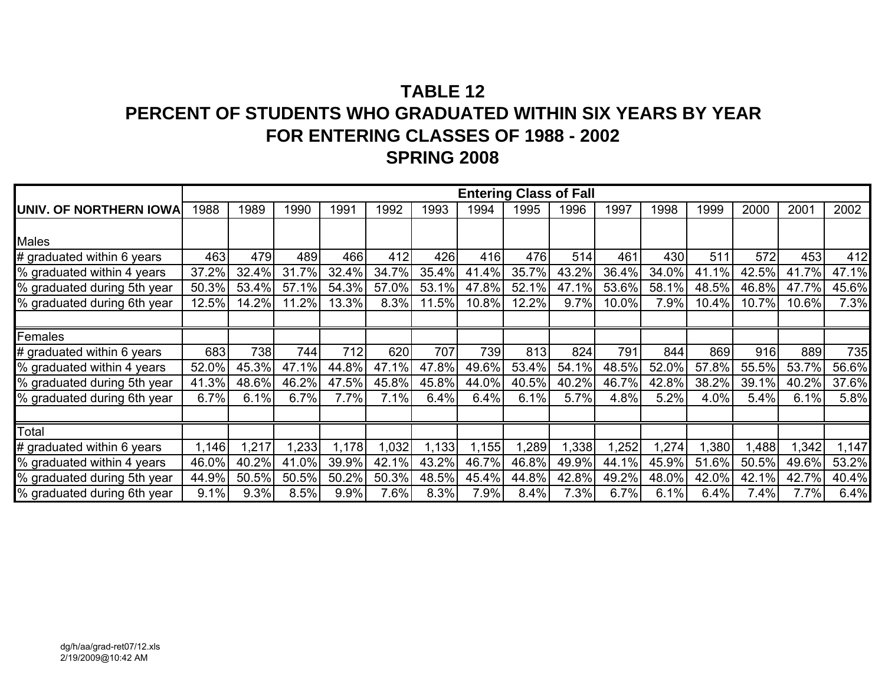# **TABLE 12PERCENT OF STUDENTS WHO GRADUATED WITHIN SIX YEARS BY YEARFOR ENTERING CLASSES OF 1988 - 2002 SPRING 2008**

|                             |       |       |       |       |       |       |       |       | <b>Entering Class of Fall</b> |       |       |       |       |         |       |
|-----------------------------|-------|-------|-------|-------|-------|-------|-------|-------|-------------------------------|-------|-------|-------|-------|---------|-------|
| UNIV. OF NORTHERN IOWA      | 1988  | 1989  | 1990  | 1991  | 1992  | 1993  | 1994  | 1995  | 1996                          | 1997  | 1998  | 1999  | 2000  | 2001    | 2002  |
|                             |       |       |       |       |       |       |       |       |                               |       |       |       |       |         |       |
| Males                       |       |       |       |       |       |       |       |       |                               |       |       |       |       |         |       |
| # graduated within 6 years  | 463   | 479   | 489   | 466   | 412   | 426   | 416   | 476   | 514                           | 461   | 430   | 511   | 572   | 453     | 412   |
| % graduated within 4 years  | 37.2% | 32.4% | 31.7% | 32.4% | 34.7% | 35.4% | 41.4% | 35.7% | 43.2%                         | 36.4% | 34.0% | 41.1% | 42.5% | 41.7%   | 47.1% |
| % graduated during 5th year | 50.3% | 53.4% | 57.1% | 54.3% | 57.0% | 53.1% | 47.8% | 52.1% | 47.1%                         | 53.6% | 58.1% | 48.5% | 46.8% | 47.7%   | 45.6% |
| % graduated during 6th year | 12.5% | 14.2% | 11.2% | 13.3% | 8.3%  | 11.5% | 10.8% | 12.2% | 9.7%                          | 10.0% | 7.9%  | 10.4% | 10.7% | 10.6%   | 7.3%  |
|                             |       |       |       |       |       |       |       |       |                               |       |       |       |       |         |       |
| Females                     |       |       |       |       |       |       |       |       |                               |       |       |       |       |         |       |
| # graduated within 6 years  | 683   | 738   | 744   | 712   | 620   | 707   | 739   | 813   | 824                           | 791   | 844   | 869   | 916   | 889     | 735   |
| % graduated within 4 years  | 52.0% | 45.3% | 47.1% | 44.8% | 47.1% | 47.8% | 49.6% | 53.4% | 54.1%                         | 48.5% | 52.0% | 57.8% | 55.5% | 53.7%   | 56.6% |
| % graduated during 5th year | 41.3% | 48.6% | 46.2% | 47.5% | 45.8% | 45.8% | 44.0% | 40.5% | 40.2%                         | 46.7% | 42.8% | 38.2% | 39.1% | 40.2%   | 37.6% |
| % graduated during 6th year | 6.7%  | 6.1%  | 6.7%  | 7.7%  | 7.1%  | 6.4%  | 6.4%  | 6.1%  | 5.7%                          | 4.8%  | 5.2%  | 4.0%  | 5.4%  | 6.1%    | 5.8%  |
|                             |       |       |       |       |       |       |       |       |                               |       |       |       |       |         |       |
| Total                       |       |       |       |       |       |       |       |       |                               |       |       |       |       |         |       |
| # graduated within 6 years  | , 146 | ,217  | ,233  | 1,178 | ,032  | .133  | .155  | ,289  | ,338                          | 1,252 | 1,274 | ,380  | ,488  | ,342    | ,147  |
| % graduated within 4 years  | 46.0% | 40.2% | 41.0% | 39.9% | 42.1% | 43.2% | 46.7% | 46.8% | 49.9%                         | 44.1% | 45.9% | 51.6% | 50.5% | 49.6%   | 53.2% |
| % graduated during 5th year | 44.9% | 50.5% | 50.5% | 50.2% | 50.3% | 48.5% | 45.4% | 44.8% | 42.8%                         | 49.2% | 48.0% | 42.0% | 42.1% | 42.7%   | 40.4% |
| % graduated during 6th year | 9.1%  | 9.3%  | 8.5%  | 9.9%  | 7.6%  | 8.3%  | 7.9%  | 8.4%  | 7.3%                          | 6.7%  | 6.1%  | 6.4%  | 7.4%  | $7.7\%$ | 6.4%  |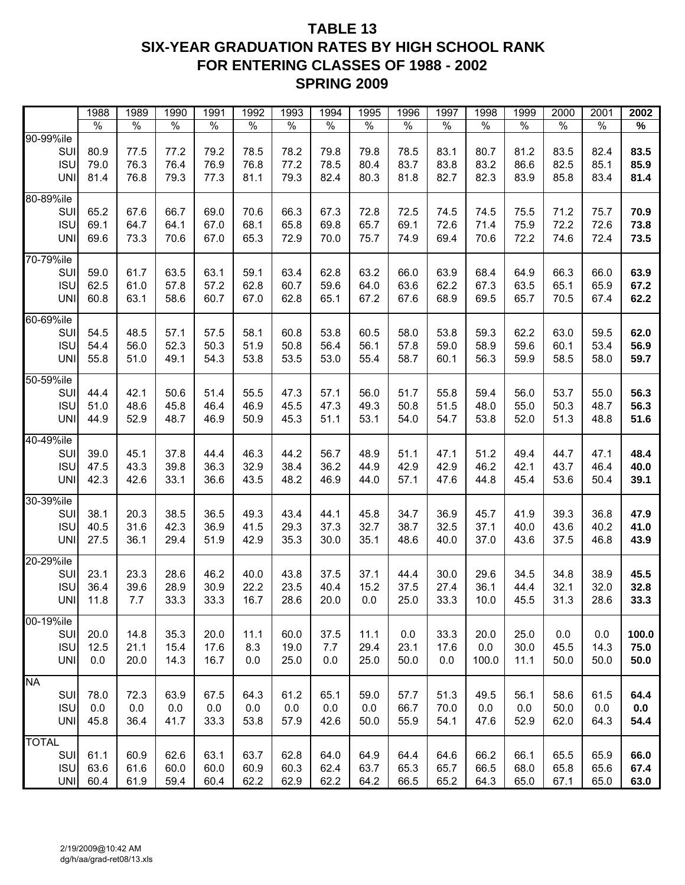# **TABLE 13 SIX-YEAR GRADUATION RATES BY HIGH SCHOOL RANK FOR ENTERING CLASSES OF 1988 - 2002 SPRING 2009**

|                                                 | 1988                    | 1989                    | 1990                 | 1991                 | 1992                 | 1993                 | 1994                 | 1995                 | 1996                 | 1997                 | 1998                 | 1999                 | 2000                 | 2001                 | 2002                    |
|-------------------------------------------------|-------------------------|-------------------------|----------------------|----------------------|----------------------|----------------------|----------------------|----------------------|----------------------|----------------------|----------------------|----------------------|----------------------|----------------------|-------------------------|
|                                                 | $\frac{1}{\sqrt{2}}$    | $\%$                    | $\frac{1}{2}$        | $\frac{1}{2}$        | $\frac{1}{2}$        | $\frac{1}{2}$        | $\%$                 | $\%$                 | $\frac{1}{2}$        | $\frac{1}{2}$        | $\%$                 | $\%$                 | $\frac{0}{0}$        | $\frac{1}{2}$        | $\%$                    |
| 90-99%ile<br>SUI<br><b>ISU</b><br><b>UNI</b>    | 80.9<br>79.0<br>81.4    | 77.5<br>76.3<br>76.8    | 77.2<br>76.4<br>79.3 | 79.2<br>76.9<br>77.3 | 78.5<br>76.8<br>81.1 | 78.2<br>77.2<br>79.3 | 79.8<br>78.5<br>82.4 | 79.8<br>80.4<br>80.3 | 78.5<br>83.7<br>81.8 | 83.1<br>83.8<br>82.7 | 80.7<br>83.2<br>82.3 | 81.2<br>86.6<br>83.9 | 83.5<br>82.5<br>85.8 | 82.4<br>85.1<br>83.4 | 83.5<br>85.9<br>81.4    |
| 80-89%ile<br>SUI<br><b>ISU</b><br><b>UNI</b>    | 65.2<br>69.1<br>69.6    | 67.6<br>64.7<br>73.3    | 66.7<br>64.1<br>70.6 | 69.0<br>67.0<br>67.0 | 70.6<br>68.1<br>65.3 | 66.3<br>65.8<br>72.9 | 67.3<br>69.8<br>70.0 | 72.8<br>65.7<br>75.7 | 72.5<br>69.1<br>74.9 | 74.5<br>72.6<br>69.4 | 74.5<br>71.4<br>70.6 | 75.5<br>75.9<br>72.2 | 71.2<br>72.2<br>74.6 | 75.7<br>72.6<br>72.4 | 70.9<br>73.8<br>73.5    |
| 70-79%ile<br>SUI<br><b>ISU</b><br><b>UNI</b>    | 59.0<br>62.5<br>60.8    | 61.7<br>61.0<br>63.1    | 63.5<br>57.8<br>58.6 | 63.1<br>57.2<br>60.7 | 59.1<br>62.8<br>67.0 | 63.4<br>60.7<br>62.8 | 62.8<br>59.6<br>65.1 | 63.2<br>64.0<br>67.2 | 66.0<br>63.6<br>67.6 | 63.9<br>62.2<br>68.9 | 68.4<br>67.3<br>69.5 | 64.9<br>63.5<br>65.7 | 66.3<br>65.1<br>70.5 | 66.0<br>65.9<br>67.4 | 63.9<br>67.2<br>62.2    |
| 60-69%ile<br>SUI<br><b>ISU</b><br><b>UNI</b>    | 54.5<br>54.4<br>55.8    | 48.5<br>56.0<br>51.0    | 57.1<br>52.3<br>49.1 | 57.5<br>50.3<br>54.3 | 58.1<br>51.9<br>53.8 | 60.8<br>50.8<br>53.5 | 53.8<br>56.4<br>53.0 | 60.5<br>56.1<br>55.4 | 58.0<br>57.8<br>58.7 | 53.8<br>59.0<br>60.1 | 59.3<br>58.9<br>56.3 | 62.2<br>59.6<br>59.9 | 63.0<br>60.1<br>58.5 | 59.5<br>53.4<br>58.0 | 62.0<br>56.9<br>59.7    |
| 50-59%ile<br>SUI<br><b>ISU</b><br><b>UNI</b>    | 44.4<br>51.0<br>44.9    | 42.1<br>48.6<br>52.9    | 50.6<br>45.8<br>48.7 | 51.4<br>46.4<br>46.9 | 55.5<br>46.9<br>50.9 | 47.3<br>45.5<br>45.3 | 57.1<br>47.3<br>51.1 | 56.0<br>49.3<br>53.1 | 51.7<br>50.8<br>54.0 | 55.8<br>51.5<br>54.7 | 59.4<br>48.0<br>53.8 | 56.0<br>55.0<br>52.0 | 53.7<br>50.3<br>51.3 | 55.0<br>48.7<br>48.8 | 56.3<br>56.3<br>51.6    |
| 40-49%ile<br>SUI<br><b>ISU</b><br><b>UNI</b>    | 39.0<br>47.5<br>42.3    | 45.1<br>43.3<br>42.6    | 37.8<br>39.8<br>33.1 | 44.4<br>36.3<br>36.6 | 46.3<br>32.9<br>43.5 | 44.2<br>38.4<br>48.2 | 56.7<br>36.2<br>46.9 | 48.9<br>44.9<br>44.0 | 51.1<br>42.9<br>57.1 | 47.1<br>42.9<br>47.6 | 51.2<br>46.2<br>44.8 | 49.4<br>42.1<br>45.4 | 44.7<br>43.7<br>53.6 | 47.1<br>46.4<br>50.4 | 48.4<br>40.0<br>39.1    |
| 30-39%ile<br>SUI<br><b>ISU</b><br><b>UNI</b>    | 38.1<br>40.5<br>27.5    | 20.3<br>31.6<br>36.1    | 38.5<br>42.3<br>29.4 | 36.5<br>36.9<br>51.9 | 49.3<br>41.5<br>42.9 | 43.4<br>29.3<br>35.3 | 44.1<br>37.3<br>30.0 | 45.8<br>32.7<br>35.1 | 34.7<br>38.7<br>48.6 | 36.9<br>32.5<br>40.0 | 45.7<br>37.1<br>37.0 | 41.9<br>40.0<br>43.6 | 39.3<br>43.6<br>37.5 | 36.8<br>40.2<br>46.8 | 47.9<br>41.0<br>43.9    |
| 20-29%ile<br>SUI<br><b>ISU</b><br><b>UNI</b>    | 23.1<br>36.4<br>11.8    | 23.3<br>39.6<br>7.7     | 28.6<br>28.9<br>33.3 | 46.2<br>30.9<br>33.3 | 40.0<br>22.2<br>16.7 | 43.8<br>23.5<br>28.6 | 37.5<br>40.4<br>20.0 | 37.1<br>15.2<br>0.0  | 44.4<br>37.5<br>25.0 | 30.0<br>27.4<br>33.3 | 29.6<br>36.1<br>10.0 | 34.5<br>44.4<br>45.5 | 34.8<br>32.1<br>31.3 | 38.9<br>32.0<br>28.6 | 45.5<br>32.8<br>33.3    |
| 00-19%ile<br>SUI<br><b>ISU</b><br><b>UNI</b>    | 20.0<br>12.5<br>0.0     | 14.8<br>21.1<br>20.0    | 35.3<br>15.4<br>14.3 | 20.0<br>17.6<br>16.7 | 11.1<br>8.3<br>0.0   | 60.0<br>19.0<br>25.0 | 37.5<br>7.7<br>0.0   | 11.1<br>29.4<br>25.0 | 0.0<br>23.1<br>50.0  | 33.3<br>17.6<br>0.0  | 20.0<br>0.0<br>100.0 | 25.0<br>30.0<br>11.1 | 0.0<br>45.5<br>50.0  | 0.0<br>14.3<br>50.0  | 100.0<br>75.0<br>50.0   |
| <b>NA</b><br>SUI<br><b>ISU</b><br><b>UNI</b>    | 78.0<br>$0.0\,$<br>45.8 | 72.3<br>$0.0\,$<br>36.4 | 63.9<br>0.0<br>41.7  | 67.5<br>0.0<br>33.3  | 64.3<br>0.0<br>53.8  | 61.2<br>0.0<br>57.9  | 65.1<br>0.0<br>42.6  | 59.0<br>0.0<br>50.0  | 57.7<br>66.7<br>55.9 | 51.3<br>70.0<br>54.1 | 49.5<br>0.0<br>47.6  | 56.1<br>0.0<br>52.9  | 58.6<br>50.0<br>62.0 | 61.5<br>0.0<br>64.3  | 64.4<br>$0.0\,$<br>54.4 |
| <b>TOTAL</b><br>SUI<br><b>ISU</b><br><b>UNI</b> | 61.1<br>63.6<br>60.4    | 60.9<br>61.6<br>61.9    | 62.6<br>60.0<br>59.4 | 63.1<br>60.0<br>60.4 | 63.7<br>60.9<br>62.2 | 62.8<br>60.3<br>62.9 | 64.0<br>62.4<br>62.2 | 64.9<br>63.7<br>64.2 | 64.4<br>65.3<br>66.5 | 64.6<br>65.7<br>65.2 | 66.2<br>66.5<br>64.3 | 66.1<br>68.0<br>65.0 | 65.5<br>65.8<br>67.1 | 65.9<br>65.6<br>65.0 | 66.0<br>67.4<br>63.0    |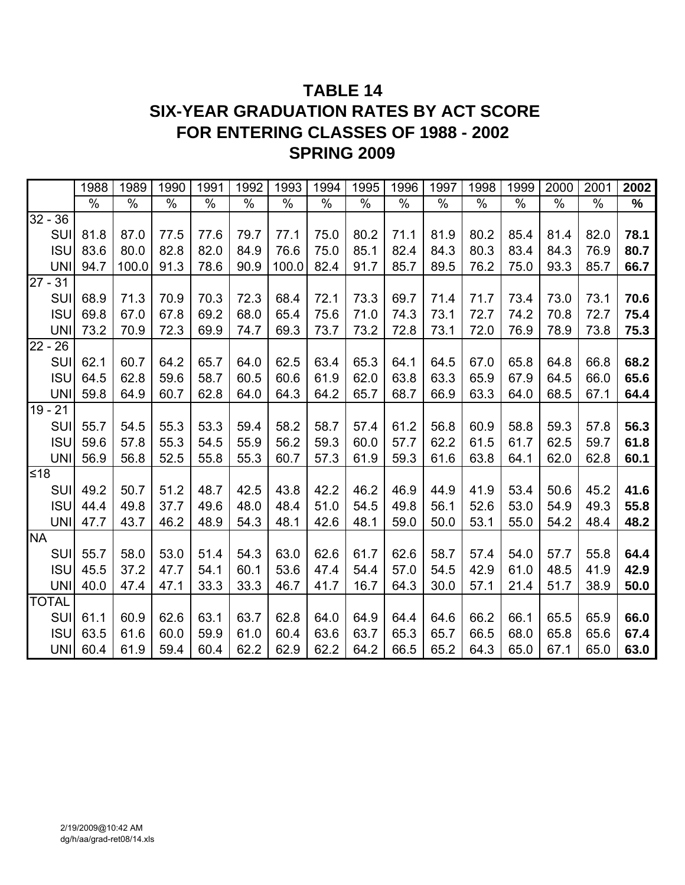# **TABLE 14 SIX-YEAR GRADUATION RATES BY ACT SCORE FOR ENTERING CLASSES OF 1988 - 2002 SPRING 2009**

|           |              | 1988 | 1989  | 1990 | 1991 | 1992 | 1993  | 1994 | 1995 | 1996          | 1997 | 1998 | 1999 | 2000 | 2001 | 2002 |
|-----------|--------------|------|-------|------|------|------|-------|------|------|---------------|------|------|------|------|------|------|
|           |              | %    | $\%$  | %    | $\%$ | %    | $\%$  | $\%$ | $\%$ | $\frac{0}{0}$ | $\%$ | %    | $\%$ | $\%$ | $\%$ | $\%$ |
|           | $32 - 36$    |      |       |      |      |      |       |      |      |               |      |      |      |      |      |      |
|           | SUI          | 81.8 | 87.0  | 77.5 | 77.6 | 79.7 | 77.1  | 75.0 | 80.2 | 71.1          | 81.9 | 80.2 | 85.4 | 81.4 | 82.0 | 78.1 |
|           | <b>ISU</b>   | 83.6 | 80.0  | 82.8 | 82.0 | 84.9 | 76.6  | 75.0 | 85.1 | 82.4          | 84.3 | 80.3 | 83.4 | 84.3 | 76.9 | 80.7 |
|           | <b>UNI</b>   | 94.7 | 100.0 | 91.3 | 78.6 | 90.9 | 100.0 | 82.4 | 91.7 | 85.7          | 89.5 | 76.2 | 75.0 | 93.3 | 85.7 | 66.7 |
|           | $27 - 31$    |      |       |      |      |      |       |      |      |               |      |      |      |      |      |      |
|           | SUI          | 68.9 | 71.3  | 70.9 | 70.3 | 72.3 | 68.4  | 72.1 | 73.3 | 69.7          | 71.4 | 71.7 | 73.4 | 73.0 | 73.1 | 70.6 |
|           | <b>ISU</b>   | 69.8 | 67.0  | 67.8 | 69.2 | 68.0 | 65.4  | 75.6 | 71.0 | 74.3          | 73.1 | 72.7 | 74.2 | 70.8 | 72.7 | 75.4 |
|           | <b>UNI</b>   | 73.2 | 70.9  | 72.3 | 69.9 | 74.7 | 69.3  | 73.7 | 73.2 | 72.8          | 73.1 | 72.0 | 76.9 | 78.9 | 73.8 | 75.3 |
|           | $22 - 26$    |      |       |      |      |      |       |      |      |               |      |      |      |      |      |      |
|           | SUI          | 62.1 | 60.7  | 64.2 | 65.7 | 64.0 | 62.5  | 63.4 | 65.3 | 64.1          | 64.5 | 67.0 | 65.8 | 64.8 | 66.8 | 68.2 |
|           | <b>ISU</b>   | 64.5 | 62.8  | 59.6 | 58.7 | 60.5 | 60.6  | 61.9 | 62.0 | 63.8          | 63.3 | 65.9 | 67.9 | 64.5 | 66.0 | 65.6 |
|           | <b>UNI</b>   | 59.8 | 64.9  | 60.7 | 62.8 | 64.0 | 64.3  | 64.2 | 65.7 | 68.7          | 66.9 | 63.3 | 64.0 | 68.5 | 67.1 | 64.4 |
|           | $19 - 21$    |      |       |      |      |      |       |      |      |               |      |      |      |      |      |      |
|           | SUI          | 55.7 | 54.5  | 55.3 | 53.3 | 59.4 | 58.2  | 58.7 | 57.4 | 61.2          | 56.8 | 60.9 | 58.8 | 59.3 | 57.8 | 56.3 |
|           | <b>ISU</b>   | 59.6 | 57.8  | 55.3 | 54.5 | 55.9 | 56.2  | 59.3 | 60.0 | 57.7          | 62.2 | 61.5 | 61.7 | 62.5 | 59.7 | 61.8 |
|           | <b>UNI</b>   | 56.9 | 56.8  | 52.5 | 55.8 | 55.3 | 60.7  | 57.3 | 61.9 | 59.3          | 61.6 | 63.8 | 64.1 | 62.0 | 62.8 | 60.1 |
| ≤18       |              |      |       |      |      |      |       |      |      |               |      |      |      |      |      |      |
|           | SUI          | 49.2 | 50.7  | 51.2 | 48.7 | 42.5 | 43.8  | 42.2 | 46.2 | 46.9          | 44.9 | 41.9 | 53.4 | 50.6 | 45.2 | 41.6 |
|           | <b>ISU</b>   | 44.4 | 49.8  | 37.7 | 49.6 | 48.0 | 48.4  | 51.0 | 54.5 | 49.8          | 56.1 | 52.6 | 53.0 | 54.9 | 49.3 | 55.8 |
|           | <b>UNI</b>   | 47.7 | 43.7  | 46.2 | 48.9 | 54.3 | 48.1  | 42.6 | 48.1 | 59.0          | 50.0 | 53.1 | 55.0 | 54.2 | 48.4 | 48.2 |
| <b>NA</b> |              |      |       |      |      |      |       |      |      |               |      |      |      |      |      |      |
|           | SU           | 55.7 | 58.0  | 53.0 | 51.4 | 54.3 | 63.0  | 62.6 | 61.7 | 62.6          | 58.7 | 57.4 | 54.0 | 57.7 | 55.8 | 64.4 |
|           | <b>ISU</b>   | 45.5 | 37.2  | 47.7 | 54.1 | 60.1 | 53.6  | 47.4 | 54.4 | 57.0          | 54.5 | 42.9 | 61.0 | 48.5 | 41.9 | 42.9 |
|           | <b>UNI</b>   | 40.0 | 47.4  | 47.1 | 33.3 | 33.3 | 46.7  | 41.7 | 16.7 | 64.3          | 30.0 | 57.1 | 21.4 | 51.7 | 38.9 | 50.0 |
|           | <b>TOTAL</b> |      |       |      |      |      |       |      |      |               |      |      |      |      |      |      |
|           | SUI          | 61.1 | 60.9  | 62.6 | 63.1 | 63.7 | 62.8  | 64.0 | 64.9 | 64.4          | 64.6 | 66.2 | 66.1 | 65.5 | 65.9 | 66.0 |
|           | <b>ISU</b>   | 63.5 | 61.6  | 60.0 | 59.9 | 61.0 | 60.4  | 63.6 | 63.7 | 65.3          | 65.7 | 66.5 | 68.0 | 65.8 | 65.6 | 67.4 |
|           | <b>UNI</b>   | 60.4 | 61.9  | 59.4 | 60.4 | 62.2 | 62.9  | 62.2 | 64.2 | 66.5          | 65.2 | 64.3 | 65.0 | 67.1 | 65.0 | 63.0 |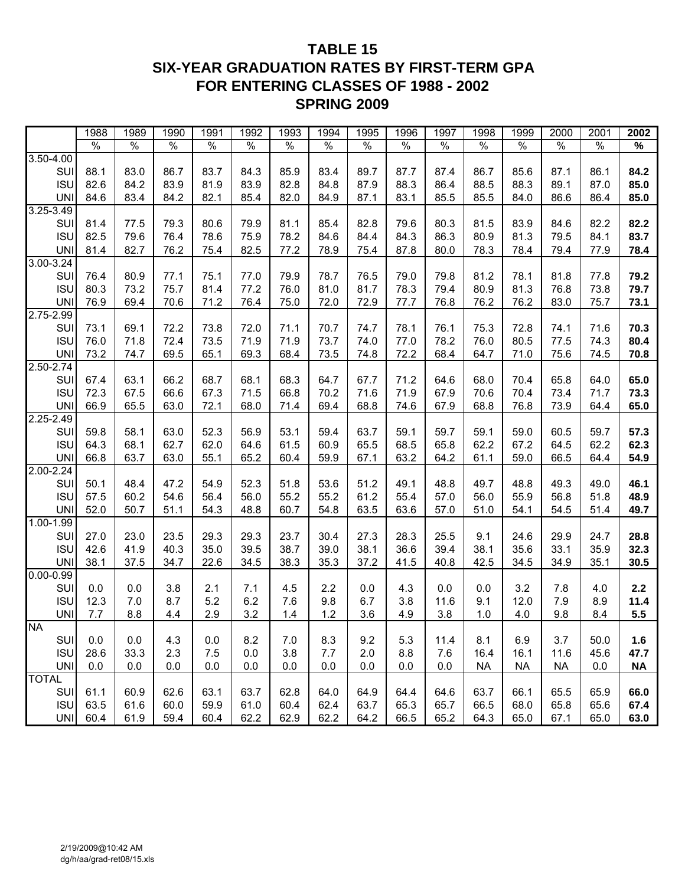# **TABLE 15 SIX-YEAR GRADUATION RATES BY FIRST-TERM GPA FOR ENTERING CLASSES OF 1988 - 2002 SPRING 2009**

|                             | 1988          | 1989          | 1990          | 1991          | 1992          | 1993          | 1994          | 1995          | 1996          | 1997          | 1998          | 1999          | 2000          | 2001          | 2002                     |
|-----------------------------|---------------|---------------|---------------|---------------|---------------|---------------|---------------|---------------|---------------|---------------|---------------|---------------|---------------|---------------|--------------------------|
|                             | $\frac{1}{2}$ | $\frac{1}{2}$ | $\frac{0}{0}$ | $\frac{1}{6}$ | $\frac{1}{2}$ | $\frac{0}{0}$ | $\frac{0}{6}$ | $\frac{1}{6}$ | $\frac{1}{6}$ | $\frac{1}{2}$ | $\frac{1}{2}$ | $\frac{8}{6}$ | $\frac{0}{0}$ | $\frac{0}{0}$ | $\overline{\frac{9}{6}}$ |
| 3.50-4.00                   |               |               |               |               |               |               |               |               |               |               |               |               |               |               |                          |
| SU                          | 88.1          | 83.0          | 86.7          | 83.7          | 84.3          | 85.9          | 83.4          | 89.7          | 87.7          | 87.4          | 86.7          | 85.6          | 87.1          | 86.1          | 84.2                     |
| <b>ISU</b>                  | 82.6          | 84.2          | 83.9          | 81.9          | 83.9          | 82.8          | 84.8          | 87.9          | 88.3          | 86.4          | 88.5          | 88.3          | 89.1          | 87.0          | 85.0                     |
| <b>UNI</b>                  | 84.6          | 83.4          | 84.2          | 82.1          | 85.4          | 82.0          | 84.9          | 87.1          | 83.1          | 85.5          | 85.5          | 84.0          | 86.6          | 86.4          | 85.0                     |
| 3.25-3.49                   |               |               |               |               |               |               |               |               |               |               |               |               |               |               |                          |
| SUI                         | 81.4          | 77.5          | 79.3          | 80.6          | 79.9          | 81.1          | 85.4          | 82.8          | 79.6          | 80.3          | 81.5          | 83.9          | 84.6          | 82.2          | 82.2                     |
| <b>ISU</b>                  | 82.5          | 79.6          | 76.4          | 78.6          | 75.9          | 78.2          | 84.6          | 84.4          | 84.3          | 86.3          | 80.9          | 81.3          | 79.5          | 84.1          | 83.7                     |
| <b>UNI</b>                  | 81.4          | 82.7          | 76.2          | 75.4          | 82.5          | 77.2          | 78.9          | 75.4          | 87.8          | 80.0          | 78.3          | 78.4          | 79.4          | 77.9          | 78.4                     |
| 3.00-3.24                   |               |               |               |               |               |               |               |               |               |               |               |               |               |               |                          |
| SUI                         | 76.4          | 80.9          | 77.1          | 75.1          | 77.0          | 79.9          | 78.7          | 76.5          | 79.0          | 79.8          | 81.2          | 78.1          | 81.8          | 77.8          | 79.2                     |
| <b>ISU</b>                  | 80.3          | 73.2          | 75.7          | 81.4          | 77.2          | 76.0          | 81.0          | 81.7          | 78.3          | 79.4          | 80.9          | 81.3          | 76.8          | 73.8          | 79.7                     |
| <b>UNI</b>                  | 76.9          | 69.4          | 70.6          | 71.2          | 76.4          | 75.0          | 72.0          | 72.9          | 77.7          | 76.8          | 76.2          | 76.2          | 83.0          | 75.7          | 73.1                     |
| 2.75-2.99                   |               |               |               |               |               |               |               |               |               |               |               |               |               |               |                          |
| SUI                         | 73.1          | 69.1          | 72.2          | 73.8          | 72.0          | 71.1          | 70.7          | 74.7          | 78.1          | 76.1          | 75.3          | 72.8          | 74.1          | 71.6          | 70.3                     |
| <b>ISU</b>                  | 76.0          | 71.8          | 72.4          | 73.5          | 71.9          | 71.9          | 73.7          | 74.0          | 77.0          | 78.2          | 76.0          | 80.5          | 77.5          | 74.3          | 80.4                     |
| <b>UNI</b>                  | 73.2          | 74.7          | 69.5          | 65.1          | 69.3          | 68.4          | 73.5          | 74.8          | 72.2          | 68.4          | 64.7          | 71.0          | 75.6          | 74.5          | 70.8                     |
| $2.50 - 2.74$               |               |               |               |               |               |               |               |               |               |               |               |               |               |               |                          |
| SUI                         | 67.4          | 63.1          | 66.2          | 68.7          | 68.1          | 68.3          | 64.7          | 67.7          | 71.2          | 64.6          | 68.0          | 70.4          | 65.8          | 64.0          | 65.0                     |
| <b>ISU</b>                  | 72.3          | 67.5          | 66.6          | 67.3          | 71.5          | 66.8          | 70.2          | 71.6          | 71.9          | 67.9          | 70.6          | 70.4          | 73.4          | 71.7          | 73.3                     |
| <b>UNI</b>                  | 66.9          | 65.5          | 63.0          | 72.1          | 68.0          | 71.4          | 69.4          | 68.8          | 74.6          | 67.9          | 68.8          | 76.8          | 73.9          | 64.4          | 65.0                     |
| 2.25-2.49                   |               |               |               |               |               |               |               |               |               |               |               |               |               |               |                          |
| SUI                         | 59.8          | 58.1          | 63.0          | 52.3          | 56.9          | 53.1          | 59.4          | 63.7          | 59.1          | 59.7          | 59.1          | 59.0          | 60.5          | 59.7          | 57.3                     |
| <b>ISU</b>                  | 64.3          | 68.1<br>63.7  | 62.7<br>63.0  | 62.0<br>55.1  | 64.6          | 61.5<br>60.4  | 60.9          | 65.5          | 68.5<br>63.2  | 65.8<br>64.2  | 62.2          | 67.2          | 64.5<br>66.5  | 62.2          | 62.3                     |
| <b>UNI</b><br>$2.00 - 2.24$ | 66.8          |               |               |               | 65.2          |               | 59.9          | 67.1          |               |               | 61.1          | 59.0          |               | 64.4          | 54.9                     |
| SUI                         | 50.1          | 48.4          | 47.2          | 54.9          | 52.3          | 51.8          | 53.6          | 51.2          | 49.1          | 48.8          | 49.7          | 48.8          | 49.3          | 49.0          | 46.1                     |
| <b>ISU</b>                  | 57.5          | 60.2          | 54.6          | 56.4          | 56.0          | 55.2          | 55.2          | 61.2          | 55.4          | 57.0          | 56.0          | 55.9          | 56.8          | 51.8          | 48.9                     |
| <b>UNI</b>                  | 52.0          | 50.7          | 51.1          | 54.3          | 48.8          | 60.7          | 54.8          | 63.5          | 63.6          | 57.0          | 51.0          | 54.1          | 54.5          | 51.4          | 49.7                     |
| $1.00 - 1.99$               |               |               |               |               |               |               |               |               |               |               |               |               |               |               |                          |
| SUI                         | 27.0          | 23.0          | 23.5          | 29.3          | 29.3          | 23.7          | 30.4          | 27.3          | 28.3          | 25.5          | 9.1           | 24.6          | 29.9          | 24.7          | 28.8                     |
| <b>ISU</b>                  | 42.6          | 41.9          | 40.3          | 35.0          | 39.5          | 38.7          | 39.0          | 38.1          | 36.6          | 39.4          | 38.1          | 35.6          | 33.1          | 35.9          | 32.3                     |
| <b>UNI</b>                  | 38.1          | 37.5          | 34.7          | 22.6          | 34.5          | 38.3          | 35.3          | 37.2          | 41.5          | 40.8          | 42.5          | 34.5          | 34.9          | 35.1          | 30.5                     |
| 0.00-0.99                   |               |               |               |               |               |               |               |               |               |               |               |               |               |               |                          |
| SUI                         | 0.0           | 0.0           | 3.8           | 2.1           | 7.1           | 4.5           | 2.2           | 0.0           | 4.3           | 0.0           | 0.0           | 3.2           | 7.8           | 4.0           | 2.2                      |
| <b>ISU</b>                  | 12.3          | 7.0           | 8.7           | 5.2           | 6.2           | 7.6           | 9.8           | 6.7           | 3.8           | 11.6          | 9.1           | 12.0          | 7.9           | 8.9           | 11.4                     |
| <b>UNI</b>                  | 7.7           | 8.8           | 4.4           | 2.9           | 3.2           | 1.4           | 1.2           | 3.6           | 4.9           | 3.8           | 1.0           | 4.0           | 9.8           | 8.4           | 5.5                      |
| INA.                        |               |               |               |               |               |               |               |               |               |               |               |               |               |               |                          |
| SUI                         | 0.0           | 0.0           | 4.3           | 0.0           | 8.2           | 7.0           | 8.3           | 9.2           | 5.3           | 11.4          | 8.1           | 6.9           | 3.7           | 50.0          | 1.6                      |
| <b>ISU</b>                  | 28.6          | 33.3          | 2.3           | 7.5           | 0.0           | 3.8           | 7.7           | 2.0           | 8.8           | 7.6           | 16.4          | 16.1          | 11.6          | 45.6          | 47.7                     |
| <b>UNI</b>                  | 0.0           | 0.0           | 0.0           | 0.0           | 0.0           | 0.0           | 0.0           | 0.0           | 0.0           | 0.0           | <b>NA</b>     | <b>NA</b>     | <b>NA</b>     | 0.0           | <b>NA</b>                |
| <b>TOTAL</b>                |               |               |               |               |               |               |               |               |               |               |               |               |               |               |                          |
| <b>SUI</b>                  | 61.1          | 60.9          | 62.6          | 63.1          | 63.7          | 62.8          | 64.0          | 64.9          | 64.4          | 64.6          | 63.7          | 66.1          | 65.5          | 65.9          | 66.0                     |
| <b>ISU</b>                  | 63.5          | 61.6          | 60.0          | 59.9          | 61.0          | 60.4          | 62.4          | 63.7          | 65.3          | 65.7          | 66.5          | 68.0          | 65.8          | 65.6          | 67.4                     |
| <b>UNI</b>                  | 60.4          | 61.9          | 59.4          | 60.4          | 62.2          | 62.9          | 62.2          | 64.2          | 66.5          | 65.2          | 64.3          | 65.0          | 67.1          | 65.0          | 63.0                     |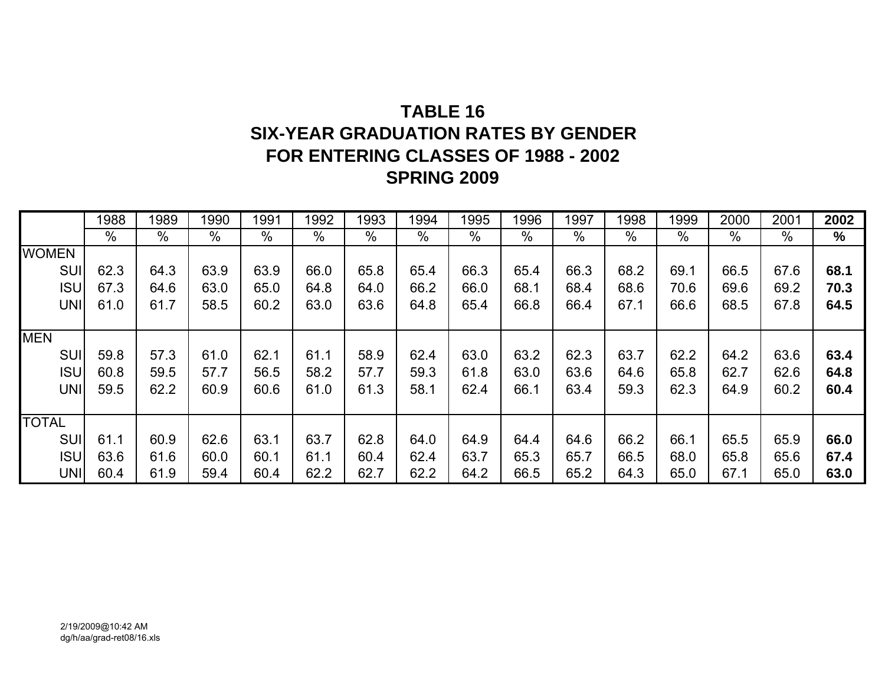# **TABLE 16SIX-YEAR GRADUATION RATES BY GENDER FOR ENTERING CLASSES OF 1988 - 2002 SPRING 2009**

|              | 1988 | 1989          | 1990          | 1991 | 1992 | 1993 | 1994          | 1995 | 1996 | 1997 | 1998 | 1999          | 2000 | 2001 | 2002          |
|--------------|------|---------------|---------------|------|------|------|---------------|------|------|------|------|---------------|------|------|---------------|
|              | %    | $\frac{0}{0}$ | $\frac{0}{0}$ | %    | %    | $\%$ | $\frac{0}{0}$ | $\%$ | %    | $\%$ | %    | $\frac{0}{0}$ | $\%$ | %    | $\frac{0}{0}$ |
| <b>WOMEN</b> |      |               |               |      |      |      |               |      |      |      |      |               |      |      |               |
| <b>SUI</b>   | 62.3 | 64.3          | 63.9          | 63.9 | 66.0 | 65.8 | 65.4          | 66.3 | 65.4 | 66.3 | 68.2 | 69.1          | 66.5 | 67.6 | 68.1          |
| <b>ISU</b>   | 67.3 | 64.6          | 63.0          | 65.0 | 64.8 | 64.0 | 66.2          | 66.0 | 68.1 | 68.4 | 68.6 | 70.6          | 69.6 | 69.2 | 70.3          |
| <b>UNI</b>   | 61.0 | 61.7          | 58.5          | 60.2 | 63.0 | 63.6 | 64.8          | 65.4 | 66.8 | 66.4 | 67.1 | 66.6          | 68.5 | 67.8 | 64.5          |
|              |      |               |               |      |      |      |               |      |      |      |      |               |      |      |               |
| <b>MEN</b>   |      |               |               |      |      |      |               |      |      |      |      |               |      |      |               |
| <b>SUI</b>   | 59.8 | 57.3          | 61.0          | 62.1 | 61.1 | 58.9 | 62.4          | 63.0 | 63.2 | 62.3 | 63.7 | 62.2          | 64.2 | 63.6 | 63.4          |
| <b>ISU</b>   | 60.8 | 59.5          | 57.7          | 56.5 | 58.2 | 57.7 | 59.3          | 61.8 | 63.0 | 63.6 | 64.6 | 65.8          | 62.7 | 62.6 | 64.8          |
| <b>UNI</b>   | 59.5 | 62.2          | 60.9          | 60.6 | 61.0 | 61.3 | 58.1          | 62.4 | 66.1 | 63.4 | 59.3 | 62.3          | 64.9 | 60.2 | 60.4          |
|              |      |               |               |      |      |      |               |      |      |      |      |               |      |      |               |
| <b>TOTAL</b> |      |               |               |      |      |      |               |      |      |      |      |               |      |      |               |
| SUI          | 61.1 | 60.9          | 62.6          | 63.1 | 63.7 | 62.8 | 64.0          | 64.9 | 64.4 | 64.6 | 66.2 | 66.1          | 65.5 | 65.9 | 66.0          |
| <b>ISU</b>   | 63.6 | 61.6          | 60.0          | 60.1 | 61.1 | 60.4 | 62.4          | 63.7 | 65.3 | 65.7 | 66.5 | 68.0          | 65.8 | 65.6 | 67.4          |
| <b>UNI</b>   | 60.4 | 61.9          | 59.4          | 60.4 | 62.2 | 62.7 | 62.2          | 64.2 | 66.5 | 65.2 | 64.3 | 65.0          | 67.1 | 65.0 | 63.0          |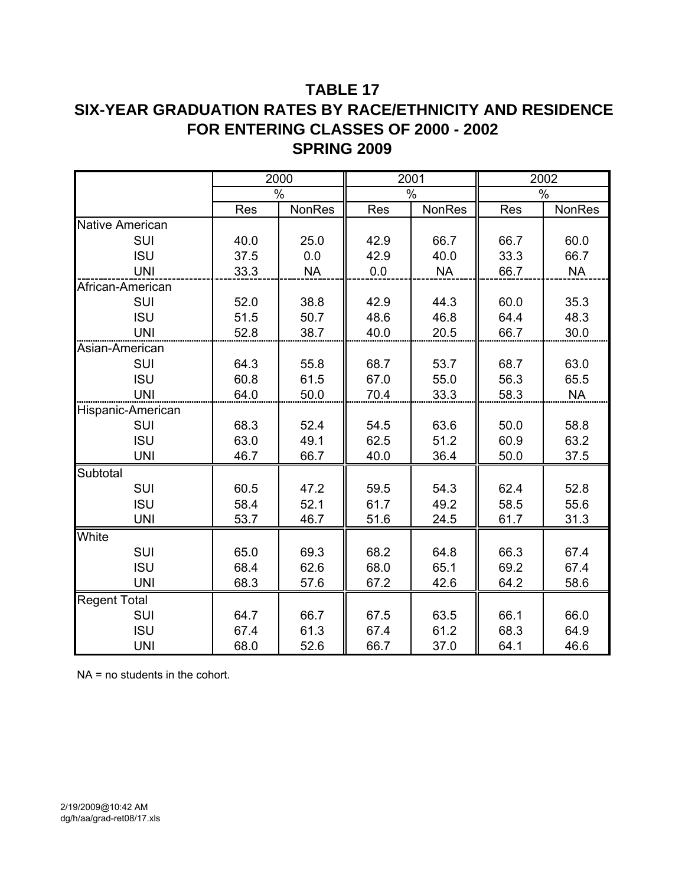# **TABLE 17 SIX-YEAR GRADUATION RATES BY RACE/ETHNICITY AND RESIDENCE FOR ENTERING CLASSES OF 2000 - 2002 SPRING 2009**

|                        |      | 2000          | 2001       |           |            | 2002      |
|------------------------|------|---------------|------------|-----------|------------|-----------|
|                        |      | $\frac{0}{0}$ |            | $\%$      |            | %         |
|                        | Res  | NonRes        | <b>Res</b> | NonRes    | <b>Res</b> | NonRes    |
| <b>Native American</b> |      |               |            |           |            |           |
| SUI                    | 40.0 | 25.0          | 42.9       | 66.7      | 66.7       | 60.0      |
| <b>ISU</b>             | 37.5 | 0.0           | 42.9       | 40.0      | 33.3       | 66.7      |
| <b>UNI</b>             | 33.3 | <b>NA</b>     | 0.0        | <b>NA</b> | 66.7       | <b>NA</b> |
| African-American       |      |               |            |           |            |           |
| SUI                    | 52.0 | 38.8          | 42.9       | 44.3      | 60.0       | 35.3      |
| <b>ISU</b>             | 51.5 | 50.7          | 48.6       | 46.8      | 64.4       | 48.3      |
| <b>UNI</b>             | 52.8 | 38.7          | 40.0       | 20.5      | 66.7       | 30.0      |
| Asian-American         |      |               |            |           |            |           |
| SUI                    | 64.3 | 55.8          | 68.7       | 53.7      | 68.7       | 63.0      |
| <b>ISU</b>             | 60.8 | 61.5          | 67.0       | 55.0      | 56.3       | 65.5      |
| <b>UNI</b>             | 64.0 | 50.0          | 70.4       | 33.3      | 58.3       | <b>NA</b> |
| Hispanic-American      |      |               |            |           |            |           |
| SUI                    | 68.3 | 52.4          | 54.5       | 63.6      | 50.0       | 58.8      |
| <b>ISU</b>             | 63.0 | 49.1          | 62.5       | 51.2      | 60.9       | 63.2      |
| <b>UNI</b>             | 46.7 | 66.7          | 40.0       | 36.4      | 50.0       | 37.5      |
| Subtotal               |      |               |            |           |            |           |
| SUI                    | 60.5 | 47.2          | 59.5       | 54.3      | 62.4       | 52.8      |
| <b>ISU</b>             | 58.4 | 52.1          | 61.7       | 49.2      | 58.5       | 55.6      |
| <b>UNI</b>             | 53.7 | 46.7          | 51.6       | 24.5      | 61.7       | 31.3      |
| White                  |      |               |            |           |            |           |
| SUI                    | 65.0 | 69.3          | 68.2       | 64.8      | 66.3       | 67.4      |
| <b>ISU</b>             | 68.4 | 62.6          | 68.0       | 65.1      | 69.2       | 67.4      |
| <b>UNI</b>             | 68.3 | 57.6          | 67.2       | 42.6      | 64.2       | 58.6      |
| <b>Regent Total</b>    |      |               |            |           |            |           |
| SUI                    | 64.7 | 66.7          | 67.5       | 63.5      | 66.1       | 66.0      |
| <b>ISU</b>             | 67.4 | 61.3          | 67.4       | 61.2      | 68.3       | 64.9      |
| <b>UNI</b>             | 68.0 | 52.6          | 66.7       | 37.0      | 64.1       | 46.6      |

NA = no students in the cohort.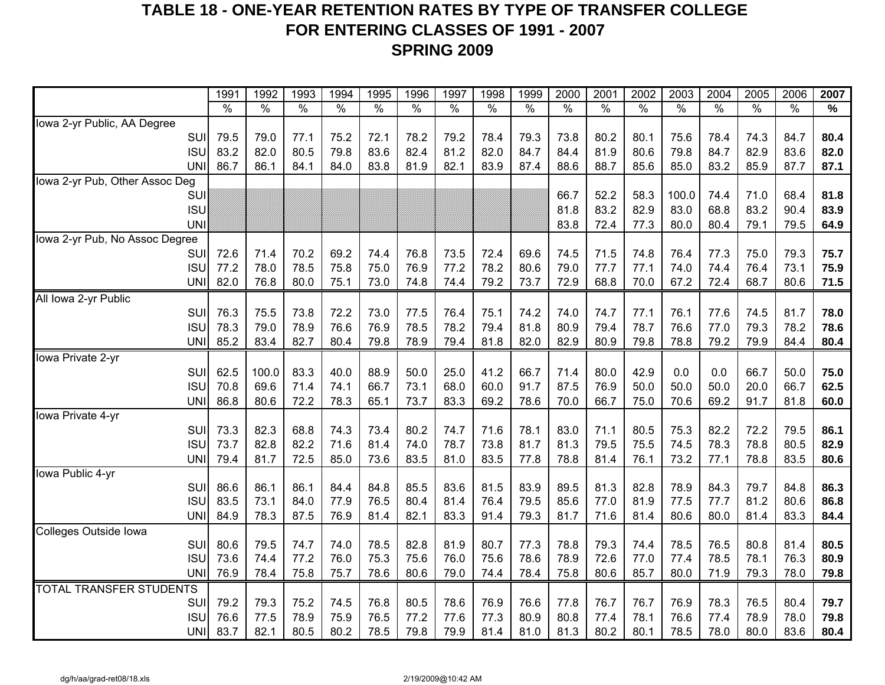# **TABLE 18 - ONE-YEAR RETENTION RATES BY TYPE OF TRANSFER COLLEGE FOR ENTERING CLASSES OF 1991 - 2007 SPRING 2009**

|                                | 1991          | 1992          | 1993          | 1994          | 1995          | 1996          | 1997          | 1998 | 1999          | 2000          | 2001          | 2002                 | 2003          | 2004 | 2005          | 2006          | 2007 |
|--------------------------------|---------------|---------------|---------------|---------------|---------------|---------------|---------------|------|---------------|---------------|---------------|----------------------|---------------|------|---------------|---------------|------|
|                                | $\frac{1}{2}$ | $\frac{9}{6}$ | $\frac{1}{2}$ | $\frac{1}{2}$ | $\frac{1}{2}$ | $\frac{1}{2}$ | $\frac{1}{2}$ | %    | $\frac{9}{6}$ | $\frac{9}{6}$ | $\frac{8}{6}$ | $\frac{1}{\sqrt{2}}$ | $\frac{0}{0}$ | $\%$ | $\frac{1}{2}$ | $\frac{1}{2}$ | $\%$ |
| Iowa 2-yr Public, AA Degree    |               |               |               |               |               |               |               |      |               |               |               |                      |               |      |               |               |      |
| SUI                            | 79.5          | 79.0          | 77.1          | 75.2          | 72.1          | 78.2          | 79.2          | 78.4 | 79.3          | 73.8          | 80.2          | 80.1                 | 75.6          | 78.4 | 74.3          | 84.7          | 80.4 |
| <b>ISU</b>                     | 83.2          | 82.0          | 80.5          | 79.8          | 83.6          | 82.4          | 81.2          | 82.0 | 84.7          | 84.4          | 81.9          | 80.6                 | 79.8          | 84.7 | 82.9          | 83.6          | 82.0 |
| <b>UNI</b>                     | 86.7          | 86.1          | 84.1          | 84.0          | 83.8          | 81.9          | 82.1          | 83.9 | 87.4          | 88.6          | 88.7          | 85.6                 | 85.0          | 83.2 | 85.9          | 87.7          | 87.1 |
| Iowa 2-yr Pub, Other Assoc Deg |               |               |               |               |               |               |               |      |               |               |               |                      |               |      |               |               |      |
| <b>SUI</b>                     |               |               |               |               |               |               |               |      |               | 66.7          | 52.2          | 58.3                 | 100.0         | 74.4 | 71.0          | 68.4          | 81.8 |
| <b>ISU</b>                     |               |               |               |               |               |               |               |      |               | 81.8          | 83.2          | 82.9                 | 83.0          | 68.8 | 83.2          | 90.4          | 83.9 |
| <b>UNI</b>                     |               |               |               |               |               |               |               |      |               | 83.8          | 72.4          | 77.3                 | 80.0          | 80.4 | 79.1          | 79.5          | 64.9 |
| lowa 2-yr Pub, No Assoc Degree |               |               |               |               |               |               |               |      |               |               |               |                      |               |      |               |               |      |
| SUI                            | 72.6          | 71.4          | 70.2          | 69.2          | 74.4          | 76.8          | 73.5          | 72.4 | 69.6          | 74.5          | 71.5          | 74.8                 | 76.4          | 77.3 | 75.0          | 79.3          | 75.7 |
| <b>ISU</b>                     | 77.2          | 78.0          | 78.5          | 75.8          | 75.0          | 76.9          | 77.2          | 78.2 | 80.6          | 79.0          | 77.7          | 77.1                 | 74.0          | 74.4 | 76.4          | 73.1          | 75.9 |
| <b>UNI</b>                     | 82.0          | 76.8          | 80.0          | 75.1          | 73.0          | 74.8          | 74.4          | 79.2 | 73.7          | 72.9          | 68.8          | 70.0                 | 67.2          | 72.4 | 68.7          | 80.6          | 71.5 |
| All Iowa 2-yr Public           |               |               |               |               |               |               |               |      |               |               |               |                      |               |      |               |               |      |
| SUI                            | 76.3          | 75.5          | 73.8          | 72.2          | 73.0          | 77.5          | 76.4          | 75.1 | 74.2          | 74.0          | 74.7          | 77.1                 | 76.1          | 77.6 | 74.5          | 81.7          | 78.0 |
| <b>ISU</b>                     | 78.3          | 79.0          | 78.9          | 76.6          | 76.9          | 78.5          | 78.2          | 79.4 | 81.8          | 80.9          | 79.4          | 78.7                 | 76.6          | 77.0 | 79.3          | 78.2          | 78.6 |
| <b>UNI</b>                     | 85.2          | 83.4          | 82.7          | 80.4          | 79.8          | 78.9          | 79.4          | 81.8 | 82.0          | 82.9          | 80.9          | 79.8                 | 78.8          | 79.2 | 79.9          | 84.4          | 80.4 |
| Iowa Private 2-yr              |               |               |               |               |               |               |               |      |               |               |               |                      |               |      |               |               |      |
| SUI                            | 62.5          | 100.0         | 83.3          | 40.0          | 88.9          | 50.0          | 25.0          | 41.2 | 66.7          | 71.4          | 80.0          | 42.9                 | 0.0           | 0.0  | 66.7          | 50.0          | 75.0 |
| <b>ISU</b>                     | 70.8          | 69.6          | 71.4          | 74.1          | 66.7          | 73.1          | 68.0          | 60.0 | 91.7          | 87.5          | 76.9          | 50.0                 | 50.0          | 50.0 | 20.0          | 66.7          | 62.5 |
| <b>UNI</b>                     | 86.8          | 80.6          | 72.2          | 78.3          | 65.1          | 73.7          | 83.3          | 69.2 | 78.6          | 70.0          | 66.7          | 75.0                 | 70.6          | 69.2 | 91.7          | 81.8          | 60.0 |
| Iowa Private 4-yr              |               |               |               |               |               |               |               |      |               |               |               |                      |               |      |               |               |      |
| SUI                            | 73.3          | 82.3          | 68.8          | 74.3          | 73.4          | 80.2          | 74.7          | 71.6 | 78.1          | 83.0          | 71.1          | 80.5                 | 75.3          | 82.2 | 72.2          | 79.5          | 86.1 |
| <b>ISU</b>                     | 73.7          | 82.8          | 82.2          | 71.6          | 81.4          | 74.0          | 78.7          | 73.8 | 81.7          | 81.3          | 79.5          | 75.5                 | 74.5          | 78.3 | 78.8          | 80.5          | 82.9 |
| <b>UNI</b>                     | 79.4          | 81.7          | 72.5          | 85.0          | 73.6          | 83.5          | 81.0          | 83.5 | 77.8          | 78.8          | 81.4          | 76.1                 | 73.2          | 77.1 | 78.8          | 83.5          | 80.6 |
| Iowa Public 4-yr               |               |               |               |               |               |               |               |      |               |               |               |                      |               |      |               |               |      |
| SUI                            | 86.6          | 86.1          | 86.1          | 84.4          | 84.8          | 85.5          | 83.6          | 81.5 | 83.9          | 89.5          | 81.3          | 82.8                 | 78.9          | 84.3 | 79.7          | 84.8          | 86.3 |
| <b>ISU</b>                     | 83.5          | 73.1          | 84.0          | 77.9          | 76.5          | 80.4          | 81.4          | 76.4 | 79.5          | 85.6          | 77.0          | 81.9                 | 77.5          | 77.7 | 81.2          | 80.6          | 86.8 |
| <b>UNI</b>                     | 84.9          | 78.3          | 87.5          | 76.9          | 81.4          | 82.1          | 83.3          | 91.4 | 79.3          | 81.7          | 71.6          | 81.4                 | 80.6          | 80.0 | 81.4          | 83.3          | 84.4 |
| Colleges Outside Iowa          |               |               |               |               |               |               |               |      |               |               |               |                      |               |      |               |               |      |
| SUI                            | 80.6          | 79.5          | 74.7          | 74.0          | 78.5          | 82.8          | 81.9          | 80.7 | 77.3          | 78.8          | 79.3          | 74.4                 | 78.5          | 76.5 | 80.8          | 81.4          | 80.5 |
| <b>ISU</b>                     | 73.6          | 74.4          | 77.2          | 76.0          | 75.3          | 75.6          | 76.0          | 75.6 | 78.6          | 78.9          | 72.6          | 77.0                 | 77.4          | 78.5 | 78.1          | 76.3          | 80.9 |
| <b>UNI</b>                     | 76.9          | 78.4          | 75.8          | 75.7          | 78.6          | 80.6          | 79.0          | 74.4 | 78.4          | 75.8          | 80.6          | 85.7                 | 80.0          | 71.9 | 79.3          | 78.0          | 79.8 |
| <b>TOTAL TRANSFER STUDENTS</b> |               |               |               |               |               |               |               |      |               |               |               |                      |               | 78.3 |               |               |      |
| SUI                            | 79.2          | 79.3          | 75.2          | 74.5          | 76.8          | 80.5          | 78.6          | 76.9 | 76.6          | 77.8          | 76.7          | 76.7                 | 76.9          |      | 76.5          | 80.4          | 79.7 |
| <b>ISU</b>                     | 76.6          | 77.5          | 78.9          | 75.9          | 76.5          | 77.2          | 77.6          | 77.3 | 80.9          | 80.8          | 77.4          | 78.1                 | 76.6          | 77.4 | 78.9          | 78.0          | 79.8 |
| <b>UNI</b>                     | 83.7          | 82.1          | 80.5          | 80.2          | 78.5          | 79.8          | 79.9          | 81.4 | 81.0          | 81.3          | 80.2          | 80.1                 | 78.5          | 78.0 | 80.0          | 83.6          | 80.4 |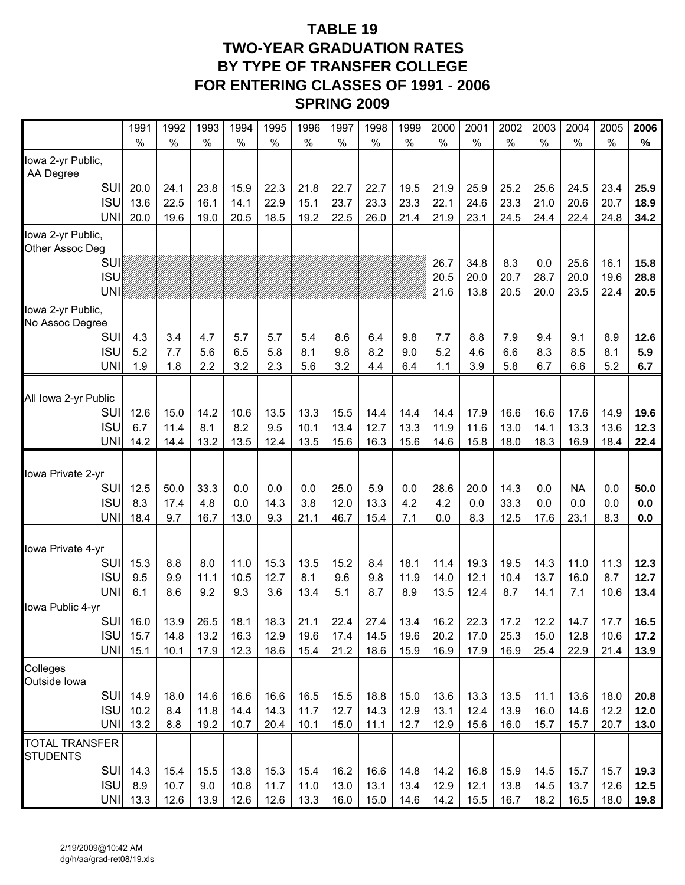# **TABLE 19 TWO-YEAR GRADUATION RATES BY TYPE OF TRANSFER COLLEGE FOR ENTERING CLASSES OF 1991 - 2006 SPRING 2009**

|                                          | 1991          | 1992          | 1993          | 1994          | 1995         | 1996          | 1997         | 1998         | 1999          | 2000          | 2001          | 2002          | 2003          | 2004         | 2005          | 2006          |
|------------------------------------------|---------------|---------------|---------------|---------------|--------------|---------------|--------------|--------------|---------------|---------------|---------------|---------------|---------------|--------------|---------------|---------------|
|                                          | $\frac{0}{0}$ | $\frac{0}{0}$ | $\frac{0}{0}$ | $\frac{0}{0}$ | $\%$         | $\frac{0}{0}$ | $\%$         | $\%$         | $\frac{0}{0}$ | $\frac{0}{0}$ | $\frac{0}{0}$ | $\frac{0}{0}$ | $\frac{0}{0}$ | $\%$         | $\frac{0}{0}$ | $\frac{0}{0}$ |
| lowa 2-yr Public,<br>AA Degree           |               |               |               |               |              |               |              |              |               |               |               |               |               |              |               |               |
| SUI                                      | 20.0          | 24.1          | 23.8          | 15.9          | 22.3         | 21.8          | 22.7         | 22.7         | 19.5          | 21.9          | 25.9          | 25.2          | 25.6          | 24.5         | 23.4          | 25.9          |
| <b>ISU</b>                               | 13.6          | 22.5          | 16.1          | 14.1          | 22.9         | 15.1          | 23.7         | 23.3         | 23.3          | 22.1          | 24.6          | 23.3          | 21.0          | 20.6         | 20.7          | 18.9          |
| <b>UNI</b>                               | 20.0          | 19.6          | 19.0          | 20.5          | 18.5         | 19.2          | 22.5         | 26.0         | 21.4          | 21.9          | 23.1          | 24.5          | 24.4          | 22.4         | 24.8          | 34.2          |
| lowa 2-yr Public,                        |               |               |               |               |              |               |              |              |               |               |               |               |               |              |               |               |
| Other Assoc Deg<br><b>SUI</b>            |               |               |               |               |              |               |              |              |               | 26.7          | 34.8          | 8.3           | 0.0           | 25.6         | 16.1          | 15.8          |
| <b>ISU</b>                               |               |               |               |               |              |               |              |              |               | 20.5          | 20.0          | 20.7          | 28.7          | 20.0         | 19.6          | 28.8          |
| <b>UNI</b>                               |               |               |               |               |              |               |              |              |               | 21.6          | 13.8          | 20.5          | 20.0          | 23.5         | 22.4          | 20.5          |
| Iowa 2-yr Public,<br>No Assoc Degree     |               |               |               |               |              |               |              |              |               |               |               |               |               |              |               |               |
| <b>SUI</b>                               | 4.3           | 3.4           | 4.7           | 5.7           | 5.7          | 5.4           | 8.6          | 6.4          | 9.8           | 7.7           | 8.8           | 7.9           | 9.4           | 9.1          | 8.9           | 12.6          |
| <b>ISU</b>                               | 5.2           | 7.7           | 5.6           | 6.5           | 5.8          | 8.1           | 9.8          | 8.2          | 9.0           | 5.2           | 4.6           | 6.6           | 8.3           | 8.5          | 8.1           | 5.9           |
| <b>UNI</b>                               | 1.9           | 1.8           | 2.2           | 3.2           | 2.3          | 5.6           | 3.2          | 4.4          | 6.4           | 1.1           | 3.9           | 5.8           | 6.7           | 6.6          | 5.2           | 6.7           |
| All Iowa 2-yr Public                     |               |               |               |               |              |               |              |              |               |               |               |               |               |              |               |               |
| <b>SUI</b>                               | 12.6          | 15.0          | 14.2          | 10.6          | 13.5         | 13.3          | 15.5         | 14.4         | 14.4          | 14.4          | 17.9          | 16.6          | 16.6          | 17.6         | 14.9          | 19.6          |
| <b>ISU</b>                               | 6.7           | 11.4          | 8.1           | 8.2           | 9.5          | 10.1          | 13.4         | 12.7         | 13.3          | 11.9          | 11.6          | 13.0          | 14.1          | 13.3         | 13.6          | 12.3          |
| <b>UNI</b>                               | 14.2          | 14.4          | 13.2          | 13.5          | 12.4         | 13.5          | 15.6         | 16.3         | 15.6          | 14.6          | 15.8          | 18.0          | 18.3          | 16.9         | 18.4          | 22.4          |
| Iowa Private 2-yr                        |               |               |               |               |              |               |              |              |               |               |               |               |               |              |               |               |
| <b>SUI</b>                               | 12.5          | 50.0          | 33.3          | 0.0           | 0.0          | 0.0           | 25.0         | 5.9          | 0.0           | 28.6          | 20.0          | 14.3          | 0.0           | <b>NA</b>    | 0.0           | 50.0          |
| <b>ISU</b><br><b>UNI</b>                 | 8.3<br>18.4   | 17.4<br>9.7   | 4.8<br>16.7   | 0.0<br>13.0   | 14.3<br>9.3  | 3.8<br>21.1   | 12.0<br>46.7 | 13.3<br>15.4 | 4.2<br>7.1    | 4.2<br>0.0    | 0.0<br>8.3    | 33.3<br>12.5  | 0.0           | 0.0<br>23.1  | 0.0<br>8.3    | 0.0           |
|                                          |               |               |               |               |              |               |              |              |               |               |               |               | 17.6          |              |               | 0.0           |
| Iowa Private 4-yr                        |               |               |               |               |              |               |              |              |               |               |               |               |               |              |               |               |
| <b>SUI</b>                               | 15.3          | 8.8           | 8.0           | 11.0          | 15.3         | 13.5          | 15.2         | 8.4          | 18.1          | 11.4          | 19.3          | 19.5          | 14.3          | 11.0         | 11.3          | 12.3          |
| <b>ISU</b>                               | 9.5           | 9.9           | 11.1          | 10.5          | 12.7         | 8.1           | 9.6          | 9.8          | 11.9          | 14.0          | 12.1          | 10.4          | 13.7          | 16.0         | 8.7           | 12.7          |
| <b>UNI</b>                               | 6.1           | 8.6           | 9.2           | 9.3           | 3.6          | 13.4          | 5.1          | 8.7          | 8.9           | 13.5          | 12.4          | 8.7           | 14.1          | 7.1          | 10.6          | 13.4          |
| Iowa Public 4-yr                         |               |               |               |               |              |               |              |              |               |               |               |               |               |              |               |               |
| <b>SUI</b><br><b>ISU</b>                 | 16.0          | 13.9          | 26.5          | 18.1          | 18.3         | 21.1          | 22.4<br>17.4 | 27.4<br>14.5 | 13.4          | 16.2          | 22.3          | 17.2          | 12.2          | 14.7         | 17.7          | 16.5          |
| <b>UNI</b>                               | 15.7<br>15.1  | 14.8<br>10.1  | 13.2<br>17.9  | 16.3<br>12.3  | 12.9<br>18.6 | 19.6<br>15.4  | 21.2         | 18.6         | 19.6<br>15.9  | 20.2<br>16.9  | 17.0<br>17.9  | 25.3<br>16.9  | 15.0<br>25.4  | 12.8<br>22.9 | 10.6<br>21.4  | 17.2<br>13.9  |
| Colleges<br>Outside Iowa                 |               |               |               |               |              |               |              |              |               |               |               |               |               |              |               |               |
| <b>SUI</b>                               | 14.9          | 18.0          | 14.6          | 16.6          | 16.6         | 16.5          | 15.5         | 18.8         | 15.0          | 13.6          | 13.3          | 13.5          | 11.1          | 13.6         | 18.0          | 20.8          |
| <b>ISU</b>                               | 10.2          | 8.4           | 11.8          | 14.4          | 14.3         | 11.7          | 12.7         | 14.3         | 12.9          | 13.1          | 12.4          | 13.9          | 16.0          | 14.6         | 12.2          | 12.0          |
| <b>UNI</b>                               | 13.2          | 8.8           | 19.2          | 10.7          | 20.4         | 10.1          | 15.0         | 11.1         | 12.7          | 12.9          | 15.6          | 16.0          | 15.7          | 15.7         | 20.7          | 13.0          |
| <b>TOTAL TRANSFER</b><br><b>STUDENTS</b> |               |               |               |               |              |               |              |              |               |               |               |               |               |              |               |               |
| SUI                                      | 14.3          | 15.4          | 15.5          | 13.8          | 15.3         | 15.4          | 16.2         | 16.6         | 14.8          | 14.2          | 16.8          | 15.9          | 14.5          | 15.7         | 15.7          | 19.3          |
| <b>ISU</b>                               | 8.9           | 10.7          | 9.0           | 10.8          | 11.7         | 11.0          | 13.0         | 13.1         | 13.4          | 12.9          | 12.1          | 13.8          | 14.5          | 13.7         | 12.6          | 12.5          |
|                                          | UNI 13.3      | 12.6          | 13.9          | 12.6          | 12.6         | 13.3          | 16.0         | 15.0         | 14.6          | 14.2          | 15.5          | 16.7          | 18.2          | 16.5         | 18.0          | 19.8          |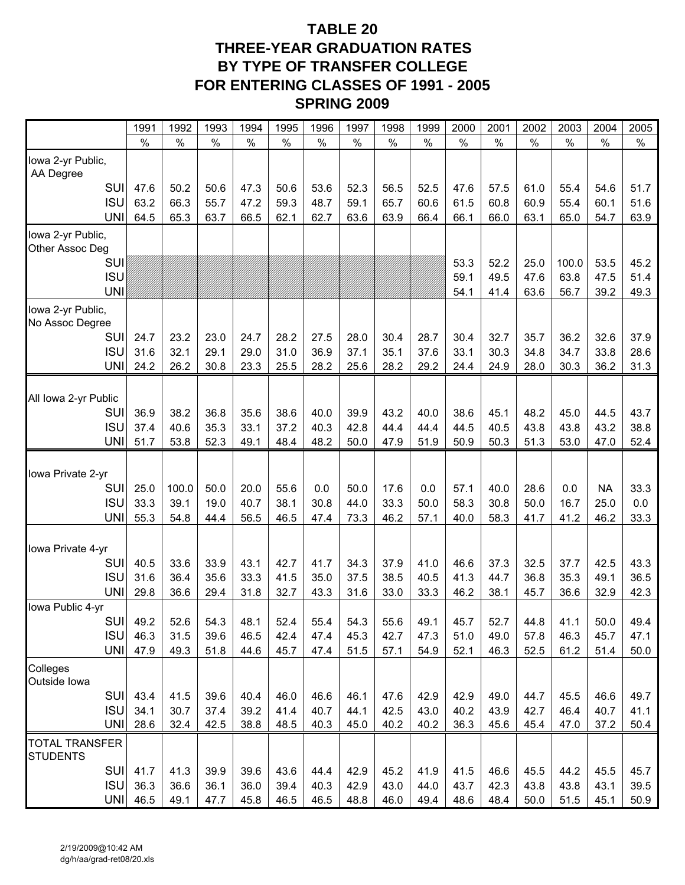# **TABLE 20 THREE-YEAR GRADUATION RATES BY TYPE OF TRANSFER COLLEGE FOR ENTERING CLASSES OF 1991 - 2005 SPRING 2009**

|                                          | 1991 | 1992          | 1993 | 1994 | 1995          | 1996          | 1997          | 1998 | 1999          | 2000          | 2001 | 2002 | 2003  | 2004      | 2005 |
|------------------------------------------|------|---------------|------|------|---------------|---------------|---------------|------|---------------|---------------|------|------|-------|-----------|------|
|                                          | $\%$ | $\frac{0}{0}$ | $\%$ | $\%$ | $\frac{0}{0}$ | $\frac{0}{0}$ | $\frac{0}{0}$ | $\%$ | $\frac{0}{0}$ | $\frac{0}{0}$ | $\%$ | $\%$ | $\%$  | $\%$      | $\%$ |
| lowa 2-yr Public,<br>AA Degree           |      |               |      |      |               |               |               |      |               |               |      |      |       |           |      |
| SUI                                      | 47.6 | 50.2          | 50.6 | 47.3 | 50.6          | 53.6          | 52.3          | 56.5 | 52.5          | 47.6          | 57.5 | 61.0 | 55.4  | 54.6      | 51.7 |
| <b>ISU</b>                               | 63.2 | 66.3          | 55.7 | 47.2 | 59.3          | 48.7          | 59.1          | 65.7 | 60.6          | 61.5          | 60.8 | 60.9 | 55.4  | 60.1      | 51.6 |
| <b>UNI</b>                               | 64.5 | 65.3          | 63.7 | 66.5 | 62.1          | 62.7          | 63.6          | 63.9 | 66.4          | 66.1          | 66.0 | 63.1 | 65.0  | 54.7      | 63.9 |
| lowa 2-yr Public,<br>Other Assoc Deg     |      |               |      |      |               |               |               |      |               |               |      |      |       |           |      |
| <b>SUI</b>                               |      |               |      |      |               |               |               |      |               | 53.3          | 52.2 | 25.0 | 100.0 | 53.5      | 45.2 |
| <b>ISU</b>                               |      |               |      |      |               |               |               |      |               | 59.1          | 49.5 | 47.6 | 63.8  | 47.5      | 51.4 |
| <b>UNI</b>                               |      |               |      |      |               |               |               |      |               | 54.1          | 41.4 | 63.6 | 56.7  | 39.2      | 49.3 |
| lowa 2-yr Public,<br>No Assoc Degree     |      |               |      |      |               |               |               |      |               |               |      |      |       |           |      |
| SUI                                      | 24.7 | 23.2          | 23.0 | 24.7 | 28.2          | 27.5          | 28.0          | 30.4 | 28.7          | 30.4          | 32.7 | 35.7 | 36.2  | 32.6      | 37.9 |
| <b>ISU</b>                               | 31.6 | 32.1          | 29.1 | 29.0 | 31.0          | 36.9          | 37.1          | 35.1 | 37.6          | 33.1          | 30.3 | 34.8 | 34.7  | 33.8      | 28.6 |
| <b>UNI</b>                               | 24.2 | 26.2          | 30.8 | 23.3 | 25.5          | 28.2          | 25.6          | 28.2 | 29.2          | 24.4          | 24.9 | 28.0 | 30.3  | 36.2      | 31.3 |
| All Iowa 2-yr Public                     |      |               |      |      |               |               |               |      |               |               |      |      |       |           |      |
| SUI                                      | 36.9 | 38.2          | 36.8 | 35.6 | 38.6          | 40.0          | 39.9          | 43.2 | 40.0          | 38.6          | 45.1 | 48.2 | 45.0  | 44.5      | 43.7 |
| <b>ISU</b>                               | 37.4 | 40.6          | 35.3 | 33.1 | 37.2          | 40.3          | 42.8          | 44.4 | 44.4          | 44.5          | 40.5 | 43.8 | 43.8  | 43.2      | 38.8 |
| <b>UNI</b>                               | 51.7 | 53.8          | 52.3 | 49.1 | 48.4          | 48.2          | 50.0          | 47.9 | 51.9          | 50.9          | 50.3 | 51.3 | 53.0  | 47.0      | 52.4 |
| Iowa Private 2-yr                        |      |               |      |      |               |               |               |      |               |               |      |      |       |           |      |
| SUI                                      | 25.0 | 100.0         | 50.0 | 20.0 | 55.6          | 0.0           | 50.0          | 17.6 | 0.0           | 57.1          | 40.0 | 28.6 | 0.0   | <b>NA</b> | 33.3 |
| <b>ISU</b>                               | 33.3 | 39.1          | 19.0 | 40.7 | 38.1          | 30.8          | 44.0          | 33.3 | 50.0          | 58.3          | 30.8 | 50.0 | 16.7  | 25.0      | 0.0  |
| <b>UNI</b>                               | 55.3 | 54.8          | 44.4 | 56.5 | 46.5          | 47.4          | 73.3          | 46.2 | 57.1          | 40.0          | 58.3 | 41.7 | 41.2  | 46.2      | 33.3 |
| Iowa Private 4-yr                        |      |               |      |      |               |               |               |      |               |               |      |      |       |           |      |
| <b>SUI</b>                               | 40.5 | 33.6          | 33.9 | 43.1 | 42.7          | 41.7          | 34.3          | 37.9 | 41.0          | 46.6          | 37.3 | 32.5 | 37.7  | 42.5      | 43.3 |
| <b>ISU</b>                               | 31.6 | 36.4          | 35.6 | 33.3 | 41.5          | 35.0          | 37.5          | 38.5 | 40.5          | 41.3          | 44.7 | 36.8 | 35.3  | 49.1      | 36.5 |
| <b>UNI</b><br>Iowa Public 4-yr           | 29.8 | 36.6          | 29.4 | 31.8 | 32.7          | 43.3          | 31.6          | 33.0 | 33.3          | 46.2          | 38.1 | 45.7 | 36.6  | 32.9      | 42.3 |
| SUI                                      | 49.2 | 52.6          | 54.3 | 48.1 | 52.4          | 55.4          | 54.3          | 55.6 | 49.1          | 45.7          | 52.7 | 44.8 | 41.1  | 50.0      | 49.4 |
| <b>ISU</b>                               | 46.3 | 31.5          | 39.6 | 46.5 | 42.4          | 47.4          | 45.3          | 42.7 | 47.3          | 51.0          | 49.0 | 57.8 | 46.3  | 45.7      | 47.1 |
| UNI                                      | 47.9 | 49.3          | 51.8 | 44.6 | 45.7          | 47.4          | 51.5          | 57.1 | 54.9          | 52.1          | 46.3 | 52.5 | 61.2  | 51.4      | 50.0 |
| Colleges<br>Outside lowa                 |      |               |      |      |               |               |               |      |               |               |      |      |       |           |      |
| <b>SUI</b>                               | 43.4 | 41.5          | 39.6 | 40.4 | 46.0          | 46.6          | 46.1          | 47.6 | 42.9          | 42.9          | 49.0 | 44.7 | 45.5  | 46.6      | 49.7 |
| <b>ISU</b>                               | 34.1 | 30.7          | 37.4 | 39.2 | 41.4          | 40.7          | 44.1          | 42.5 | 43.0          | 40.2          | 43.9 | 42.7 | 46.4  | 40.7      | 41.1 |
| <b>UNI</b>                               | 28.6 | 32.4          | 42.5 | 38.8 | 48.5          | 40.3          | 45.0          | 40.2 | 40.2          | 36.3          | 45.6 | 45.4 | 47.0  | 37.2      | 50.4 |
| <b>TOTAL TRANSFER</b><br><b>STUDENTS</b> |      |               |      |      |               |               |               |      |               |               |      |      |       |           |      |
| SUI                                      | 41.7 | 41.3          | 39.9 | 39.6 | 43.6          | 44.4          | 42.9          | 45.2 | 41.9          | 41.5          | 46.6 | 45.5 | 44.2  | 45.5      | 45.7 |
| <b>ISU</b>                               | 36.3 | 36.6          | 36.1 | 36.0 | 39.4          | 40.3          | 42.9          | 43.0 | 44.0          | 43.7          | 42.3 | 43.8 | 43.8  | 43.1      | 39.5 |
| <b>UNI</b>                               | 46.5 | 49.1          | 47.7 | 45.8 | 46.5          | 46.5          | 48.8          | 46.0 | 49.4          | 48.6          | 48.4 | 50.0 | 51.5  | 45.1      | 50.9 |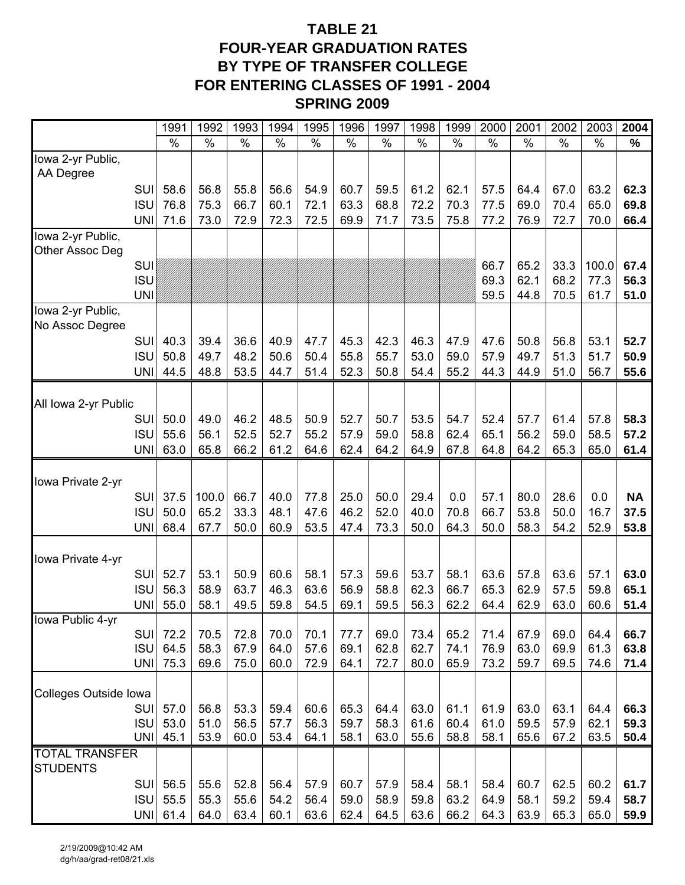# **TABLE 21 FOUR-YEAR GRADUATION RATES BY TYPE OF TRANSFER COLLEGE FOR ENTERING CLASSES OF 1991 - 2004 SPRING 2009**

|                                 | 1991     | 1992  | 1993 | 1994 | 1995 | 1996 | 1997          | 1998 | 1999          | 2000          | 2001 | 2002 | 2003  | 2004      |
|---------------------------------|----------|-------|------|------|------|------|---------------|------|---------------|---------------|------|------|-------|-----------|
|                                 | $\%$     | $\%$  | $\%$ | $\%$ | $\%$ | $\%$ | $\frac{0}{0}$ | $\%$ | $\frac{0}{0}$ | $\frac{0}{0}$ | $\%$ | $\%$ | $\%$  | $\%$      |
| Iowa 2-yr Public,               |          |       |      |      |      |      |               |      |               |               |      |      |       |           |
| AA Degree                       |          |       |      |      |      |      |               |      |               |               |      |      |       |           |
| <b>SUI</b>                      | 58.6     | 56.8  | 55.8 | 56.6 | 54.9 | 60.7 | 59.5          | 61.2 | 62.1          | 57.5          | 64.4 | 67.0 | 63.2  | 62.3      |
| <b>ISU</b>                      | 76.8     | 75.3  | 66.7 | 60.1 | 72.1 | 63.3 | 68.8          | 72.2 | 70.3          | 77.5          | 69.0 | 70.4 | 65.0  | 69.8      |
| <b>UNI</b>                      | 71.6     | 73.0  | 72.9 | 72.3 | 72.5 | 69.9 | 71.7          | 73.5 | 75.8          | 77.2          | 76.9 | 72.7 | 70.0  | 66.4      |
| Iowa 2-yr Public,               |          |       |      |      |      |      |               |      |               |               |      |      |       |           |
| Other Assoc Deg<br><b>SUI</b>   |          |       |      |      |      |      |               |      |               | 66.7          | 65.2 | 33.3 | 100.0 | 67.4      |
| <b>ISU</b>                      |          |       |      |      |      |      |               |      |               | 69.3          | 62.1 | 68.2 | 77.3  | 56.3      |
| <b>UNI</b>                      |          |       |      |      |      |      |               |      |               | 59.5          | 44.8 | 70.5 | 61.7  | 51.0      |
| Iowa 2-yr Public,               |          |       |      |      |      |      |               |      |               |               |      |      |       |           |
| No Assoc Degree                 |          |       |      |      |      |      |               |      |               |               |      |      |       |           |
| <b>SUI</b>                      | 40.3     | 39.4  | 36.6 | 40.9 | 47.7 | 45.3 | 42.3          | 46.3 | 47.9          | 47.6          | 50.8 | 56.8 | 53.1  | 52.7      |
| <b>ISU</b>                      | 50.8     | 49.7  | 48.2 | 50.6 | 50.4 | 55.8 | 55.7          | 53.0 | 59.0          | 57.9          | 49.7 | 51.3 | 51.7  | 50.9      |
| <b>UNI</b>                      | 44.5     | 48.8  | 53.5 | 44.7 | 51.4 | 52.3 | 50.8          | 54.4 | 55.2          | 44.3          | 44.9 | 51.0 | 56.7  | 55.6      |
|                                 |          |       |      |      |      |      |               |      |               |               |      |      |       |           |
| All Iowa 2-yr Public            |          |       |      |      |      |      |               |      |               |               |      |      |       |           |
| SUI                             | 50.0     | 49.0  | 46.2 | 48.5 | 50.9 | 52.7 | 50.7          | 53.5 | 54.7          | 52.4          | 57.7 | 61.4 | 57.8  | 58.3      |
| <b>ISU</b>                      | 55.6     | 56.1  | 52.5 | 52.7 | 55.2 | 57.9 | 59.0          | 58.8 | 62.4          | 65.1          | 56.2 | 59.0 | 58.5  | 57.2      |
| <b>UNI</b>                      | 63.0     | 65.8  | 66.2 | 61.2 | 64.6 | 62.4 | 64.2          | 64.9 | 67.8          | 64.8          | 64.2 | 65.3 | 65.0  | 61.4      |
|                                 |          |       |      |      |      |      |               |      |               |               |      |      |       |           |
| Iowa Private 2-yr<br><b>SUI</b> | 37.5     | 100.0 | 66.7 | 40.0 | 77.8 | 25.0 | 50.0          | 29.4 | 0.0           | 57.1          | 80.0 | 28.6 | 0.0   | <b>NA</b> |
| <b>ISU</b>                      | 50.0     | 65.2  | 33.3 | 48.1 | 47.6 | 46.2 | 52.0          | 40.0 | 70.8          | 66.7          | 53.8 | 50.0 | 16.7  | 37.5      |
| <b>UNI</b>                      | 68.4     | 67.7  | 50.0 | 60.9 | 53.5 | 47.4 | 73.3          | 50.0 | 64.3          | 50.0          | 58.3 | 54.2 | 52.9  | 53.8      |
|                                 |          |       |      |      |      |      |               |      |               |               |      |      |       |           |
| Iowa Private 4-yr               |          |       |      |      |      |      |               |      |               |               |      |      |       |           |
| <b>SUI</b>                      | 52.7     | 53.1  | 50.9 | 60.6 | 58.1 | 57.3 | 59.6          | 53.7 | 58.1          | 63.6          | 57.8 | 63.6 | 57.1  | 63.0      |
| <b>ISU</b>                      | 56.3     | 58.9  | 63.7 | 46.3 | 63.6 | 56.9 | 58.8          | 62.3 | 66.7          | 65.3          | 62.9 | 57.5 | 59.8  | 65.1      |
| <b>UNI</b>                      | 55.0     | 58.1  | 49.5 | 59.8 | 54.5 | 69.1 | 59.5          | 56.3 | 62.2          | 64.4          | 62.9 | 63.0 | 60.6  | 51.4      |
| Iowa Public 4-yr                |          |       |      |      |      |      |               |      |               |               |      |      |       |           |
| <b>SUI</b>                      | 72.2     | 70.5  | 72.8 | 70.0 | 70.1 | 77.7 | 69.0          | 73.4 | 65.2          | 71.4          | 67.9 | 69.0 | 64.4  | 66.7      |
| <b>ISU</b>                      | 64.5     | 58.3  | 67.9 | 64.0 | 57.6 | 69.1 | 62.8          | 62.7 | 74.1          | 76.9          | 63.0 | 69.9 | 61.3  | 63.8      |
| <b>UNI</b>                      | 75.3     | 69.6  | 75.0 | 60.0 | 72.9 | 64.1 | 72.7          | 80.0 | 65.9          | 73.2          | 59.7 | 69.5 | 74.6  | 71.4      |
| Colleges Outside Iowa           |          |       |      |      |      |      |               |      |               |               |      |      |       |           |
| <b>SUI</b>                      | 57.0     | 56.8  | 53.3 | 59.4 | 60.6 | 65.3 | 64.4          | 63.0 | 61.1          | 61.9          | 63.0 | 63.1 | 64.4  | 66.3      |
| <b>ISU</b>                      | 53.0     | 51.0  | 56.5 | 57.7 | 56.3 | 59.7 | 58.3          | 61.6 | 60.4          | 61.0          | 59.5 | 57.9 | 62.1  | 59.3      |
| <b>UNI</b>                      | 45.1     | 53.9  | 60.0 | 53.4 | 64.1 | 58.1 | 63.0          | 55.6 | 58.8          | 58.1          | 65.6 | 67.2 | 63.5  | 50.4      |
| <b>TOTAL TRANSFER</b>           |          |       |      |      |      |      |               |      |               |               |      |      |       |           |
| <b>STUDENTS</b>                 |          |       |      |      |      |      |               |      |               |               |      |      |       |           |
| SUI                             | 56.5     | 55.6  | 52.8 | 56.4 | 57.9 | 60.7 | 57.9          | 58.4 | 58.1          | 58.4          | 60.7 | 62.5 | 60.2  | 61.7      |
| <b>ISU</b>                      | 55.5     | 55.3  | 55.6 | 54.2 | 56.4 | 59.0 | 58.9          | 59.8 | 63.2          | 64.9          | 58.1 | 59.2 | 59.4  | 58.7      |
|                                 | UNI 61.4 | 64.0  | 63.4 | 60.1 | 63.6 | 62.4 | 64.5          | 63.6 | 66.2          | 64.3          | 63.9 | 65.3 | 65.0  | 59.9      |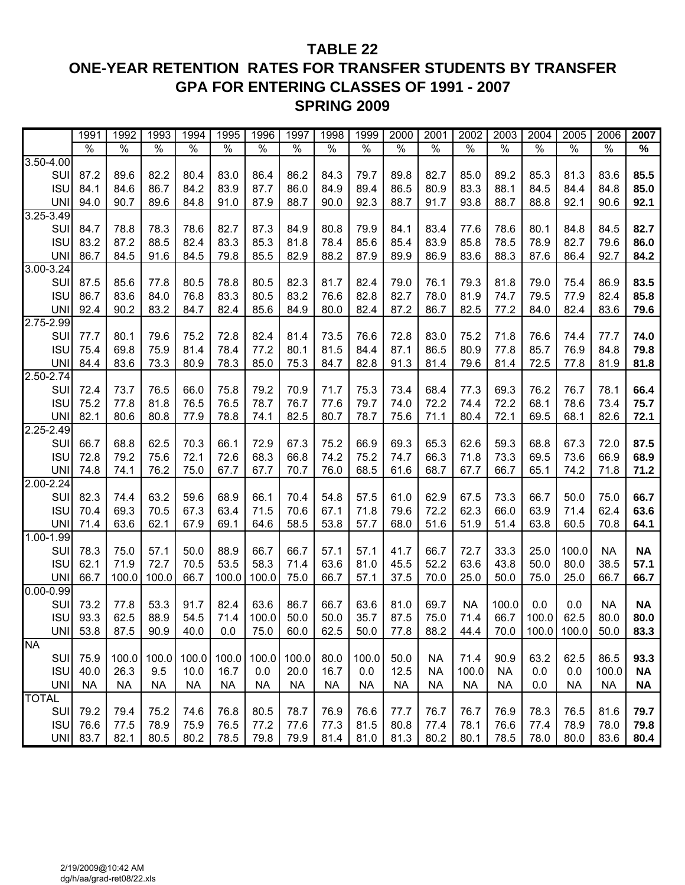# **TABLE 22 ONE-YEAR RETENTION RATES FOR TRANSFER STUDENTS BY TRANSFER GPA FOR ENTERING CLASSES OF 1991 - 2007 SPRING 2009**

|               | 1991          | 1992          | 1993          | 1994          | 1995          | 1996          | 1997          | 1998          | 1999          | 2000          | 2001          | 2002          | 2003          | 2004          | 2005          | 2006          | 2007          |
|---------------|---------------|---------------|---------------|---------------|---------------|---------------|---------------|---------------|---------------|---------------|---------------|---------------|---------------|---------------|---------------|---------------|---------------|
|               | $\frac{0}{0}$ | $\frac{0}{6}$ | $\frac{0}{6}$ | $\frac{1}{6}$ | $\frac{0}{6}$ | $\frac{0}{6}$ | $\frac{1}{2}$ | $\frac{0}{6}$ | $\frac{1}{6}$ | $\frac{0}{0}$ | $\frac{0}{0}$ | $\frac{9}{6}$ | $\frac{1}{6}$ | $\frac{0}{6}$ | $\frac{0}{0}$ | $\frac{0}{6}$ | $\frac{1}{6}$ |
| $3.50 - 4.00$ |               |               |               |               |               |               |               |               |               |               |               |               |               |               |               |               |               |
| SUI           | 87.2          | 89.6          | 82.2          | 80.4          | 83.0          | 86.4          | 86.2          | 84.3          | 79.7          | 89.8          | 82.7          | 85.0          | 89.2          | 85.3          | 81.3          | 83.6          | 85.5          |
| <b>ISU</b>    | 84.1          | 84.6          | 86.7          | 84.2          | 83.9          | 87.7          | 86.0          | 84.9          | 89.4          | 86.5          | 80.9          | 83.3          | 88.1          | 84.5          | 84.4          | 84.8          | 85.0          |
| <b>UNI</b>    | 94.0          | 90.7          | 89.6          | 84.8          | 91.0          | 87.9          | 88.7          | 90.0          | 92.3          | 88.7          | 91.7          | 93.8          | 88.7          | 88.8          | 92.1          | 90.6          | 92.1          |
| 3.25-3.49     |               |               |               |               |               |               |               |               |               |               |               |               |               |               |               |               |               |
| SUI           | 84.7          | 78.8          | 78.3          | 78.6          | 82.7          | 87.3          | 84.9          | 80.8          | 79.9          | 84.1          | 83.4          | 77.6          | 78.6          | 80.1          | 84.8          | 84.5          | 82.7          |
| <b>ISU</b>    | 83.2          | 87.2          | 88.5          | 82.4          | 83.3          | 85.3          | 81.8          | 78.4          | 85.6          | 85.4          | 83.9          | 85.8          | 78.5          | 78.9          | 82.7          | 79.6          | 86.0          |
| <b>UNI</b>    | 86.7          | 84.5          | 91.6          | 84.5          | 79.8          | 85.5          | 82.9          | 88.2          | 87.9          | 89.9          | 86.9          | 83.6          | 88.3          | 87.6          | 86.4          | 92.7          | 84.2          |
| 3.00-3.24     |               |               |               |               |               |               |               |               |               |               |               |               |               |               |               |               |               |
| SUI           | 87.5          | 85.6          | 77.8          | 80.5          | 78.8          | 80.5          | 82.3          | 81.7          | 82.4          | 79.0          | 76.1          | 79.3          | 81.8          | 79.0          | 75.4          | 86.9          | 83.5          |
| <b>ISU</b>    | 86.7          | 83.6          | 84.0          | 76.8          | 83.3          | 80.5          | 83.2          | 76.6          | 82.8          | 82.7          | 78.0          | 81.9          | 74.7          | 79.5          | 77.9          | 82.4          | 85.8          |
| <b>UNI</b>    | 92.4          | 90.2          | 83.2          | 84.7          | 82.4          | 85.6          | 84.9          | 80.0          | 82.4          | 87.2          | 86.7          | 82.5          | 77.2          | 84.0          | 82.4          | 83.6          | 79.6          |
| 2.75-2.99     |               |               |               |               |               |               |               |               |               |               |               |               |               |               |               |               |               |
| SU            | 77.7          | 80.1          | 79.6          | 75.2          | 72.8          | 82.4          | 81.4          | 73.5          | 76.6          | 72.8          | 83.0          | 75.2          | 71.8          | 76.6          | 74.4          | 77.7          | 74.0          |
| <b>ISU</b>    | 75.4          | 69.8          | 75.9          | 81.4          | 78.4          | 77.2          | 80.1          | 81.5          | 84.4          | 87.1          | 86.5          | 80.9          | 77.8          | 85.7          | 76.9          | 84.8          | 79.8          |
| <b>UNI</b>    | 84.4          | 83.6          | 73.3          | 80.9          | 78.3          | 85.0          | 75.3          | 84.7          | 82.8          | 91.3          | 81.4          | 79.6          | 81.4          | 72.5          | 77.8          | 81.9          | 81.8          |
| 2.50-2.74     |               |               |               |               |               |               |               |               |               |               |               |               |               |               |               |               |               |
| SU            | 72.4          | 73.7          | 76.5          | 66.0          | 75.8          | 79.2          | 70.9          | 71.7          | 75.3          | 73.4          | 68.4          | 77.3          | 69.3          | 76.2          | 76.7          | 78.1          | 66.4          |
| <b>ISU</b>    | 75.2          | 77.8          | 81.8          | 76.5          | 76.5          | 78.7          | 76.7          | 77.6          | 79.7          | 74.0          | 72.2          | 74.4          | 72.2          | 68.1          | 78.6          | 73.4          | 75.7          |
| <b>UNI</b>    | 82.1          | 80.6          | 80.8          | 77.9          | 78.8          | 74.1          | 82.5          | 80.7          | 78.7          | 75.6          | 71.1          | 80.4          | 72.1          | 69.5          | 68.1          | 82.6          | 72.1          |
| 2.25-2.49     |               |               |               |               |               |               |               |               |               |               |               |               |               |               |               |               |               |
| SU            | 66.7          | 68.8          | 62.5          | 70.3          | 66.1          | 72.9          | 67.3          | 75.2          | 66.9          | 69.3          | 65.3          | 62.6          | 59.3          | 68.8          | 67.3          | 72.0          | 87.5          |
| <b>ISU</b>    | 72.8          | 79.2          | 75.6          | 72.1          | 72.6          | 68.3          | 66.8          | 74.2          | 75.2          | 74.7          | 66.3          | 71.8          | 73.3          | 69.5          | 73.6          | 66.9          | 68.9          |
| <b>UNI</b>    | 74.8          | 74.1          | 76.2          | 75.0          | 67.7          | 67.7          | 70.7          | 76.0          | 68.5          | 61.6          | 68.7          | 67.7          | 66.7          | 65.1          | 74.2          | 71.8          | 71.2          |
| $2.00 - 2.24$ |               |               |               |               |               |               |               |               |               |               |               |               |               |               |               |               |               |
| SUI           | 82.3          | 74.4          | 63.2          | 59.6          | 68.9          | 66.1          | 70.4          | 54.8          | 57.5          | 61.0          | 62.9          | 67.5          | 73.3          | 66.7          | 50.0          | 75.0          | 66.7          |
| <b>ISU</b>    | 70.4          | 69.3          | 70.5          | 67.3          | 63.4          | 71.5          | 70.6          | 67.1          | 71.8          | 79.6          | 72.2          | 62.3          | 66.0          | 63.9          | 71.4          | 62.4          | 63.6          |
| <b>UNI</b>    | 71.4          | 63.6          | 62.1          | 67.9          | 69.1          | 64.6          | 58.5          | 53.8          | 57.7          | 68.0          | 51.6          | 51.9          | 51.4          | 63.8          | 60.5          | 70.8          | 64.1          |
| $1.00 - 1.99$ |               |               |               |               |               |               |               |               |               |               |               |               |               |               |               |               |               |
| SU            | 78.3          | 75.0          | 57.1          | 50.0          | 88.9          | 66.7          | 66.7          | 57.1          | 57.1          | 41.7          | 66.7          | 72.7          | 33.3          | 25.0          | 100.0         | <b>NA</b>     | <b>NA</b>     |
| <b>ISU</b>    | 62.1          | 71.9          | 72.7          | 70.5          | 53.5          | 58.3          | 71.4          | 63.6          | 81.0          | 45.5          | 52.2          | 63.6          | 43.8          | 50.0          | 80.0          | 38.5          | 57.1          |
| <b>UNI</b>    | 66.7          | 100.0         | 100.0         | 66.7          | 100.0         | 100.0         | 75.0          | 66.7          | 57.1          | 37.5          | 70.0          | 25.0          | 50.0          | 75.0          | 25.0          | 66.7          | 66.7          |
| $0.00 - 0.99$ |               |               |               |               |               |               |               |               |               |               |               |               |               |               |               |               |               |
| SU            | 73.2          | 77.8          | 53.3          | 91.7          | 82.4          | 63.6          | 86.7          | 66.7          | 63.6          | 81.0          | 69.7          | <b>NA</b>     | 100.0         | 0.0           | 0.0           | <b>NA</b>     | <b>NA</b>     |
| <b>ISU</b>    | 93.3          | 62.5          | 88.9          | 54.5          | 71.4          | 100.0         | 50.0          | 50.0          | 35.7          | 87.5          | 75.0          | 71.4          | 66.7          | 100.0         | 62.5          | 80.0          | 80.0          |
|               | UNI 53.8      | 87.5          | 90.9          | 40.0          | 0.0           | 75.0          | 60.0          | 62.5          | 50.0          | 77.8          | 88.2          | 44.4          | 70.0          |               | 100.0 100.0   | 50.0          | 83.3          |
| <b>NA</b>     |               |               |               |               |               |               |               |               |               |               |               |               |               |               |               |               |               |
| <b>SUI</b>    | 75.9          | 100.0         | 100.0         | 100.0         | 100.0         | 100.0         | 100.0         | 80.0          | 100.0         | 50.0          | <b>NA</b>     | 71.4          | 90.9          | 63.2          | 62.5          | 86.5          | 93.3          |
| <b>ISU</b>    | 40.0          | 26.3          | 9.5           | 10.0          | 16.7          | 0.0           | 20.0          | 16.7          | 0.0           | 12.5          | <b>NA</b>     | 100.0         | <b>NA</b>     | 0.0           | 0.0           | 100.0         | <b>NA</b>     |
| <b>UNI</b>    | <b>NA</b>     | <b>NA</b>     | <b>NA</b>     | <b>NA</b>     | <b>NA</b>     | <b>NA</b>     | <b>NA</b>     | <b>NA</b>     | <b>NA</b>     | <b>NA</b>     | NA            | <b>NA</b>     | <b>NA</b>     | 0.0           | <b>NA</b>     | <b>NA</b>     | <b>NA</b>     |
| <b>TOTAL</b>  |               |               |               |               |               |               |               |               |               |               |               |               |               |               |               |               |               |
| <b>SUI</b>    | 79.2          | 79.4          | 75.2          | 74.6          | 76.8          | 80.5          | 78.7          | 76.9          | 76.6          | 77.7          | 76.7          | 76.7          | 76.9          | 78.3          | 76.5          | 81.6          | 79.7          |
| <b>ISU</b>    | 76.6          | 77.5          | 78.9          | 75.9          | 76.5          | 77.2          | 77.6          | 77.3          | 81.5          | 80.8          | 77.4          | 78.1          | 76.6          | 77.4          | 78.9          | 78.0          | 79.8          |
| <b>UNI</b>    | 83.7          | 82.1          | 80.5          | 80.2          | 78.5          | 79.8          | 79.9          | 81.4          | 81.0          | 81.3          | 80.2          | 80.1          | 78.5          | 78.0          | 80.0          | 83.6          | 80.4          |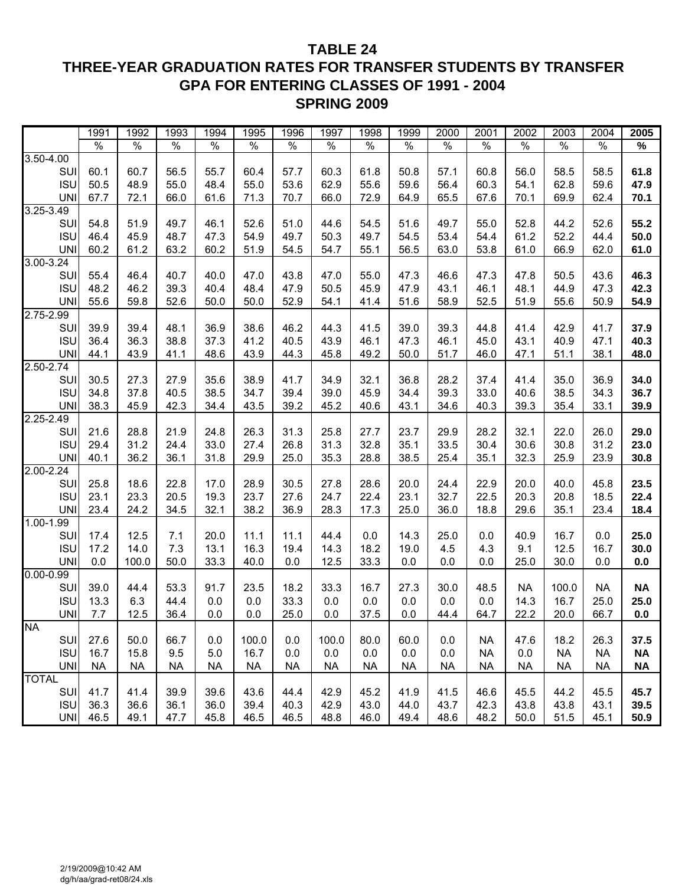# **TABLE 24 THREE-YEAR GRADUATION RATES FOR TRANSFER STUDENTS BY TRANSFER GPA FOR ENTERING CLASSES OF 1991 - 2004 SPRING 2009**

|               | 1991                 | 1992          | 1993      | 1994          | 1995          | 1996          | 1997      | 1998          | 1999          | 2000          | 2001          | 2002          | 2003      | 2004          | 2005      |
|---------------|----------------------|---------------|-----------|---------------|---------------|---------------|-----------|---------------|---------------|---------------|---------------|---------------|-----------|---------------|-----------|
|               | $\frac{1}{\sqrt{2}}$ | $\frac{1}{6}$ | $\%$      | $\frac{1}{2}$ | $\frac{1}{2}$ | $\frac{1}{2}$ | $\%$      | $\frac{1}{2}$ | $\frac{0}{6}$ | $\frac{1}{2}$ | $\frac{1}{2}$ | $\frac{1}{2}$ | $\%$      | $\frac{1}{2}$ | $\%$      |
| 3.50-4.00     |                      |               |           |               |               |               |           |               |               |               |               |               |           |               |           |
| SUI           | 60.1                 | 60.7          | 56.5      | 55.7          | 60.4          | 57.7          | 60.3      | 61.8          | 50.8          | 57.1          | 60.8          | 56.0          | 58.5      | 58.5          | 61.8      |
| <b>ISU</b>    | 50.5                 | 48.9          | 55.0      | 48.4          | 55.0          | 53.6          | 62.9      | 55.6          | 59.6          | 56.4          | 60.3          | 54.1          | 62.8      | 59.6          | 47.9      |
| <b>UNI</b>    | 67.7                 | 72.1          | 66.0      | 61.6          | 71.3          | 70.7          | 66.0      | 72.9          | 64.9          | 65.5          | 67.6          | 70.1          | 69.9      | 62.4          | 70.1      |
| $3.25 - 3.49$ |                      |               |           |               |               |               |           |               |               |               |               |               |           |               |           |
| SUI           | 54.8                 | 51.9          | 49.7      | 46.1          | 52.6          | 51.0          | 44.6      | 54.5          | 51.6          | 49.7          | 55.0          | 52.8          | 44.2      | 52.6          | 55.2      |
| <b>ISU</b>    | 46.4                 | 45.9          | 48.7      | 47.3          | 54.9          | 49.7          | 50.3      | 49.7          | 54.5          | 53.4          | 54.4          | 61.2          | 52.2      | 44.4          | 50.0      |
| <b>UNI</b>    | 60.2                 | 61.2          | 63.2      | 60.2          | 51.9          | 54.5          | 54.7      | 55.1          | 56.5          | 63.0          | 53.8          | 61.0          | 66.9      | 62.0          | 61.0      |
| 3.00-3.24     |                      |               |           |               |               |               |           |               |               |               |               |               |           |               |           |
| SUI           | 55.4                 | 46.4          | 40.7      | 40.0          | 47.0          | 43.8          | 47.0      | 55.0          | 47.3          | 46.6          | 47.3          | 47.8          | 50.5      | 43.6          | 46.3      |
| <b>ISU</b>    | 48.2                 | 46.2          | 39.3      | 40.4          | 48.4          | 47.9          | 50.5      | 45.9          | 47.9          | 43.1          | 46.1          | 48.1          | 44.9      | 47.3          | 42.3      |
| <b>UNI</b>    | 55.6                 | 59.8          | 52.6      | 50.0          | 50.0          | 52.9          | 54.1      | 41.4          | 51.6          | 58.9          | 52.5          | 51.9          | 55.6      | 50.9          | 54.9      |
| $2.75 - 2.99$ |                      |               |           |               |               |               |           |               |               |               |               |               |           |               |           |
| SUI           | 39.9                 | 39.4          | 48.1      | 36.9          | 38.6          | 46.2          | 44.3      | 41.5          | 39.0          | 39.3          | 44.8          | 41.4          | 42.9      | 41.7          | 37.9      |
| <b>ISU</b>    | 36.4                 | 36.3          | 38.8      | 37.3          | 41.2          | 40.5          | 43.9      | 46.1          | 47.3          | 46.1          | 45.0          | 43.1          | 40.9      | 47.1          | 40.3      |
| <b>UNI</b>    | 44.1                 | 43.9          | 41.1      | 48.6          | 43.9          | 44.3          | 45.8      | 49.2          | 50.0          | 51.7          | 46.0          | 47.1          | 51.1      | 38.1          | 48.0      |
| $2.50 - 2.74$ |                      |               |           |               |               |               |           |               |               |               |               |               |           |               |           |
| SUI           | 30.5                 | 27.3          | 27.9      | 35.6          | 38.9          | 41.7          | 34.9      | 32.1          | 36.8          | 28.2          | 37.4          | 41.4          | 35.0      | 36.9          | 34.0      |
| <b>ISU</b>    | 34.8                 | 37.8          | 40.5      | 38.5          | 34.7          | 39.4          | 39.0      | 45.9          | 34.4          | 39.3          | 33.0          | 40.6          | 38.5      | 34.3          | 36.7      |
| <b>UNI</b>    | 38.3                 | 45.9          | 42.3      | 34.4          | 43.5          | 39.2          | 45.2      | 40.6          | 43.1          | 34.6          | 40.3          | 39.3          | 35.4      | 33.1          | 39.9      |
| 2.25-2.49     |                      |               |           |               |               |               |           |               |               |               |               |               |           |               |           |
| SUI           | 21.6                 | 28.8          | 21.9      | 24.8          | 26.3          | 31.3          | 25.8      | 27.7          | 23.7          | 29.9          | 28.2          | 32.1          | 22.0      | 26.0          | 29.0      |
| <b>ISU</b>    | 29.4                 | 31.2          | 24.4      | 33.0          | 27.4          | 26.8          | 31.3      | 32.8          | 35.1          | 33.5          | 30.4          | 30.6          | 30.8      | 31.2          | 23.0      |
| <b>UNI</b>    | 40.1                 | 36.2          | 36.1      | 31.8          | 29.9          | 25.0          | 35.3      | 28.8          | 38.5          | 25.4          | 35.1          | 32.3          | 25.9      | 23.9          | 30.8      |
| $2.00 - 2.24$ |                      |               |           |               |               |               |           |               |               |               |               |               |           |               |           |
| SUI           | 25.8                 | 18.6          | 22.8      | 17.0          | 28.9          | 30.5          | 27.8      | 28.6          | 20.0          | 24.4          | 22.9          | 20.0          | 40.0      | 45.8          | 23.5      |
| <b>ISU</b>    | 23.1                 | 23.3          | 20.5      | 19.3          | 23.7          | 27.6          | 24.7      | 22.4          | 23.1          | 32.7          | 22.5          | 20.3          | 20.8      | 18.5          | 22.4      |
| <b>UNI</b>    | 23.4                 | 24.2          | 34.5      | 32.1          | 38.2          | 36.9          | 28.3      | 17.3          | 25.0          | 36.0          | 18.8          | 29.6          | 35.1      | 23.4          | 18.4      |
| 1.00-1.99     |                      |               |           |               |               |               |           |               |               |               |               |               |           |               |           |
| SUI           | 17.4                 | 12.5          | 7.1       | 20.0          | 11.1          | 11.1          | 44.4      | 0.0           | 14.3          | 25.0          | 0.0           | 40.9          | 16.7      | 0.0           | 25.0      |
| <b>ISU</b>    | 17.2                 | 14.0          | 7.3       | 13.1          | 16.3          | 19.4          | 14.3      | 18.2          | 19.0          | 4.5           | 4.3           | 9.1           | 12.5      | 16.7          | 30.0      |
| <b>UNI</b>    | 0.0                  | 100.0         | 50.0      | 33.3          | 40.0          | 0.0           | 12.5      | 33.3          | 0.0           | 0.0           | 0.0           | 25.0          | 30.0      | 0.0           | 0.0       |
| $0.00 - 0.99$ |                      |               |           |               |               |               |           |               |               |               |               |               |           |               |           |
| SUI           | 39.0                 | 44.4          | 53.3      | 91.7          | 23.5          | 18.2          | 33.3      | 16.7          | 27.3          | 30.0          | 48.5          | <b>NA</b>     | 100.0     | <b>NA</b>     | <b>NA</b> |
| <b>ISU</b>    | 13.3                 | 6.3           | 44.4      | 0.0           | 0.0           | 33.3          | 0.0       | 0.0           | 0.0           | 0.0           | 0.0           | 14.3          | 16.7      | 25.0          | 25.0      |
| <b>UNI</b>    | 7.7                  | 12.5          | 36.4      | 0.0           | 0.0           | 25.0          | 0.0       | 37.5          | 0.0           | 44.4          | 64.7          | 22.2          | 20.0      | 66.7          | 0.0       |
| <b>NA</b>     |                      |               |           |               |               |               |           |               |               |               |               |               |           |               |           |
| <b>SUI</b>    | 27.6                 | 50.0          | 66.7      | 0.0           | 100.0         | 0.0           | 100.0     | 80.0          | 60.0          | 0.0           | <b>NA</b>     | 47.6          | 18.2      | 26.3          | 37.5      |
| <b>ISU</b>    | 16.7                 | 15.8          | 9.5       | 5.0           | 16.7          | 0.0           | 0.0       | 0.0           | 0.0           | 0.0           | <b>NA</b>     | 0.0           | <b>NA</b> | <b>NA</b>     | <b>NA</b> |
| <b>UNI</b>    | <b>NA</b>            | <b>NA</b>     | <b>NA</b> | <b>NA</b>     | <b>NA</b>     | <b>NA</b>     | <b>NA</b> | <b>NA</b>     | <b>NA</b>     | <b>NA</b>     | <b>NA</b>     | <b>NA</b>     | <b>NA</b> | <b>NA</b>     | <b>NA</b> |
| <b>TOTAL</b>  |                      |               |           |               |               |               |           |               |               |               |               |               |           |               |           |
| SUI           | 41.7                 | 41.4          | 39.9      | 39.6          | 43.6          | 44.4          | 42.9      | 45.2          | 41.9          | 41.5          | 46.6          | 45.5          | 44.2      | 45.5          | 45.7      |
| <b>ISU</b>    | 36.3                 | 36.6          | 36.1      | 36.0          | 39.4          | 40.3          | 42.9      | 43.0          | 44.0          | 43.7          | 42.3          | 43.8          | 43.8      | 43.1          | 39.5      |
| <b>UNI</b>    | 46.5                 | 49.1          | 47.7      | 45.8          | 46.5          | 46.5          | 48.8      | 46.0          | 49.4          | 48.6          | 48.2          | 50.0          | 51.5      | 45.1          | 50.9      |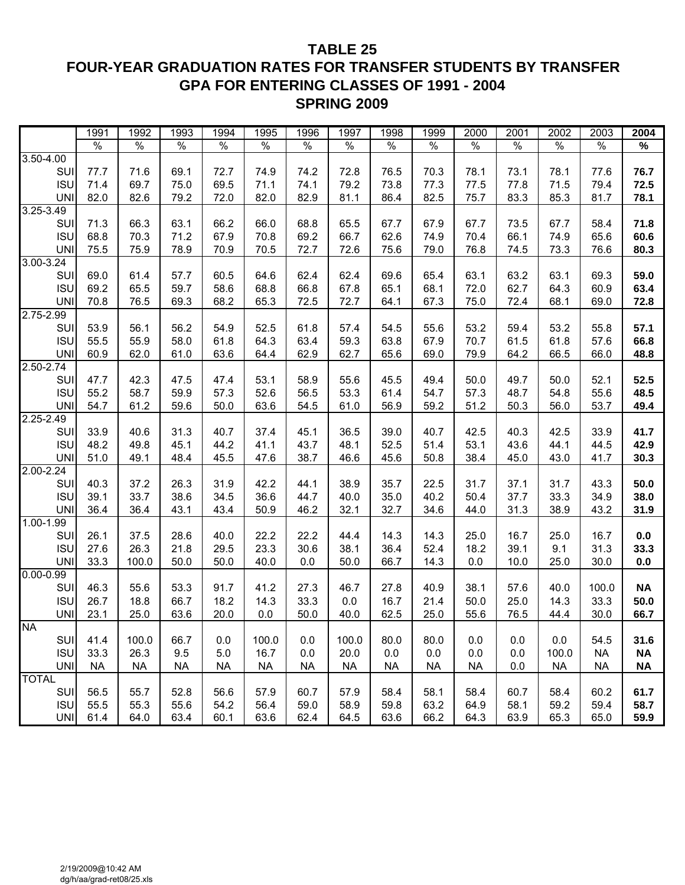# **TABLE 25 FOUR-YEAR GRADUATION RATES FOR TRANSFER STUDENTS BY TRANSFER GPA FOR ENTERING CLASSES OF 1991 - 2004 SPRING 2009**

|               | 1991          | 1992      | 1993      | 1994          | 1995      | 1996          | 1997      | 1998          | 1999      | 2000      | 2001          | 2002      | 2003          | 2004      |
|---------------|---------------|-----------|-----------|---------------|-----------|---------------|-----------|---------------|-----------|-----------|---------------|-----------|---------------|-----------|
|               | $\frac{1}{2}$ | $\%$      | $\%$      | $\frac{8}{6}$ | $\%$      | $\frac{1}{2}$ | $\%$      | $\frac{1}{2}$ | $\%$      | $\%$      | $\frac{1}{2}$ | $\%$      | $\frac{1}{2}$ | $\%$      |
| 3.50-4.00     |               |           |           |               |           |               |           |               |           |           |               |           |               |           |
| SUI           | 77.7          | 71.6      | 69.1      | 72.7          | 74.9      | 74.2          | 72.8      | 76.5          | 70.3      | 78.1      | 73.1          | 78.1      | 77.6          | 76.7      |
| <b>ISU</b>    | 71.4          | 69.7      | 75.0      | 69.5          | 71.1      | 74.1          | 79.2      | 73.8          | 77.3      | 77.5      | 77.8          | 71.5      | 79.4          | 72.5      |
| <b>UNI</b>    | 82.0          | 82.6      | 79.2      | 72.0          | 82.0      | 82.9          | 81.1      | 86.4          | 82.5      | 75.7      | 83.3          | 85.3      | 81.7          | 78.1      |
| $3.25 - 3.49$ |               |           |           |               |           |               |           |               |           |           |               |           |               |           |
| SUI           | 71.3          | 66.3      | 63.1      | 66.2          | 66.0      | 68.8          | 65.5      | 67.7          | 67.9      | 67.7      | 73.5          | 67.7      | 58.4          | 71.8      |
| <b>ISU</b>    | 68.8          | 70.3      | 71.2      | 67.9          | 70.8      | 69.2          | 66.7      | 62.6          | 74.9      | 70.4      | 66.1          | 74.9      | 65.6          | 60.6      |
| <b>UNI</b>    | 75.5          | 75.9      | 78.9      | 70.9          | 70.5      | 72.7          | 72.6      | 75.6          | 79.0      | 76.8      | 74.5          | 73.3      | 76.6          | 80.3      |
| $3.00 - 3.24$ |               |           |           |               |           |               |           |               |           |           |               |           |               |           |
| SUI           | 69.0          | 61.4      | 57.7      | 60.5          | 64.6      | 62.4          | 62.4      | 69.6          | 65.4      | 63.1      | 63.2          | 63.1      | 69.3          | 59.0      |
| <b>ISU</b>    | 69.2          | 65.5      | 59.7      | 58.6          | 68.8      | 66.8          | 67.8      | 65.1          | 68.1      | 72.0      | 62.7          | 64.3      | 60.9          | 63.4      |
| <b>UNI</b>    | 70.8          | 76.5      | 69.3      | 68.2          | 65.3      | 72.5          | 72.7      | 64.1          | 67.3      | 75.0      | 72.4          | 68.1      | 69.0          | 72.8      |
| $2.75 - 2.99$ |               |           |           |               |           |               |           |               |           |           |               |           |               |           |
| SUI           | 53.9          | 56.1      | 56.2      | 54.9          | 52.5      | 61.8          | 57.4      | 54.5          | 55.6      | 53.2      | 59.4          | 53.2      | 55.8          | 57.1      |
| <b>ISU</b>    | 55.5          | 55.9      | 58.0      | 61.8          | 64.3      | 63.4          | 59.3      | 63.8          | 67.9      | 70.7      | 61.5          | 61.8      | 57.6          | 66.8      |
| <b>UNI</b>    | 60.9          | 62.0      | 61.0      | 63.6          | 64.4      | 62.9          | 62.7      | 65.6          | 69.0      | 79.9      | 64.2          | 66.5      | 66.0          | 48.8      |
| $2.50 - 2.74$ |               |           |           |               |           |               |           |               |           |           |               |           |               |           |
| SUI           | 47.7          | 42.3      | 47.5      | 47.4          | 53.1      | 58.9          | 55.6      | 45.5          | 49.4      | 50.0      | 49.7          | 50.0      | 52.1          | 52.5      |
| <b>ISU</b>    | 55.2          | 58.7      | 59.9      | 57.3          | 52.6      | 56.5          | 53.3      | 61.4          | 54.7      | 57.3      | 48.7          | 54.8      | 55.6          | 48.5      |
| <b>UNI</b>    | 54.7          | 61.2      | 59.6      | 50.0          | 63.6      | 54.5          | 61.0      | 56.9          | 59.2      | 51.2      | 50.3          | 56.0      | 53.7          | 49.4      |
| $2.25 - 2.49$ |               |           |           |               |           |               |           |               |           |           |               |           |               |           |
| SUI           | 33.9          | 40.6      | 31.3      | 40.7          | 37.4      | 45.1          | 36.5      | 39.0          | 40.7      | 42.5      | 40.3          | 42.5      | 33.9          | 41.7      |
| <b>ISU</b>    | 48.2          | 49.8      | 45.1      | 44.2          | 41.1      | 43.7          | 48.1      | 52.5          | 51.4      | 53.1      | 43.6          | 44.1      | 44.5          | 42.9      |
| <b>UNI</b>    | 51.0          | 49.1      | 48.4      | 45.5          | 47.6      | 38.7          | 46.6      | 45.6          | 50.8      | 38.4      | 45.0          | 43.0      | 41.7          | 30.3      |
| $2.00 - 2.24$ |               |           |           |               |           |               |           |               |           |           |               |           |               |           |
| SUI           | 40.3          | 37.2      | 26.3      | 31.9          | 42.2      | 44.1          | 38.9      | 35.7          | 22.5      | 31.7      | 37.1          | 31.7      | 43.3          | 50.0      |
| <b>ISU</b>    | 39.1          | 33.7      | 38.6      | 34.5          | 36.6      | 44.7          | 40.0      | 35.0          | 40.2      | 50.4      | 37.7          | 33.3      | 34.9          | 38.0      |
| <b>UNI</b>    | 36.4          | 36.4      | 43.1      | 43.4          | 50.9      | 46.2          | 32.1      | 32.7          | 34.6      | 44.0      | 31.3          | 38.9      | 43.2          | 31.9      |
| 1.00-1.99     |               |           |           |               |           |               |           |               |           |           |               |           |               |           |
| SUI           | 26.1          | 37.5      | 28.6      | 40.0          | 22.2      | 22.2          | 44.4      | 14.3          | 14.3      | 25.0      | 16.7          | 25.0      | 16.7          | $0.0\,$   |
| <b>ISU</b>    | 27.6          | 26.3      | 21.8      | 29.5          | 23.3      | 30.6          | 38.1      | 36.4          | 52.4      | 18.2      | 39.1          | 9.1       | 31.3          | 33.3      |
| <b>UNI</b>    | 33.3          | 100.0     | 50.0      | 50.0          | 40.0      | 0.0           | 50.0      | 66.7          | 14.3      | 0.0       | 10.0          | 25.0      | 30.0          | $0.0\,$   |
| $0.00 - 0.99$ |               |           |           |               |           |               |           |               |           |           |               |           |               |           |
| SUI           | 46.3          | 55.6      | 53.3      | 91.7          | 41.2      | 27.3          | 46.7      | 27.8          | 40.9      | 38.1      | 57.6          | 40.0      | 100.0         | <b>NA</b> |
| <b>ISU</b>    | 26.7          | 18.8      | 66.7      | 18.2          | 14.3      | 33.3          | 0.0       | 16.7          | 21.4      | 50.0      | 25.0          | 14.3      | 33.3          | 50.0      |
| <b>UNI</b>    | 23.1          | 25.0      | 63.6      | 20.0          | 0.0       | 50.0          | 40.0      | 62.5          | 25.0      | 55.6      | 76.5          | 44.4      | 30.0          | 66.7      |
| <b>NA</b>     |               |           |           |               |           |               |           |               |           |           |               |           |               |           |
| <b>SUI</b>    | 41.4          | 100.0     | 66.7      | 0.0           | 100.0     | 0.0           | 100.0     | 80.0          | 80.0      | 0.0       | 0.0           | 0.0       | 54.5          | 31.6      |
| <b>ISU</b>    | 33.3          | 26.3      | 9.5       | 5.0           | 16.7      | 0.0           | 20.0      | 0.0           | 0.0       | 0.0       | 0.0           | 100.0     | <b>NA</b>     | <b>NA</b> |
| <b>UNI</b>    | <b>NA</b>     | <b>NA</b> | <b>NA</b> | <b>NA</b>     | <b>NA</b> | <b>NA</b>     | <b>NA</b> | <b>NA</b>     | <b>NA</b> | <b>NA</b> | 0.0           | <b>NA</b> | <b>NA</b>     | <b>NA</b> |
| <b>TOTAL</b>  |               |           |           |               |           |               |           |               |           |           |               |           |               |           |
| <b>SUI</b>    | 56.5          | 55.7      | 52.8      | 56.6          | 57.9      | 60.7          | 57.9      | 58.4          | 58.1      | 58.4      | 60.7          | 58.4      | 60.2          | 61.7      |
| <b>ISU</b>    | 55.5          | 55.3      | 55.6      | 54.2          | 56.4      | 59.0          | 58.9      | 59.8          | 63.2      | 64.9      | 58.1          | 59.2      | 59.4          | 58.7      |
| <b>UNI</b>    | 61.4          | 64.0      | 63.4      | 60.1          | 63.6      | 62.4          | 64.5      | 63.6          | 66.2      | 64.3      | 63.9          | 65.3      | 65.0          | 59.9      |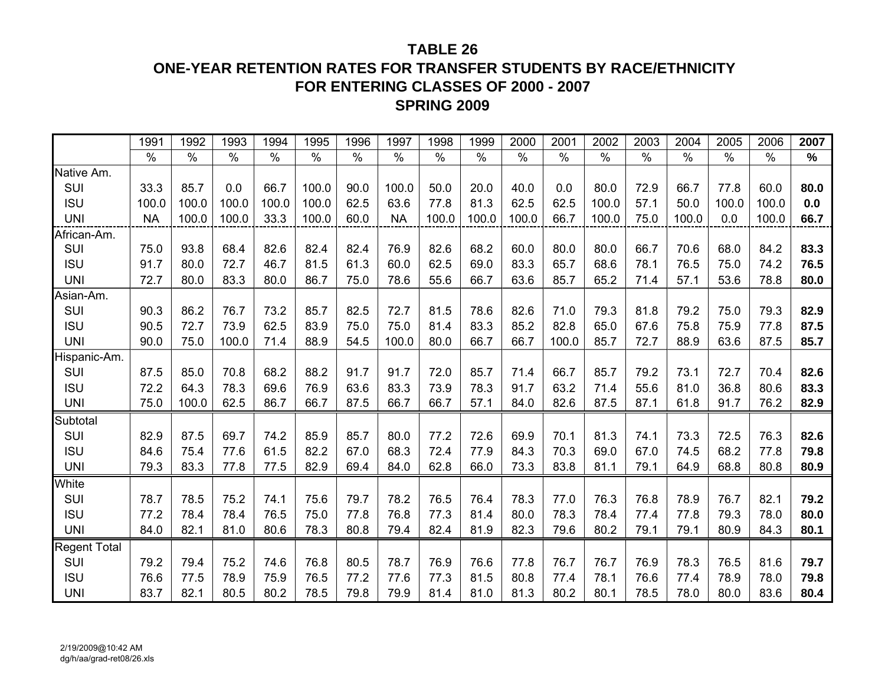# **ONE-YEAR RETENTION RATES FOR TRANSFER STUDENTS BY RACE/ETHNICITY FOR ENTERING CLASSES OF 2000 - 2007SPRING 2009**

|                     | 1991      | 1992          | 1993  | 1994  | 1995          | 1996 | 1997          | 1998  | 1999  | 2000  | 2001  | 2002  | 2003 | 2004  | 2005  | 2006          | 2007 |
|---------------------|-----------|---------------|-------|-------|---------------|------|---------------|-------|-------|-------|-------|-------|------|-------|-------|---------------|------|
|                     | $\%$      | $\frac{0}{0}$ | $\%$  | $\%$  | $\frac{0}{0}$ | $\%$ | $\frac{0}{0}$ | $\%$  | $\%$  | $\%$  | $\%$  | $\%$  | %    | $\%$  | $\%$  | $\frac{0}{0}$ | $\%$ |
| Native Am.          |           |               |       |       |               |      |               |       |       |       |       |       |      |       |       |               |      |
| SUI                 | 33.3      | 85.7          | 0.0   | 66.7  | 100.0         | 90.0 | 100.0         | 50.0  | 20.0  | 40.0  | 0.0   | 80.0  | 72.9 | 66.7  | 77.8  | 60.0          | 80.0 |
| <b>ISU</b>          | 100.0     | 100.0         | 100.0 | 100.0 | 100.0         | 62.5 | 63.6          | 77.8  | 81.3  | 62.5  | 62.5  | 100.0 | 57.1 | 50.0  | 100.0 | 100.0         | 0.0  |
| <b>UNI</b>          | <b>NA</b> | 100.0         | 100.0 | 33.3  | 100.0         | 60.0 | <b>NA</b>     | 100.0 | 100.0 | 100.0 | 66.7  | 100.0 | 75.0 | 100.0 | 0.0   | 100.0         | 66.7 |
| African-Am.         |           |               |       |       |               |      |               |       |       |       |       |       |      |       |       |               |      |
| SUI                 | 75.0      | 93.8          | 68.4  | 82.6  | 82.4          | 82.4 | 76.9          | 82.6  | 68.2  | 60.0  | 80.0  | 80.0  | 66.7 | 70.6  | 68.0  | 84.2          | 83.3 |
| <b>ISU</b>          | 91.7      | 80.0          | 72.7  | 46.7  | 81.5          | 61.3 | 60.0          | 62.5  | 69.0  | 83.3  | 65.7  | 68.6  | 78.1 | 76.5  | 75.0  | 74.2          | 76.5 |
| <b>UNI</b>          | 72.7      | 80.0          | 83.3  | 80.0  | 86.7          | 75.0 | 78.6          | 55.6  | 66.7  | 63.6  | 85.7  | 65.2  | 71.4 | 57.1  | 53.6  | 78.8          | 80.0 |
| Asian-Am.           |           |               |       |       |               |      |               |       |       |       |       |       |      |       |       |               |      |
| SUI                 | 90.3      | 86.2          | 76.7  | 73.2  | 85.7          | 82.5 | 72.7          | 81.5  | 78.6  | 82.6  | 71.0  | 79.3  | 81.8 | 79.2  | 75.0  | 79.3          | 82.9 |
| <b>ISU</b>          | 90.5      | 72.7          | 73.9  | 62.5  | 83.9          | 75.0 | 75.0          | 81.4  | 83.3  | 85.2  | 82.8  | 65.0  | 67.6 | 75.8  | 75.9  | 77.8          | 87.5 |
| <b>UNI</b>          | 90.0      | 75.0          | 100.0 | 71.4  | 88.9          | 54.5 | 100.0         | 80.0  | 66.7  | 66.7  | 100.0 | 85.7  | 72.7 | 88.9  | 63.6  | 87.5          | 85.7 |
| Hispanic-Am.        |           |               |       |       |               |      |               |       |       |       |       |       |      |       |       |               |      |
| SUI                 | 87.5      | 85.0          | 70.8  | 68.2  | 88.2          | 91.7 | 91.7          | 72.0  | 85.7  | 71.4  | 66.7  | 85.7  | 79.2 | 73.1  | 72.7  | 70.4          | 82.6 |
| <b>ISU</b>          | 72.2      | 64.3          | 78.3  | 69.6  | 76.9          | 63.6 | 83.3          | 73.9  | 78.3  | 91.7  | 63.2  | 71.4  | 55.6 | 81.0  | 36.8  | 80.6          | 83.3 |
| <b>UNI</b>          | 75.0      | 100.0         | 62.5  | 86.7  | 66.7          | 87.5 | 66.7          | 66.7  | 57.1  | 84.0  | 82.6  | 87.5  | 87.1 | 61.8  | 91.7  | 76.2          | 82.9 |
| Subtotal            |           |               |       |       |               |      |               |       |       |       |       |       |      |       |       |               |      |
| SUI                 | 82.9      | 87.5          | 69.7  | 74.2  | 85.9          | 85.7 | 80.0          | 77.2  | 72.6  | 69.9  | 70.1  | 81.3  | 74.1 | 73.3  | 72.5  | 76.3          | 82.6 |
| <b>ISU</b>          | 84.6      | 75.4          | 77.6  | 61.5  | 82.2          | 67.0 | 68.3          | 72.4  | 77.9  | 84.3  | 70.3  | 69.0  | 67.0 | 74.5  | 68.2  | 77.8          | 79.8 |
| <b>UNI</b>          | 79.3      | 83.3          | 77.8  | 77.5  | 82.9          | 69.4 | 84.0          | 62.8  | 66.0  | 73.3  | 83.8  | 81.1  | 79.1 | 64.9  | 68.8  | 80.8          | 80.9 |
| White               |           |               |       |       |               |      |               |       |       |       |       |       |      |       |       |               |      |
| SUI                 | 78.7      | 78.5          | 75.2  | 74.1  | 75.6          | 79.7 | 78.2          | 76.5  | 76.4  | 78.3  | 77.0  | 76.3  | 76.8 | 78.9  | 76.7  | 82.1          | 79.2 |
| <b>ISU</b>          | 77.2      | 78.4          | 78.4  | 76.5  | 75.0          | 77.8 | 76.8          | 77.3  | 81.4  | 80.0  | 78.3  | 78.4  | 77.4 | 77.8  | 79.3  | 78.0          | 80.0 |
| <b>UNI</b>          | 84.0      | 82.1          | 81.0  | 80.6  | 78.3          | 80.8 | 79.4          | 82.4  | 81.9  | 82.3  | 79.6  | 80.2  | 79.1 | 79.1  | 80.9  | 84.3          | 80.1 |
| <b>Regent Total</b> |           |               |       |       |               |      |               |       |       |       |       |       |      |       |       |               |      |
| SUI                 | 79.2      | 79.4          | 75.2  | 74.6  | 76.8          | 80.5 | 78.7          | 76.9  | 76.6  | 77.8  | 76.7  | 76.7  | 76.9 | 78.3  | 76.5  | 81.6          | 79.7 |
| <b>ISU</b>          | 76.6      | 77.5          | 78.9  | 75.9  | 76.5          | 77.2 | 77.6          | 77.3  | 81.5  | 80.8  | 77.4  | 78.1  | 76.6 | 77.4  | 78.9  | 78.0          | 79.8 |
| <b>UNI</b>          | 83.7      | 82.1          | 80.5  | 80.2  | 78.5          | 79.8 | 79.9          | 81.4  | 81.0  | 81.3  | 80.2  | 80.1  | 78.5 | 78.0  | 80.0  | 83.6          | 80.4 |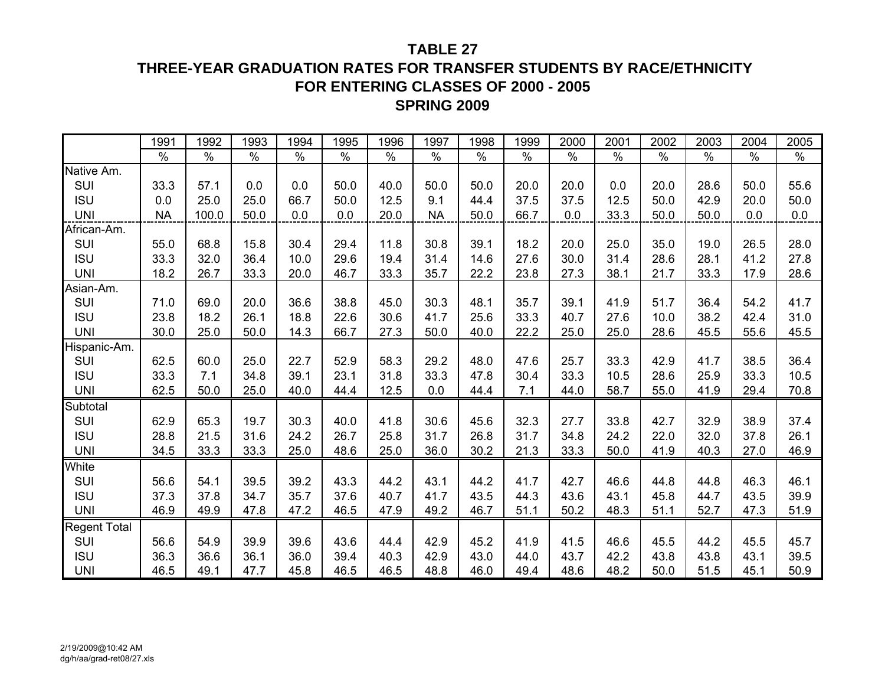# **THREE-YEAR GRADUATION RATES FOR TRANSFER STUDENTS BY RACE/ETHNICITY FOR ENTERING CLASSES OF 2000 - 2005SPRING 2009**

|                     | 1991      | 1992  | 1993 | 1994          | 1995 | 1996 | 1997      | 1998          | 1999          | 2000 | 2001 | 2002          | 2003          | 2004 | 2005 |
|---------------------|-----------|-------|------|---------------|------|------|-----------|---------------|---------------|------|------|---------------|---------------|------|------|
|                     | $\%$      | $\%$  | $\%$ | $\frac{0}{6}$ | $\%$ | $\%$ | $\%$      | $\frac{1}{2}$ | $\frac{9}{6}$ | $\%$ | $\%$ | $\frac{1}{2}$ | $\frac{1}{2}$ | $\%$ | $\%$ |
| Native Am.          |           |       |      |               |      |      |           |               |               |      |      |               |               |      |      |
| SUI                 | 33.3      | 57.1  | 0.0  | 0.0           | 50.0 | 40.0 | 50.0      | 50.0          | 20.0          | 20.0 | 0.0  | 20.0          | 28.6          | 50.0 | 55.6 |
| <b>ISU</b>          | 0.0       | 25.0  | 25.0 | 66.7          | 50.0 | 12.5 | 9.1       | 44.4          | 37.5          | 37.5 | 12.5 | 50.0          | 42.9          | 20.0 | 50.0 |
| <b>UNI</b>          | <b>NA</b> | 100.0 | 50.0 | 0.0           | 0.0  | 20.0 | <b>NA</b> | 50.0          | 66.7          | 0.0  | 33.3 | 50.0          | 50.0          | 0.0  | 0.0  |
| African-Am.         |           |       |      |               |      |      |           |               |               |      |      |               |               |      |      |
| SUI                 | 55.0      | 68.8  | 15.8 | 30.4          | 29.4 | 11.8 | 30.8      | 39.1          | 18.2          | 20.0 | 25.0 | 35.0          | 19.0          | 26.5 | 28.0 |
| <b>ISU</b>          | 33.3      | 32.0  | 36.4 | 10.0          | 29.6 | 19.4 | 31.4      | 14.6          | 27.6          | 30.0 | 31.4 | 28.6          | 28.1          | 41.2 | 27.8 |
| <b>UNI</b>          | 18.2      | 26.7  | 33.3 | 20.0          | 46.7 | 33.3 | 35.7      | 22.2          | 23.8          | 27.3 | 38.1 | 21.7          | 33.3          | 17.9 | 28.6 |
| Asian-Am.           |           |       |      |               |      |      |           |               |               |      |      |               |               |      |      |
| SUI                 | 71.0      | 69.0  | 20.0 | 36.6          | 38.8 | 45.0 | 30.3      | 48.1          | 35.7          | 39.1 | 41.9 | 51.7          | 36.4          | 54.2 | 41.7 |
| <b>ISU</b>          | 23.8      | 18.2  | 26.1 | 18.8          | 22.6 | 30.6 | 41.7      | 25.6          | 33.3          | 40.7 | 27.6 | 10.0          | 38.2          | 42.4 | 31.0 |
| <b>UNI</b>          | 30.0      | 25.0  | 50.0 | 14.3          | 66.7 | 27.3 | 50.0      | 40.0          | 22.2          | 25.0 | 25.0 | 28.6          | 45.5          | 55.6 | 45.5 |
| Hispanic-Am.        |           |       |      |               |      |      |           |               |               |      |      |               |               |      |      |
| SUI                 | 62.5      | 60.0  | 25.0 | 22.7          | 52.9 | 58.3 | 29.2      | 48.0          | 47.6          | 25.7 | 33.3 | 42.9          | 41.7          | 38.5 | 36.4 |
| <b>ISU</b>          | 33.3      | 7.1   | 34.8 | 39.1          | 23.1 | 31.8 | 33.3      | 47.8          | 30.4          | 33.3 | 10.5 | 28.6          | 25.9          | 33.3 | 10.5 |
| <b>UNI</b>          | 62.5      | 50.0  | 25.0 | 40.0          | 44.4 | 12.5 | 0.0       | 44.4          | 7.1           | 44.0 | 58.7 | 55.0          | 41.9          | 29.4 | 70.8 |
| Subtotal            |           |       |      |               |      |      |           |               |               |      |      |               |               |      |      |
| SUI                 | 62.9      | 65.3  | 19.7 | 30.3          | 40.0 | 41.8 | 30.6      | 45.6          | 32.3          | 27.7 | 33.8 | 42.7          | 32.9          | 38.9 | 37.4 |
| <b>ISU</b>          | 28.8      | 21.5  | 31.6 | 24.2          | 26.7 | 25.8 | 31.7      | 26.8          | 31.7          | 34.8 | 24.2 | 22.0          | 32.0          | 37.8 | 26.1 |
| <b>UNI</b>          | 34.5      | 33.3  | 33.3 | 25.0          | 48.6 | 25.0 | 36.0      | 30.2          | 21.3          | 33.3 | 50.0 | 41.9          | 40.3          | 27.0 | 46.9 |
| White               |           |       |      |               |      |      |           |               |               |      |      |               |               |      |      |
| SUI                 | 56.6      | 54.1  | 39.5 | 39.2          | 43.3 | 44.2 | 43.1      | 44.2          | 41.7          | 42.7 | 46.6 | 44.8          | 44.8          | 46.3 | 46.1 |
| <b>ISU</b>          | 37.3      | 37.8  | 34.7 | 35.7          | 37.6 | 40.7 | 41.7      | 43.5          | 44.3          | 43.6 | 43.1 | 45.8          | 44.7          | 43.5 | 39.9 |
| <b>UNI</b>          | 46.9      | 49.9  | 47.8 | 47.2          | 46.5 | 47.9 | 49.2      | 46.7          | 51.1          | 50.2 | 48.3 | 51.1          | 52.7          | 47.3 | 51.9 |
| <b>Regent Total</b> |           |       |      |               |      |      |           |               |               |      |      |               |               |      |      |
| SUI                 | 56.6      | 54.9  | 39.9 | 39.6          | 43.6 | 44.4 | 42.9      | 45.2          | 41.9          | 41.5 | 46.6 | 45.5          | 44.2          | 45.5 | 45.7 |
| <b>ISU</b>          | 36.3      | 36.6  | 36.1 | 36.0          | 39.4 | 40.3 | 42.9      | 43.0          | 44.0          | 43.7 | 42.2 | 43.8          | 43.8          | 43.1 | 39.5 |
| <b>UNI</b>          | 46.5      | 49.1  | 47.7 | 45.8          | 46.5 | 46.5 | 48.8      | 46.0          | 49.4          | 48.6 | 48.2 | 50.0          | 51.5          | 45.1 | 50.9 |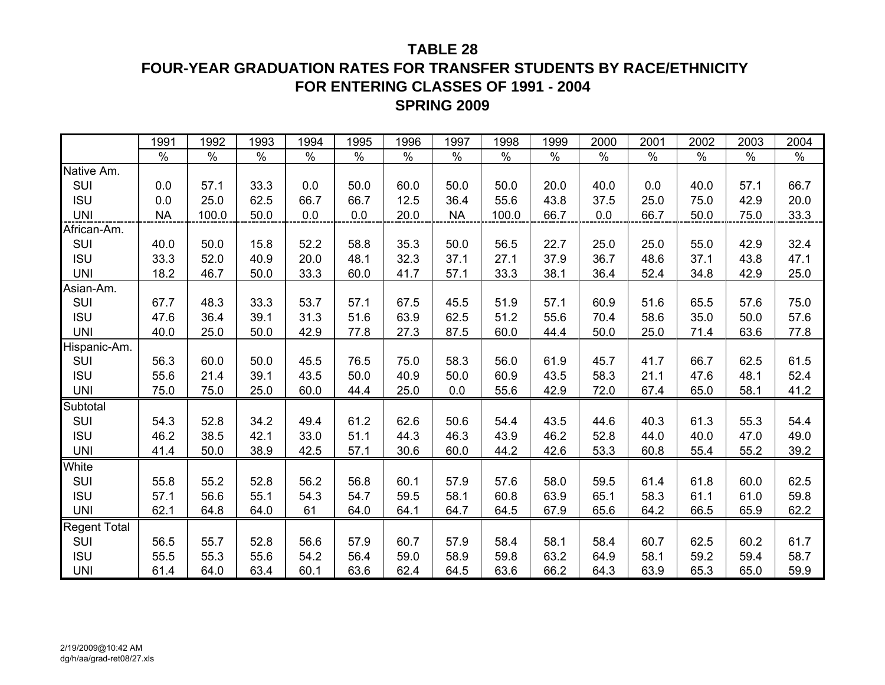# **FOUR-YEAR GRADUATION RATES FOR TRANSFER STUDENTS BY RACE/ETHNICITY FOR ENTERING CLASSES OF 1991 - 2004SPRING 2009**

|                     | 1991      | 1992  | 1993 | 1994 | 1995 | 1996 | 1997      | 1998  | 1999 | 2000 | 2001 | 2002 | 2003 | 2004 |
|---------------------|-----------|-------|------|------|------|------|-----------|-------|------|------|------|------|------|------|
|                     | $\%$      | $\%$  | $\%$ | $\%$ | $\%$ | $\%$ | $\%$      | $\%$  | $\%$ | $\%$ | $\%$ | $\%$ | $\%$ | $\%$ |
| Native Am.          |           |       |      |      |      |      |           |       |      |      |      |      |      |      |
| SUI                 | 0.0       | 57.1  | 33.3 | 0.0  | 50.0 | 60.0 | 50.0      | 50.0  | 20.0 | 40.0 | 0.0  | 40.0 | 57.1 | 66.7 |
| <b>ISU</b>          | 0.0       | 25.0  | 62.5 | 66.7 | 66.7 | 12.5 | 36.4      | 55.6  | 43.8 | 37.5 | 25.0 | 75.0 | 42.9 | 20.0 |
| <b>UNI</b>          | <b>NA</b> | 100.0 | 50.0 | 0.0  | 0.0  | 20.0 | <b>NA</b> | 100.0 | 66.7 | 0.0  | 66.7 | 50.0 | 75.0 | 33.3 |
| African-Am.         |           |       |      |      |      |      |           |       |      |      |      |      |      |      |
| SUI                 | 40.0      | 50.0  | 15.8 | 52.2 | 58.8 | 35.3 | 50.0      | 56.5  | 22.7 | 25.0 | 25.0 | 55.0 | 42.9 | 32.4 |
| <b>ISU</b>          | 33.3      | 52.0  | 40.9 | 20.0 | 48.1 | 32.3 | 37.1      | 27.1  | 37.9 | 36.7 | 48.6 | 37.1 | 43.8 | 47.1 |
| <b>UNI</b>          | 18.2      | 46.7  | 50.0 | 33.3 | 60.0 | 41.7 | 57.1      | 33.3  | 38.1 | 36.4 | 52.4 | 34.8 | 42.9 | 25.0 |
| Asian-Am.           |           |       |      |      |      |      |           |       |      |      |      |      |      |      |
| SUI                 | 67.7      | 48.3  | 33.3 | 53.7 | 57.1 | 67.5 | 45.5      | 51.9  | 57.1 | 60.9 | 51.6 | 65.5 | 57.6 | 75.0 |
| <b>ISU</b>          | 47.6      | 36.4  | 39.1 | 31.3 | 51.6 | 63.9 | 62.5      | 51.2  | 55.6 | 70.4 | 58.6 | 35.0 | 50.0 | 57.6 |
| <b>UNI</b>          | 40.0      | 25.0  | 50.0 | 42.9 | 77.8 | 27.3 | 87.5      | 60.0  | 44.4 | 50.0 | 25.0 | 71.4 | 63.6 | 77.8 |
| Hispanic-Am.        |           |       |      |      |      |      |           |       |      |      |      |      |      |      |
| SUI                 | 56.3      | 60.0  | 50.0 | 45.5 | 76.5 | 75.0 | 58.3      | 56.0  | 61.9 | 45.7 | 41.7 | 66.7 | 62.5 | 61.5 |
| <b>ISU</b>          | 55.6      | 21.4  | 39.1 | 43.5 | 50.0 | 40.9 | 50.0      | 60.9  | 43.5 | 58.3 | 21.1 | 47.6 | 48.1 | 52.4 |
| <b>UNI</b>          | 75.0      | 75.0  | 25.0 | 60.0 | 44.4 | 25.0 | 0.0       | 55.6  | 42.9 | 72.0 | 67.4 | 65.0 | 58.1 | 41.2 |
| Subtotal            |           |       |      |      |      |      |           |       |      |      |      |      |      |      |
| SUI                 | 54.3      | 52.8  | 34.2 | 49.4 | 61.2 | 62.6 | 50.6      | 54.4  | 43.5 | 44.6 | 40.3 | 61.3 | 55.3 | 54.4 |
| <b>ISU</b>          | 46.2      | 38.5  | 42.1 | 33.0 | 51.1 | 44.3 | 46.3      | 43.9  | 46.2 | 52.8 | 44.0 | 40.0 | 47.0 | 49.0 |
| <b>UNI</b>          | 41.4      | 50.0  | 38.9 | 42.5 | 57.1 | 30.6 | 60.0      | 44.2  | 42.6 | 53.3 | 60.8 | 55.4 | 55.2 | 39.2 |
| White               |           |       |      |      |      |      |           |       |      |      |      |      |      |      |
| SUI                 | 55.8      | 55.2  | 52.8 | 56.2 | 56.8 | 60.1 | 57.9      | 57.6  | 58.0 | 59.5 | 61.4 | 61.8 | 60.0 | 62.5 |
| <b>ISU</b>          | 57.1      | 56.6  | 55.1 | 54.3 | 54.7 | 59.5 | 58.1      | 60.8  | 63.9 | 65.1 | 58.3 | 61.1 | 61.0 | 59.8 |
| <b>UNI</b>          | 62.1      | 64.8  | 64.0 | 61   | 64.0 | 64.1 | 64.7      | 64.5  | 67.9 | 65.6 | 64.2 | 66.5 | 65.9 | 62.2 |
| <b>Regent Total</b> |           |       |      |      |      |      |           |       |      |      |      |      |      |      |
| SUI                 | 56.5      | 55.7  | 52.8 | 56.6 | 57.9 | 60.7 | 57.9      | 58.4  | 58.1 | 58.4 | 60.7 | 62.5 | 60.2 | 61.7 |
| <b>ISU</b>          | 55.5      | 55.3  | 55.6 | 54.2 | 56.4 | 59.0 | 58.9      | 59.8  | 63.2 | 64.9 | 58.1 | 59.2 | 59.4 | 58.7 |
| <b>UNI</b>          | 61.4      | 64.0  | 63.4 | 60.1 | 63.6 | 62.4 | 64.5      | 63.6  | 66.2 | 64.3 | 63.9 | 65.3 | 65.0 | 59.9 |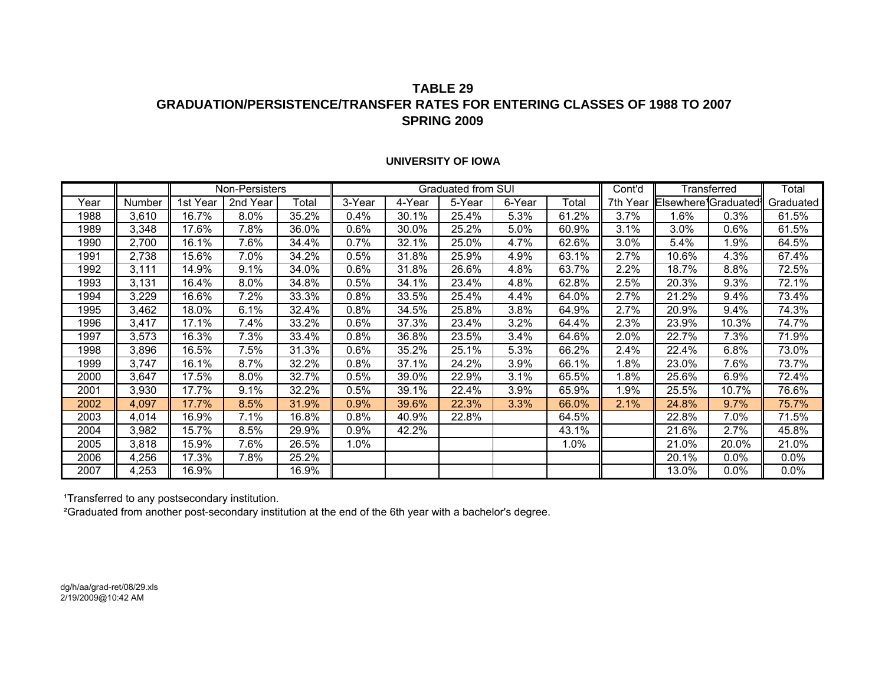### **TABLE 29GRADUATION/PERSISTENCE/TRANSFER RATES FOR ENTERING CLASSES OF 1988 TO 2007SPRING 2009**

#### **UNIVERSITY OF IOWA**

|      |        |          | Non-Persisters |       |        |        | Graduated from SUI |        |       | Cont'd   |                      | Transferred | Total     |
|------|--------|----------|----------------|-------|--------|--------|--------------------|--------|-------|----------|----------------------|-------------|-----------|
| Year | Number | 1st Year | 2nd Year       | Total | 3-Year | 4-Year | 5-Year             | 6-Year | Total | 7th Year | Elsewhere1Graduated1 |             | Graduated |
| 1988 | 3,610  | 16.7%    | 8.0%           | 35.2% | 0.4%   | 30.1%  | 25.4%              | 5.3%   | 61.2% | 3.7%     | 1.6%                 | 0.3%        | 61.5%     |
| 1989 | 3.348  | 17.6%    | 7.8%           | 36.0% | 0.6%   | 30.0%  | 25.2%              | 5.0%   | 60.9% | 3.1%     | 3.0%                 | $0.6\%$     | 61.5%     |
| 1990 | 2,700  | 16.1%    | 7.6%           | 34.4% | 0.7%   | 32.1%  | 25.0%              | 4.7%   | 62.6% | 3.0%     | 5.4%                 | .9%         | 64.5%     |
| 1991 | 2,738  | 15.6%    | 7.0%           | 34.2% | 0.5%   | 31.8%  | 25.9%              | 4.9%   | 63.1% | 2.7%     | 10.6%                | 4.3%        | 67.4%     |
| 1992 | 3,111  | 14.9%    | $9.1\%$        | 34.0% | 0.6%   | 31.8%  | 26.6%              | 4.8%   | 63.7% | 2.2%     | 18.7%                | 8.8%        | 72.5%     |
| 1993 | 3,131  | 16.4%    | 8.0%           | 34.8% | 0.5%   | 34.1%  | 23.4%              | 4.8%   | 62.8% | 2.5%     | 20.3%                | 9.3%        | 72.1%     |
| 1994 | 3,229  | 16.6%    | 7.2%           | 33.3% | 0.8%   | 33.5%  | 25.4%              | 4.4%   | 64.0% | 2.7%     | 21.2%                | 9.4%        | 73.4%     |
| 1995 | 3,462  | 18.0%    | 6.1%           | 32.4% | 0.8%   | 34.5%  | 25.8%              | 3.8%   | 64.9% | 2.7%     | 20.9%                | 9.4%        | 74.3%     |
| 1996 | 3,417  | 17.1%    | 7.4%           | 33.2% | 0.6%   | 37.3%  | 23.4%              | 3.2%   | 64.4% | 2.3%     | 23.9%                | 10.3%       | 74.7%     |
| 1997 | 3,573  | 16.3%    | 7.3%           | 33.4% | 0.8%   | 36.8%  | 23.5%              | 3.4%   | 64.6% | 2.0%     | 22.7%                | 7.3%        | 71.9%     |
| 1998 | 3.896  | 16.5%    | 7.5%           | 31.3% | 0.6%   | 35.2%  | 25.1%              | 5.3%   | 66.2% | 2.4%     | 22.4%                | 6.8%        | 73.0%     |
| 1999 | 3,747  | 16.1%    | 8.7%           | 32.2% | 0.8%   | 37.1%  | 24.2%              | 3.9%   | 66.1% | $.8\%$   | 23.0%                | 7.6%        | 73.7%     |
| 2000 | 3,647  | 17.5%    | 8.0%           | 32.7% | 0.5%   | 39.0%  | 22.9%              | 3.1%   | 65.5% | $.8\%$   | 25.6%                | 6.9%        | 72.4%     |
| 2001 | 3,930  | 17.7%    | 9.1%           | 32.2% | 0.5%   | 39.1%  | 22.4%              | 3.9%   | 65.9% | $.9\%$   | 25.5%                | 10.7%       | 76.6%     |
| 2002 | 4,097  | 17.7%    | 8.5%           | 31.9% | 0.9%   | 39.6%  | 22.3%              | 3.3%   | 66.0% | 2.1%     | 24.8%                | 9.7%        | 75.7%     |
| 2003 | 4,014  | 16.9%    | 7.1%           | 16.8% | 0.8%   | 40.9%  | 22.8%              |        | 64.5% |          | 22.8%                | 7.0%        | 71.5%     |
| 2004 | 3,982  | 15.7%    | $8.5\%$        | 29.9% | 0.9%   | 42.2%  |                    |        | 43.1% |          | 21.6%                | 2.7%        | 45.8%     |
| 2005 | 3,818  | 15.9%    | 7.6%           | 26.5% | 1.0%   |        |                    |        | 1.0%  |          | 21.0%                | 20.0%       | 21.0%     |
| 2006 | 4,256  | 17.3%    | 7.8%           | 25.2% |        |        |                    |        |       |          | 20.1%                | 0.0%        | $0.0\%$   |
| 2007 | 4,253  | 16.9%    |                | 16.9% |        |        |                    |        |       |          | 13.0%                | 0.0%        | $0.0\%$   |

1Transferred to any postsecondary institution.

²Graduated from another post-secondary institution at the end of the 6th year with a bachelor's degree.

dg/h/aa/grad-ret/08/29.xls 2/19/2009@10:42 AM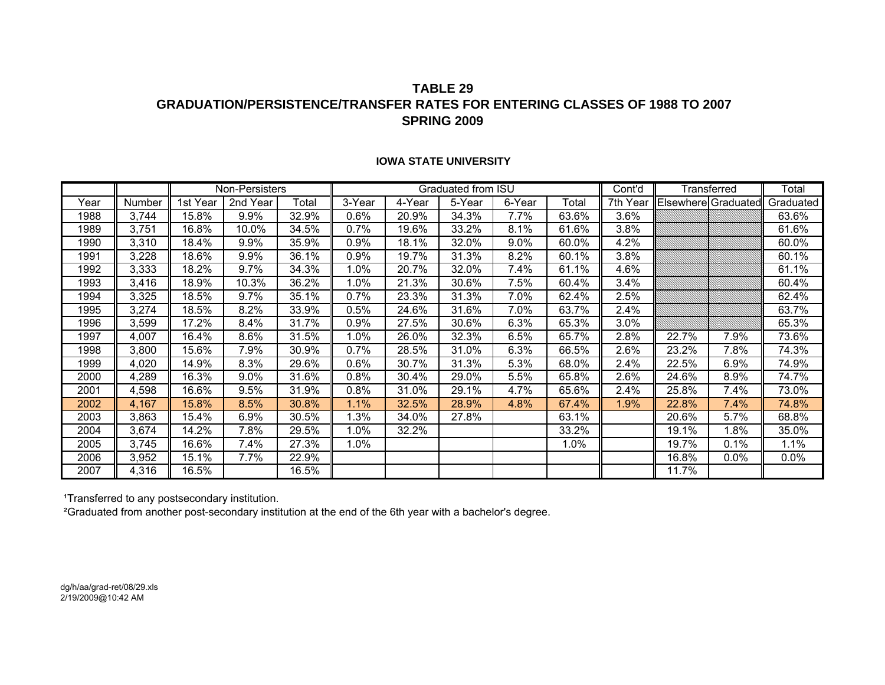### **TABLE 29GRADUATION/PERSISTENCE/TRANSFER RATES FOR ENTERING CLASSES OF 1988 TO 2007SPRING 2009**

|      |        |          | Non-Persisters |       |         |        | Graduated from ISU |        |       | Cont'd   |                     | Transferred | Total     |
|------|--------|----------|----------------|-------|---------|--------|--------------------|--------|-------|----------|---------------------|-------------|-----------|
| Year | Number | 1st Year | 2nd Year       | Total | 3-Year  | 4-Year | 5-Year             | 6-Year | Total | 7th Year | Elsewhere Graduated |             | Graduated |
| 1988 | 3,744  | 15.8%    | 9.9%           | 32.9% | $0.6\%$ | 20.9%  | 34.3%              | 7.7%   | 63.6% | 3.6%     |                     |             | 63.6%     |
| 1989 | 3,751  | 16.8%    | 10.0%          | 34.5% | 0.7%    | 19.6%  | 33.2%              | 8.1%   | 61.6% | 3.8%     |                     |             | 61.6%     |
| 1990 | 3,310  | 18.4%    | $9.9\%$        | 35.9% | $0.9\%$ | 18.1%  | 32.0%              | 9.0%   | 60.0% | 4.2%     |                     |             | 60.0%     |
| 1991 | 3,228  | 18.6%    | 9.9%           | 36.1% | 0.9%    | 19.7%  | 31.3%              | 8.2%   | 60.1% | 3.8%     |                     |             | 60.1%     |
| 1992 | 3,333  | 18.2%    | $9.7\%$        | 34.3% | $1.0\%$ | 20.7%  | 32.0%              | 7.4%   | 61.1% | 4.6%     |                     |             | 61.1%     |
| 1993 | 3,416  | 18.9%    | 10.3%          | 36.2% | 1.0%    | 21.3%  | 30.6%              | 7.5%   | 60.4% | 3.4%     |                     |             | 60.4%     |
| 1994 | 3,325  | 18.5%    | 9.7%           | 35.1% | $0.7\%$ | 23.3%  | 31.3%              | 7.0%   | 62.4% | 2.5%     |                     |             | 62.4%     |
| 1995 | 3,274  | 18.5%    | 8.2%           | 33.9% | 0.5%    | 24.6%  | 31.6%              | 7.0%   | 63.7% | 2.4%     |                     |             | 63.7%     |
| 1996 | 3,599  | 17.2%    | 8.4%           | 31.7% | 0.9%    | 27.5%  | 30.6%              | 6.3%   | 65.3% | 3.0%     |                     |             | 65.3%     |
| 1997 | 4,007  | 16.4%    | 8.6%           | 31.5% | 1.0%    | 26.0%  | 32.3%              | 6.5%   | 65.7% | 2.8%     | 22.7%               | 7.9%        | 73.6%     |
| 1998 | 3,800  | 15.6%    | 7.9%           | 30.9% | 0.7%    | 28.5%  | 31.0%              | 6.3%   | 66.5% | 2.6%     | 23.2%               | 7.8%        | 74.3%     |
| 1999 | 4,020  | 14.9%    | 8.3%           | 29.6% | $0.6\%$ | 30.7%  | 31.3%              | 5.3%   | 68.0% | 2.4%     | 22.5%               | 6.9%        | 74.9%     |
| 2000 | 4,289  | 16.3%    | $9.0\%$        | 31.6% | 0.8%    | 30.4%  | 29.0%              | 5.5%   | 65.8% | 2.6%     | 24.6%               | 8.9%        | 74.7%     |
| 2001 | 4,598  | 16.6%    | 9.5%           | 31.9% | $0.8\%$ | 31.0%  | 29.1%              | 4.7%   | 65.6% | 2.4%     | 25.8%               | 7.4%        | 73.0%     |
| 2002 | 4,167  | 15.8%    | 8.5%           | 30.8% | 1.1%    | 32.5%  | 28.9%              | 4.8%   | 67.4% | 1.9%     | 22.8%               | 7.4%        | 74.8%     |
| 2003 | 3,863  | 15.4%    | 6.9%           | 30.5% | 1.3%    | 34.0%  | 27.8%              |        | 63.1% |          | 20.6%               | 5.7%        | 68.8%     |
| 2004 | 3,674  | 14.2%    | 7.8%           | 29.5% | 1.0%    | 32.2%  |                    |        | 33.2% |          | 19.1%               | 1.8%        | 35.0%     |
| 2005 | 3,745  | 16.6%    | 7.4%           | 27.3% | 1.0%    |        |                    |        | 1.0%  |          | 19.7%               | 0.1%        | 1.1%      |
| 2006 | 3,952  | 15.1%    | 7.7%           | 22.9% |         |        |                    |        |       |          | 16.8%               | $0.0\%$     | $0.0\%$   |
| 2007 | 4,316  | 16.5%    |                | 16.5% |         |        |                    |        |       |          | 11.7%               |             |           |

#### **IOWA STATE UNIVERSITY**

1Transferred to any postsecondary institution.

²Graduated from another post-secondary institution at the end of the 6th year with a bachelor's degree.

dg/h/aa/grad-ret/08/29.xls 2/19/2009@10:42 AM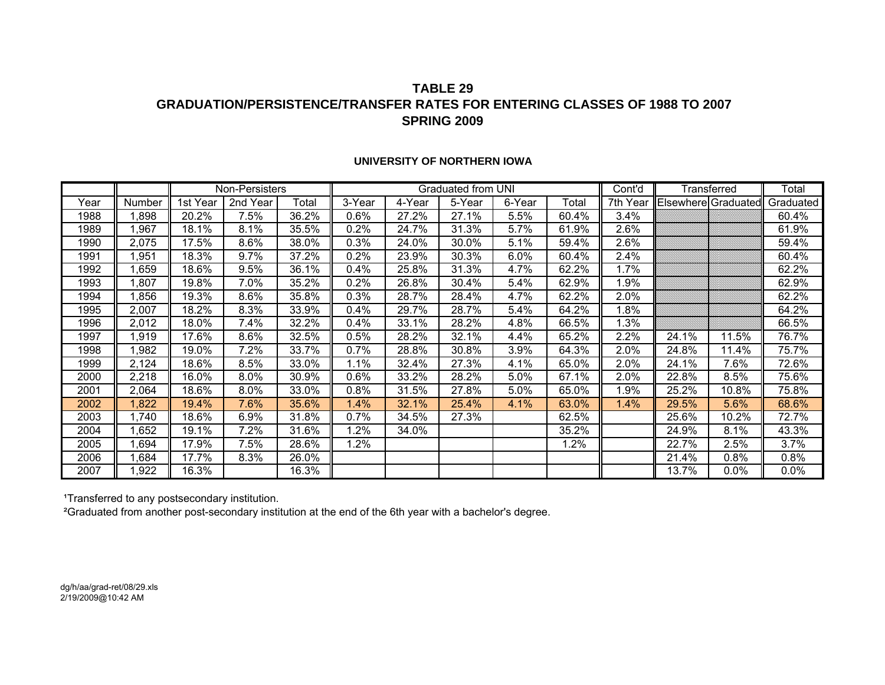### **TABLE 29GRADUATION/PERSISTENCE/TRANSFER RATES FOR ENTERING CLASSES OF 1988 TO 2007SPRING 2009**

|      |        |          | Non-Persisters |       |         |        | Graduated from UNI |        |       | Cont'd   |                     | Transferred | Total     |
|------|--------|----------|----------------|-------|---------|--------|--------------------|--------|-------|----------|---------------------|-------------|-----------|
| Year | Number | 1st Year | 2nd Year       | Total | 3-Year  | 4-Year | 5-Year             | 6-Year | Total | 7th Year | Elsewhere Graduated |             | Graduated |
| 1988 | ,898   | 20.2%    | 7.5%           | 36.2% | $0.6\%$ | 27.2%  | 27.1%              | 5.5%   | 60.4% | 3.4%     |                     |             | 60.4%     |
| 1989 | ,967   | 18.1%    | 8.1%           | 35.5% | $0.2\%$ | 24.7%  | 31.3%              | 5.7%   | 61.9% | 2.6%     |                     |             | 61.9%     |
| 1990 | 2,075  | 17.5%    | 8.6%           | 38.0% | 0.3%    | 24.0%  | 30.0%              | 5.1%   | 59.4% | 2.6%     |                     |             | 59.4%     |
| 1991 | ,951   | 18.3%    | 9.7%           | 37.2% | $0.2\%$ | 23.9%  | 30.3%              | 6.0%   | 60.4% | 2.4%     |                     |             | 60.4%     |
| 1992 | ,659   | 18.6%    | 9.5%           | 36.1% | $0.4\%$ | 25.8%  | 31.3%              | 4.7%   | 62.2% | 1.7%     |                     |             | 62.2%     |
| 1993 | ,807   | 19.8%    | 7.0%           | 35.2% | 0.2%    | 26.8%  | 30.4%              | 5.4%   | 62.9% | 1.9%     |                     |             | 62.9%     |
| 1994 | ,856   | 19.3%    | 8.6%           | 35.8% | 0.3%    | 28.7%  | 28.4%              | 4.7%   | 62.2% | 2.0%     |                     |             | 62.2%     |
| 1995 | 2,007  | 18.2%    | 8.3%           | 33.9% | $0.4\%$ | 29.7%  | 28.7%              | 5.4%   | 64.2% | 1.8%     |                     |             | 64.2%     |
| 1996 | 2,012  | 18.0%    | 7.4%           | 32.2% | $0.4\%$ | 33.1%  | 28.2%              | 4.8%   | 66.5% | 1.3%     |                     |             | 66.5%     |
| 1997 | ,919   | 17.6%    | 8.6%           | 32.5% | 0.5%    | 28.2%  | 32.1%              | 4.4%   | 65.2% | 2.2%     | 24.1%               | 11.5%       | 76.7%     |
| 1998 | ,982   | 19.0%    | 7.2%           | 33.7% | $0.7\%$ | 28.8%  | 30.8%              | 3.9%   | 64.3% | 2.0%     | 24.8%               | 11.4%       | 75.7%     |
| 1999 | 2,124  | 18.6%    | 8.5%           | 33.0% | 1.1%    | 32.4%  | 27.3%              | 4.1%   | 65.0% | 2.0%     | 24.1%               | 7.6%        | 72.6%     |
| 2000 | 2,218  | 16.0%    | 8.0%           | 30.9% | 0.6%    | 33.2%  | 28.2%              | 5.0%   | 67.1% | 2.0%     | 22.8%               | 8.5%        | 75.6%     |
| 2001 | 2,064  | 18.6%    | 8.0%           | 33.0% | $0.8\%$ | 31.5%  | 27.8%              | 5.0%   | 65.0% | l.9%     | 25.2%               | 10.8%       | 75.8%     |
| 2002 | ,822   | 19.4%    | 7.6%           | 35.6% | $1.4\%$ | 32.1%  | 25.4%              | 4.1%   | 63.0% | 1.4%     | 29.5%               | 5.6%        | 68.6%     |
| 2003 | 740,ا  | 18.6%    | 6.9%           | 31.8% | 0.7%    | 34.5%  | 27.3%              |        | 62.5% |          | 25.6%               | 10.2%       | 72.7%     |
| 2004 | ,652   | 19.1%    | 7.2%           | 31.6% | 1.2%    | 34.0%  |                    |        | 35.2% |          | 24.9%               | 8.1%        | 43.3%     |
| 2005 | ,694   | 17.9%    | 7.5%           | 28.6% | 1.2%    |        |                    |        | 1.2%  |          | 22.7%               | 2.5%        | 3.7%      |
| 2006 | ,684   | 17.7%    | 8.3%           | 26.0% |         |        |                    |        |       |          | 21.4%               | $0.8\%$     | 0.8%      |
| 2007 | ,922   | 16.3%    |                | 16.3% |         |        |                    |        |       |          | 13.7%               | 0.0%        | $0.0\%$   |

#### **UNIVERSITY OF NORTHERN IOWA**

1Transferred to any postsecondary institution.

²Graduated from another post-secondary institution at the end of the 6th year with a bachelor's degree.

dg/h/aa/grad-ret/08/29.xls 2/19/2009@10:42 AM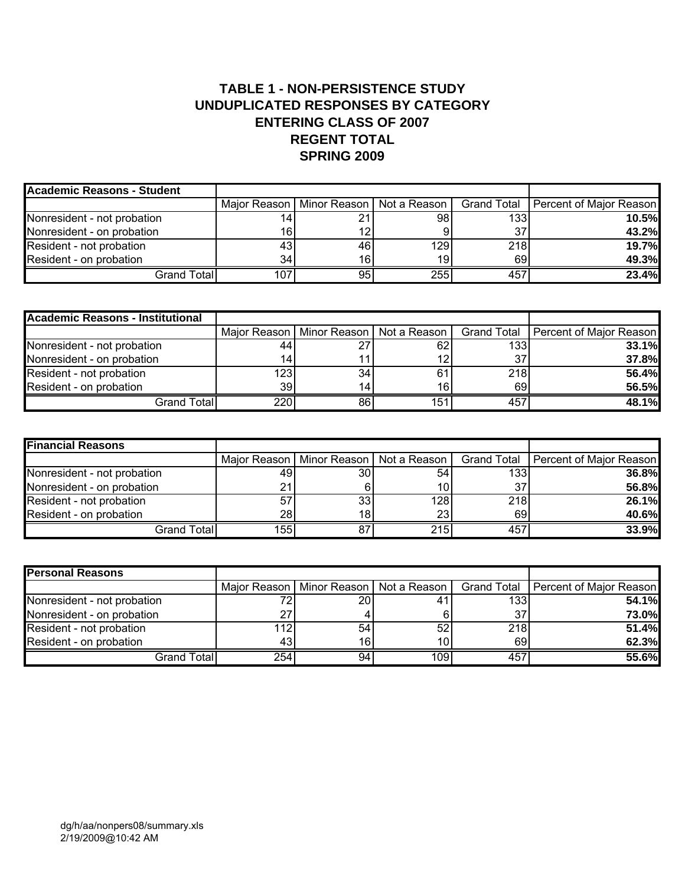## **TABLE 1 - NON-PERSISTENCE STUDY UNDUPLICATED RESPONSES BY CATEGORY ENTERING CLASS OF 2007 REGENT TOTAL SPRING 2009**

| <b>Academic Reasons - Student</b> |                 |     |                                            |     |                                       |
|-----------------------------------|-----------------|-----|--------------------------------------------|-----|---------------------------------------|
|                                   |                 |     | Major Reason   Minor Reason   Not a Reason |     | Grand Total   Percent of Major Reason |
| Nonresident - not probation       |                 | 21  | 98                                         | 133 | 10.5%                                 |
| Nonresident - on probation        | 16.             | 12  |                                            | 37  | 43.2%                                 |
| Resident - not probation          | 43              | 461 | 129                                        | 218 | 19.7%                                 |
| Resident - on probation           | 34 <sub>1</sub> | 16  | 19                                         | 69  | 49.3%                                 |
| Grand Total                       | 107             | 95  | 255                                        | 457 | 23.4%                                 |

| <b>Academic Reasons - Institutional</b> |     |     |                                            |     |                                       |
|-----------------------------------------|-----|-----|--------------------------------------------|-----|---------------------------------------|
|                                         |     |     | Major Reason   Minor Reason   Not a Reason |     | Grand Total   Percent of Major Reason |
| Nonresident - not probation             | 44  | 27  | 62                                         | 133 | 33.1%                                 |
| Nonresident - on probation              |     | 11  |                                            | 37  | 37.8%                                 |
| Resident - not probation                | 123 | 34  | 61                                         | 218 | 56.4%                                 |
| Resident - on probation                 | 39  | 14l | 16l                                        | 69  | 56.5%                                 |
| Grand Total                             | 220 | 86  | 151                                        | 457 | 48.1%                                 |

| <b>Financial Reasons</b>    |     |                 |                                            |     |                                       |
|-----------------------------|-----|-----------------|--------------------------------------------|-----|---------------------------------------|
|                             |     |                 | Major Reason   Minor Reason   Not a Reason |     | Grand Total   Percent of Major Reason |
| Nonresident - not probation | 49  | 30I             | 54 I                                       | 133 | 36.8%                                 |
| Nonresident - on probation  | 21  |                 | 10ı                                        | 37  | 56.8%                                 |
| Resident - not probation    | 57  | 33 <sub>1</sub> | 128                                        | 218 | 26.1%                                 |
| Resident - on probation     | 28  | 181             | 23I                                        | 69  | 40.6%                                 |
| Grand Total                 | 155 | 87              | 215                                        | 457 | 33.9%                                 |

| <b>Personal Reasons</b>     |     |     |                                            |     |                                       |
|-----------------------------|-----|-----|--------------------------------------------|-----|---------------------------------------|
|                             |     |     | Maior Reason   Minor Reason   Not a Reason |     | Grand Total   Percent of Major Reason |
| Nonresident - not probation |     | 20I |                                            | 133 | 54.1%                                 |
| Nonresident - on probation  | 27  |     |                                            | 37  | <b>73.0%</b>                          |
| Resident - not probation    | 112 | 54  | 52                                         | 218 | 51.4%                                 |
| Resident - on probation     | 43  | 16  | 10                                         | 69  | 62.3%                                 |
| Grand Total                 | 254 | 94  | 109                                        | 457 | 55.6%                                 |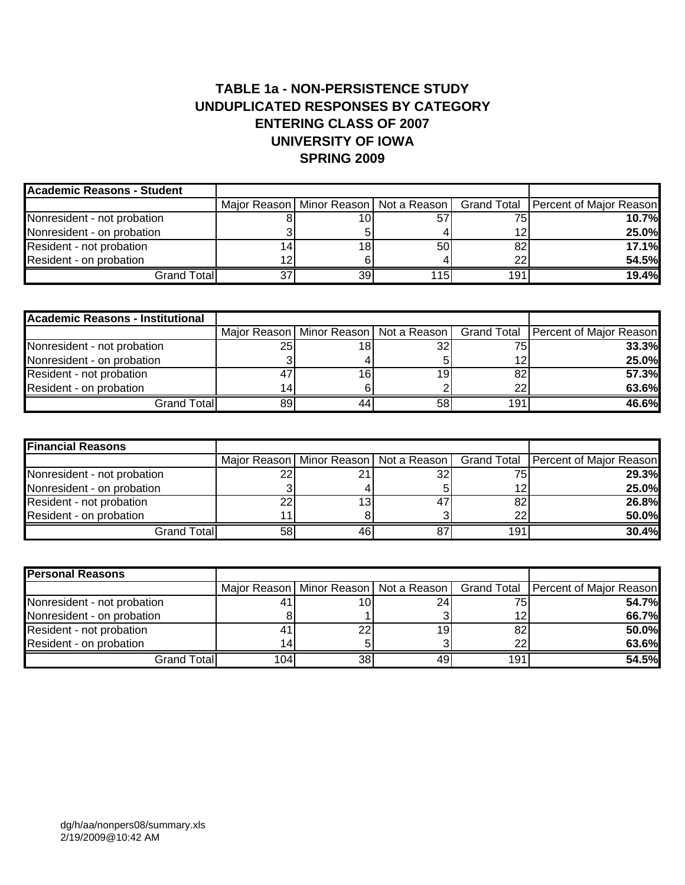# **TABLE 1a - NON-PERSISTENCE STUDY UNDUPLICATED RESPONSES BY CATEGORY ENTERING CLASS OF 2007 UNIVERSITY OF IOWA SPRING 2009**

| <b>Academic Reasons - Student</b> |                 |     |     |                                                                                    |
|-----------------------------------|-----------------|-----|-----|------------------------------------------------------------------------------------|
|                                   |                 |     |     | Major Reason   Minor Reason   Not a Reason   Grand Total   Percent of Major Reason |
| Nonresident - not probation       | 10              |     | 75  | 10.7%                                                                              |
| Nonresident - on probation        |                 |     | 12  | 25.0%                                                                              |
| Resident - not probation          | 18 <sub>1</sub> | 50  | 82  | 17.1%                                                                              |
| Resident - on probation           |                 |     | 22  | 54.5%                                                                              |
| Grand Total                       | 39              | 115 | 191 | 19.4%                                                                              |

| <b>Academic Reasons - Institutional</b> |                |     |                                            |     |                                              |
|-----------------------------------------|----------------|-----|--------------------------------------------|-----|----------------------------------------------|
|                                         |                |     | Major Reason   Minor Reason   Not a Reason |     | <b>Grand Total   Percent of Major Reason</b> |
| Nonresident - not probation             | 25             | 18I |                                            | 75. | <b>33.3%</b>                                 |
| Nonresident - on probation              |                |     |                                            | ィつ  | 25.0%                                        |
| Resident - not probation                | $\overline{4}$ | 16  | 191                                        | 82  | 57.3%                                        |
| Resident - on probation                 | 14             | 61  |                                            | 22  | 63.6%                                        |
| <b>Grand Total</b>                      | 89             | 44  | 58 I                                       | 191 | 46.6%                                        |

| <b>Financial Reasons</b>    |    |     |    |     |                                                                                    |
|-----------------------------|----|-----|----|-----|------------------------------------------------------------------------------------|
|                             |    |     |    |     | Major Reason   Minor Reason   Not a Reason   Grand Total   Percent of Major Reason |
| Nonresident - not probation | nr | 21  | 32 | 75  | 29.3%                                                                              |
| Nonresident - on probation  |    |     |    | 12  | 25.0%                                                                              |
| Resident - not probation    | 22 | 13  |    | 82  | 26.8%                                                                              |
| Resident - on probation     |    |     |    | 22  | 50.0%                                                                              |
| Grand Total                 | 58 | 461 |    | 191 | 30.4%                                                                              |

| <b>Personal Reasons</b>     |                  |    |     |     |                                                                                    |
|-----------------------------|------------------|----|-----|-----|------------------------------------------------------------------------------------|
|                             |                  |    |     |     | Major Reason   Minor Reason   Not a Reason   Grand Total   Percent of Major Reason |
| Nonresident - not probation |                  |    | 24  | 75  | 54.7%                                                                              |
| Nonresident - on probation  |                  |    |     | 12  | 66.7%                                                                              |
| Resident - not probation    |                  | 22 | 19. | 82  | 50.0%                                                                              |
| Resident - on probation     |                  |    |     | 22  | 63.6%                                                                              |
| Grand Total                 | 104 <sub>1</sub> | 38 | 49  | 191 | 54.5%                                                                              |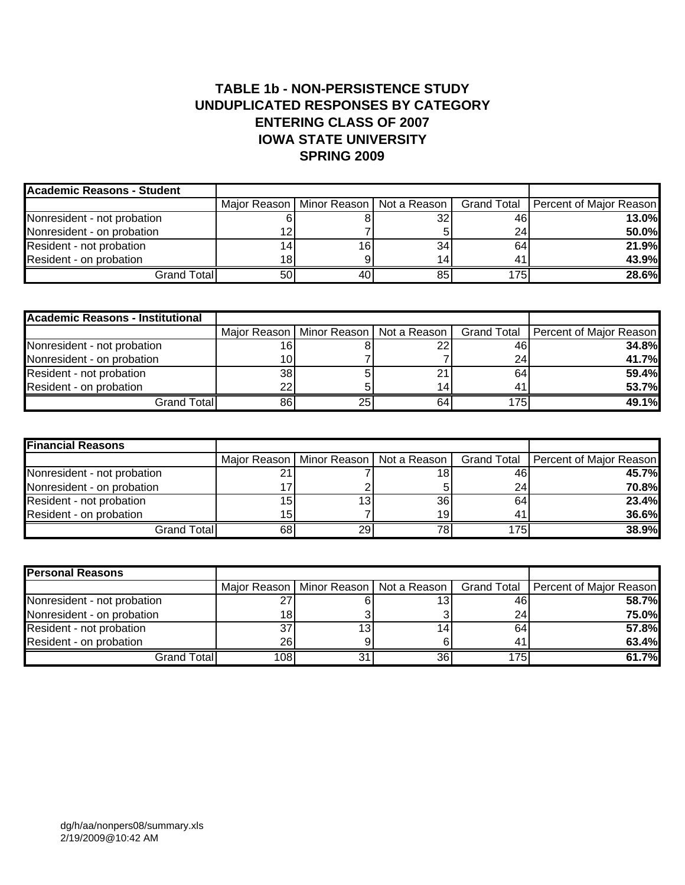## **TABLE 1b - NON-PERSISTENCE STUDY UNDUPLICATED RESPONSES BY CATEGORY ENTERING CLASS OF 2007 IOWA STATE UNIVERSITY SPRING 2009**

| <b>Academic Reasons - Student</b> |     |    |                                            |     |                                       |
|-----------------------------------|-----|----|--------------------------------------------|-----|---------------------------------------|
|                                   |     |    | Major Reason   Minor Reason   Not a Reason |     | Grand Total   Percent of Major Reason |
| Nonresident - not probation       |     |    | 32                                         | 46  | 13.0%                                 |
| Nonresident - on probation        |     |    |                                            | 24  | 50.0%                                 |
| Resident - not probation          |     | 16 | 34                                         | 64  | 21.9%                                 |
| Resident - on probation           | 18. |    |                                            | 41  | 43.9%                                 |
| Grand Totall                      | 50  | 40 |                                            | 175 | 28.6%                                 |

| <b>Academic Reasons - Institutional</b> |    |     |                                            |     |                                       |
|-----------------------------------------|----|-----|--------------------------------------------|-----|---------------------------------------|
|                                         |    |     | Major Reason   Minor Reason   Not a Reason |     | Grand Total   Percent of Major Reason |
| Nonresident - not probation             |    |     |                                            | 46  | <b>34.8%</b>                          |
| Nonresident - on probation              |    |     |                                            | 24  | 41.7%                                 |
| Resident - not probation                | 38 |     |                                            | 64  | 59.4%                                 |
| Resident - on probation                 | າາ |     |                                            | 41  | 53.7%                                 |
| Grand Total                             | 86 | 25I | 64                                         | 175 | 49.1%                                 |

| <b>Financial Reasons</b>    |                    |                 |                                            |     |                                       |
|-----------------------------|--------------------|-----------------|--------------------------------------------|-----|---------------------------------------|
|                             |                    |                 | Major Reason   Minor Reason   Not a Reason |     | Grand Total   Percent of Major Reason |
| Nonresident - not probation | $\mathcal{L}$<br>∠ |                 |                                            | 46  | 45.7%                                 |
| Nonresident - on probation  |                    |                 |                                            | 24  | 70.8%                                 |
| Resident - not probation    | 15                 | 13 <sub>1</sub> | 36                                         | 64  | 23.4%                                 |
| Resident - on probation     | 15                 |                 | 19                                         | 41  | 36.6%                                 |
| Grand Total                 | 68                 | 29              |                                            | 175 | 38.9%                                 |

| <b>Personal Reasons</b>     |                  |    |                                            |     |                                       |
|-----------------------------|------------------|----|--------------------------------------------|-----|---------------------------------------|
|                             |                  |    | Major Reason   Minor Reason   Not a Reason |     | Grand Total   Percent of Major Reason |
| Nonresident - not probation | $\sim$           |    | 13                                         | 46  | <b>58.7%</b>                          |
| Nonresident - on probation  | 18.              |    |                                            | 24  | <b>75.0%</b>                          |
| Resident - not probation    | 37               | 13 |                                            | 64  | 57.8%                                 |
| Resident - on probation     | 26               |    |                                            | 41  | 63.4%                                 |
| Grand Total                 | 108 <sub>1</sub> | 31 | 36                                         | 175 | 61.7%                                 |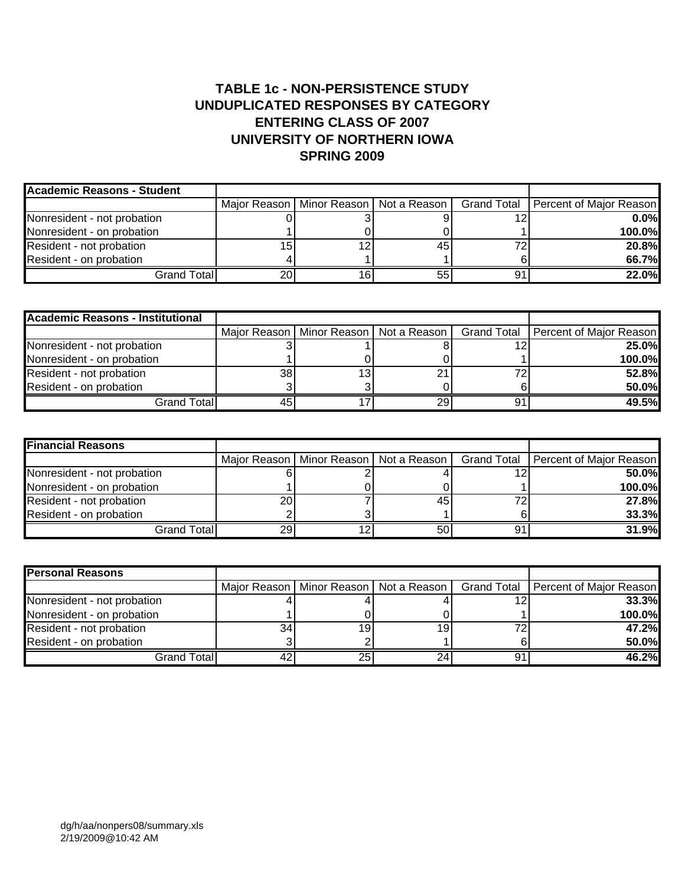## **TABLE 1c - NON-PERSISTENCE STUDY UNDUPLICATED RESPONSES BY CATEGORY ENTERING CLASS OF 2007 UNIVERSITY OF NORTHERN IOWA SPRING 2009**

| <b>Academic Reasons - Student</b> |    |    |    |    |                                                                                    |
|-----------------------------------|----|----|----|----|------------------------------------------------------------------------------------|
|                                   |    |    |    |    | Major Reason   Minor Reason   Not a Reason   Grand Total   Percent of Major Reason |
| Nonresident - not probation       |    |    |    | ィク | $0.0\%$                                                                            |
| Nonresident - on probation        |    |    |    |    | 100.0%                                                                             |
| Resident - not probation          | 15 |    | 45 | 72 | 20.8%                                                                              |
| Resident - on probation           |    |    |    |    | 66.7%                                                                              |
| Grand Total                       | 20 | 16 |    | 91 | 22.0%                                                                              |

| <b>Academic Reasons - Institutional</b> |    |                 |                                            |    |                                       |
|-----------------------------------------|----|-----------------|--------------------------------------------|----|---------------------------------------|
|                                         |    |                 | Major Reason   Minor Reason   Not a Reason |    | Grand Total   Percent of Major Reason |
| Nonresident - not probation             |    |                 |                                            |    | 25.0%                                 |
| Nonresident - on probation              |    |                 |                                            |    | 100.0%                                |
| Resident - not probation                | 38 | 13 <sub>l</sub> |                                            |    | 52.8%                                 |
| Resident - on probation                 |    |                 |                                            |    | 50.0%                                 |
| Grand Total                             | 45 |                 | 29I                                        | 91 | 49.5%                                 |

| <b>Financial Reasons</b>    |    |                                            |    |                                       |
|-----------------------------|----|--------------------------------------------|----|---------------------------------------|
|                             |    | Major Reason   Minor Reason   Not a Reason |    | Grand Total   Percent of Major Reason |
| Nonresident - not probation |    |                                            |    | 50.0%                                 |
| Nonresident - on probation  |    |                                            |    | 100.0%                                |
| Resident - not probation    | 20 | 45                                         |    | 27.8%                                 |
| Resident - on probation     |    |                                            |    | 33.3%                                 |
| Grand Total                 | 29 | 50                                         | 91 | 31.9%                                 |

| <b>Personal Reasons</b>     |           |    |                                            |    |                                       |
|-----------------------------|-----------|----|--------------------------------------------|----|---------------------------------------|
|                             |           |    | Major Reason   Minor Reason   Not a Reason |    | Grand Total   Percent of Major Reason |
| Nonresident - not probation |           |    |                                            |    | 33.3%                                 |
| Nonresident - on probation  |           |    |                                            |    | 100.0%                                |
| Resident - not probation    | 34        | 19 | 19                                         | 72 | 47.2%                                 |
| Resident - on probation     |           |    |                                            |    | 50.0%                                 |
| Grand Total                 | $4^\circ$ | 25 | 24.                                        | 91 | 46.2%                                 |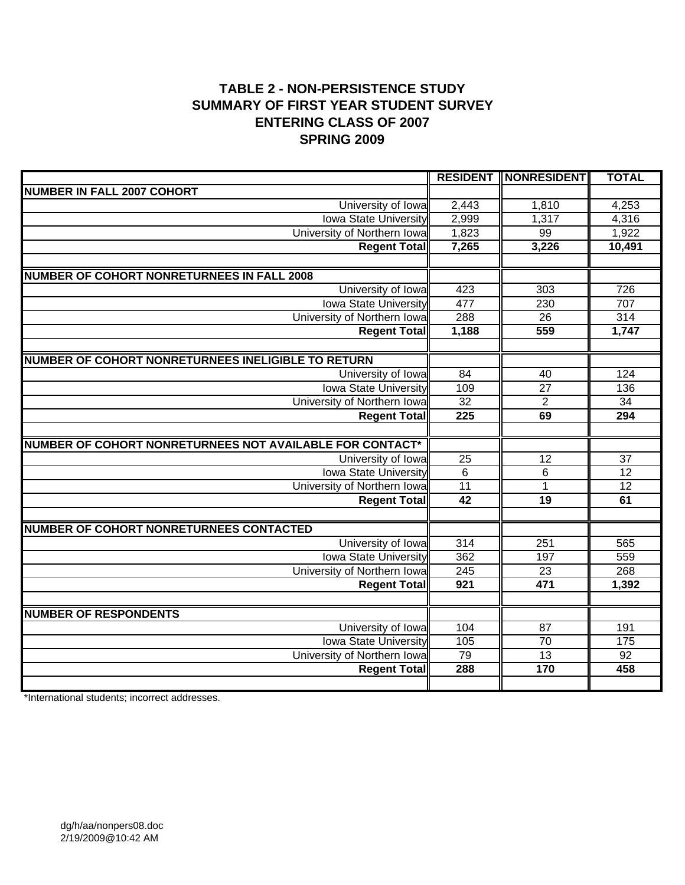# **TABLE 2 - NON-PERSISTENCE STUDY SUMMARY OF FIRST YEAR STUDENT SURVEY ENTERING CLASS OF 2007 SPRING 2009**

|                                                          | <b>RESIDENT</b>  | <b>NONRESIDENT</b> | <b>TOTAL</b>    |
|----------------------------------------------------------|------------------|--------------------|-----------------|
| <b>NUMBER IN FALL 2007 COHORT</b>                        |                  |                    |                 |
| University of Iowa                                       | 2,443            | 1,810              | 4,253           |
| <b>Iowa State University</b>                             | 2,999            | 1,317              | 4,316           |
| University of Northern Iowa                              | 1,823            | 99                 | 1,922           |
| <b>Regent Total</b>                                      | 7,265            | 3,226              | 10,491          |
|                                                          |                  |                    |                 |
| <b>NUMBER OF COHORT NONRETURNEES IN FALL 2008</b>        |                  |                    |                 |
| University of Iowa                                       | 423              | 303                | 726             |
| <b>Iowa State University</b>                             | 477              | 230                | 707             |
| University of Northern Iowa                              | 288              | $\overline{26}$    | 314             |
| <b>Regent Total</b>                                      | 1,188            | 559                | 1,747           |
|                                                          |                  |                    |                 |
| NUMBER OF COHORT NONRETURNEES INELIGIBLE TO RETURN       |                  |                    |                 |
| University of Iowa                                       | 84               | 40                 | 124             |
| <b>Iowa State University</b>                             | 109              | $\overline{27}$    | 136             |
| University of Northern Iowa                              | 32               | $\overline{2}$     | $\overline{34}$ |
| <b>Regent Total</b>                                      | $\overline{225}$ | 69                 | 294             |
|                                                          |                  |                    |                 |
| NUMBER OF COHORT NONRETURNEES NOT AVAILABLE FOR CONTACT* |                  |                    |                 |
| University of Iowa                                       | $\overline{25}$  | 12                 | $\overline{37}$ |
| <b>Iowa State University</b>                             | $\overline{6}$   | $6\phantom{1}6$    | $\overline{12}$ |
| University of Northern Iowa                              | 11               | $\mathbf{1}$       | $\overline{12}$ |
| <b>Regent Total</b>                                      | $\overline{42}$  | 19                 | 61              |
|                                                          |                  |                    |                 |
| <b>NUMBER OF COHORT NONRETURNEES CONTACTED</b>           |                  |                    |                 |
| University of Iowa                                       | 314              | 251                | 565             |
| <b>Iowa State University</b>                             | 362              | 197                | 559             |
| University of Northern Iowa                              | $\overline{245}$ | 23                 | 268             |
| <b>Regent Total</b>                                      | 921              | 471                | 1,392           |
|                                                          |                  |                    |                 |
| <b>NUMBER OF RESPONDENTS</b>                             |                  |                    |                 |
| University of Iowa                                       | 104              | 87                 | 191             |
| <b>Iowa State University</b>                             | 105              | $\overline{70}$    | 175             |
| University of Northern Iowa                              | 79               | 13                 | $\overline{92}$ |
| <b>Regent Total</b>                                      | 288              | 170                | 458             |
|                                                          |                  |                    |                 |

\*International students; incorrect addresses.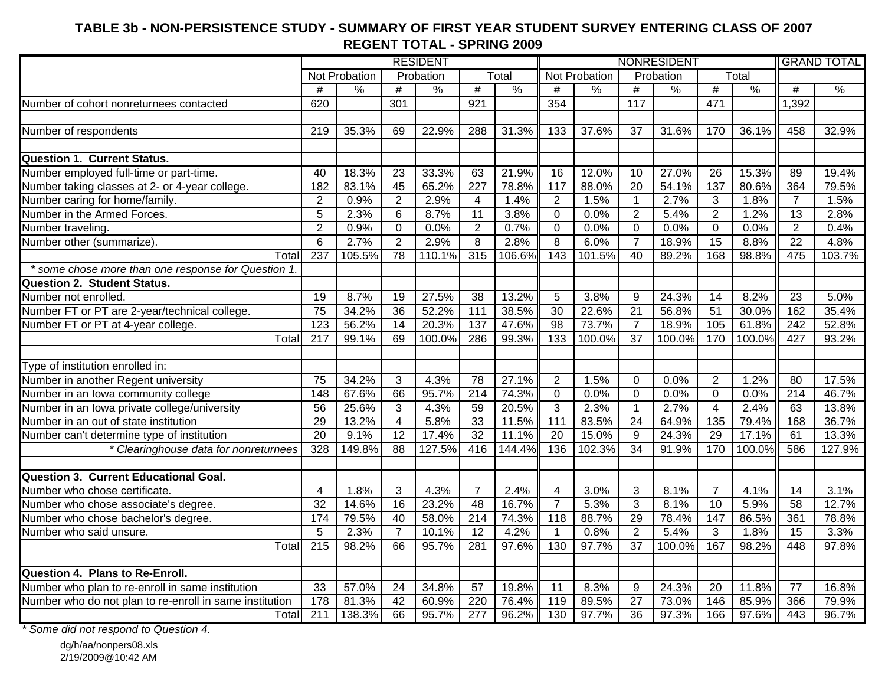# **TABLE 3b - NON-PERSISTENCE STUDY - SUMMARY OF FIRST YEAR STUDENT SURVEY ENTERING CLASS OF 2007 REGENT TOTAL - SPRING 2009**

|                                                         |                  |               |                 | <b>RESIDENT</b> |                  |               |                  |               |                 | <b>NONRESIDENT</b> |                 |               | <b>GRAND TOTAL</b> |               |
|---------------------------------------------------------|------------------|---------------|-----------------|-----------------|------------------|---------------|------------------|---------------|-----------------|--------------------|-----------------|---------------|--------------------|---------------|
|                                                         |                  | Not Probation |                 | Probation       |                  | Total         |                  | Not Probation |                 | Probation          |                 | Total         |                    |               |
|                                                         | #                | $\%$          | #               | $\frac{9}{6}$   | $\#$             | $\frac{9}{6}$ | #                | %             | #               | $\frac{9}{6}$      | #               | $\frac{9}{6}$ | #                  | $\frac{0}{0}$ |
| Number of cohort nonreturnees contacted                 | 620              |               | 301             |                 | 921              |               | 354              |               | 117             |                    | 471             |               | 1,392              |               |
|                                                         |                  |               |                 |                 |                  |               |                  |               |                 |                    |                 |               |                    |               |
| Number of respondents                                   | 219              | 35.3%         | 69              | 22.9%           | 288              | 31.3%         | 133              | 37.6%         | 37              | 31.6%              | 170             | 36.1%         | 458                | 32.9%         |
| <b>Question 1. Current Status.</b>                      |                  |               |                 |                 |                  |               |                  |               |                 |                    |                 |               |                    |               |
| Number employed full-time or part-time.                 | 40               | 18.3%         | 23              | 33.3%           | 63               | 21.9%         | 16               | 12.0%         | 10              | 27.0%              | 26              | 15.3%         | 89                 | 19.4%         |
| Number taking classes at 2- or 4-year college.          | 182              | 83.1%         | 45              | 65.2%           | $\overline{227}$ | 78.8%         | 117              | 88.0%         | $\overline{20}$ | 54.1%              | 137             | 80.6%         | 364                | 79.5%         |
| Number caring for home/family.                          | $\overline{2}$   | 0.9%          | $\overline{2}$  | 2.9%            | 4                | 1.4%          | $\overline{2}$   | 1.5%          | $\mathbf{1}$    | 2.7%               | 3               | 1.8%          | $\overline{7}$     | 1.5%          |
| Number in the Armed Forces.                             | $\overline{5}$   | 2.3%          | $6\phantom{1}6$ | 8.7%            | 11               | 3.8%          | $\mathbf 0$      | 0.0%          | $\overline{2}$  | 5.4%               | $\overline{2}$  | 1.2%          | 13                 | 2.8%          |
| Number traveling.                                       | $\overline{2}$   | 0.9%          | $\overline{0}$  | 0.0%            | $\overline{2}$   | 0.7%          | $\overline{0}$   | 0.0%          | $\overline{0}$  | 0.0%               | $\mathbf 0$     | 0.0%          | $\overline{2}$     | 0.4%          |
| Number other (summarize).                               | 6                | 2.7%          | $\overline{2}$  | 2.9%            | $\overline{8}$   | 2.8%          | $\overline{8}$   | 6.0%          | $\overline{7}$  | 18.9%              | 15              | 8.8%          | $\overline{22}$    | 4.8%          |
| Total                                                   | $\overline{237}$ | 105.5%        | $\overline{78}$ | 110.1%          | 315              | 106.6%        | $\overline{143}$ | 101.5%        | $\overline{40}$ | 89.2%              | 168             | 98.8%         | 475                | 103.7%        |
| * some chose more than one response for Question 1.     |                  |               |                 |                 |                  |               |                  |               |                 |                    |                 |               |                    |               |
| <b>Question 2. Student Status.</b>                      |                  |               |                 |                 |                  |               |                  |               |                 |                    |                 |               |                    |               |
| Number not enrolled.                                    | 19               | 8.7%          | 19              | 27.5%           | 38               | 13.2%         | 5                | 3.8%          | 9               | 24.3%              | 14              | 8.2%          | 23                 | 5.0%          |
| Number FT or PT are 2-year/technical college.           | $\overline{75}$  | 34.2%         | 36              | 52.2%           | $\overline{111}$ | 38.5%         | $\overline{30}$  | 22.6%         | 21              | 56.8%              | $\overline{51}$ | 30.0%         | 162                | 35.4%         |
| Number FT or PT at 4-year college.                      | 123              | 56.2%         | 14              | 20.3%           | 137              | 47.6%         | 98               | 73.7%         | $\overline{7}$  | 18.9%              | 105             | 61.8%         | 242                | 52.8%         |
| Total                                                   | $\overline{217}$ | 99.1%         | 69              | 100.0%          | 286              | 99.3%         | 133              | 100.0%        | $\overline{37}$ | 100.0%             | 170             | 100.0%        | 427                | 93.2%         |
| Type of institution enrolled in:                        |                  |               |                 |                 |                  |               |                  |               |                 |                    |                 |               |                    |               |
| Number in another Regent university                     | $\overline{75}$  | 34.2%         | 3               | 4.3%            | 78               | 27.1%         | $\overline{2}$   | 1.5%          | $\mathbf 0$     | 0.0%               | $\overline{2}$  | 1.2%          | $\overline{80}$    | 17.5%         |
| Number in an Iowa community college                     | 148              | 67.6%         | 66              | 95.7%           | 214              | 74.3%         | $\overline{0}$   | 0.0%          | $\overline{0}$  | 0.0%               | $\overline{0}$  | 0.0%          | 214                | 46.7%         |
| Number in an Iowa private college/university            | 56               | 25.6%         | 3               | 4.3%            | 59               | 20.5%         | 3                | 2.3%          | 1               | 2.7%               | $\overline{4}$  | 2.4%          | 63                 | 13.8%         |
| Number in an out of state institution                   | 29               | 13.2%         | $\overline{4}$  | 5.8%            | 33               | 11.5%         | 111              | 83.5%         | $\overline{24}$ | 64.9%              | 135             | 79.4%         | 168                | 36.7%         |
| Number can't determine type of institution              | 20               | 9.1%          | $\overline{12}$ | 17.4%           | $\overline{32}$  | 11.1%         | 20               | 15.0%         | $\overline{9}$  | 24.3%              | 29              | 17.1%         | 61                 | 13.3%         |
| * Clearinghouse data for nonreturnees                   | 328              | 149.8%        | $\overline{88}$ | 127.5%          | 416              | 144.4%        | 136              | 102.3%        | $\overline{34}$ | 91.9%              | 170             | 100.0%        | 586                | 127.9%        |
|                                                         |                  |               |                 |                 |                  |               |                  |               |                 |                    |                 |               |                    |               |
| <b>Question 3. Current Educational Goal.</b>            |                  |               |                 |                 |                  |               |                  |               |                 |                    |                 |               |                    |               |
| Number who chose certificate.                           | $\overline{4}$   | 1.8%          | 3               | 4.3%            | $\overline{7}$   | 2.4%          | 4                | 3.0%          | $\sqrt{3}$      | 8.1%               | $\overline{7}$  | 4.1%          | 14                 | 3.1%          |
| Number who chose associate's degree.                    | $\overline{32}$  | 14.6%         | 16              | 23.2%           | 48               | 16.7%         | $\overline{7}$   | 5.3%          | $\overline{3}$  | 8.1%               | $\overline{10}$ | 5.9%          | 58                 | 12.7%         |
| Number who chose bachelor's degree.                     | 174              | 79.5%         | 40              | 58.0%           | $\overline{214}$ | 74.3%         | 118              | 88.7%         | 29              | 78.4%              | 147             | 86.5%         | 361                | 78.8%         |
| Number who said unsure.                                 | 5                | 2.3%          | $\overline{7}$  | 10.1%           | $\overline{12}$  | 4.2%          | $\mathbf{1}$     | 0.8%          | $\overline{2}$  | 5.4%               | 3               | 1.8%          | $\overline{15}$    | 3.3%          |
| Total                                                   | 215              | 98.2%         | 66              | 95.7%           | 281              | 97.6%         | 130              | 97.7%         | 37              | 100.0%             | 167             | 98.2%         | 448                | 97.8%         |
| <b>Question 4. Plans to Re-Enroll.</b>                  |                  |               |                 |                 |                  |               |                  |               |                 |                    |                 |               |                    |               |
| Number who plan to re-enroll in same institution        | 33               | 57.0%         | 24              | 34.8%           | $\overline{57}$  | 19.8%         | 11               | 8.3%          | 9               | 24.3%              | 20              | 11.8%         | $\overline{77}$    | 16.8%         |
| Number who do not plan to re-enroll in same institution | 178              | 81.3%         | 42              | 60.9%           | $\overline{220}$ | 76.4%         | 119              | 89.5%         | $\overline{27}$ | 73.0%              | 146             | 85.9%         | 366                | 79.9%         |
| Total                                                   | 211              | 138.3%        | 66              | 95.7%           | 277              | 96.2%         | 130              | 97.7%         | 36              | 97.3%              | 166             | 97.6%         | 443                | 96.7%         |
|                                                         |                  |               |                 |                 |                  |               |                  |               |                 |                    |                 |               |                    |               |

*\* Some did not respond to Question 4.*

dg/h/aa/nonpers08.xls 2/19/2009@10:42 AM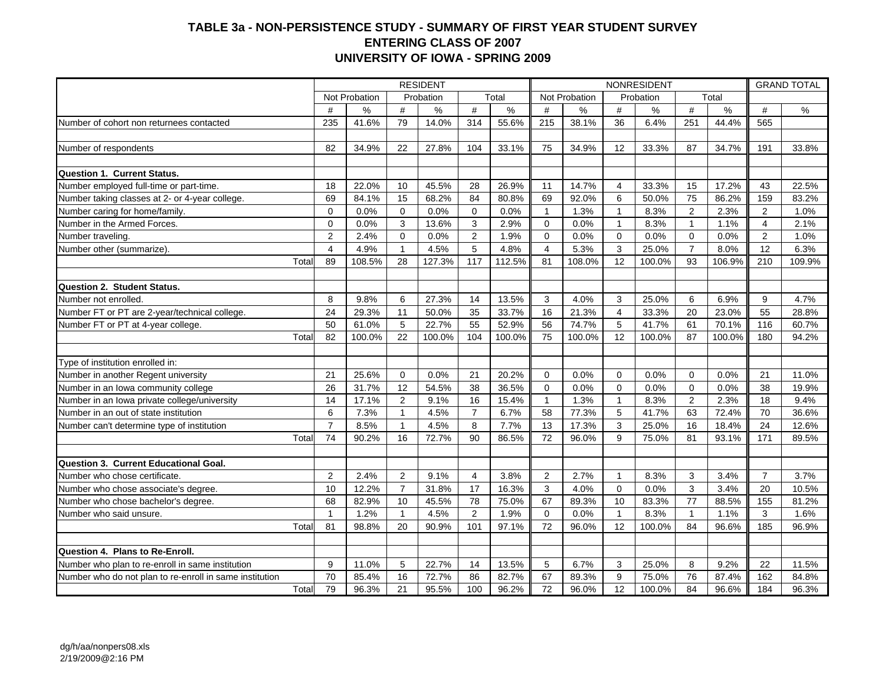#### **TABLE 3a - NON-PERSISTENCE STUDY - SUMMARY OF FIRST YEAR STUDENT SURVEY ENTERING CLASS OF 2007 UNIVERSITY OF IOWA - SPRING 2009**

|                                                         |                         |               |                | <b>RESIDENT</b> |                |        |              |               |                | NONRESIDENT |                |        | <b>GRAND TOTAL</b> |        |
|---------------------------------------------------------|-------------------------|---------------|----------------|-----------------|----------------|--------|--------------|---------------|----------------|-------------|----------------|--------|--------------------|--------|
|                                                         |                         | Not Probation |                | Probation       |                | Total  |              | Not Probation |                | Probation   |                | Total  |                    |        |
|                                                         | #                       | $\%$          | #              | %               | #              | $\%$   | #            | %             | #              | %           | #              | %      | #                  | $\%$   |
| Number of cohort non returnees contacted                | 235                     | 41.6%         | 79             | 14.0%           | 314            | 55.6%  | 215          | 38.1%         | 36             | 6.4%        | 251            | 44.4%  | 565                |        |
|                                                         |                         |               |                |                 |                |        |              |               |                |             |                |        |                    |        |
| Number of respondents                                   | 82                      | 34.9%         | 22             | 27.8%           | 104            | 33.1%  | 75           | 34.9%         | 12             | 33.3%       | 87             | 34.7%  | 191                | 33.8%  |
|                                                         |                         |               |                |                 |                |        |              |               |                |             |                |        |                    |        |
| Question 1. Current Status.                             |                         |               |                |                 |                |        |              |               |                |             |                |        |                    |        |
| Number employed full-time or part-time.                 | 18                      | 22.0%         | 10             | 45.5%           | 28             | 26.9%  | 11           | 14.7%         | $\overline{4}$ | 33.3%       | 15             | 17.2%  | 43                 | 22.5%  |
| Number taking classes at 2- or 4-year college.          | 69                      | 84.1%         | 15             | 68.2%           | 84             | 80.8%  | 69           | 92.0%         | 6              | 50.0%       | 75             | 86.2%  | 159                | 83.2%  |
| Number caring for home/family.                          | $\mathbf 0$             | 0.0%          | $\mathbf 0$    | 0.0%            | $\mathbf 0$    | 0.0%   | $\mathbf{1}$ | 1.3%          | $\mathbf{1}$   | 8.3%        | $\overline{2}$ | 2.3%   | $\overline{2}$     | 1.0%   |
| Number in the Armed Forces.                             | $\overline{0}$          | 0.0%          | 3              | 13.6%           | 3              | 2.9%   | $\Omega$     | 0.0%          | $\mathbf{1}$   | 8.3%        | $\overline{1}$ | 1.1%   | 4                  | 2.1%   |
| Number traveling.                                       | $\overline{2}$          | 2.4%          | $\Omega$       | 0.0%            | $\overline{c}$ | 1.9%   | $\Omega$     | 0.0%          | $\mathbf 0$    | 0.0%        | $\Omega$       | 0.0%   | $\overline{2}$     | 1.0%   |
| Number other (summarize).                               | $\overline{\mathbf{4}}$ | 4.9%          | $\overline{1}$ | 4.5%            | $\overline{5}$ | 4.8%   | 4            | 5.3%          | 3              | 25.0%       | $\overline{7}$ | 8.0%   | 12                 | 6.3%   |
| Total                                                   | 89                      | 108.5%        | 28             | 127.3%          | 117            | 112.5% | 81           | 108.0%        | 12             | 100.0%      | 93             | 106.9% | 210                | 109.9% |
|                                                         |                         |               |                |                 |                |        |              |               |                |             |                |        |                    |        |
| Question 2. Student Status.                             |                         |               |                |                 |                |        |              |               |                |             |                |        |                    |        |
| Number not enrolled.                                    | 8                       | 9.8%          | 6              | 27.3%           | 14             | 13.5%  | 3            | 4.0%          | 3              | 25.0%       | 6              | 6.9%   | 9                  | 4.7%   |
| Number FT or PT are 2-year/technical college.           | 24                      | 29.3%         | 11             | 50.0%           | 35             | 33.7%  | 16           | 21.3%         | $\overline{4}$ | 33.3%       | 20             | 23.0%  | 55                 | 28.8%  |
| Number FT or PT at 4-year college.                      | 50                      | 61.0%         | 5              | 22.7%           | 55             | 52.9%  | 56           | 74.7%         | 5              | 41.7%       | 61             | 70.1%  | 116                | 60.7%  |
| Total                                                   | 82                      | 100.0%        | 22             | 100.0%          | 104            | 100.0% | 75           | 100.0%        | 12             | 100.0%      | 87             | 100.0% | 180                | 94.2%  |
|                                                         |                         |               |                |                 |                |        |              |               |                |             |                |        |                    |        |
| Type of institution enrolled in:                        |                         |               |                |                 |                |        |              |               |                |             |                |        |                    |        |
| Number in another Regent university                     | 21                      | 25.6%         | $\Omega$       | 0.0%            | 21             | 20.2%  | $\Omega$     | 0.0%          | $\Omega$       | 0.0%        | $\Omega$       | 0.0%   | 21                 | 11.0%  |
| Number in an lowa community college                     | 26                      | 31.7%         | 12             | 54.5%           | 38             | 36.5%  | $\Omega$     | 0.0%          | $\Omega$       | 0.0%        | $\Omega$       | 0.0%   | 38                 | 19.9%  |
| Number in an lowa private college/university            | 14                      | 17.1%         | $\overline{2}$ | 9.1%            | 16             | 15.4%  | $\mathbf{1}$ | 1.3%          | $\mathbf{1}$   | 8.3%        | 2              | 2.3%   | 18                 | 9.4%   |
| Number in an out of state institution                   | 6                       | 7.3%          | $\overline{1}$ | 4.5%            | $\overline{7}$ | 6.7%   | 58           | 77.3%         | 5              | 41.7%       | 63             | 72.4%  | 70                 | 36.6%  |
| Number can't determine type of institution              | $\overline{7}$          | 8.5%          | $\overline{1}$ | 4.5%            | 8              | 7.7%   | 13           | 17.3%         | 3              | 25.0%       | 16             | 18.4%  | 24                 | 12.6%  |
| Total                                                   | 74                      | 90.2%         | 16             | 72.7%           | 90             | 86.5%  | 72           | 96.0%         | 9              | 75.0%       | 81             | 93.1%  | 171                | 89.5%  |
|                                                         |                         |               |                |                 |                |        |              |               |                |             |                |        |                    |        |
| Question 3. Current Educational Goal.                   |                         |               |                |                 |                |        |              |               |                |             |                |        |                    |        |
| Number who chose certificate.                           | $\overline{2}$          | 2.4%          | $\overline{2}$ | 9.1%            | $\overline{4}$ | 3.8%   | 2            | 2.7%          | $\mathbf{1}$   | 8.3%        | 3              | 3.4%   | $\overline{7}$     | 3.7%   |
| Number who chose associate's degree.                    | 10                      | 12.2%         | $\overline{7}$ | 31.8%           | 17             | 16.3%  | 3            | 4.0%          | $\Omega$       | 0.0%        | 3              | 3.4%   | 20                 | 10.5%  |
| Number who chose bachelor's degree.                     | 68                      | 82.9%         | 10             | 45.5%           | 78             | 75.0%  | 67           | 89.3%         | 10             | 83.3%       | 77             | 88.5%  | 155                | 81.2%  |
| Number who said unsure.                                 | $\mathbf{1}$            | 1.2%          | $\overline{1}$ | 4.5%            | 2              | 1.9%   | $\Omega$     | 0.0%          | $\mathbf{1}$   | 8.3%        | $\mathbf{1}$   | 1.1%   | 3                  | 1.6%   |
| Total                                                   | 81                      | 98.8%         | 20             | 90.9%           | 101            | 97.1%  | 72           | 96.0%         | 12             | 100.0%      | 84             | 96.6%  | 185                | 96.9%  |
|                                                         |                         |               |                |                 |                |        |              |               |                |             |                |        |                    |        |
| Question 4. Plans to Re-Enroll.                         |                         |               |                |                 |                |        |              |               |                |             |                |        |                    |        |
| Number who plan to re-enroll in same institution        | 9                       | 11.0%         | 5              | 22.7%           | 14             | 13.5%  | 5            | 6.7%          | 3              | 25.0%       | 8              | 9.2%   | 22                 | 11.5%  |
| Number who do not plan to re-enroll in same institution | 70                      | 85.4%         | 16             | 72.7%           | 86             | 82.7%  | 67           | 89.3%         | 9              | 75.0%       | 76             | 87.4%  | 162                | 84.8%  |
| Total                                                   | 79                      | 96.3%         | 21             | 95.5%           | 100            | 96.2%  | 72           | 96.0%         | 12             | 100.0%      | 84             | 96.6%  | 184                | 96.3%  |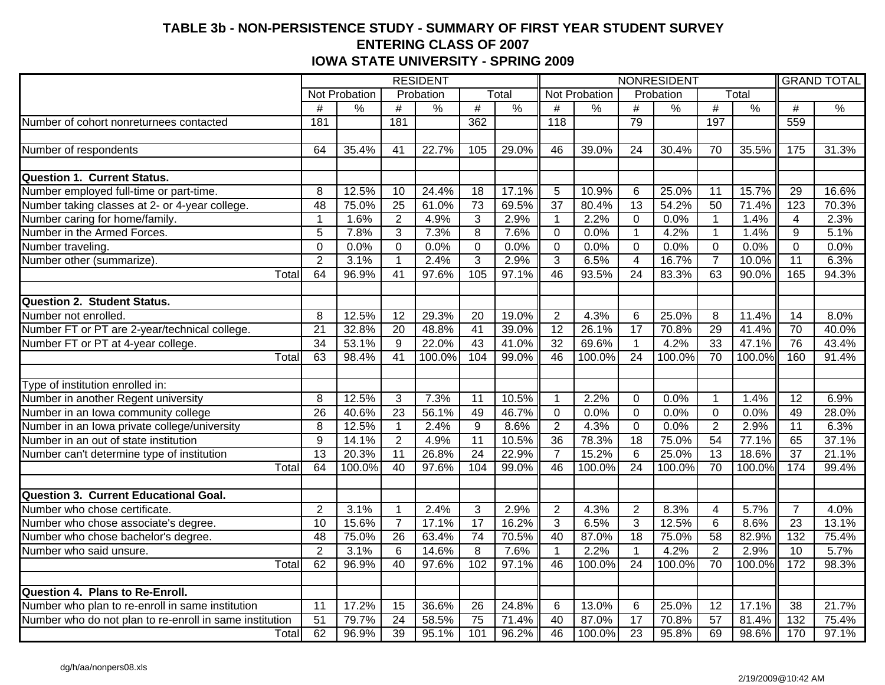### **TABLE 3b - NON-PERSISTENCE STUDY - SUMMARY OF FIRST YEAR STUDENT SURVEY ENTERING CLASS OF 2007 IOWA STATE UNIVERSITY - SPRING 2009**

|                                                         |                 |                |                       | <b>RESIDENT</b> |                       |                |                  |                |                 | NONRESIDENT    |                 |                |                   | <b>GRAND TOTAL</b> |
|---------------------------------------------------------|-----------------|----------------|-----------------------|-----------------|-----------------------|----------------|------------------|----------------|-----------------|----------------|-----------------|----------------|-------------------|--------------------|
|                                                         |                 | Not Probation  |                       | Probation       |                       | Total          |                  | Not Probation  |                 | Probation      |                 | Total          |                   |                    |
|                                                         | #               | $\%$           | $\#$                  | $\frac{1}{2}$   | $\#$                  | $\frac{0}{0}$  | #                | $\%$           | $\#$            | $\frac{1}{2}$  | $\#$            | $\frac{9}{6}$  | $\#$              | $\frac{1}{2}$      |
| Number of cohort nonreturnees contacted                 | 181             |                | 181                   |                 | 362                   |                | $\overline{118}$ |                | 79              |                | 197             |                | 559               |                    |
|                                                         |                 |                |                       |                 |                       |                |                  |                |                 |                |                 |                |                   |                    |
| Number of respondents                                   | 64              | 35.4%          | 41                    | 22.7%           | 105                   | 29.0%          | 46               | 39.0%          | $\overline{24}$ | 30.4%          | 70              | 35.5%          | $\frac{175}{175}$ | 31.3%              |
| <b>Question 1. Current Status.</b>                      |                 |                |                       |                 |                       |                |                  |                |                 |                |                 |                |                   |                    |
| Number employed full-time or part-time.                 | 8               | 12.5%          | 10                    | 24.4%           | 18                    | 17.1%          | 5                | 10.9%          | 6               | 25.0%          | 11              | 15.7%          | 29                | 16.6%              |
| Number taking classes at 2- or 4-year college.          | $\overline{48}$ | 75.0%          | $\overline{25}$       | 61.0%           | $\overline{73}$       | 69.5%          | $\overline{37}$  | 80.4%          | $\overline{13}$ | 54.2%          | 50              | 71.4%          | 123               | 70.3%              |
| Number caring for home/family.                          | $\mathbf{1}$    | 1.6%           | $\overline{2}$        | 4.9%            | 3                     | 2.9%           | $\mathbf{1}$     | 2.2%           | $\mathbf 0$     | 0.0%           | $\mathbf{1}$    | 1.4%           | 4                 | 2.3%               |
| Number in the Armed Forces.                             | $\overline{5}$  | 7.8%           | $\overline{3}$        | 7.3%            | $\overline{8}$        | 7.6%           | $\mathbf 0$      | 0.0%           | $\mathbf{1}$    | 4.2%           | $\mathbf 1$     | 1.4%           | $\overline{9}$    | 5.1%               |
| Number traveling.                                       | $\overline{0}$  | 0.0%           | $\overline{0}$        | 0.0%            | $\overline{0}$        | 0.0%           | $\mathbf 0$      | 0.0%           | $\overline{0}$  | 0.0%           | $\overline{0}$  | 0.0%           | $\overline{0}$    | 0.0%               |
|                                                         | $\overline{2}$  | 3.1%           | $\mathbf{1}$          | 2.4%            | $\overline{3}$        | 2.9%           | 3                | 6.5%           | $\overline{4}$  | 16.7%          | $\overline{7}$  | 10.0%          | 11                | 6.3%               |
| Number other (summarize).<br>Total                      | 64              | 96.9%          | 41                    | 97.6%           | 105                   | 97.1%          | 46               | 93.5%          | $\overline{24}$ | 83.3%          | 63              | 90.0%          | 165               | 94.3%              |
|                                                         |                 |                |                       |                 |                       |                |                  |                |                 |                |                 |                |                   |                    |
| <b>Question 2. Student Status.</b>                      |                 |                |                       |                 |                       |                |                  |                |                 |                |                 |                |                   |                    |
| Number not enrolled.                                    | 8               | 12.5%          | 12                    | 29.3%           | 20                    | 19.0%          | $\overline{2}$   | 4.3%           | 6               | 25.0%          | 8               | 11.4%          | 14                | 8.0%               |
| Number FT or PT are 2-year/technical college.           | $\overline{21}$ | 32.8%          | $\overline{20}$       | 48.8%           | $\overline{41}$       | 39.0%          | $\overline{12}$  | 26.1%          | 17              | 70.8%          | 29              | 41.4%          | 70                | 40.0%              |
| Number FT or PT at 4-year college.                      | $\overline{34}$ | 53.1%          | $\overline{9}$        | 22.0%           | 43                    | 41.0%          | $\overline{32}$  | 69.6%          | $\overline{1}$  | 4.2%           | 33              | 47.1%          | 76                | 43.4%              |
| Total                                                   | 63              | 98.4%          | 41                    | 100.0%          | 104                   | 99.0%          | $\overline{46}$  | 100.0%         | $\overline{24}$ | 100.0%         | $\overline{70}$ | 100.0%         | 160               | 91.4%              |
|                                                         |                 |                |                       |                 |                       |                |                  |                |                 |                |                 |                |                   |                    |
| Type of institution enrolled in:                        |                 |                |                       |                 |                       |                |                  |                |                 |                |                 |                |                   |                    |
| Number in another Regent university                     | 8               | 12.5%          | 3                     | 7.3%            | 11                    | 10.5%          | $\mathbf 1$      | 2.2%           | $\pmb{0}$       | 0.0%           | $\mathbf 1$     | 1.4%           | $\overline{12}$   | 6.9%               |
| Number in an Iowa community college                     | $\overline{26}$ | 40.6%          | $\overline{23}$       | 56.1%           | 49                    | 46.7%          | $\mathbf 0$      | 0.0%           | $\overline{0}$  | 0.0%           | $\overline{0}$  | 0.0%           | 49                | 28.0%              |
| Number in an Iowa private college/university            | 8               | 12.5%          | $\mathbf{1}$          | 2.4%            | 9                     | 8.6%           | $\overline{2}$   | 4.3%           | $\mathbf 0$     | 0.0%           | $\overline{2}$  | 2.9%           | 11                | 6.3%               |
| Number in an out of state institution                   | $\overline{9}$  | 14.1%          | $\overline{2}$        | 4.9%            | $\overline{11}$       | 10.5%          | $\overline{36}$  | 78.3%          | $\overline{18}$ | 75.0%          | $\overline{54}$ | 77.1%          | 65                | 37.1%              |
| Number can't determine type of institution              | 13              | 20.3%          | 11                    | 26.8%           | $\overline{24}$       | 22.9%          | $\overline{7}$   | 15.2%          | 6               | 25.0%          | 13              | 18.6%          | $\overline{37}$   | 21.1%              |
| Total                                                   | 64              | 100.0%         | $\overline{40}$       | 97.6%           | 104                   | 99.0%          | $\overline{46}$  | 100.0%         | $\overline{24}$ | 100.0%         | $\overline{70}$ | 100.0%         | 174               | 99.4%              |
| Question 3. Current Educational Goal.                   |                 |                |                       |                 |                       |                |                  |                |                 |                |                 |                |                   |                    |
| Number who chose certificate.                           | $\overline{2}$  | 3.1%           | $\mathbf 1$           | 2.4%            | 3                     | 2.9%           | $\overline{2}$   | 4.3%           | $\overline{2}$  | 8.3%           | 4               | 5.7%           | $\overline{7}$    | 4.0%               |
| Number who chose associate's degree.                    | 10              | 15.6%          | $\overline{7}$        | 17.1%           | $\overline{17}$       | 16.2%          | $\overline{3}$   | 6.5%           | $\overline{3}$  | 12.5%          | $\overline{6}$  | 8.6%           | $\overline{23}$   | 13.1%              |
| Number who chose bachelor's degree.                     | 48              | 75.0%          | $\overline{26}$       | 63.4%           | $\overline{74}$       | 70.5%          | 40               | 87.0%          | 18              | 75.0%          | 58              | 82.9%          | 132               | 75.4%              |
| Number who said unsure.                                 | $\overline{2}$  | 3.1%           | 6                     | 14.6%           | $\overline{8}$        | 7.6%           | $\mathbf{1}$     | 2.2%           | $\mathbf{1}$    | 4.2%           | $\overline{2}$  | 2.9%           | 10                | 5.7%               |
| $\overline{T}$ otal                                     | 62              | 96.9%          | 40                    | 97.6%           | 102                   | 97.1%          | 46               | 100.0%         | $\overline{24}$ | 100.0%         | 70              | 100.0%         | 172               | 98.3%              |
| <b>Question 4. Plans to Re-Enroll.</b>                  |                 |                |                       |                 |                       |                |                  |                |                 |                |                 |                |                   |                    |
|                                                         |                 |                |                       |                 |                       |                |                  |                |                 |                | $\overline{12}$ |                | 38                | 21.7%              |
| Number who plan to re-enroll in same institution        | 11<br>51        | 17.2%<br>79.7% | 15<br>$\overline{24}$ | 36.6%<br>58.5%  | $\overline{26}$<br>75 | 24.8%<br>71.4% | 6<br>40          | 13.0%<br>87.0% | 6<br>17         | 25.0%<br>70.8% | 57              | 17.1%<br>81.4% | 132               | 75.4%              |
| Number who do not plan to re-enroll in same institution | 62              |                | 39                    |                 |                       |                | 46               |                | 23              |                | 69              |                |                   |                    |
| Total                                                   |                 | 96.9%          |                       | 95.1%           | 101                   | 96.2%          |                  | 100.0%         |                 | 95.8%          |                 | 98.6%          | 170               | 97.1%              |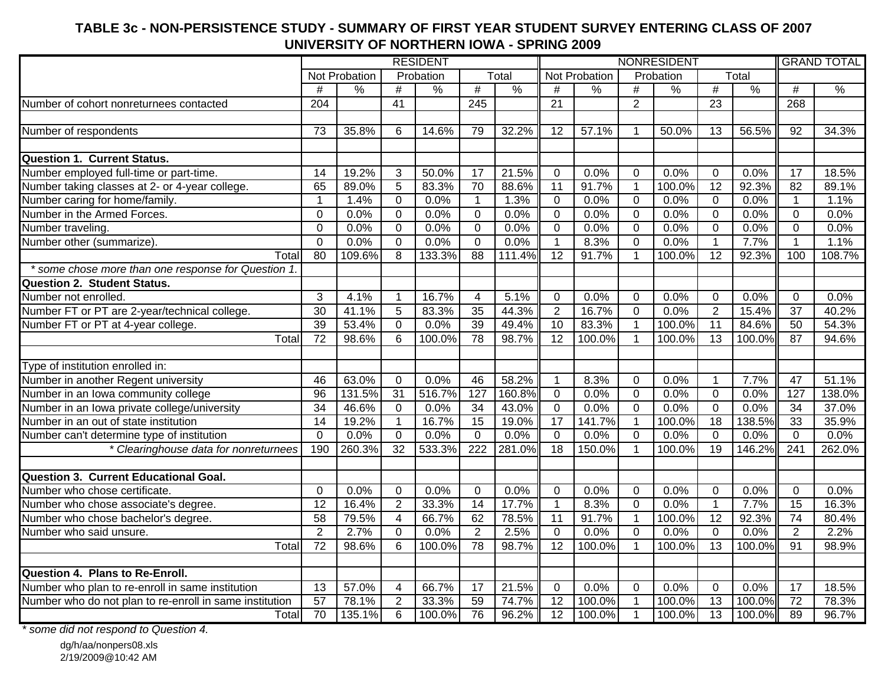### # | % | # | % | # | % | # | % | # | % | # | % Number of cohort nonreturnees contacted 204 41 245 21 2 23 268Number of respondents | 73 | 35.8% | 6 | 14.6% | 79 | 32.2% || 12 | 57.1% | 1 | 50.0% | 13 | 56.5% || 92 | 34.3% **Question 1. Current Status.** Number employed full-time or part-time. | 14 | 19.2% | 3 | 50.0% | 17 | 21.5% | 0 | 0.0% | 0 | 0.0% | 0 | 0.0% | 17 | 18.5% Number taking classes at 2- or 4-year college. | 65 | 89.0% | 5 | 83.3% | 70 | 88.6% || 11 | 91.7% | 1 | 100.0% | 12 | 92.3% || 82 | 89.1% Number caring for home/family. 1 1.4% 0 0.0% 1 1.3% 0 0.0% 0 0.0% 0 0.0% 1 1.1% Number in the Armed Forces. 0.0% lolo.0% lolo.0% lolo.0% lolo.0% lolo.0% lolo.0% Number traveling. | 0 | 0.0% | 0 | 0.0% | 0 | 0.0% | 0 | 0.0% | 0 | 0.0% | 0 | 0.0% | Number other (summarize). | 0 | 0.0% | 0 | 0.0% | 0 | 0.0% | 0 | 0.0% | 0 | 0.0% | 1 | 7.7% || 1 | 1.1% Totall 80 I 109.6% I 8 I 133.3% I 88 I 111.4%II 12 I 91.7% I 1 I 100.0%I 12 I 92.3% II 100 I 108.7%  *\* some chose more than one response for Question 1.* **Question 2. Student Status.** Number not enrolled. 3 4.1% 1 16.7% 4 5.1% 0 0.0% 0 0.0% 0 0.0% 0 0.0%Number FT or PT are 2-year/technical college. 30 41.1% 5 83.3% 35 44.3% 2 16.7% 0 0.0% 2 15.4% 37 40.2% Number FT or PT at 4-year college. 39 53.4% 0 0.0% 39 49.4% 10 83.3% 1 100.0% 11 84.6% 50 54.3% Totall 72 I 98.6% I 6 I 100.0%I 78 I 98.7% II 12 I 100.0%I 1 I 100.0%I 13 I 100.0%II 87 I 94.6% Type of institution enrolled in: Number in another Regent university | 46 | 63.0% | 0 | 0.0% | 46 | 58.2% || 1 | 8.3% | 0 | 0.0% | 1 | 7.7% || 47 | 51.1% Number in an Iowa community college **1120 121 | 96 | 131.5% | 31 | 516.7%** | 127 | 160.8% | 0 | 0.0% | 0 | 0.0% | 0 | 0.0% | 127 | 138.0% Number in an Iowa private college/university 34 46.6% 0 0.0% 34 43.0% 0 0.0% 0 0.0% 0 0.0% 34 37.0% Number in an out of state institution 14 19.2% 1 16.7% 15 19.0% 17 141.7% 1 100.0% 18 138.5% 33 35.9%Number can't determine type of institution | 0 | 0.0% | 0 | 0.0% | 0 | 0.0% | 0 | 0.0% | 0 | 0.0% | 0 | 0.0% *\* Clearinghouse data for nonreturnees* 190 260.3% 32 533.3% 222 281.0% 18 150.0% 1 100.0% 19 146.2% 241 262.0% **Question 3. Current Educational Goal.** Number who chose certificate. | 0 | 0.0% | 0 | 0.0% | 0 | 0.0% | 0 | 0.0% | 0 | 0.0% | 0 | 0.0% Number who chose associate's degree. | 12 | 16.4% | 2 | 33.3% | 14 | 17.7% || 1 | 8.3% | 0 | 0.0% | 1 | 7.7% || 15 | 16.3% Number who chose bachelor's degree. | 58 | 79.5% | 4 | 66.7% | 62 | 78.5% || 11 | 91.7% | 1 | 100.0%| 12 | 92.3% || 74 | 80.4% Number who said unsure. 2 2.7% 0 0.0% 2 2.5% 0 0.0% 0 0.0% 0 0.0% 2 2.2%Totall 72 I 98.6% I 6 I 100.0%I 78 I 98.7% II 12 I 100.0%I 1 I 100.0%I 13 I 100.0%II 91 I 98.9% **Question 4. Plans to Re-Enroll.** Number who plan to re-enroll in same institution 13 57.0% 4 66.7% 17 21.5% 0 0.0% 0 0.0% 0 0.0% 17 18.5% Number who do not plan to re-enroll in same institution | 57 | 78.1% | 2 | 33.3% | 59 | 74.7% | 12 | 100.0% | 1 | 100.0% | 13 | 100.0% | 72 | 78.3% Totall 70 I 135.1% I 6 I 100.0% I 76 I 96.2% II 12 I 100.0% I 1 I 100.0% I 13 I 100.0%II 89 I 96.7% TotalRESIDENT NONRESIDENT GRAND TOTALNot Probation | Probation | Total || Not Probation | Probation

**TABLE 3c - NON-PERSISTENCE STUDY - SUMMARY OF FIRST YEAR STUDENT SURVEY ENTERING CLASS OF 2007UNIVERSITY OF NORTHERN IOWA - SPRING 2009**

*\* some did not respond to Question 4.*

dg/h/aa/nonpers08.xls 2/19/2009@10:42 AM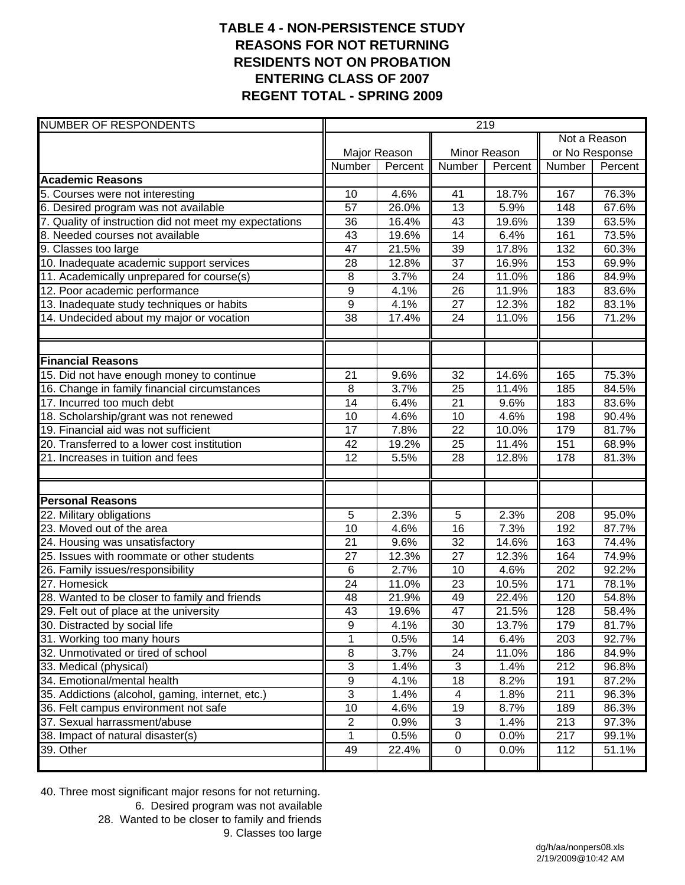## **TABLE 4 - NON-PERSISTENCE STUDY REASONS FOR NOT RETURNING RESIDENTS NOT ON PROBATION ENTERING CLASS OF 2007 REGENT TOTAL - SPRING 2009**

| <b>NUMBER OF RESPONDENTS</b>                           | 219             |              |                 |                   |                |         |  |  |
|--------------------------------------------------------|-----------------|--------------|-----------------|-------------------|----------------|---------|--|--|
|                                                        | Not a Reason    |              |                 |                   |                |         |  |  |
|                                                        |                 | Major Reason |                 | Minor Reason      | or No Response |         |  |  |
|                                                        | Number          | Percent      | Number          | Percent           | Number         | Percent |  |  |
| <b>Academic Reasons</b>                                |                 |              |                 |                   |                |         |  |  |
| 5. Courses were not interesting                        | 10              | 4.6%         | 41              | 18.7%             | 167            | 76.3%   |  |  |
| 6. Desired program was not available                   | 57              | 26.0%        | $\overline{13}$ | 5.9%              | 148            | 67.6%   |  |  |
| 7. Quality of instruction did not meet my expectations | 36              | 16.4%        | 43              | 19.6%             | 139            | 63.5%   |  |  |
| 8. Needed courses not available                        | 43              | 19.6%        | 14              | 6.4%              | 161            | 73.5%   |  |  |
| 9. Classes too large                                   | 47              | 21.5%        | 39              | 17.8%             | 132            | 60.3%   |  |  |
| 10. Inadequate academic support services               | 28              | 12.8%        | $\overline{37}$ | 16.9%             | 153            | 69.9%   |  |  |
| 11. Academically unprepared for course(s)              | 8               | 3.7%         | 24              | 11.0%             | 186            | 84.9%   |  |  |
| 12. Poor academic performance                          | $\overline{9}$  | 4.1%         | 26              | 11.9%             | 183            | 83.6%   |  |  |
| 13. Inadequate study techniques or habits              | $\overline{9}$  | 4.1%         | 27              | 12.3%             | 182            | 83.1%   |  |  |
| 14. Undecided about my major or vocation               | 38              | 17.4%        | 24              | 11.0%             | 156            | 71.2%   |  |  |
| <b>Financial Reasons</b>                               |                 |              |                 |                   |                |         |  |  |
| 15. Did not have enough money to continue              | 21              | 9.6%         | $\overline{32}$ | 14.6%             | 165            | 75.3%   |  |  |
| 16. Change in family financial circumstances           | 8               | 3.7%         | $\overline{25}$ | 11.4%             | 185            | 84.5%   |  |  |
| 17. Incurred too much debt                             | 14              | 6.4%         | 21              | 9.6%              | 183            | 83.6%   |  |  |
| 18. Scholarship/grant was not renewed                  | 10              | 4.6%         | 10              | 4.6%              | 198            | 90.4%   |  |  |
| 19. Financial aid was not sufficient                   | 17              | 7.8%         | $\overline{22}$ | 10.0%             | 179            | 81.7%   |  |  |
| 20. Transferred to a lower cost institution            | 42              | 19.2%        | 25              | 11.4%             | 151            | 68.9%   |  |  |
| 21. Increases in tuition and fees                      | 12              | 5.5%         | 28              | 12.8%             | 178            | 81.3%   |  |  |
|                                                        |                 |              |                 |                   |                |         |  |  |
| <b>Personal Reasons</b>                                |                 |              |                 |                   |                |         |  |  |
| 22. Military obligations                               | 5               | 2.3%         | 5               | 2.3%              | 208            | 95.0%   |  |  |
| 23. Moved out of the area                              | 10              | 4.6%         | 16              | $\overline{7}.3%$ | 192            | 87.7%   |  |  |
| 24. Housing was unsatisfactory                         | 21              | 9.6%         | $\overline{32}$ | 14.6%             | 163            | 74.4%   |  |  |
| 25. Issues with roommate or other students             | 27              | 12.3%        | $\overline{27}$ | 12.3%             | 164            | 74.9%   |  |  |
| 26. Family issues/responsibility                       | $6\phantom{1}6$ | 2.7%         | 10              | 4.6%              | 202            | 92.2%   |  |  |
| 27. Homesick                                           | 24              | 11.0%        | 23              | 10.5%             | 171            | 78.1%   |  |  |
| 28. Wanted to be closer to family and friends          | 48              | 21.9%        | 49              | 22.4%             | 120            | 54.8%   |  |  |
| 29. Felt out of place at the university                | $\overline{43}$ | 19.6%        | $\overline{47}$ | 21.5%             | 128            | 58.4%   |  |  |
| 30. Distracted by social life                          | $\overline{9}$  | 4.1%         | 30              | 13.7%             | 179            | 81.7%   |  |  |
| 31. Working too many hours                             | 1               | 0.5%         | 14              | 6.4%              | 203            | 92.7%   |  |  |
| 32. Unmotivated or tired of school                     | 8               | 3.7%         | 24              | 11.0%             | 186            | 84.9%   |  |  |
| 33. Medical (physical)                                 | $\overline{3}$  | 1.4%         | 3               | 1.4%              | 212            | 96.8%   |  |  |
| 34. Emotional/mental health                            | $\overline{9}$  | 4.1%         | 18              | 8.2%              | 191            | 87.2%   |  |  |
| 35. Addictions (alcohol, gaming, internet, etc.)       | $\overline{3}$  | 1.4%         | 4               | 1.8%              | 211            | 96.3%   |  |  |
| 36. Felt campus environment not safe                   | 10              | 4.6%         | 19              | 8.7%              | 189            | 86.3%   |  |  |
| 37. Sexual harrassment/abuse                           | $\overline{2}$  | 0.9%         | $\mathfrak{S}$  | 1.4%              | 213            | 97.3%   |  |  |
| 38. Impact of natural disaster(s)                      | 1               | 0.5%         | $\pmb{0}$       | 0.0%              | 217            | 99.1%   |  |  |
| 39. Other                                              | 49              | 22.4%        | $\pmb{0}$       | 0.0%              | 112            | 51.1%   |  |  |
|                                                        |                 |              |                 |                   |                |         |  |  |

40. Three most significant major resons for not returning.

 6. Desired program was not available 28. Wanted to be closer to family and friends

9. Classes too large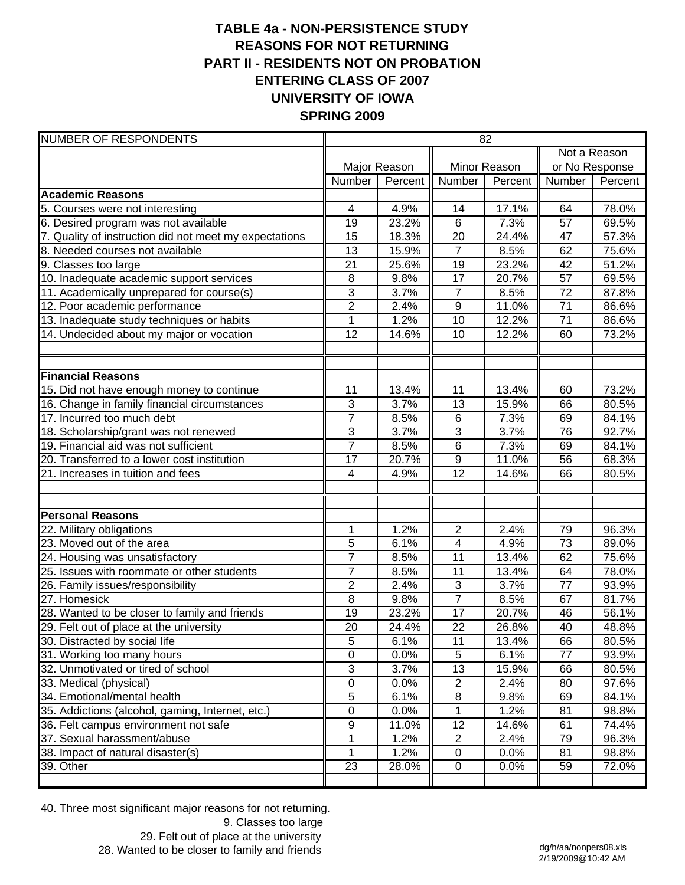# **TABLE 4a - NON-PERSISTENCE STUDY REASONS FOR NOT RETURNING PART II - RESIDENTS NOT ON PROBATION ENTERING CLASS OF 2007 UNIVERSITY OF IOWA SPRING 2009**

| <b>NUMBER OF RESPONDENTS</b>                                                             | 82                               |               |                                  |               |                 |                |  |
|------------------------------------------------------------------------------------------|----------------------------------|---------------|----------------------------------|---------------|-----------------|----------------|--|
|                                                                                          | Not a Reason                     |               |                                  |               |                 |                |  |
|                                                                                          |                                  | Major Reason  |                                  | Minor Reason  |                 | or No Response |  |
|                                                                                          | Number                           | Percent       | Number                           | Percent       | Number          | Percent        |  |
| <b>Academic Reasons</b>                                                                  |                                  |               |                                  |               |                 |                |  |
| 5. Courses were not interesting                                                          | 4                                | 4.9%          | 14                               | 17.1%         | 64              | 78.0%          |  |
| 6. Desired program was not available                                                     | 19                               | 23.2%         | $6\phantom{1}6$                  | 7.3%          | 57              | 69.5%          |  |
| 7. Quality of instruction did not meet my expectations                                   | 15                               | 18.3%         | 20                               | 24.4%         | 47              | 57.3%          |  |
| 8. Needed courses not available                                                          | 13                               | 15.9%         | $\overline{7}$                   | 8.5%          | 62              | 75.6%          |  |
| 9. Classes too large                                                                     | 21                               | 25.6%         | 19                               | 23.2%         | 42              | 51.2%          |  |
| 10. Inadequate academic support services                                                 | 8                                | 9.8%          | 17                               | 20.7%         | 57              | 69.5%          |  |
| 11. Academically unprepared for course(s)                                                | $\overline{3}$                   | 3.7%          | $\overline{7}$                   | 8.5%          | 72              | 87.8%          |  |
| 12. Poor academic performance                                                            | $\overline{2}$                   | 2.4%          | $\boldsymbol{9}$                 | 11.0%         | 71              | 86.6%          |  |
| 13. Inadequate study techniques or habits                                                | 1                                | 1.2%          | $\overline{10}$                  | 12.2%         | 71              | 86.6%          |  |
| 14. Undecided about my major or vocation                                                 | 12                               | 14.6%         | 10                               | 12.2%         | 60              | 73.2%          |  |
|                                                                                          |                                  |               |                                  |               |                 |                |  |
| <b>Financial Reasons</b>                                                                 |                                  |               |                                  |               |                 |                |  |
| 15. Did not have enough money to continue                                                | 11                               | 13.4%         | 11                               | 13.4%         | 60              | 73.2%          |  |
| 16. Change in family financial circumstances                                             | 3                                | 3.7%          | 13                               | 15.9%         | 66              | 80.5%          |  |
| 17. Incurred too much debt                                                               | $\overline{7}$                   | 8.5%          | $\,6$                            | 7.3%          | 69              | 84.1%          |  |
| 18. Scholarship/grant was not renewed                                                    | $\overline{3}$                   | 3.7%          | 3                                | 3.7%          | 76              | 92.7%          |  |
| 19. Financial aid was not sufficient                                                     | $\overline{7}$                   | 8.5%          | $\,6$                            | 7.3%          | 69              | 84.1%          |  |
| 20. Transferred to a lower cost institution                                              | 17                               | 20.7%         | $\boldsymbol{9}$                 | 11.0%         | 56              | 68.3%          |  |
| 21. Increases in tuition and fees                                                        | 4                                | 4.9%          | $\overline{12}$                  | 14.6%         | 66              | 80.5%          |  |
|                                                                                          |                                  |               |                                  |               |                 |                |  |
| <b>Personal Reasons</b>                                                                  |                                  |               |                                  |               |                 |                |  |
| 22. Military obligations<br>23. Moved out of the area                                    | 1                                | 1.2%          | $\overline{2}$<br>$\overline{4}$ | 2.4%          | 79              | 96.3%          |  |
|                                                                                          | 5                                | 6.1%          |                                  | 4.9%          | 73              | 89.0%          |  |
| 24. Housing was unsatisfactory<br>25. Issues with roommate or other students             | $\overline{7}$<br>$\overline{7}$ | 8.5%          | 11<br>11                         | 13.4%         | 62<br>64        | 75.6%          |  |
|                                                                                          | $\overline{2}$                   | 8.5%<br>2.4%  | 3                                | 13.4%<br>3.7% | 77              | 78.0%<br>93.9% |  |
| 26. Family issues/responsibility<br>27. Homesick                                         | 8                                | 9.8%          | $\overline{7}$                   | 8.5%          | 67              | 81.7%          |  |
|                                                                                          | 19                               | 23.2%         | 17                               | 20.7%         | 46              | 56.1%          |  |
| 28. Wanted to be closer to family and friends<br>29. Felt out of place at the university | $\overline{20}$                  | 24.4%         | $\overline{22}$                  | 26.8%         | $\overline{40}$ | 48.8%          |  |
| 30. Distracted by social life                                                            | 5                                | 6.1%          | 11                               | 13.4%         | 66              | 80.5%          |  |
| 31. Working too many hours                                                               | $\boldsymbol{0}$                 | 0.0%          | 5                                | 6.1%          | 77              | 93.9%          |  |
| 32. Unmotivated or tired of school                                                       | $\mathbf{3}$                     | 3.7%          | $\overline{13}$                  | 15.9%         | 66              | 80.5%          |  |
|                                                                                          | $\boldsymbol{0}$                 |               |                                  |               |                 | 97.6%          |  |
| 33. Medical (physical)<br>34. Emotional/mental health                                    | 5                                | 0.0%<br>6.1%  | $\overline{c}$<br>$\bf 8$        | 2.4%<br>9.8%  | 80<br>69        | 84.1%          |  |
| 35. Addictions (alcohol, gaming, Internet, etc.)                                         | 0                                |               |                                  |               |                 |                |  |
|                                                                                          | 9                                | 0.0%<br>11.0% | 12                               | 1.2%<br>14.6% | 81              | 98.8%          |  |
| 36. Felt campus environment not safe<br>37. Sexual harassment/abuse                      | 1                                | 1.2%          | $\overline{2}$                   | 2.4%          | 61<br>79        | 74.4%<br>96.3% |  |
| 38. Impact of natural disaster(s)                                                        | 1                                | 1.2%          | $\mathbf 0$                      | 0.0%          | 81              | 98.8%          |  |
| 39. Other                                                                                | 23                               |               | $\pmb{0}$                        | 0.0%          | 59              | 72.0%          |  |
|                                                                                          |                                  | 28.0%         |                                  |               |                 |                |  |

40. Three most significant major reasons for not returning.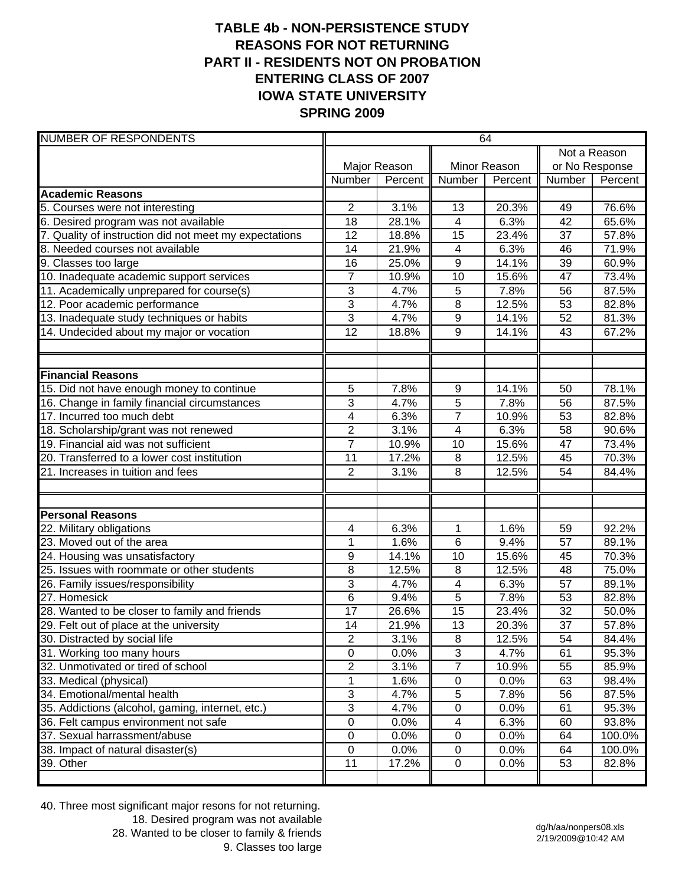## **TABLE 4b - NON-PERSISTENCE STUDY REASONS FOR NOT RETURNING PART II - RESIDENTS NOT ON PROBATION ENTERING CLASS OF 2007 IOWA STATE UNIVERSITY SPRING 2009**

| <b>NUMBER OF RESPONDENTS</b>                           | 64              |              |                         |              |                 |         |  |  |
|--------------------------------------------------------|-----------------|--------------|-------------------------|--------------|-----------------|---------|--|--|
|                                                        |                 |              | Not a Reason            |              |                 |         |  |  |
|                                                        |                 | Major Reason |                         | Minor Reason | or No Response  |         |  |  |
|                                                        | Number          | Percent      | Number                  | Percent      | Number          | Percent |  |  |
| <b>Academic Reasons</b>                                |                 |              |                         |              |                 |         |  |  |
| 5. Courses were not interesting                        | 2               | 3.1%         | 13                      | 20.3%        | 49              | 76.6%   |  |  |
| 6. Desired program was not available                   | 18              | 28.1%        | $\overline{4}$          | 6.3%         | 42              | 65.6%   |  |  |
| 7. Quality of instruction did not meet my expectations | 12              | 18.8%        | 15                      | 23.4%        | 37              | 57.8%   |  |  |
| 8. Needed courses not available                        | 14              | 21.9%        | $\overline{4}$          | 6.3%         | 46              | 71.9%   |  |  |
| 9. Classes too large                                   | 16              | 25.0%        | $\overline{9}$          | 14.1%        | 39              | 60.9%   |  |  |
| 10. Inadequate academic support services               | $\overline{7}$  | 10.9%        | 10                      | 15.6%        | 47              | 73.4%   |  |  |
| 11. Academically unprepared for course(s)              | $\sqrt{3}$      | 4.7%         | 5                       | 7.8%         | 56              | 87.5%   |  |  |
| 12. Poor academic performance                          | $\overline{3}$  | 4.7%         | $\overline{8}$          | 12.5%        | $\overline{53}$ | 82.8%   |  |  |
| 13. Inadequate study techniques or habits              | $\overline{3}$  | 4.7%         | $\overline{9}$          | 14.1%        | 52              | 81.3%   |  |  |
| 14. Undecided about my major or vocation               | $\overline{12}$ | 18.8%        | 9                       | 14.1%        | 43              | 67.2%   |  |  |
|                                                        |                 |              |                         |              |                 |         |  |  |
| <b>Financial Reasons</b>                               |                 |              |                         |              |                 |         |  |  |
| 15. Did not have enough money to continue              | 5               | 7.8%         | 9                       | 14.1%        | 50              | 78.1%   |  |  |
| 16. Change in family financial circumstances           | 3               | 4.7%         | 5                       | 7.8%         | 56              | 87.5%   |  |  |
| 17. Incurred too much debt                             | 4               | 6.3%         | $\overline{7}$          | 10.9%        | 53              | 82.8%   |  |  |
| 18. Scholarship/grant was not renewed                  | $\overline{2}$  | 3.1%         | $\overline{4}$          | 6.3%         | 58              | 90.6%   |  |  |
| 19. Financial aid was not sufficient                   | $\overline{7}$  | 10.9%        | 10                      | 15.6%        | 47              | 73.4%   |  |  |
| 20. Transferred to a lower cost institution            | 11              | 17.2%        | 8                       | 12.5%        | 45              | 70.3%   |  |  |
| 21. Increases in tuition and fees                      | $\overline{2}$  | 3.1%         | 8                       | 12.5%        | 54              | 84.4%   |  |  |
| <b>Personal Reasons</b>                                |                 |              |                         |              |                 |         |  |  |
| 22. Military obligations                               | 4               | 6.3%         | 1                       | 1.6%         | 59              | 92.2%   |  |  |
| 23. Moved out of the area                              | 1               | 1.6%         | $\overline{6}$          | 9.4%         | 57              | 89.1%   |  |  |
| 24. Housing was unsatisfactory                         | 9               | 14.1%        | 10                      | 15.6%        | 45              | 70.3%   |  |  |
| 25. Issues with roommate or other students             | 8               | 12.5%        | 8                       | 12.5%        | 48              | 75.0%   |  |  |
| 26. Family issues/responsibility                       | 3               | 4.7%         | $\overline{\mathbf{4}}$ | 6.3%         | 57              | 89.1%   |  |  |
| 27. Homesick                                           | $\overline{6}$  | 9.4%         | $\overline{5}$          | 7.8%         | 53              | 82.8%   |  |  |
| 28. Wanted to be closer to family and friends          | 17              | 26.6%        | 15                      | 23.4%        | 32              | 50.0%   |  |  |
| 29. Felt out of place at the university                | 14              | 21.9%        | 13                      | 20.3%        | $\overline{37}$ | 57.8%   |  |  |
| 30. Distracted by social life                          | 2               | 3.1%         | 8                       | 12.5%        | 54              | 84.4%   |  |  |
| 31. Working too many hours                             | $\pmb{0}$       | 0.0%         | $\overline{3}$          | 4.7%         | 61              | 95.3%   |  |  |
| 32. Unmotivated or tired of school                     | $\overline{2}$  | 3.1%         | $\overline{7}$          | 10.9%        | 55              | 85.9%   |  |  |
| 33. Medical (physical)                                 | 1               | 1.6%         | $\pmb{0}$               | 0.0%         | 63              | 98.4%   |  |  |
| 34. Emotional/mental health                            | 3               | 4.7%         | 5                       | 7.8%         | 56              | 87.5%   |  |  |
| 35. Addictions (alcohol, gaming, internet, etc.)       | 3               | 4.7%         | $\pmb{0}$               | 0.0%         | 61              | 95.3%   |  |  |
| 36. Felt campus environment not safe                   | $\pmb{0}$       | 0.0%         | 4                       | 6.3%         | 60              | 93.8%   |  |  |
| 37. Sexual harrassment/abuse                           | 0               | 0.0%         | 0                       | 0.0%         | 64              | 100.0%  |  |  |
| 38. Impact of natural disaster(s)                      | 0               | 0.0%         | 0                       | 0.0%         | 64              | 100.0%  |  |  |
| 39. Other                                              | 11              | 17.2%        | $\pmb{0}$               | 0.0%         | 53              | 82.8%   |  |  |
|                                                        |                 |              |                         |              |                 |         |  |  |

40. Three most significant major resons for not returning. 18. Desired program was not available 28. Wanted to be closer to family & friends 9. Classes too large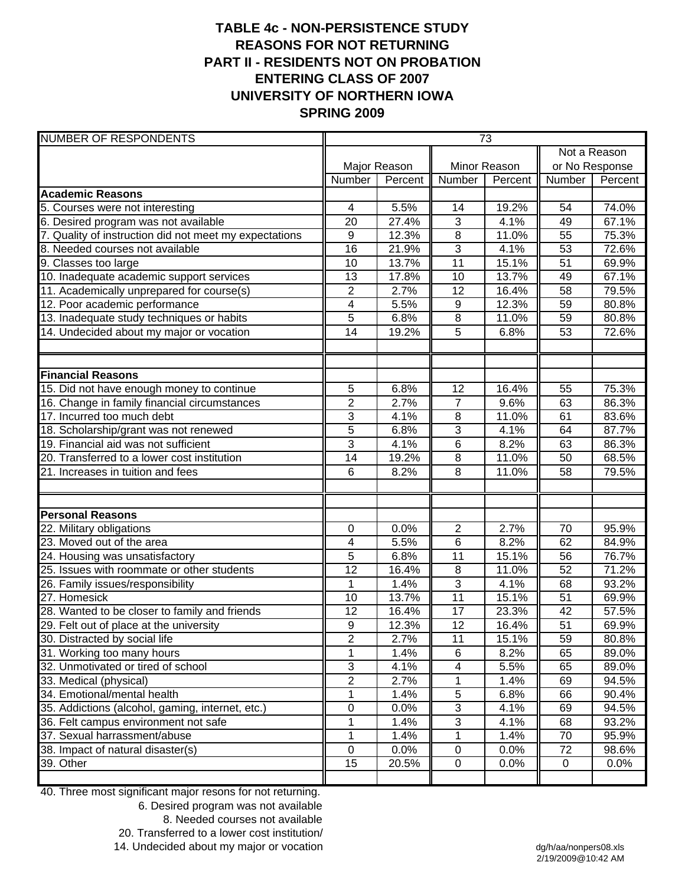# **TABLE 4c - NON-PERSISTENCE STUDY REASONS FOR NOT RETURNING PART II - RESIDENTS NOT ON PROBATION ENTERING CLASS OF 2007 UNIVERSITY OF NORTHERN IOWA SPRING 2009**

| <b>NUMBER OF RESPONDENTS</b>                           | $\overline{73}$ |              |                 |         |                 |         |
|--------------------------------------------------------|-----------------|--------------|-----------------|---------|-----------------|---------|
|                                                        |                 |              |                 |         | Not a Reason    |         |
|                                                        |                 | Major Reason | Minor Reason    |         | or No Response  |         |
|                                                        | Number          | Percent      | Number          | Percent | Number          | Percent |
| <b>Academic Reasons</b>                                |                 |              |                 |         |                 |         |
| 5. Courses were not interesting                        | 4               | 5.5%         | 14              | 19.2%   | 54              | 74.0%   |
| 6. Desired program was not available                   | 20              | 27.4%        | $\mathbf{3}$    | 4.1%    | 49              | 67.1%   |
| 7. Quality of instruction did not meet my expectations | 9               | 12.3%        | 8               | 11.0%   | 55              | 75.3%   |
| 8. Needed courses not available                        | 16              | 21.9%        | 3               | 4.1%    | 53              | 72.6%   |
| 9. Classes too large                                   | 10              | 13.7%        | 11              | 15.1%   | $\overline{51}$ | 69.9%   |
| 10. Inadequate academic support services               | 13              | 17.8%        | 10              | 13.7%   | 49              | 67.1%   |
| 11. Academically unprepared for course(s)              | $\overline{2}$  | 2.7%         | 12              | 16.4%   | 58              | 79.5%   |
| 12. Poor academic performance                          | 4               | 5.5%         | 9               | 12.3%   | 59              | 80.8%   |
| 13. Inadequate study techniques or habits              | $\overline{5}$  | 6.8%         | $\overline{8}$  | 11.0%   | 59              | 80.8%   |
| 14. Undecided about my major or vocation               | 14              | 19.2%        | $\overline{5}$  | 6.8%    | 53              | 72.6%   |
|                                                        |                 |              |                 |         |                 |         |
| <b>Financial Reasons</b>                               |                 |              |                 |         |                 |         |
| 15. Did not have enough money to continue              | 5               | 6.8%         | 12              | 16.4%   | 55              | 75.3%   |
| 16. Change in family financial circumstances           | $\overline{2}$  | 2.7%         | $\overline{7}$  | 9.6%    | 63              | 86.3%   |
| 17. Incurred too much debt                             | $\overline{3}$  | 4.1%         | 8               | 11.0%   | 61              | 83.6%   |
| 18. Scholarship/grant was not renewed                  | 5               | 6.8%         | 3               | 4.1%    | 64              | 87.7%   |
| 19. Financial aid was not sufficient                   | 3               | 4.1%         | $\overline{6}$  | 8.2%    | 63              | 86.3%   |
| 20. Transferred to a lower cost institution            | 14              | 19.2%        | 8               | 11.0%   | 50              | 68.5%   |
| 21. Increases in tuition and fees                      | 6               | 8.2%         | 8               | 11.0%   | 58              | 79.5%   |
|                                                        |                 |              |                 |         |                 |         |
| <b>Personal Reasons</b>                                |                 |              |                 |         |                 |         |
| 22. Military obligations                               | 0               | 0.0%         | $\overline{2}$  | 2.7%    | 70              | 95.9%   |
| 23. Moved out of the area                              | 4               | 5.5%         | 6               | 8.2%    | 62              | 84.9%   |
| 24. Housing was unsatisfactory                         | 5               | 6.8%         | 11              | 15.1%   | 56              | 76.7%   |
| 25. Issues with roommate or other students             | 12              | 16.4%        | 8               | 11.0%   | 52              | 71.2%   |
| 26. Family issues/responsibility                       | 1               | 1.4%         | 3               | 4.1%    | 68              | 93.2%   |
| 27. Homesick                                           | 10              | 13.7%        | 11              | 15.1%   | 51              | 69.9%   |
| 28. Wanted to be closer to family and friends          | 12              | 16.4%        | $\overline{17}$ | 23.3%   | 42              | 57.5%   |
| 29. Felt out of place at the university                | $\overline{9}$  | 12.3%        | 12              | 16.4%   | 51              | 69.9%   |
| 30. Distracted by social life                          | $\overline{c}$  | 2.7%         | 11              | 15.1%   | 59              | 80.8%   |
| 31. Working too many hours                             | 1               | 1.4%         | 6               | 8.2%    | 65              | 89.0%   |
| 32. Unmotivated or tired of school                     | 3               | 4.1%         | 4               | 5.5%    | 65              | 89.0%   |
| 33. Medical (physical)                                 | $\overline{2}$  | 2.7%         | 1               | 1.4%    | 69              | 94.5%   |
| 34. Emotional/mental health                            | 1               | 1.4%         | $\sqrt{5}$      | 6.8%    | 66              | 90.4%   |
| 35. Addictions (alcohol, gaming, internet, etc.)       | 0               | 0.0%         | $\sqrt{3}$      | 4.1%    | 69              | 94.5%   |
| 36. Felt campus environment not safe                   | 1               | 1.4%         | 3               | 4.1%    | 68              | 93.2%   |
| 37. Sexual harrassment/abuse                           | 1               | 1.4%         | 1               | 1.4%    | 70              | 95.9%   |
| 38. Impact of natural disaster(s)                      | $\mathbf 0$     | 0.0%         | $\pmb{0}$       | 0.0%    | 72              | 98.6%   |
| 39. Other                                              | 15              | 20.5%        | $\pmb{0}$       | 0.0%    | 0               | 0.0%    |

40. Three most significant major resons for not returning.

6. Desired program was not available

8. Needed courses not available

20. Transferred to a lower cost institution/

14. Undecided about my major or vocation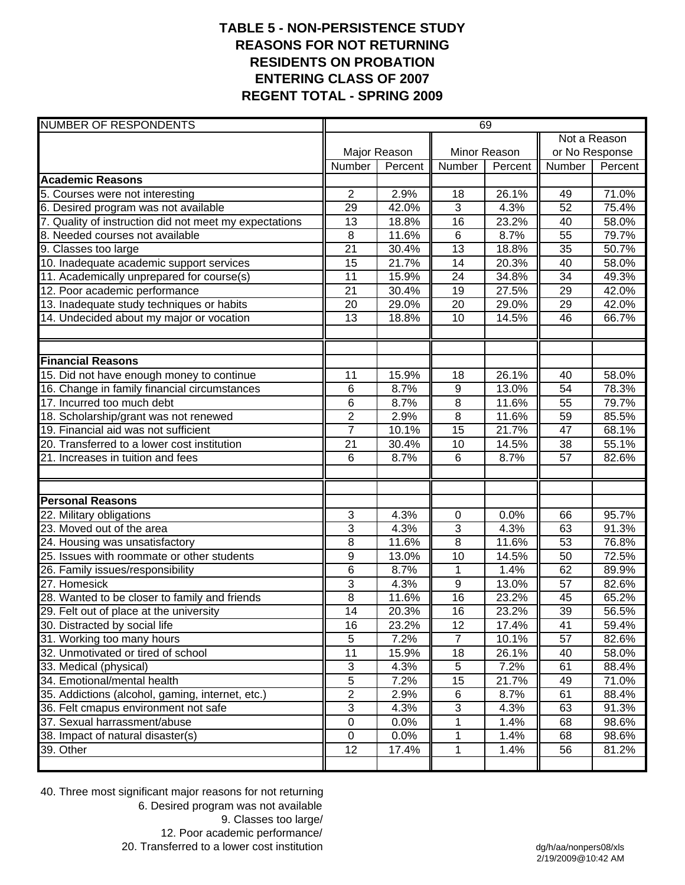## **TABLE 5 - NON-PERSISTENCE STUDY REASONS FOR NOT RETURNING RESIDENTS ON PROBATION ENTERING CLASS OF 2007 REGENT TOTAL - SPRING 2009**

| <b>NUMBER OF RESPONDENTS</b>                           | 69              |              |                 |         |                 |         |
|--------------------------------------------------------|-----------------|--------------|-----------------|---------|-----------------|---------|
|                                                        |                 |              |                 |         | Not a Reason    |         |
|                                                        |                 | Major Reason | Minor Reason    |         | or No Response  |         |
|                                                        | Number          | Percent      | Number          | Percent | Number          | Percent |
| <b>Academic Reasons</b>                                |                 |              |                 |         |                 |         |
| 5. Courses were not interesting                        | 2               | 2.9%         | 18              | 26.1%   | 49              | 71.0%   |
| 6. Desired program was not available                   | 29              | 42.0%        | $\overline{3}$  | 4.3%    | 52              | 75.4%   |
| 7. Quality of instruction did not meet my expectations | 13              | 18.8%        | 16              | 23.2%   | 40              | 58.0%   |
| 8. Needed courses not available                        | 8               | 11.6%        | $6\phantom{1}$  | 8.7%    | 55              | 79.7%   |
| 9. Classes too large                                   | $\overline{21}$ | 30.4%        | $\overline{13}$ | 18.8%   | $\overline{35}$ | 50.7%   |
| 10. Inadequate academic support services               | 15              | 21.7%        | 14              | 20.3%   | 40              | 58.0%   |
| 11. Academically unprepared for course(s)              | 11              | 15.9%        | $\overline{24}$ | 34.8%   | 34              | 49.3%   |
| 12. Poor academic performance                          | 21              | 30.4%        | 19              | 27.5%   | 29              | 42.0%   |
| 13. Inadequate study techniques or habits              | 20              | 29.0%        | 20              | 29.0%   | 29              | 42.0%   |
| 14. Undecided about my major or vocation               | 13              | 18.8%        | 10              | 14.5%   | 46              | 66.7%   |
|                                                        |                 |              |                 |         |                 |         |
| <b>Financial Reasons</b>                               |                 |              |                 |         |                 |         |
| 15. Did not have enough money to continue              | 11              | 15.9%        | 18              | 26.1%   | 40              | 58.0%   |
| 16. Change in family financial circumstances           | 6               | 8.7%         | 9               | 13.0%   | 54              | 78.3%   |
| 17. Incurred too much debt                             | 6               | 8.7%         | 8               | 11.6%   | 55              | 79.7%   |
| 18. Scholarship/grant was not renewed                  | $\overline{2}$  | 2.9%         | $\overline{8}$  | 11.6%   | 59              | 85.5%   |
| 19. Financial aid was not sufficient                   | $\overline{7}$  | 10.1%        | $\overline{15}$ | 21.7%   | 47              | 68.1%   |
| 20. Transferred to a lower cost institution            | $\overline{21}$ | 30.4%        | 10              | 14.5%   | 38              | 55.1%   |
| 21. Increases in tuition and fees                      | 6               | 8.7%         | 6               | 8.7%    | 57              | 82.6%   |
| <b>Personal Reasons</b>                                |                 |              |                 |         |                 |         |
| 22. Military obligations                               | 3               | 4.3%         | 0               | 0.0%    | 66              | 95.7%   |
| 23. Moved out of the area                              | 3               | 4.3%         | 3               | 4.3%    | 63              | 91.3%   |
| 24. Housing was unsatisfactory                         | 8               | 11.6%        | 8               | 11.6%   | 53              | 76.8%   |
| 25. Issues with roommate or other students             | 9               | 13.0%        | 10              | 14.5%   | 50              | 72.5%   |
| 26. Family issues/responsibility                       | 6               | 8.7%         | 1               | 1.4%    | 62              | 89.9%   |
| 27. Homesick                                           | 3               | 4.3%         | 9               | 13.0%   | 57              | 82.6%   |
| 28. Wanted to be closer to family and friends          | $\overline{8}$  | 11.6%        | 16              | 23.2%   | 45              | 65.2%   |
| 29. Felt out of place at the university                | $\overline{14}$ | 20.3%        | $\overline{16}$ | 23.2%   | $\overline{39}$ | 56.5%   |
| 30. Distracted by social life                          | 16              | 23.2%        | 12              | 17.4%   | 41              | 59.4%   |
| 31. Working too many hours                             | $\mathbf 5$     | 7.2%         | $\overline{7}$  | 10.1%   | 57              | 82.6%   |
| 32. Unmotivated or tired of school                     | $\overline{11}$ | 15.9%        | 18              | 26.1%   | 40              | 58.0%   |
| 33. Medical (physical)                                 | $\sqrt{3}$      | 4.3%         | 5               | 7.2%    | 61              | 88.4%   |
| 34. Emotional/mental health                            | $\overline{5}$  | 7.2%         | 15              | 21.7%   | 49              | 71.0%   |
| 35. Addictions (alcohol, gaming, internet, etc.)       | $\overline{2}$  | 2.9%         | $\,6$           | 8.7%    | 61              | 88.4%   |
| 36. Felt cmapus environment not safe                   | 3               | 4.3%         | 3               | 4.3%    | 63              | 91.3%   |
| 37. Sexual harrassment/abuse                           | $\pmb{0}$       | 0.0%         | 1               | 1.4%    | 68              | 98.6%   |
| 38. Impact of natural disaster(s)                      | $\mathbf 0$     | 0.0%         | 1               | 1.4%    | 68              | 98.6%   |
| 39. Other                                              | 12              | 17.4%        | 1               | 1.4%    | 56              | 81.2%   |
|                                                        |                 |              |                 |         |                 |         |

40. Three most significant major reasons for not returning 6. Desired program was not available 9. Classes too large/ 12. Poor academic performance/ 20. Transferred to a lower cost institution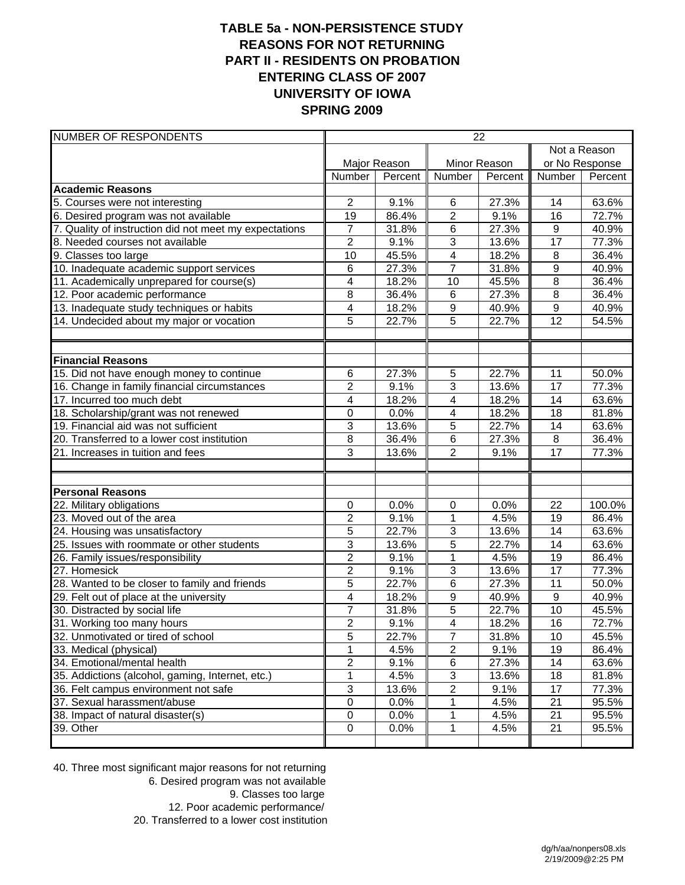### **TABLE 5a - NON-PERSISTENCE STUDY REASONS FOR NOT RETURNING PART II - RESIDENTS ON PROBATION ENTERING CLASS OF 2007 UNIVERSITY OF IOWA SPRING 2009**

| NUMBER OF RESPONDENTS                                  | 22              |              |                |         |                  |                |  |
|--------------------------------------------------------|-----------------|--------------|----------------|---------|------------------|----------------|--|
|                                                        |                 |              |                |         | Not a Reason     |                |  |
|                                                        |                 | Major Reason | Minor Reason   |         |                  | or No Response |  |
|                                                        | Number          | Percent      | Number         | Percent | Number           | Percent        |  |
| <b>Academic Reasons</b>                                |                 |              |                |         |                  |                |  |
| 5. Courses were not interesting                        | $\overline{2}$  | 9.1%         | 6              | 27.3%   | 14               | 63.6%          |  |
| 6. Desired program was not available                   | $\overline{19}$ | 86.4%        | $\overline{2}$ | 9.1%    | 16               | 72.7%          |  |
| 7. Quality of instruction did not meet my expectations | 7               | 31.8%        | 6              | 27.3%   | $\boldsymbol{9}$ | 40.9%          |  |
| 8. Needed courses not available                        | $\overline{2}$  | 9.1%         | $\overline{3}$ | 13.6%   | 17               | 77.3%          |  |
| 9. Classes too large                                   | $\overline{10}$ | 45.5%        | $\overline{4}$ | 18.2%   | 8                | 36.4%          |  |
| 10. Inadequate academic support services               | 6               | 27.3%        | $\overline{7}$ | 31.8%   | 9                | 40.9%          |  |
| 11. Academically unprepared for course(s)              | 4               | 18.2%        | 10             | 45.5%   | $\overline{8}$   | 36.4%          |  |
| 12. Poor academic performance                          | 8               | 36.4%        | 6              | 27.3%   | $\overline{8}$   | 36.4%          |  |
| 13. Inadequate study techniques or habits              | 4               | 18.2%        | 9              | 40.9%   | 9                | 40.9%          |  |
| 14. Undecided about my major or vocation               | 5               | 22.7%        | 5              | 22.7%   | 12               | 54.5%          |  |
|                                                        |                 |              |                |         |                  |                |  |
|                                                        |                 |              |                |         |                  |                |  |
| <b>Financial Reasons</b>                               |                 | 27.3%        | 5              | 22.7%   | 11               | 50.0%          |  |
| 15. Did not have enough money to continue              | 6               |              |                |         |                  |                |  |
| 16. Change in family financial circumstances           | 2               | 9.1%         | 3              | 13.6%   | 17               | 77.3%          |  |
| 17. Incurred too much debt                             | 4               | 18.2%        | 4              | 18.2%   | 14               | 63.6%          |  |
| 18. Scholarship/grant was not renewed                  | $\mathbf 0$     | 0.0%         | 4              | 18.2%   | 18               | 81.8%          |  |
| 19. Financial aid was not sufficient                   | $\mathsf 3$     | 13.6%        | 5              | 22.7%   | 14               | 63.6%          |  |
| 20. Transferred to a lower cost institution            | 8               | 36.4%        | 6              | 27.3%   | 8                | 36.4%          |  |
| 21. Increases in tuition and fees                      | 3               | 13.6%        | $\overline{2}$ | 9.1%    | 17               | 77.3%          |  |
|                                                        |                 |              |                |         |                  |                |  |
| <b>Personal Reasons</b>                                |                 |              |                |         |                  |                |  |
| 22. Military obligations                               | $\mathbf 0$     | 0.0%         | 0              | 0.0%    | 22               | 100.0%         |  |
| 23. Moved out of the area                              | $\overline{2}$  | 9.1%         | 1              | 4.5%    | 19               | 86.4%          |  |
| 24. Housing was unsatisfactory                         | $\overline{5}$  | 22.7%        | $\overline{3}$ | 13.6%   | 14               | 63.6%          |  |
| 25. Issues with roommate or other students             | $\overline{3}$  | 13.6%        | $\overline{5}$ | 22.7%   | $\overline{14}$  | 63.6%          |  |
| 26. Family issues/responsibility                       | $\overline{2}$  | 9.1%         | $\mathbf{1}$   | 4.5%    | 19               | 86.4%          |  |
| 27. Homesick                                           | $\overline{2}$  | 9.1%         | $\overline{3}$ | 13.6%   | 17               | 77.3%          |  |
| 28. Wanted to be closer to family and friends          | $\overline{5}$  | 22.7%        | $\overline{6}$ | 27.3%   | $\overline{11}$  | 50.0%          |  |
| 29. Felt out of place at the university                | 4               | 18.2%        | 9              | 40.9%   | 9                | 40.9%          |  |
| 30. Distracted by social life                          | 7               | 31.8%        | 5              | 22.7%   | 10               | 45.5%          |  |
| 31. Working too many hours                             | $\overline{2}$  | 9.1%         | $\overline{4}$ | 18.2%   | $\overline{16}$  | 72.7%          |  |
| 32. Unmotivated or tired of school                     | 5               | 22.7%        | 7              | 31.8%   | 10               | 45.5%          |  |
| 33. Medical (physical)                                 |                 | 4.5%         | $\overline{2}$ | 9.1%    | 19               | 86.4%          |  |
| 34. Emotional/mental health                            | $\overline{2}$  | 9.1%         | 6              | 27.3%   | $\overline{14}$  | 63.6%          |  |
| 35. Addictions (alcohol, gaming, Internet, etc.)       | 1               | 4.5%         | 3              | 13.6%   | 18               | 81.8%          |  |
| 36. Felt campus environment not safe                   | 3               | 13.6%        | $\overline{c}$ | 9.1%    | 17               | 77.3%          |  |
| 37. Sexual harassment/abuse                            | $\mathbf 0$     | 0.0%         | 1              | 4.5%    | 21               | 95.5%          |  |
| 38. Impact of natural disaster(s)                      | 0               | 0.0%         | 1              | 4.5%    | 21               | 95.5%          |  |
| 39. Other                                              | $\mathbf 0$     | 0.0%         | 1              | 4.5%    | 21               | 95.5%          |  |
|                                                        |                 |              |                |         |                  |                |  |

40. Three most significant major reasons for not returning 6. Desired program was not available 9. Classes too large 12. Poor academic performance/ 20. Transferred to a lower cost institution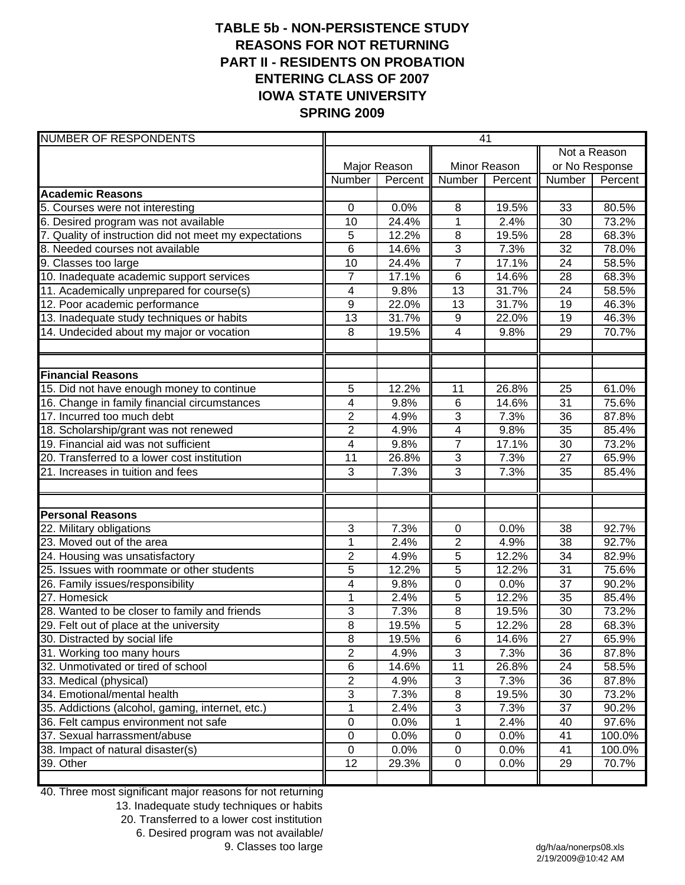## **TABLE 5b - NON-PERSISTENCE STUDY REASONS FOR NOT RETURNING PART II - RESIDENTS ON PROBATION ENTERING CLASS OF 2007 IOWA STATE UNIVERSITY SPRING 2009**

| <b>NUMBER OF RESPONDENTS</b>                           | 41             |              |                |         |                 |         |
|--------------------------------------------------------|----------------|--------------|----------------|---------|-----------------|---------|
|                                                        |                |              |                |         | Not a Reason    |         |
|                                                        |                | Major Reason | Minor Reason   |         | or No Response  |         |
|                                                        | Number         | Percent      | Number         | Percent | Number          | Percent |
| <b>Academic Reasons</b>                                |                |              |                |         |                 |         |
| 5. Courses were not interesting                        | 0              | 0.0%         | 8              | 19.5%   | 33              | 80.5%   |
| 6. Desired program was not available                   | 10             | 24.4%        | $\mathbf{1}$   | 2.4%    | 30              | 73.2%   |
| 7. Quality of instruction did not meet my expectations | 5              | 12.2%        | 8              | 19.5%   | 28              | 68.3%   |
| 8. Needed courses not available                        | $\overline{6}$ | 14.6%        | 3              | 7.3%    | $\overline{32}$ | 78.0%   |
| 9. Classes too large                                   | 10             | 24.4%        | $\overline{7}$ | 17.1%   | 24              | 58.5%   |
| 10. Inadequate academic support services               | $\overline{7}$ | 17.1%        | $6\phantom{1}$ | 14.6%   | 28              | 68.3%   |
| 11. Academically unprepared for course(s)              | 4              | 9.8%         | 13             | 31.7%   | 24              | 58.5%   |
| 12. Poor academic performance                          | $\overline{9}$ | 22.0%        | 13             | 31.7%   | 19              | 46.3%   |
| 13. Inadequate study techniques or habits              | 13             | 31.7%        | 9              | 22.0%   | 19              | 46.3%   |
| 14. Undecided about my major or vocation               | 8              | 19.5%        | 4              | 9.8%    | 29              | 70.7%   |
|                                                        |                |              |                |         |                 |         |
| <b>Financial Reasons</b>                               |                |              |                |         |                 |         |
| 15. Did not have enough money to continue              | 5              | 12.2%        | 11             | 26.8%   | 25              | 61.0%   |
| 16. Change in family financial circumstances           | 4              | 9.8%         | $6\phantom{1}$ | 14.6%   | 31              | 75.6%   |
| 17. Incurred too much debt                             | $\overline{2}$ | 4.9%         | 3              | 7.3%    | 36              | 87.8%   |
| 18. Scholarship/grant was not renewed                  | $\overline{2}$ | 4.9%         | $\overline{4}$ | 9.8%    | $\overline{35}$ | 85.4%   |
| 19. Financial aid was not sufficient                   | 4              | 9.8%         | $\overline{7}$ | 17.1%   | 30              | 73.2%   |
| 20. Transferred to a lower cost institution            | 11             | 26.8%        | 3              | 7.3%    | 27              | 65.9%   |
| 21. Increases in tuition and fees                      | 3              | 7.3%         | 3              | 7.3%    | 35              | 85.4%   |
|                                                        |                |              |                |         |                 |         |
| <b>Personal Reasons</b>                                |                |              |                |         |                 |         |
| 22. Military obligations                               | 3              | 7.3%         | 0              | 0.0%    | 38              | 92.7%   |
| 23. Moved out of the area                              | 1              | 2.4%         | $\overline{2}$ | 4.9%    | 38              | 92.7%   |
| 24. Housing was unsatisfactory                         | $\overline{2}$ | 4.9%         | 5              | 12.2%   | 34              | 82.9%   |
| 25. Issues with roommate or other students             | 5              | 12.2%        | 5              | 12.2%   | 31              | 75.6%   |
| 26. Family issues/responsibility                       | 4              | 9.8%         | $\mathbf 0$    | 0.0%    | 37              | 90.2%   |
| 27. Homesick                                           | $\overline{1}$ | 2.4%         | $\overline{5}$ | 12.2%   | 35              | 85.4%   |
| 28. Wanted to be closer to family and friends          | 3              | 7.3%         | $\overline{8}$ | 19.5%   | 30              | 73.2%   |
| 29. Felt out of place at the university                | $\overline{8}$ | 19.5%        | $\overline{5}$ | 12.2%   | 28              | 68.3%   |
| 30. Distracted by social life                          | 8              | 19.5%        | $\,6$          | 14.6%   | 27              | 65.9%   |
| 31. Working too many hours                             | $\overline{2}$ | 4.9%         | $\overline{3}$ | 7.3%    | 36              | 87.8%   |
| 32. Unmotivated or tired of school                     | 6              | 14.6%        | 11             | 26.8%   | 24              | 58.5%   |
| 33. Medical (physical)                                 | $\overline{2}$ | 4.9%         | $\sqrt{3}$     | 7.3%    | 36              | 87.8%   |
| 34. Emotional/mental health                            | 3              | 7.3%         | $\,8\,$        | 19.5%   | 30              | 73.2%   |
| 35. Addictions (alcohol, gaming, internet, etc.)       | 1              | 2.4%         | 3              | 7.3%    | 37              | 90.2%   |
| 36. Felt campus environment not safe                   | $\pmb{0}$      | 0.0%         | 1              | 2.4%    | 40              | 97.6%   |
| 37. Sexual harrassment/abuse                           | $\pmb{0}$      | 0.0%         | $\pmb{0}$      | 0.0%    | 41              | 100.0%  |
| 38. Impact of natural disaster(s)                      | $\pmb{0}$      | 0.0%         | $\pmb{0}$      | 0.0%    | 41              | 100.0%  |
| 39. Other                                              | 12             | 29.3%        | $\pmb{0}$      | $0.0\%$ | 29              | 70.7%   |

40. Three most significant major reasons for not returning

13. Inadequate study techniques or habits

20. Transferred to a lower cost institution

6. Desired program was not available/

9. Classes too large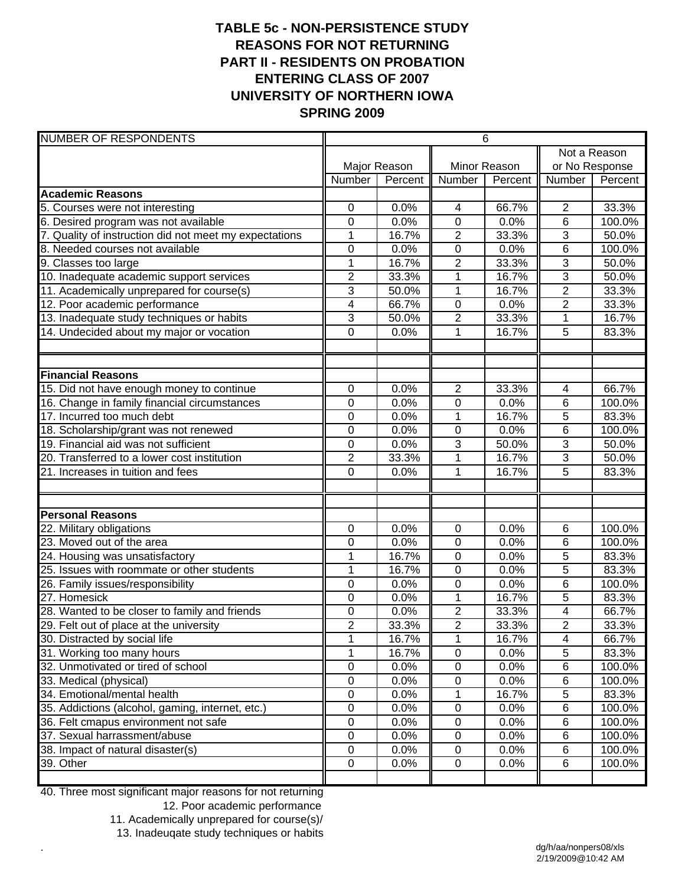# **TABLE 5c - NON-PERSISTENCE STUDY REASONS FOR NOT RETURNING PART II - RESIDENTS ON PROBATION ENTERING CLASS OF 2007 UNIVERSITY OF NORTHERN IOWA SPRING 2009**

| <b>NUMBER OF RESPONDENTS</b>                           |                  |              |                | $\overline{6}$ |                         |         |
|--------------------------------------------------------|------------------|--------------|----------------|----------------|-------------------------|---------|
|                                                        |                  |              |                |                | Not a Reason            |         |
|                                                        |                  | Major Reason | Minor Reason   |                | or No Response          |         |
|                                                        | Number           | Percent      | <b>Number</b>  | Percent        | Number                  | Percent |
| <b>Academic Reasons</b>                                |                  |              |                |                |                         |         |
| 5. Courses were not interesting                        | 0                | 0.0%         | 4              | 66.7%          | $\overline{2}$          | 33.3%   |
| 6. Desired program was not available                   | $\mathbf 0$      | 0.0%         | $\overline{0}$ | 0.0%           | 6                       | 100.0%  |
| 7. Quality of instruction did not meet my expectations | $\overline{1}$   | 16.7%        | $\overline{2}$ | 33.3%          | 3                       | 50.0%   |
| 8. Needed courses not available                        | $\boldsymbol{0}$ | 0.0%         | $\pmb{0}$      | 0.0%           | 6                       | 100.0%  |
| 9. Classes too large                                   | 1                | 16.7%        | $\overline{2}$ | 33.3%          | 3                       | 50.0%   |
| 10. Inadequate academic support services               | $\mathbf 2$      | 33.3%        | 1              | 16.7%          | $\overline{3}$          | 50.0%   |
| 11. Academically unprepared for course(s)              | $\overline{3}$   | 50.0%        | $\mathbf{1}$   | 16.7%          | $\overline{2}$          | 33.3%   |
| 12. Poor academic performance                          | 4                | 66.7%        | $\pmb{0}$      | 0.0%           | $\overline{2}$          | 33.3%   |
| 13. Inadequate study techniques or habits              | 3                | 50.0%        | $\overline{2}$ | 33.3%          | 1                       | 16.7%   |
| 14. Undecided about my major or vocation               | 0                | 0.0%         | 1              | 16.7%          | 5                       | 83.3%   |
|                                                        |                  |              |                |                |                         |         |
| <b>Financial Reasons</b>                               |                  |              |                |                |                         |         |
| 15. Did not have enough money to continue              | 0                | 0.0%         | $\overline{2}$ | 33.3%          | $\overline{4}$          | 66.7%   |
| 16. Change in family financial circumstances           | $\mathbf 0$      | 0.0%         | 0              | 0.0%           | 6                       | 100.0%  |
| 17. Incurred too much debt                             | $\overline{0}$   | 0.0%         | $\overline{1}$ | 16.7%          | 5                       | 83.3%   |
| 18. Scholarship/grant was not renewed                  | $\mathbf 0$      | 0.0%         | $\overline{0}$ | 0.0%           | 6                       | 100.0%  |
| 19. Financial aid was not sufficient                   | $\mathbf 0$      | 0.0%         | 3              | 50.0%          | 3                       | 50.0%   |
| 20. Transferred to a lower cost institution            | $\overline{2}$   | 33.3%        | 1              | 16.7%          | 3                       | 50.0%   |
| 21. Increases in tuition and fees                      | $\overline{0}$   | 0.0%         | $\mathbf{1}$   | 16.7%          | 5                       | 83.3%   |
| <b>Personal Reasons</b>                                |                  |              |                |                |                         |         |
| 22. Military obligations                               | 0                | 0.0%         | $\mathbf 0$    | 0.0%           | 6                       | 100.0%  |
| 23. Moved out of the area                              | $\mathbf 0$      | 0.0%         | $\mathbf 0$    | 0.0%           | 6                       | 100.0%  |
| 24. Housing was unsatisfactory                         | $\mathbf 1$      | 16.7%        | $\mathbf 0$    | 0.0%           | 5                       | 83.3%   |
| 25. Issues with roommate or other students             | 1                | 16.7%        | $\mathbf 0$    | 0.0%           | 5                       | 83.3%   |
| 26. Family issues/responsibility                       | $\mathbf 0$      | 0.0%         | $\overline{0}$ | 0.0%           | 6                       | 100.0%  |
| 27. Homesick                                           | $\boldsymbol{0}$ | 0.0%         | 1              | 16.7%          | 5                       | 83.3%   |
| 28. Wanted to be closer to family and friends          | 0                | 0.0%         | $\mathbf{2}$   | 33.3%          | $\overline{\mathbf{4}}$ | 66.7%   |
| 29. Felt out of place at the university                | $\overline{2}$   | 33.3%        | $\overline{2}$ | 33.3%          | $\overline{2}$          | 33.3%   |
| 30. Distracted by social life                          | $\mathbf 1$      | 16.7%        | $\mathbf 1$    | 16.7%          | $\overline{\mathbf{4}}$ | 66.7%   |
| 31. Working too many hours                             | 1                | 16.7%        | $\pmb{0}$      | 0.0%           | $\,$ 5 $\,$             | 83.3%   |
| 32. Unmotivated or tired of school                     | $\pmb{0}$        | 0.0%         | $\pmb{0}$      | 0.0%           | 6                       | 100.0%  |
| 33. Medical (physical)                                 | 0                | 0.0%         | $\pmb{0}$      | 0.0%           | 6                       | 100.0%  |
| 34. Emotional/mental health                            | $\pmb{0}$        | 0.0%         | 1              | 16.7%          | $\,$ 5 $\,$             | 83.3%   |
| 35. Addictions (alcohol, gaming, internet, etc.)       | $\pmb{0}$        | 0.0%         | $\pmb{0}$      | 0.0%           | 6                       | 100.0%  |
| 36. Felt cmapus environment not safe                   | $\pmb{0}$        | 0.0%         | $\pmb{0}$      | 0.0%           | 6                       | 100.0%  |
| 37. Sexual harrassment/abuse                           | 0                | 0.0%         | $\mathbf 0$    | 0.0%           | 6                       | 100.0%  |
| 38. Impact of natural disaster(s)                      | 0                | 0.0%         | $\mathbf 0$    | 0.0%           | 6                       | 100.0%  |
| 39. Other                                              | 0                | 0.0%         | $\mathbf 0$    | 0.0%           | 6                       | 100.0%  |
|                                                        |                  |              |                |                |                         |         |

40. Three most significant major reasons for not returning

.

12. Poor academic performance

11. Academically unprepared for course(s)/

13. Inadeuqate study techniques or habits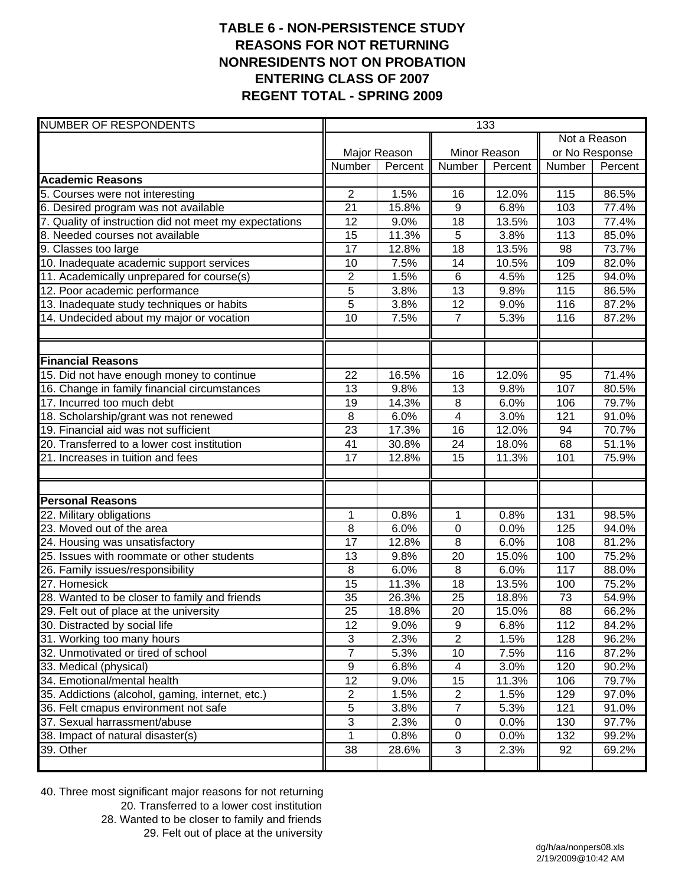## **TABLE 6 - NON-PERSISTENCE STUDY REASONS FOR NOT RETURNING NONRESIDENTS NOT ON PROBATION ENTERING CLASS OF 2007 REGENT TOTAL - SPRING 2009**

| <b>NUMBER OF RESPONDENTS</b>                           | 133             |              |                               |         |                |              |  |  |
|--------------------------------------------------------|-----------------|--------------|-------------------------------|---------|----------------|--------------|--|--|
|                                                        |                 |              |                               |         |                | Not a Reason |  |  |
|                                                        |                 | Major Reason | Minor Reason                  |         | or No Response |              |  |  |
|                                                        | Number          | Percent      | Number                        | Percent | Number         | Percent      |  |  |
| <b>Academic Reasons</b>                                |                 |              |                               |         |                |              |  |  |
| 5. Courses were not interesting                        | $\overline{2}$  | 1.5%         | 16                            | 12.0%   | 115            | 86.5%        |  |  |
| 6. Desired program was not available                   | 21              | 15.8%        | $\overline{9}$                | 6.8%    | 103            | 77.4%        |  |  |
| 7. Quality of instruction did not meet my expectations | 12              | 9.0%         | 18                            | 13.5%   | 103            | 77.4%        |  |  |
| 8. Needed courses not available                        | 15              | 11.3%        | 5                             | 3.8%    | 113            | 85.0%        |  |  |
| 9. Classes too large                                   | 17              | 12.8%        | 18                            | 13.5%   | 98             | 73.7%        |  |  |
| 10. Inadequate academic support services               | 10              | 7.5%         | 14                            | 10.5%   | 109            | 82.0%        |  |  |
| 11. Academically unprepared for course(s)              | $\overline{2}$  | 1.5%         | $\,6$                         | 4.5%    | 125            | 94.0%        |  |  |
| 12. Poor academic performance                          | $\overline{5}$  | 3.8%         | 13                            | 9.8%    | 115            | 86.5%        |  |  |
| 13. Inadequate study techniques or habits              | $\overline{5}$  | 3.8%         | 12                            | 9.0%    | 116            | 87.2%        |  |  |
| 14. Undecided about my major or vocation               | 10              | 7.5%         | $\overline{7}$                | 5.3%    | 116            | 87.2%        |  |  |
|                                                        |                 |              |                               |         |                |              |  |  |
| <b>Financial Reasons</b>                               | $\overline{22}$ |              |                               |         |                |              |  |  |
| 15. Did not have enough money to continue              |                 | 16.5%        | $\overline{16}$               | 12.0%   | 95             | 71.4%        |  |  |
| 16. Change in family financial circumstances           | 13              | 9.8%         | 13                            | 9.8%    | 107            | 80.5%        |  |  |
| 17. Incurred too much debt                             | 19              | 14.3%        | 8                             | 6.0%    | 106            | 79.7%        |  |  |
| 18. Scholarship/grant was not renewed                  | 8               | 6.0%         | $\overline{\mathbf{4}}$<br>16 | 3.0%    | 121            | 91.0%        |  |  |
| 19. Financial aid was not sufficient                   | $\overline{23}$ | 17.3%        |                               | 12.0%   | 94             | 70.7%        |  |  |
| 20. Transferred to a lower cost institution            | 41              | 30.8%        | $\overline{24}$               | 18.0%   | 68             | 51.1%        |  |  |
| 21. Increases in tuition and fees                      | 17              | 12.8%        | 15                            | 11.3%   | 101            | 75.9%        |  |  |
| <b>Personal Reasons</b>                                |                 |              |                               |         |                |              |  |  |
| 22. Military obligations                               | 1               | 0.8%         | 1                             | 0.8%    | 131            | 98.5%        |  |  |
| 23. Moved out of the area                              | 8               | 6.0%         | 0                             | 0.0%    | 125            | 94.0%        |  |  |
| 24. Housing was unsatisfactory                         | 17              | 12.8%        | $\overline{8}$                | 6.0%    | 108            | 81.2%        |  |  |
| 25. Issues with roommate or other students             | 13              | 9.8%         | 20                            | 15.0%   | 100            | 75.2%        |  |  |
| 26. Family issues/responsibility                       | 8               | 6.0%         | 8                             | 6.0%    | 117            | 88.0%        |  |  |
| 27. Homesick                                           | 15              | 11.3%        | 18                            | 13.5%   | 100            | 75.2%        |  |  |
| 28. Wanted to be closer to family and friends          | 35              | 26.3%        | $\overline{25}$               | 18.8%   | 73             | 54.9%        |  |  |
| 29. Felt out of place at the university                | $\overline{25}$ | 18.8%        | $\overline{20}$               | 15.0%   | 88             | 66.2%        |  |  |
| 30. Distracted by social life                          | 12              | 9.0%         | 9                             | 6.8%    | 112            | 84.2%        |  |  |
| 31. Working too many hours                             | 3               | 2.3%         | $\overline{2}$                | 1.5%    | 128            | 96.2%        |  |  |
| 32. Unmotivated or tired of school                     | 7               | 5.3%         | 10                            | 7.5%    | 116            | 87.2%        |  |  |
| 33. Medical (physical)                                 | 9               | 6.8%         | 4                             | 3.0%    | 120            | 90.2%        |  |  |
| 34. Emotional/mental health                            | 12              | 9.0%         | 15                            | 11.3%   | 106            | 79.7%        |  |  |
| 35. Addictions (alcohol, gaming, internet, etc.)       | $\overline{c}$  | 1.5%         | $\overline{2}$                | 1.5%    | 129            | 97.0%        |  |  |
| 36. Felt cmapus environment not safe                   | 5               | 3.8%         | 7                             | 5.3%    | 121            | 91.0%        |  |  |
| 37. Sexual harrassment/abuse                           | $\overline{3}$  | 2.3%         | $\pmb{0}$                     | 0.0%    | 130            | 97.7%        |  |  |
| 38. Impact of natural disaster(s)                      | 1               | 0.8%         | $\mathbf 0$                   | 0.0%    | 132            | 99.2%        |  |  |
| 39. Other                                              | 38              | 28.6%        | 3                             | 2.3%    | 92             | 69.2%        |  |  |
|                                                        |                 |              |                               |         |                |              |  |  |

40. Three most significant major reasons for not returning 20. Transferred to a lower cost institution 28. Wanted to be closer to family and friends 29. Felt out of place at the university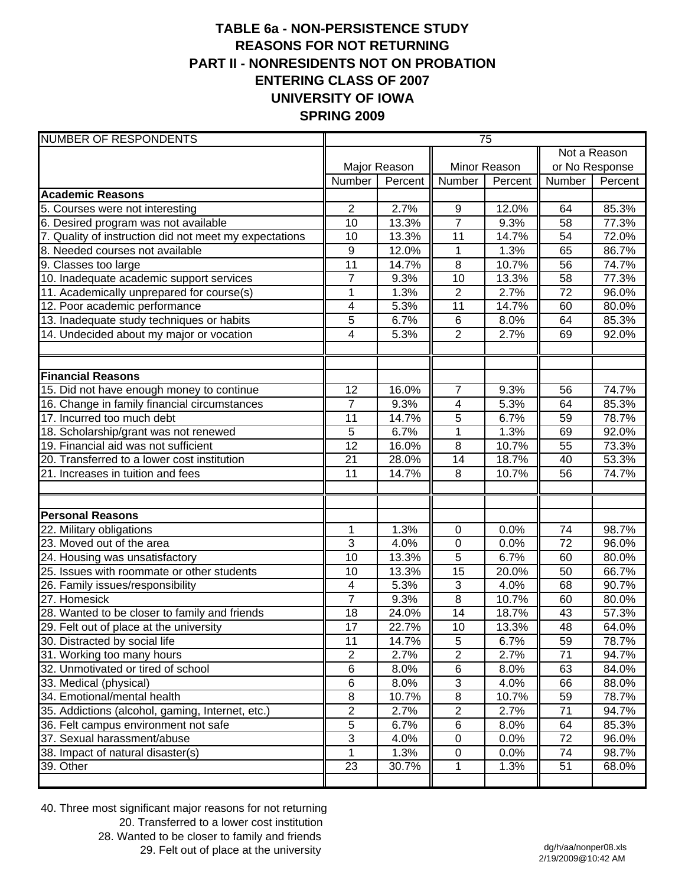# **TABLE 6a - NON-PERSISTENCE STUDY REASONS FOR NOT RETURNING PART II - NONRESIDENTS NOT ON PROBATION ENTERING CLASS OF 2007 UNIVERSITY OF IOWA SPRING 2009**

| <b>NUMBER OF RESPONDENTS</b>                           | 75                  |              |                 |         |                 |                |  |
|--------------------------------------------------------|---------------------|--------------|-----------------|---------|-----------------|----------------|--|
|                                                        |                     |              |                 |         | Not a Reason    |                |  |
|                                                        |                     | Major Reason | Minor Reason    |         |                 | or No Response |  |
|                                                        | Number              | Percent      | Number          | Percent | Number          | Percent        |  |
| <b>Academic Reasons</b>                                |                     |              |                 |         |                 |                |  |
| 5. Courses were not interesting                        | $\overline{2}$      | 2.7%         | 9               | 12.0%   | 64              | 85.3%          |  |
| 6. Desired program was not available                   | 10                  | 13.3%        | $\overline{7}$  | 9.3%    | 58              | 77.3%          |  |
| 7. Quality of instruction did not meet my expectations | 10                  | 13.3%        | $\overline{11}$ | 14.7%   | 54              | 72.0%          |  |
| 8. Needed courses not available                        | 9                   | 12.0%        | $\mathbf 1$     | 1.3%    | 65              | 86.7%          |  |
| 9. Classes too large                                   | 11                  | 14.7%        | 8               | 10.7%   | 56              | 74.7%          |  |
| 10. Inadequate academic support services               | $\overline{7}$      | 9.3%         | 10              | 13.3%   | 58              | 77.3%          |  |
| 11. Academically unprepared for course(s)              | $\mathbf 1$         | 1.3%         | $\sqrt{2}$      | 2.7%    | 72              | 96.0%          |  |
| 12. Poor academic performance                          | 4                   | 5.3%         | 11              | 14.7%   | 60              | 80.0%          |  |
| 13. Inadequate study techniques or habits              | $\overline{5}$      | 6.7%         | $\,6\,$         | 8.0%    | 64              | 85.3%          |  |
| 14. Undecided about my major or vocation               | 4                   | 5.3%         | $\overline{2}$  | 2.7%    | 69              | 92.0%          |  |
|                                                        |                     |              |                 |         |                 |                |  |
| <b>Financial Reasons</b>                               |                     |              |                 |         |                 |                |  |
| 15. Did not have enough money to continue              | 12                  | 16.0%        | $\overline{7}$  | 9.3%    | 56              | 74.7%          |  |
| 16. Change in family financial circumstances           | $\overline{7}$      | 9.3%         | 4               | 5.3%    | 64              | 85.3%          |  |
| 17. Incurred too much debt                             | 11                  | 14.7%        | 5               | 6.7%    | 59              | 78.7%          |  |
| 18. Scholarship/grant was not renewed                  | 5                   | 6.7%         | $\mathbf{1}$    | 1.3%    | 69              | 92.0%          |  |
| 19. Financial aid was not sufficient                   | 12                  | 16.0%        | 8               | 10.7%   | 55              | 73.3%          |  |
| 20. Transferred to a lower cost institution            | 21                  | 28.0%        | 14              | 18.7%   | 40              | 53.3%          |  |
| 21. Increases in tuition and fees                      | 11                  | 14.7%        | 8               | 10.7%   | 56              | 74.7%          |  |
|                                                        |                     |              |                 |         |                 |                |  |
| <b>Personal Reasons</b>                                |                     |              |                 |         |                 |                |  |
| 22. Military obligations                               | 1                   | 1.3%         | 0               | 0.0%    | 74              | 98.7%          |  |
| 23. Moved out of the area                              | $\overline{3}$      | 4.0%         | $\mathbf 0$     | 0.0%    | $\overline{72}$ | 96.0%          |  |
| 24. Housing was unsatisfactory                         | 10                  | 13.3%        | 5               | 6.7%    | 60              | 80.0%          |  |
| 25. Issues with roommate or other students             | 10                  | 13.3%        | $\overline{15}$ | 20.0%   | 50              | 66.7%          |  |
| 26. Family issues/responsibility                       | 4<br>$\overline{7}$ | 5.3%         | $\overline{3}$  | 4.0%    | 68              | 90.7%          |  |
| 27. Homesick                                           |                     | 9.3%         | $\overline{8}$  | 10.7%   | 60              | 80.0%          |  |
| 28. Wanted to be closer to family and friends          | 18                  | 24.0%        | 14              | 18.7%   | 43<br>48        | 57.3%          |  |
| 29. Felt out of place at the university                | $\overline{17}$     | 22.7%        | 10              | 13.3%   |                 | 64.0%          |  |
| 30. Distracted by social life                          | 11                  | 14.7%        | $\sqrt{5}$      | 6.7%    | 59              | 78.7%          |  |
| 31. Working too many hours                             | $\overline{2}$      | 2.7%         | $\sqrt{2}$      | 2.7%    | 71              | 94.7%          |  |
| 32. Unmotivated or tired of school                     | 6                   | 8.0%         | $\,6$           | 8.0%    | 63              | 84.0%          |  |
| 33. Medical (physical)                                 | 6                   | 8.0%         | $\sqrt{3}$      | 4.0%    | 66              | 88.0%          |  |
| 34. Emotional/mental health                            | 8                   | 10.7%        | $\, 8$          | 10.7%   | 59              | 78.7%          |  |
| 35. Addictions (alcohol, gaming, Internet, etc.)       | $\overline{c}$      | 2.7%         | 2               | 2.7%    | 71              | 94.7%          |  |
| 36. Felt campus environment not safe                   | 5                   | 6.7%         | $\,6$           | 8.0%    | 64              | 85.3%          |  |
| 37. Sexual harassment/abuse                            | 3                   | 4.0%         | $\pmb{0}$       | 0.0%    | 72              | 96.0%          |  |
| 38. Impact of natural disaster(s)                      |                     | 1.3%         | 0               | 0.0%    | 74              | 98.7%          |  |
| 39. Other                                              | 23                  | 30.7%        | 1               | 1.3%    | 51              | 68.0%          |  |

40. Three most significant major reasons for not returning 20. Transferred to a lower cost institution 28. Wanted to be closer to family and friends 29. Felt out of place at the university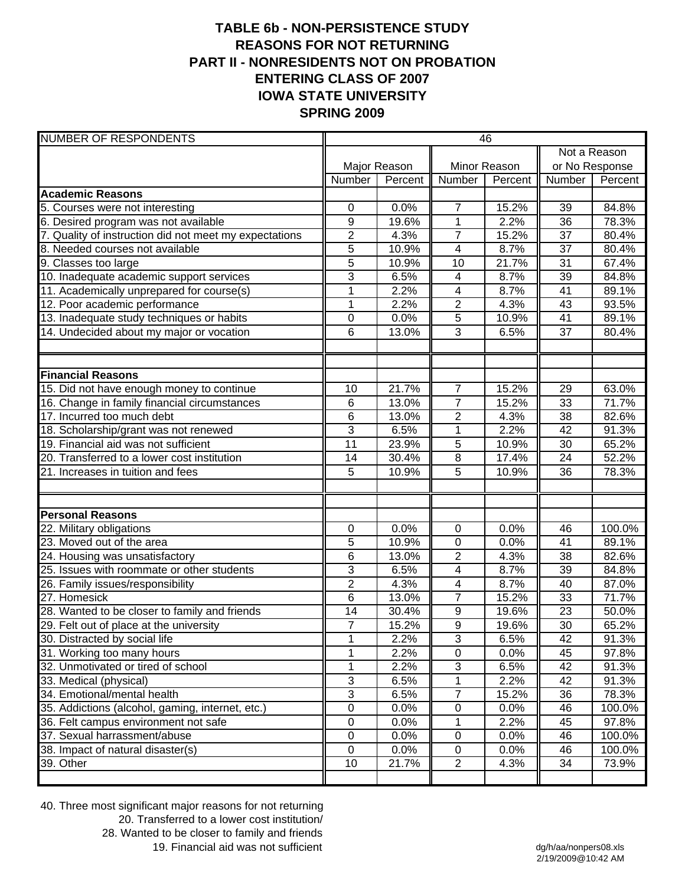# **TABLE 6b - NON-PERSISTENCE STUDY REASONS FOR NOT RETURNING PART II - NONRESIDENTS NOT ON PROBATION ENTERING CLASS OF 2007 IOWA STATE UNIVERSITY SPRING 2009**

| <b>NUMBER OF RESPONDENTS</b>                           | 46                        |              |                         |              |                |         |  |
|--------------------------------------------------------|---------------------------|--------------|-------------------------|--------------|----------------|---------|--|
|                                                        |                           |              |                         |              | Not a Reason   |         |  |
|                                                        |                           | Major Reason |                         | Minor Reason | or No Response |         |  |
|                                                        | Number                    | Percent      | Number                  | Percent      | Number         | Percent |  |
| <b>Academic Reasons</b>                                |                           |              |                         |              |                |         |  |
| 5. Courses were not interesting                        | 0                         | 0.0%         | $\overline{7}$          | 15.2%        | 39             | 84.8%   |  |
| 6. Desired program was not available                   | 9                         | 19.6%        | $\mathbf{1}$            | 2.2%         | 36             | 78.3%   |  |
| 7. Quality of instruction did not meet my expectations | $\overline{2}$            | 4.3%         | $\overline{7}$          | 15.2%        | 37             | 80.4%   |  |
| 8. Needed courses not available                        | 5                         | 10.9%        | 4                       | 8.7%         | 37             | 80.4%   |  |
| 9. Classes too large                                   | $\overline{5}$            | 10.9%        | $\overline{10}$         | 21.7%        | 31             | 67.4%   |  |
| 10. Inadequate academic support services               | 3                         | 6.5%         | $\overline{\mathbf{4}}$ | 8.7%         | 39             | 84.8%   |  |
| 11. Academically unprepared for course(s)              | 1                         | 2.2%         | $\overline{\mathbf{4}}$ | 8.7%         | 41             | 89.1%   |  |
| 12. Poor academic performance                          | $\mathbf{1}$              | 2.2%         | $\overline{2}$          | 4.3%         | 43             | 93.5%   |  |
| 13. Inadequate study techniques or habits              | $\mathbf 0$               | 0.0%         | $\overline{5}$          | 10.9%        | 41             | 89.1%   |  |
| 14. Undecided about my major or vocation               | 6                         | 13.0%        | $\overline{3}$          | 6.5%         | 37             | 80.4%   |  |
|                                                        |                           |              |                         |              |                |         |  |
| <b>Financial Reasons</b>                               |                           |              |                         |              |                |         |  |
| 15. Did not have enough money to continue              | 10                        | 21.7%        | $\overline{7}$          | 15.2%        | 29             | 63.0%   |  |
| 16. Change in family financial circumstances           | 6                         | 13.0%        | $\overline{7}$          | 15.2%        | 33             | 71.7%   |  |
| 17. Incurred too much debt                             | 6                         | 13.0%        | $\overline{2}$          | 4.3%         | 38             | 82.6%   |  |
| 18. Scholarship/grant was not renewed                  | 3                         | 6.5%         | 1                       | 2.2%         | 42             | 91.3%   |  |
| 19. Financial aid was not sufficient                   | 11                        | 23.9%        | $\overline{5}$          | 10.9%        | 30             | 65.2%   |  |
| 20. Transferred to a lower cost institution            | 14                        | 30.4%        | $\overline{8}$          | 17.4%        | 24             | 52.2%   |  |
| 21. Increases in tuition and fees                      | 5                         | 10.9%        | $\overline{5}$          | 10.9%        | 36             | 78.3%   |  |
| <b>Personal Reasons</b>                                |                           |              |                         |              |                |         |  |
| 22. Military obligations                               | 0                         | 0.0%         | $\mathbf 0$             | 0.0%         | 46             | 100.0%  |  |
| 23. Moved out of the area                              | 5                         | 10.9%        | 0                       | 0.0%         | 41             | 89.1%   |  |
| 24. Housing was unsatisfactory                         | 6                         | 13.0%        | $\overline{2}$          | 4.3%         | 38             | 82.6%   |  |
| 25. Issues with roommate or other students             | 3                         | 6.5%         | 4                       | 8.7%         | 39             | 84.8%   |  |
| 26. Family issues/responsibility                       | $\overline{2}$            | 4.3%         | $\overline{\mathbf{4}}$ | 8.7%         | 40             | 87.0%   |  |
| 27. Homesick                                           | 6                         | 13.0%        | $\overline{7}$          | 15.2%        | 33             | 71.7%   |  |
| 28. Wanted to be closer to family and friends          | 14                        | 30.4%        | 9                       | 19.6%        | 23             | 50.0%   |  |
| 29. Felt out of place at the university                | $\overline{7}$            | 15.2%        | $\overline{9}$          | 19.6%        | 30             | 65.2%   |  |
| 30. Distracted by social life                          | 1                         | 2.2%         | $\overline{3}$          | 6.5%         | 42             | 91.3%   |  |
| 31. Working too many hours                             | 1                         | 2.2%         | $\pmb{0}$               | 0.0%         | 45             | 97.8%   |  |
| 32. Unmotivated or tired of school                     | 1                         | 2.2%         | 3                       | 6.5%         | 42             | 91.3%   |  |
| 33. Medical (physical)                                 | $\ensuremath{\mathsf{3}}$ | 6.5%         | 1                       | 2.2%         | 42             | 91.3%   |  |
| 34. Emotional/mental health                            | $\overline{3}$            | 6.5%         | $\overline{7}$          | 15.2%        | 36             | 78.3%   |  |
| 35. Addictions (alcohol, gaming, internet, etc.)       | $\pmb{0}$                 | 0.0%         | 0                       | 0.0%         | 46             | 100.0%  |  |
| 36. Felt campus environment not safe                   | $\pmb{0}$                 | 0.0%         | 1                       | 2.2%         | 45             | 97.8%   |  |
| 37. Sexual harrassment/abuse                           | $\pmb{0}$                 | 0.0%         | $\pmb{0}$               | 0.0%         | 46             | 100.0%  |  |
| 38. Impact of natural disaster(s)                      | $\mathbf 0$               | 0.0%         | $\mathbf 0$             | 0.0%         | 46             | 100.0%  |  |
| 39. Other                                              | 10                        | 21.7%        | $\overline{2}$          | 4.3%         | 34             | 73.9%   |  |
|                                                        |                           |              |                         |              |                |         |  |

40. Three most significant major reasons for not returning 20. Transferred to a lower cost institution/ 28. Wanted to be closer to family and friends 19. Financial aid was not sufficient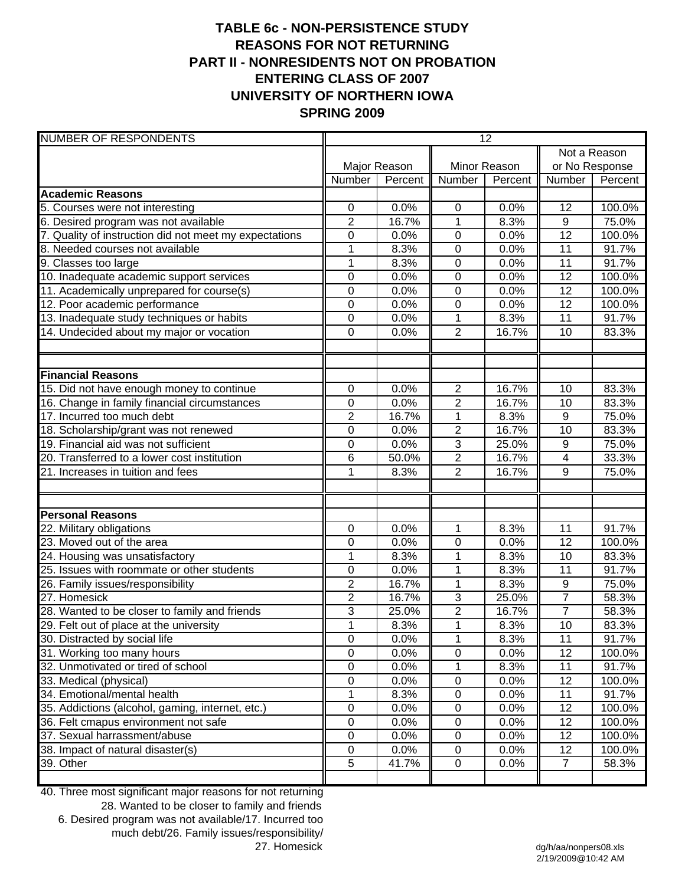# **TABLE 6c - NON-PERSISTENCE STUDY REASONS FOR NOT RETURNING PART II - NONRESIDENTS NOT ON PROBATION ENTERING CLASS OF 2007 UNIVERSITY OF NORTHERN IOWA SPRING 2009**

| <b>NUMBER OF RESPONDENTS</b>                           | 12               |              |                |         |                 |         |
|--------------------------------------------------------|------------------|--------------|----------------|---------|-----------------|---------|
|                                                        |                  |              |                |         | Not a Reason    |         |
|                                                        |                  | Major Reason | Minor Reason   |         | or No Response  |         |
|                                                        | Number           | Percent      | Number         | Percent | Number          | Percent |
| <b>Academic Reasons</b>                                |                  |              |                |         |                 |         |
| 5. Courses were not interesting                        | 0                | 0.0%         | 0              | 0.0%    | 12              | 100.0%  |
| 6. Desired program was not available                   | $\overline{2}$   | 16.7%        | $\mathbf{1}$   | 8.3%    | $\overline{9}$  | 75.0%   |
| 7. Quality of instruction did not meet my expectations | 0                | 0.0%         | 0              | 0.0%    | $\overline{12}$ | 100.0%  |
| 8. Needed courses not available                        | 1                | 8.3%         | 0              | 0.0%    | 11              | 91.7%   |
| 9. Classes too large                                   | $\overline{1}$   | 8.3%         | $\mathbf 0$    | 0.0%    | 11              | 91.7%   |
| 10. Inadequate academic support services               | $\mathbf 0$      | 0.0%         | 0              | 0.0%    | 12              | 100.0%  |
| 11. Academically unprepared for course(s)              | $\mathbf 0$      | 0.0%         | 0              | 0.0%    | 12              | 100.0%  |
| 12. Poor academic performance                          | $\boldsymbol{0}$ | 0.0%         | 0              | 0.0%    | 12              | 100.0%  |
| 13. Inadequate study techniques or habits              | $\mathbf 0$      | 0.0%         | $\mathbf 1$    | 8.3%    | 11              | 91.7%   |
| 14. Undecided about my major or vocation               | $\mathbf 0$      | 0.0%         | $\overline{2}$ | 16.7%   | 10              | 83.3%   |
| <b>Financial Reasons</b>                               |                  |              |                |         |                 |         |
| 15. Did not have enough money to continue              | $\mathbf 0$      | 0.0%         | $\overline{2}$ | 16.7%   | 10              | 83.3%   |
| 16. Change in family financial circumstances           | $\mathbf 0$      | 0.0%         | $\overline{2}$ | 16.7%   | 10              | 83.3%   |
| 17. Incurred too much debt                             | $\overline{2}$   | 16.7%        | $\mathbf{1}$   | 8.3%    | 9               | 75.0%   |
| 18. Scholarship/grant was not renewed                  | $\mathbf 0$      | 0.0%         | $\overline{2}$ | 16.7%   | 10              | 83.3%   |
| 19. Financial aid was not sufficient                   | $\mathbf 0$      | 0.0%         | $\overline{3}$ | 25.0%   | 9               | 75.0%   |
| 20. Transferred to a lower cost institution            | 6                | 50.0%        | $\overline{2}$ | 16.7%   | 4               | 33.3%   |
| 21. Increases in tuition and fees                      | 1                | 8.3%         | $\overline{2}$ | 16.7%   | 9               | 75.0%   |
| <b>Personal Reasons</b>                                |                  |              |                |         |                 |         |
| 22. Military obligations                               | 0                | 0.0%         | 1              | 8.3%    | 11              | 91.7%   |
| 23. Moved out of the area                              | 0                | 0.0%         | 0              | 0.0%    | 12              | 100.0%  |
| 24. Housing was unsatisfactory                         | 1                | 8.3%         | $\mathbf 1$    | 8.3%    | 10              | 83.3%   |
| 25. Issues with roommate or other students             | 0                | 0.0%         | $\mathbf 1$    | 8.3%    | 11              | 91.7%   |
| 26. Family issues/responsibility                       | $\overline{2}$   | 16.7%        | $\mathbf 1$    | 8.3%    | 9               | 75.0%   |
| 27. Homesick                                           | $\overline{2}$   | 16.7%        | 3              | 25.0%   | $\overline{7}$  | 58.3%   |
| 28. Wanted to be closer to family and friends          | 3                | 25.0%        | $\overline{2}$ | 16.7%   | $\overline{7}$  | 58.3%   |
| 29. Felt out of place at the university                | $\overline{1}$   | 8.3%         | $\mathbf{1}$   | 8.3%    | $\overline{10}$ | 83.3%   |
| 30. Distracted by social life                          | $\pmb{0}$        | 0.0%         | $\mathbf 1$    | 8.3%    | 11              | 91.7%   |
| 31. Working too many hours                             | $\pmb{0}$        | 0.0%         | 0              | 0.0%    | 12              | 100.0%  |
| 32. Unmotivated or tired of school                     | $\mathbf 0$      | 0.0%         | 1              | 8.3%    | 11              | 91.7%   |
| 33. Medical (physical)                                 | 0                | 0.0%         | 0              | 0.0%    | 12              | 100.0%  |
| 34. Emotional/mental health                            | 1                | 8.3%         | $\pmb{0}$      | 0.0%    | 11              | 91.7%   |
| 35. Addictions (alcohol, gaming, internet, etc.)       | $\pmb{0}$        | 0.0%         | $\pmb{0}$      | 0.0%    | 12              | 100.0%  |
| 36. Felt cmapus environment not safe                   | $\pmb{0}$        | 0.0%         | $\pmb{0}$      | 0.0%    | 12              | 100.0%  |
| 37. Sexual harrassment/abuse                           | $\pmb{0}$        | 0.0%         | $\pmb{0}$      | 0.0%    | 12              | 100.0%  |
| 38. Impact of natural disaster(s)                      | $\pmb{0}$        | 0.0%         | 0              | 0.0%    | 12              | 100.0%  |
| 39. Other                                              | 5                | 41.7%        | $\pmb{0}$      | 0.0%    | $\overline{7}$  | 58.3%   |
|                                                        |                  |              |                |         |                 |         |

40. Three most significant major reasons for not returning

28. Wanted to be closer to family and friends 6. Desired program was not available/17. Incurred too much debt/26. Family issues/responsibility/ 27. Homesick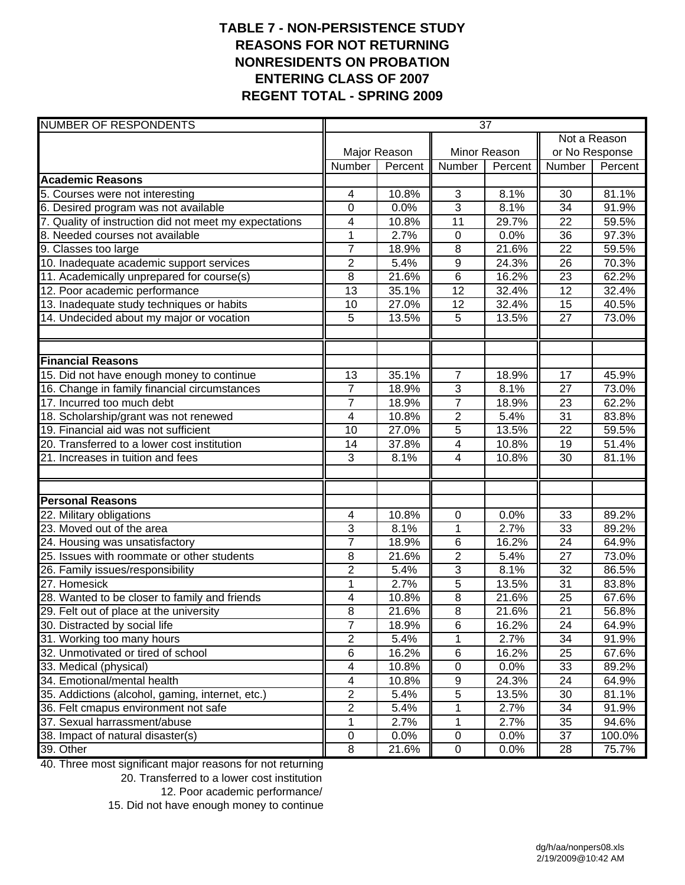## **TABLE 7 - NON-PERSISTENCE STUDY REASONS FOR NOT RETURNING NONRESIDENTS ON PROBATION ENTERING CLASS OF 2007 REGENT TOTAL - SPRING 2009**

| <b>NUMBER OF RESPONDENTS</b>                           | $\overline{37}$ |              |                         |              |                 |         |  |
|--------------------------------------------------------|-----------------|--------------|-------------------------|--------------|-----------------|---------|--|
|                                                        |                 |              |                         |              | Not a Reason    |         |  |
|                                                        |                 | Major Reason |                         | Minor Reason | or No Response  |         |  |
|                                                        | Number          | Percent      | Number                  | Percent      | Number          | Percent |  |
| <b>Academic Reasons</b>                                |                 |              |                         |              |                 |         |  |
| 5. Courses were not interesting                        | 4               | 10.8%        | 3                       | 8.1%         | 30              | 81.1%   |  |
| 6. Desired program was not available                   | $\mathbf 0$     | 0.0%         | $\overline{3}$          | 8.1%         | 34              | 91.9%   |  |
| 7. Quality of instruction did not meet my expectations | 4               | 10.8%        | 11                      | 29.7%        | 22              | 59.5%   |  |
| 8. Needed courses not available                        | 1               | 2.7%         | $\mathbf 0$             | 0.0%         | 36              | 97.3%   |  |
| 9. Classes too large                                   | $\overline{7}$  | 18.9%        | $\overline{8}$          | 21.6%        | 22              | 59.5%   |  |
| 10. Inadequate academic support services               | $\mathbf 2$     | 5.4%         | $\overline{9}$          | 24.3%        | 26              | 70.3%   |  |
| 11. Academically unprepared for course(s)              | $\overline{8}$  | 21.6%        | 6                       | 16.2%        | 23              | 62.2%   |  |
| 12. Poor academic performance                          | 13              | 35.1%        | 12                      | 32.4%        | 12              | 32.4%   |  |
| 13. Inadequate study techniques or habits              | 10              | 27.0%        | 12                      | 32.4%        | 15              | 40.5%   |  |
| 14. Undecided about my major or vocation               | 5               | 13.5%        | 5                       | 13.5%        | 27              | 73.0%   |  |
|                                                        |                 |              |                         |              |                 |         |  |
| <b>Financial Reasons</b>                               |                 |              |                         |              |                 |         |  |
| 15. Did not have enough money to continue              | 13              | 35.1%        | 7                       | 18.9%        | 17              | 45.9%   |  |
| 16. Change in family financial circumstances           | $\overline{7}$  | 18.9%        | 3                       | 8.1%         | $\overline{27}$ | 73.0%   |  |
| 17. Incurred too much debt                             | $\overline{7}$  | 18.9%        | $\overline{7}$          | 18.9%        | 23              | 62.2%   |  |
| 18. Scholarship/grant was not renewed                  | 4               | 10.8%        | $\overline{\mathbf{c}}$ | 5.4%         | 31              | 83.8%   |  |
| 19. Financial aid was not sufficient                   | 10              | 27.0%        | $\overline{5}$          | 13.5%        | $\overline{22}$ | 59.5%   |  |
| 20. Transferred to a lower cost institution            | 14              | 37.8%        | 4                       | 10.8%        | 19              | 51.4%   |  |
| 21. Increases in tuition and fees                      | 3               | 8.1%         | 4                       | 10.8%        | 30              | 81.1%   |  |
|                                                        |                 |              |                         |              |                 |         |  |
| <b>Personal Reasons</b>                                |                 |              |                         |              |                 |         |  |
| 22. Military obligations                               | 4               | 10.8%        | $\mathbf 0$             | 0.0%         | 33              | 89.2%   |  |
| 23. Moved out of the area                              | 3               | 8.1%         | 1                       | 2.7%         | 33              | 89.2%   |  |
| 24. Housing was unsatisfactory                         | $\overline{7}$  | 18.9%        | 6                       | 16.2%        | 24              | 64.9%   |  |
| 25. Issues with roommate or other students             | 8               | 21.6%        | $\overline{c}$          | 5.4%         | 27              | 73.0%   |  |
| 26. Family issues/responsibility                       | $\overline{2}$  | 5.4%         | 3                       | 8.1%         | 32              | 86.5%   |  |
| 27. Homesick                                           | 1               | 2.7%         | 5                       | 13.5%        | 31              | 83.8%   |  |
| 28. Wanted to be closer to family and friends          | 4               | 10.8%        | $\overline{8}$          | 21.6%        | 25              | 67.6%   |  |
| 29. Felt out of place at the university                | 8               | 21.6%        | $\overline{8}$          | 21.6%        | $\overline{21}$ | 56.8%   |  |
| 30. Distracted by social life                          | $\overline{7}$  | 18.9%        | 6                       | 16.2%        | 24              | 64.9%   |  |
| 31. Working too many hours                             | $\overline{2}$  | 5.4%         | 1                       | 2.7%         | 34              | 91.9%   |  |
| 32. Unmotivated or tired of school                     | $\,6$           | 16.2%        | 6                       | 16.2%        | 25              | 67.6%   |  |
| 33. Medical (physical)                                 | 4               | 10.8%        | $\pmb{0}$               | 0.0%         | 33              | 89.2%   |  |
| 34. Emotional/mental health                            | 4               | 10.8%        | $\boldsymbol{9}$        | 24.3%        | 24              | 64.9%   |  |
| 35. Addictions (alcohol, gaming, internet, etc.)       | $\overline{2}$  | 5.4%         | 5                       | 13.5%        | 30              | 81.1%   |  |
| 36. Felt cmapus environment not safe                   | 2               | 5.4%         | 1                       | 2.7%         | 34              | 91.9%   |  |
| 37. Sexual harrassment/abuse                           | 1               | 2.7%         | 1                       | 2.7%         | 35              | 94.6%   |  |
| 38. Impact of natural disaster(s)                      | 0               | 0.0%         | $\pmb{0}$               | $0.0\%$      | 37              | 100.0%  |  |
| 39. Other                                              | 8               | 21.6%        | $\mathsf 0$             | 0.0%         | 28              | 75.7%   |  |

40. Three most significant major reasons for not returning

20. Transferred to a lower cost institution

15. Did not have enough money to continue

<sup>12.</sup> Poor academic performance/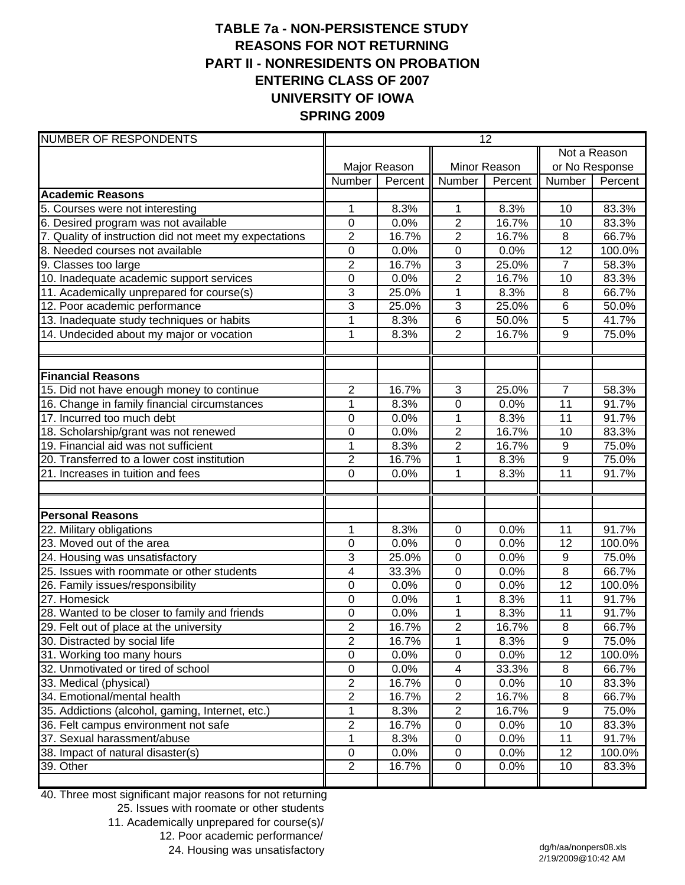# **TABLE 7a - NON-PERSISTENCE STUDY REASONS FOR NOT RETURNING PART II - NONRESIDENTS ON PROBATION ENTERING CLASS OF 2007 UNIVERSITY OF IOWA SPRING 2009**

| <b>NUMBER OF RESPONDENTS</b>                           | $\overline{12}$         |              |                         |         |                  |                |
|--------------------------------------------------------|-------------------------|--------------|-------------------------|---------|------------------|----------------|
|                                                        |                         |              |                         |         | Not a Reason     |                |
|                                                        |                         | Major Reason | Minor Reason            |         |                  | or No Response |
|                                                        | Number                  | Percent      | Number                  | Percent | Number           | Percent        |
| <b>Academic Reasons</b>                                |                         |              |                         |         |                  |                |
| 5. Courses were not interesting                        | 1                       | 8.3%         | 1                       | 8.3%    | 10               | 83.3%          |
| 6. Desired program was not available                   | $\mathbf 0$             | 0.0%         | $\overline{2}$          | 16.7%   | 10               | 83.3%          |
| 7. Quality of instruction did not meet my expectations | $\overline{2}$          | 16.7%        | $\overline{2}$          | 16.7%   | 8                | 66.7%          |
| 8. Needed courses not available                        | $\pmb{0}$               | 0.0%         | $\mathbf 0$             | 0.0%    | $\overline{12}$  | 100.0%         |
| 9. Classes too large                                   | $\overline{c}$          | 16.7%        | $\mathbf{3}$            | 25.0%   | $\overline{7}$   | 58.3%          |
| 10. Inadequate academic support services               | $\mathbf 0$             | 0.0%         | $\overline{2}$          | 16.7%   | 10               | 83.3%          |
| 11. Academically unprepared for course(s)              | $\overline{3}$          | 25.0%        | 1                       | 8.3%    | 8                | 66.7%          |
| 12. Poor academic performance                          | 3                       | 25.0%        | $\mathbf{3}$            | 25.0%   | 6                | 50.0%          |
| 13. Inadequate study techniques or habits              | $\mathbf{1}$            | 8.3%         | $\overline{6}$          | 50.0%   | $\overline{5}$   | 41.7%          |
| 14. Undecided about my major or vocation               | 1                       | 8.3%         | $\overline{2}$          | 16.7%   | 9                | 75.0%          |
|                                                        |                         |              |                         |         |                  |                |
| <b>Financial Reasons</b>                               |                         |              |                         |         |                  |                |
| 15. Did not have enough money to continue              | $\overline{2}$          | 16.7%        | 3                       | 25.0%   | $\overline{7}$   | 58.3%          |
| 16. Change in family financial circumstances           | 1                       | 8.3%         | $\mathbf 0$             | 0.0%    | 11               | 91.7%          |
| 17. Incurred too much debt                             | 0                       | 0.0%         | 1                       | 8.3%    | 11               | 91.7%          |
| 18. Scholarship/grant was not renewed                  | 0                       | 0.0%         | $\boldsymbol{2}$        | 16.7%   | 10               | 83.3%          |
| 19. Financial aid was not sufficient                   | 1                       | 8.3%         | $\overline{2}$          | 16.7%   | 9                | 75.0%          |
| 20. Transferred to a lower cost institution            | $\overline{2}$          | 16.7%        | 1                       | 8.3%    | 9                | 75.0%          |
| 21. Increases in tuition and fees                      | 0                       | 0.0%         | 1                       | 8.3%    | 11               | 91.7%          |
| <b>Personal Reasons</b>                                |                         |              |                         |         |                  |                |
| 22. Military obligations                               | 1                       | 8.3%         | 0                       | 0.0%    | 11               | 91.7%          |
| 23. Moved out of the area                              | $\mathbf 0$             | 0.0%         | $\mathbf 0$             | 0.0%    | 12               | 100.0%         |
| 24. Housing was unsatisfactory                         | 3                       | 25.0%        | 0                       | 0.0%    | 9                | 75.0%          |
| 25. Issues with roommate or other students             | 4                       | 33.3%        | 0                       | 0.0%    | 8                | 66.7%          |
| 26. Family issues/responsibility                       | 0                       | 0.0%         | $\overline{0}$          | 0.0%    | $\overline{12}$  | 100.0%         |
| 27. Homesick                                           | 0                       | 0.0%         | 1                       | 8.3%    | 11               | 91.7%          |
| 28. Wanted to be closer to family and friends          | 0                       | 0.0%         | 1                       | 8.3%    | 11               | 91.7%          |
| 29. Felt out of place at the university                | $\overline{2}$          | 16.7%        | $\overline{2}$          | 16.7%   | $\overline{8}$   | 66.7%          |
| 30. Distracted by social life                          | $\overline{c}$          | 16.7%        | 1                       | 8.3%    | $\boldsymbol{9}$ | 75.0%          |
| 31. Working too many hours                             | 0                       | 0.0%         | 0                       | 0.0%    | 12               | 100.0%         |
| 32. Unmotivated or tired of school                     | $\pmb{0}$               | 0.0%         | $\overline{\mathbf{4}}$ | 33.3%   | 8                | 66.7%          |
| 33. Medical (physical)                                 | $\overline{c}$          | 16.7%        | 0                       | 0.0%    | 10               | 83.3%          |
| 34. Emotional/mental health                            | $\overline{2}$          | 16.7%        | $\overline{2}$          | 16.7%   | 8                | 66.7%          |
| 35. Addictions (alcohol, gaming, Internet, etc.)       | 1                       | 8.3%         | 2                       | 16.7%   | 9                | 75.0%          |
| 36. Felt campus environment not safe                   | $\overline{2}$          | 16.7%        | 0                       | 0.0%    | 10               | 83.3%          |
| 37. Sexual harassment/abuse                            | 1                       | 8.3%         | 0                       | 0.0%    | 11               | 91.7%          |
| 38. Impact of natural disaster(s)                      | $\mathbf 0$             | 0.0%         | $\pmb{0}$               | 0.0%    | 12               | 100.0%         |
| 39. Other                                              | $\overline{\mathbf{c}}$ | 16.7%        | $\pmb{0}$               | 0.0%    | 10 <sub>1</sub>  | 83.3%          |
|                                                        |                         |              |                         |         |                  |                |

40. Three most significant major reasons for not returning

25. Issues with roomate or other students 11. Academically unprepared for course(s)/

12. Poor academic performance/

24. Housing was unsatisfactory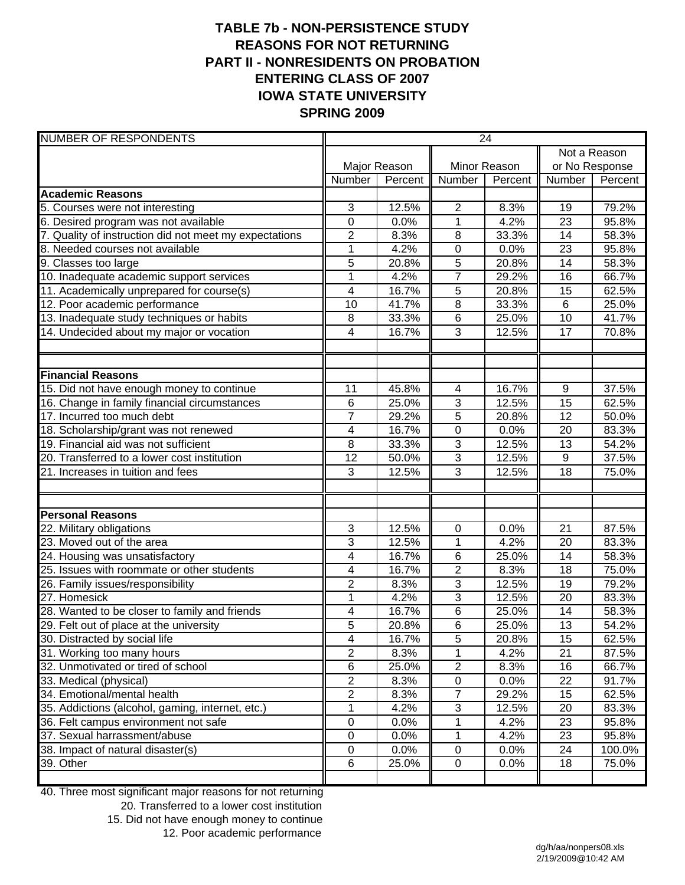# **TABLE 7b - NON-PERSISTENCE STUDY REASONS FOR NOT RETURNING PART II - NONRESIDENTS ON PROBATION ENTERING CLASS OF 2007 IOWA STATE UNIVERSITY SPRING 2009**

| <b>NUMBER OF RESPONDENTS</b>                           | 24              |              |                |         |                  |         |  |
|--------------------------------------------------------|-----------------|--------------|----------------|---------|------------------|---------|--|
|                                                        |                 |              |                |         | Not a Reason     |         |  |
|                                                        |                 | Major Reason | Minor Reason   |         | or No Response   |         |  |
|                                                        | Number          | Percent      | Number         | Percent | Number           | Percent |  |
| <b>Academic Reasons</b>                                |                 |              |                |         |                  |         |  |
| 5. Courses were not interesting                        | 3               | 12.5%        | $\overline{2}$ | 8.3%    | 19               | 79.2%   |  |
| 6. Desired program was not available                   | $\mathbf 0$     | 0.0%         | $\mathbf{1}$   | 4.2%    | 23               | 95.8%   |  |
| 7. Quality of instruction did not meet my expectations | 2               | 8.3%         | 8              | 33.3%   | 14               | 58.3%   |  |
| 8. Needed courses not available                        | $\mathbf{1}$    | 4.2%         | $\overline{0}$ | 0.0%    | $\overline{23}$  | 95.8%   |  |
| 9. Classes too large                                   | 5               | 20.8%        | $\overline{5}$ | 20.8%   | 14               | 58.3%   |  |
| 10. Inadequate academic support services               | $\mathbf{1}$    | 4.2%         | $\overline{7}$ | 29.2%   | 16               | 66.7%   |  |
| 11. Academically unprepared for course(s)              | 4               | 16.7%        | 5              | 20.8%   | 15               | 62.5%   |  |
| 12. Poor academic performance                          | 10              | 41.7%        | $\overline{8}$ | 33.3%   | 6                | 25.0%   |  |
| 13. Inadequate study techniques or habits              | 8               | 33.3%        | $\,6$          | 25.0%   | 10               | 41.7%   |  |
| 14. Undecided about my major or vocation               | 4               | 16.7%        | 3              | 12.5%   | 17               | 70.8%   |  |
|                                                        |                 |              |                |         |                  |         |  |
| <b>Financial Reasons</b>                               |                 |              |                |         |                  |         |  |
| 15. Did not have enough money to continue              | 11              | 45.8%        | 4              | 16.7%   | $\boldsymbol{9}$ | 37.5%   |  |
| 16. Change in family financial circumstances           | 6               | 25.0%        | 3              | 12.5%   | $\overline{15}$  | 62.5%   |  |
| 17. Incurred too much debt                             | $\overline{7}$  | 29.2%        | 5              | 20.8%   | $\overline{12}$  | 50.0%   |  |
| 18. Scholarship/grant was not renewed                  | 4               | 16.7%        | $\overline{0}$ | 0.0%    | $\overline{20}$  | 83.3%   |  |
| 19. Financial aid was not sufficient                   | 8               | 33.3%        | 3              | 12.5%   | 13               | 54.2%   |  |
| 20. Transferred to a lower cost institution            | $\overline{12}$ | 50.0%        | 3              | 12.5%   | 9                | 37.5%   |  |
| 21. Increases in tuition and fees                      | 3               | 12.5%        | 3              | 12.5%   | 18               | 75.0%   |  |
|                                                        |                 |              |                |         |                  |         |  |
| <b>Personal Reasons</b>                                |                 |              |                |         |                  |         |  |
| 22. Military obligations                               | 3               | 12.5%        | 0              | 0.0%    | 21               | 87.5%   |  |
| 23. Moved out of the area                              | 3               | 12.5%        | $\mathbf{1}$   | 4.2%    | 20               | 83.3%   |  |
| 24. Housing was unsatisfactory                         | 4               | 16.7%        | $\,6$          | 25.0%   | 14               | 58.3%   |  |
| 25. Issues with roommate or other students             | 4               | 16.7%        | $\overline{2}$ | 8.3%    | 18               | 75.0%   |  |
| 26. Family issues/responsibility                       | $\overline{2}$  | 8.3%         | 3              | 12.5%   | 19               | 79.2%   |  |
| 27. Homesick                                           | $\overline{1}$  | 4.2%         | $\overline{3}$ | 12.5%   | 20               | 83.3%   |  |
| 28. Wanted to be closer to family and friends          | 4               | 16.7%        | $\overline{6}$ | 25.0%   | 14               | 58.3%   |  |
| 29. Felt out of place at the university                | $\overline{5}$  | 20.8%        | $\overline{6}$ | 25.0%   | 13               | 54.2%   |  |
| 30. Distracted by social life                          | 4               | 16.7%        | $\,$ 5 $\,$    | 20.8%   | 15               | 62.5%   |  |
| 31. Working too many hours                             | $\overline{2}$  | 8.3%         | 1              | 4.2%    | 21               | 87.5%   |  |
| 32. Unmotivated or tired of school                     | 6               | 25.0%        | $\mathbf{2}$   | 8.3%    | 16               | 66.7%   |  |
| 33. Medical (physical)                                 | $\overline{2}$  | 8.3%         | $\pmb{0}$      | 0.0%    | 22               | 91.7%   |  |
| 34. Emotional/mental health                            | $\overline{2}$  | 8.3%         | $\overline{7}$ | 29.2%   | 15               | 62.5%   |  |
| 35. Addictions (alcohol, gaming, internet, etc.)       | 1               | 4.2%         | 3              | 12.5%   | 20               | 83.3%   |  |
| 36. Felt campus environment not safe                   | $\pmb{0}$       | 0.0%         | 1              | 4.2%    | 23               | 95.8%   |  |
| 37. Sexual harrassment/abuse                           | $\pmb{0}$       | 0.0%         | $\mathbf{1}$   | 4.2%    | 23               | 95.8%   |  |
| 38. Impact of natural disaster(s)                      | $\pmb{0}$       | 0.0%         | $\pmb{0}$      | 0.0%    | 24               | 100.0%  |  |
| 39. Other                                              | 6               | 25.0%        | $\pmb{0}$      | 0.0%    | 18               | 75.0%   |  |

40. Three most significant major reasons for not returning

20. Transferred to a lower cost institution

15. Did not have enough money to continue

12. Poor academic performance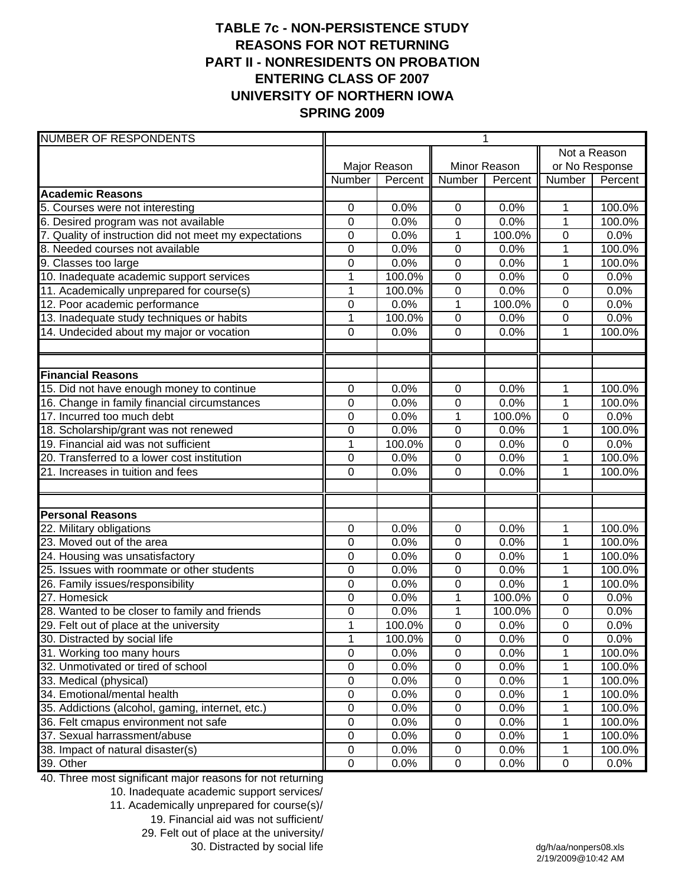# **TABLE 7c - NON-PERSISTENCE STUDY REASONS FOR NOT RETURNING PART II - NONRESIDENTS ON PROBATION ENTERING CLASS OF 2007 UNIVERSITY OF NORTHERN IOWA SPRING 2009**

| <b>NUMBER OF RESPONDENTS</b>                           |                  |         |                | 1       |                |         |
|--------------------------------------------------------|------------------|---------|----------------|---------|----------------|---------|
|                                                        |                  |         |                |         | Not a Reason   |         |
|                                                        | Major Reason     |         | Minor Reason   |         | or No Response |         |
|                                                        | Number           | Percent | Number         | Percent | Number         | Percent |
| <b>Academic Reasons</b>                                |                  |         |                |         |                |         |
| 5. Courses were not interesting                        | 0                | 0.0%    | $\mathbf 0$    | 0.0%    | 1              | 100.0%  |
| 6. Desired program was not available                   | $\mathbf 0$      | 0.0%    | $\mathbf 0$    | 0.0%    | 1              | 100.0%  |
| 7. Quality of instruction did not meet my expectations | $\mathbf 0$      | 0.0%    | 1              | 100.0%  | 0              | 0.0%    |
| 8. Needed courses not available                        | 0                | 0.0%    | $\mathbf 0$    | 0.0%    | 1              | 100.0%  |
| 9. Classes too large                                   | $\overline{0}$   | 0.0%    | $\mathbf 0$    | 0.0%    | $\overline{1}$ | 100.0%  |
| 10. Inadequate academic support services               | 1                | 100.0%  | $\mathbf 0$    | 0.0%    | 0              | 0.0%    |
| 11. Academically unprepared for course(s)              | $\mathbf 1$      | 100.0%  | $\mathbf 0$    | 0.0%    | 0              | 0.0%    |
| 12. Poor academic performance                          | 0                | 0.0%    | 1              | 100.0%  | 0              | 0.0%    |
| 13. Inadequate study techniques or habits              | $\mathbf 1$      | 100.0%  | $\mathbf 0$    | 0.0%    | 0              | 0.0%    |
| 14. Undecided about my major or vocation               | $\mathbf 0$      | 0.0%    | $\mathbf 0$    | 0.0%    | 1              | 100.0%  |
|                                                        |                  |         |                |         |                |         |
| <b>Financial Reasons</b>                               |                  |         |                |         |                |         |
| 15. Did not have enough money to continue              | $\mathbf 0$      | 0.0%    | 0              | 0.0%    | 1              | 100.0%  |
| 16. Change in family financial circumstances           | 0                | 0.0%    | $\mathbf 0$    | 0.0%    | 1              | 100.0%  |
| 17. Incurred too much debt                             | 0                | 0.0%    | $\mathbf 1$    | 100.0%  | 0              | 0.0%    |
| 18. Scholarship/grant was not renewed                  | 0                | 0.0%    | $\mathbf 0$    | 0.0%    | 1              | 100.0%  |
| 19. Financial aid was not sufficient                   | $\overline{1}$   | 100.0%  | $\mathbf 0$    | 0.0%    | 0              | 0.0%    |
| 20. Transferred to a lower cost institution            | $\mathbf 0$      | 0.0%    | $\pmb{0}$      | 0.0%    | 1              | 100.0%  |
| 21. Increases in tuition and fees                      | 0                | 0.0%    | $\mathbf 0$    | 0.0%    | 1              | 100.0%  |
|                                                        |                  |         |                |         |                |         |
| <b>Personal Reasons</b>                                |                  |         |                |         |                |         |
| 22. Military obligations                               | 0                | 0.0%    | 0              | 0.0%    | 1              | 100.0%  |
| 23. Moved out of the area                              | 0                | 0.0%    | 0              | 0.0%    | 1              | 100.0%  |
| 24. Housing was unsatisfactory                         | 0                | 0.0%    | $\mathbf 0$    | 0.0%    | 1              | 100.0%  |
| 25. Issues with roommate or other students             | $\mathbf 0$      | 0.0%    | $\mathbf 0$    | 0.0%    | 1              | 100.0%  |
| 26. Family issues/responsibility                       | 0                | 0.0%    | $\mathbf 0$    | 0.0%    | 1              | 100.0%  |
| 27. Homesick                                           | 0                | 0.0%    | 1              | 100.0%  | $\mathbf 0$    | 0.0%    |
| 28. Wanted to be closer to family and friends          | $\mathbf 0$      | 0.0%    | $\mathbf 1$    | 100.0%  | $\mathbf 0$    | 0.0%    |
| 29. Felt out of place at the university                | $\overline{1}$   | 100.0%  | $\overline{0}$ | 0.0%    | $\overline{0}$ | 0.0%    |
| 30. Distracted by social life                          | 1                | 100.0%  | $\pmb{0}$      | 0.0%    | $\pmb{0}$      | 0.0%    |
| 31. Working too many hours                             | $\mathsf 0$      | 0.0%    | $\pmb{0}$      | 0.0%    |                | 100.0%  |
| 32. Unmotivated or tired of school                     | $\mathbf 0$      | 0.0%    | $\pmb{0}$      | 0.0%    | 1              | 100.0%  |
| 33. Medical (physical)                                 | $\pmb{0}$        | 0.0%    | $\pmb{0}$      | 0.0%    | 1              | 100.0%  |
| 34. Emotional/mental health                            | $\pmb{0}$        | 0.0%    | $\pmb{0}$      | 0.0%    | 1              | 100.0%  |
| 35. Addictions (alcohol, gaming, internet, etc.)       | $\boldsymbol{0}$ | 0.0%    | $\pmb{0}$      | 0.0%    | 1              | 100.0%  |
| 36. Felt cmapus environment not safe                   | $\mathbf 0$      | 0.0%    | $\pmb{0}$      | 0.0%    | 1              | 100.0%  |
| 37. Sexual harrassment/abuse                           | $\mathsf 0$      | 0.0%    | $\pmb{0}$      | 0.0%    | 1              | 100.0%  |
| 38. Impact of natural disaster(s)                      | $\mathbf 0$      | 0.0%    | $\pmb{0}$      | 0.0%    | 1              | 100.0%  |
| 39. Other                                              | $\mathsf 0$      | 0.0%    | $\pmb{0}$      | 0.0%    | $\mathbf 0$    | 0.0%    |

40. Three most significant major reasons for not returning

10. Inadequate academic support services/

- 11. Academically unprepared for course(s)/
	- 19. Financial aid was not sufficient/

29. Felt out of place at the university/

30. Distracted by social life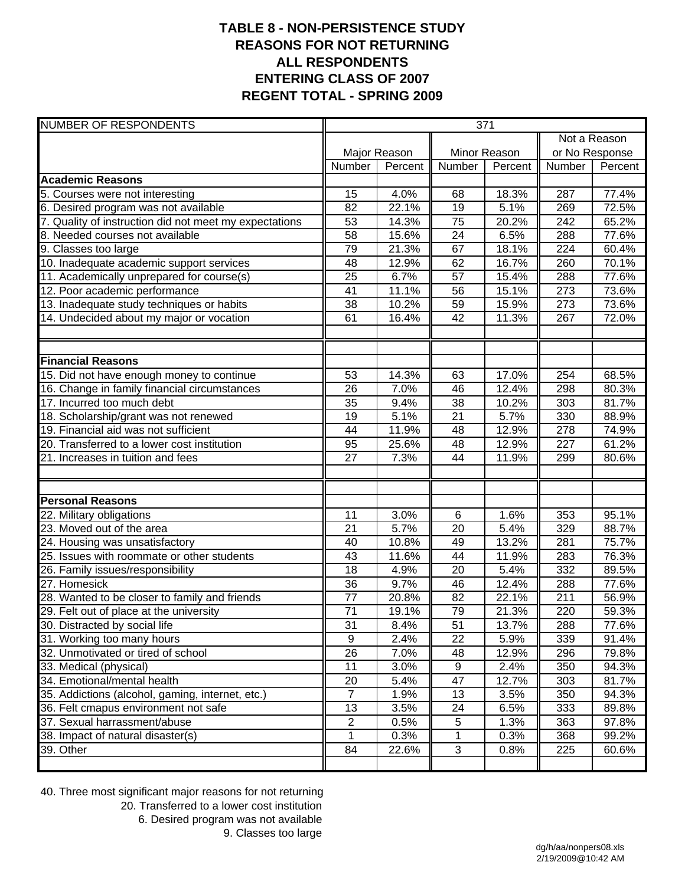## **TABLE 8 - NON-PERSISTENCE STUDY REASONS FOR NOT RETURNING ALL RESPONDENTS ENTERING CLASS OF 2007 REGENT TOTAL - SPRING 2009**

| <b>NUMBER OF RESPONDENTS</b>                           | 371             |         |                 |                    |                |         |
|--------------------------------------------------------|-----------------|---------|-----------------|--------------------|----------------|---------|
|                                                        |                 |         |                 |                    | Not a Reason   |         |
|                                                        | Major Reason    |         | Minor Reason    |                    | or No Response |         |
|                                                        | Number          | Percent | Number          | Percent            | Number         | Percent |
| <b>Academic Reasons</b>                                |                 |         |                 |                    |                |         |
| 5. Courses were not interesting                        | 15              | 4.0%    | 68              | 18.3%              | 287            | 77.4%   |
| 6. Desired program was not available                   | 82              | 22.1%   | 19              | 5.1%               | 269            | 72.5%   |
| 7. Quality of instruction did not meet my expectations | 53              | 14.3%   | 75              | 20.2%              | 242            | 65.2%   |
| 8. Needed courses not available                        | 58              | 15.6%   | $\overline{24}$ | 6.5%               | 288            | 77.6%   |
| 9. Classes too large                                   | 79              | 21.3%   | 67              | 18.1%              | 224            | 60.4%   |
| 10. Inadequate academic support services               | 48              | 12.9%   | 62              | 16.7%              | 260            | 70.1%   |
| 11. Academically unprepared for course(s)              | 25              | 6.7%    | 57              | 15.4%              | 288            | 77.6%   |
| 12. Poor academic performance                          | 41              | 11.1%   | 56              | 15.1%              | 273            | 73.6%   |
| 13. Inadequate study techniques or habits              | 38              | 10.2%   | 59              | 15.9%              | 273            | 73.6%   |
| 14. Undecided about my major or vocation               | 61              | 16.4%   | 42              | 11.3%              | 267            | 72.0%   |
| <b>Financial Reasons</b>                               |                 |         |                 |                    |                |         |
| 15. Did not have enough money to continue              | 53              | 14.3%   | 63              | 17.0%              | 254            | 68.5%   |
| 16. Change in family financial circumstances           | 26              | 7.0%    | 46              | 12.4%              | 298            | 80.3%   |
| 17. Incurred too much debt                             | 35              | 9.4%    | $\overline{38}$ | 10.2%              | 303            | 81.7%   |
| 18. Scholarship/grant was not renewed                  | 19              | 5.1%    | $\overline{21}$ | 5.7%               | 330            | 88.9%   |
| 19. Financial aid was not sufficient                   | 44              | 11.9%   | 48              | 12.9%              | 278            | 74.9%   |
| 20. Transferred to a lower cost institution            | 95              | 25.6%   | 48              | 12.9%              | 227            | 61.2%   |
| 21. Increases in tuition and fees                      | 27              | 7.3%    | 44              | 11.9%              | 299            | 80.6%   |
| <b>Personal Reasons</b>                                |                 |         |                 |                    |                |         |
| 22. Military obligations                               | 11              | 3.0%    | 6               | 1.6%               | 353            | 95.1%   |
| 23. Moved out of the area                              | 21              | 5.7%    | $\overline{20}$ | $\overline{5.4\%}$ | 329            | 88.7%   |
| 24. Housing was unsatisfactory                         | 40              | 10.8%   | 49              | 13.2%              | 281            | 75.7%   |
| 25. Issues with roommate or other students             | 43              | 11.6%   | 44              | 11.9%              | 283            | 76.3%   |
| 26. Family issues/responsibility                       | 18              | 4.9%    | 20              | 5.4%               | 332            | 89.5%   |
| 27. Homesick                                           | 36              | 9.7%    | 46              | 12.4%              | 288            | 77.6%   |
| 28. Wanted to be closer to family and friends          | 77              | 20.8%   | 82              | 22.1%              | 211            | 56.9%   |
| 29. Felt out of place at the university                | $\overline{71}$ | 19.1%   | 79              | 21.3%              | 220            | 59.3%   |
| 30. Distracted by social life                          | 31              | 8.4%    | 51              | 13.7%              | 288            | 77.6%   |
| 31. Working too many hours                             | 9               | 2.4%    | $\overline{22}$ | 5.9%               | 339            | 91.4%   |
| 32. Unmotivated or tired of school                     | 26              | 7.0%    | 48              | 12.9%              | 296            | 79.8%   |
| 33. Medical (physical)                                 | 11              | 3.0%    | 9               | 2.4%               | 350            | 94.3%   |
| 34. Emotional/mental health                            | 20              | 5.4%    | 47              | 12.7%              | 303            | 81.7%   |
| 35. Addictions (alcohol, gaming, internet, etc.)       | 7               | 1.9%    | 13              | 3.5%               | 350            | 94.3%   |
| 36. Felt cmapus environment not safe                   | 13              | 3.5%    | 24              | 6.5%               | 333            | 89.8%   |
| 37. Sexual harrassment/abuse                           | 2               | 0.5%    | 5               | 1.3%               | 363            | 97.8%   |
| 38. Impact of natural disaster(s)                      | 1               | 0.3%    | 1               | 0.3%               | 368            | 99.2%   |
| 39. Other                                              | 84              | 22.6%   | 3               | 0.8%               | 225            | 60.6%   |
|                                                        |                 |         |                 |                    |                |         |

40. Three most significant major reasons for not returning 20. Transferred to a lower cost institution 6. Desired program was not available 9. Classes too large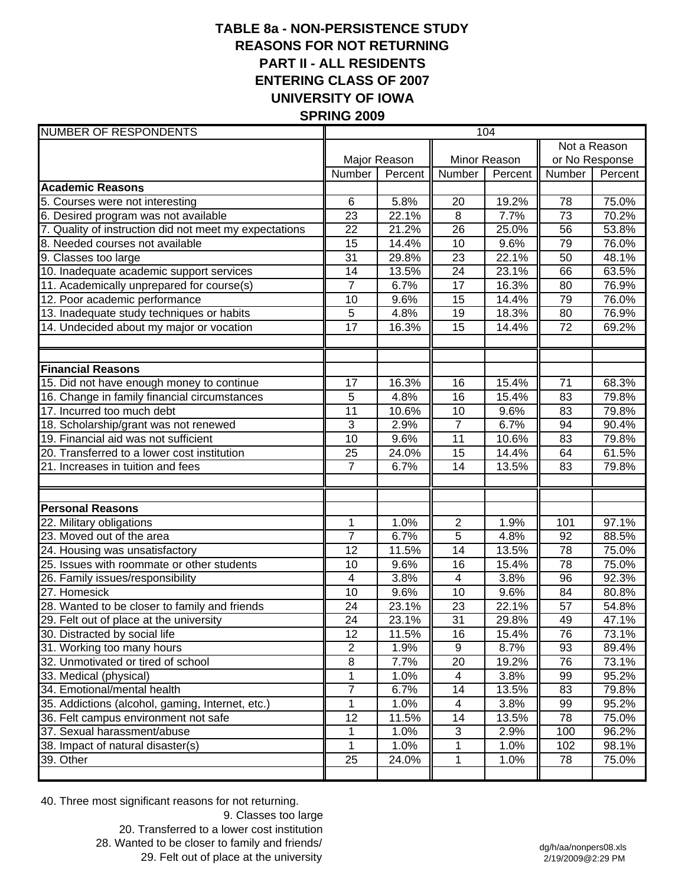## **TABLE 8a - NON-PERSISTENCE STUDY REASONS FOR NOT RETURNING PART II - ALL RESIDENTS ENTERING CLASS OF 2007 UNIVERSITY OF IOWA SPRING 2009**

| <b>NUMBER OF RESPONDENTS</b>                           | 104             |                    |                           |         |                 |         |
|--------------------------------------------------------|-----------------|--------------------|---------------------------|---------|-----------------|---------|
|                                                        |                 |                    |                           |         | Not a Reason    |         |
|                                                        | Major Reason    |                    | Minor Reason              |         | or No Response  |         |
|                                                        | Number          | Percent            | Number                    | Percent | Number          | Percent |
| <b>Academic Reasons</b>                                |                 |                    |                           |         |                 |         |
| 5. Courses were not interesting                        | 6               | $\overline{5.8\%}$ | 20                        | 19.2%   | 78              | 75.0%   |
| 6. Desired program was not available                   | $\overline{23}$ | 22.1%              | $\overline{8}$            | 7.7%    | $\overline{73}$ | 70.2%   |
| 7. Quality of instruction did not meet my expectations | 22              | 21.2%              | 26                        | 25.0%   | 56              | 53.8%   |
| 8. Needed courses not available                        | 15              | 14.4%              | 10                        | 9.6%    | 79              | 76.0%   |
| 9. Classes too large                                   | $\overline{31}$ | 29.8%              | 23                        | 22.1%   | 50              | 48.1%   |
| 10. Inadequate academic support services               | 14              | 13.5%              | 24                        | 23.1%   | 66              | 63.5%   |
| 11. Academically unprepared for course(s)              | $\overline{7}$  | 6.7%               | 17                        | 16.3%   | 80              | 76.9%   |
| 12. Poor academic performance                          | 10              | 9.6%               | 15                        | 14.4%   | 79              | 76.0%   |
| 13. Inadequate study techniques or habits              | 5               | 4.8%               | 19                        | 18.3%   | 80              | 76.9%   |
| 14. Undecided about my major or vocation               | 17              | 16.3%              | 15                        | 14.4%   | 72              | 69.2%   |
|                                                        |                 |                    |                           |         |                 |         |
|                                                        |                 |                    |                           |         |                 |         |
| <b>Financial Reasons</b>                               |                 |                    |                           |         |                 |         |
| 15. Did not have enough money to continue              | 17              | 16.3%              | 16                        | 15.4%   | 71              | 68.3%   |
| 16. Change in family financial circumstances           | 5               | 4.8%               | 16                        | 15.4%   | 83              | 79.8%   |
| 17. Incurred too much debt                             | 11              | 10.6%              | 10                        | 9.6%    | 83              | 79.8%   |
| 18. Scholarship/grant was not renewed                  | 3               | 2.9%               | $\overline{7}$            | 6.7%    | 94              | 90.4%   |
| 19. Financial aid was not sufficient                   | 10              | 9.6%               | 11                        | 10.6%   | 83              | 79.8%   |
| 20. Transferred to a lower cost institution            | 25              | 24.0%              | 15                        | 14.4%   | 64              | 61.5%   |
| 21. Increases in tuition and fees                      | $\overline{7}$  | 6.7%               | 14                        | 13.5%   | 83              | 79.8%   |
|                                                        |                 |                    |                           |         |                 |         |
| <b>Personal Reasons</b>                                |                 |                    |                           |         |                 |         |
| 22. Military obligations                               | 1               | 1.0%               | $\overline{2}$            | 1.9%    | 101             | 97.1%   |
| 23. Moved out of the area                              | $\overline{7}$  | 6.7%               | 5                         | 4.8%    | 92              | 88.5%   |
| 24. Housing was unsatisfactory                         | $\overline{12}$ | 11.5%              | $\overline{14}$           | 13.5%   | 78              | 75.0%   |
| 25. Issues with roommate or other students             | 10              | 9.6%               | 16                        | 15.4%   | 78              | 75.0%   |
| 26. Family issues/responsibility                       | 4               | 3.8%               | $\overline{4}$            | 3.8%    | 96              | 92.3%   |
| 27. Homesick                                           | 10              | 9.6%               | 10                        | 9.6%    | 84              | 80.8%   |
| 28. Wanted to be closer to family and friends          | 24              | 23.1%              | 23                        | 22.1%   | 57              | 54.8%   |
| 29. Felt out of place at the university                | 24              | 23.1%              | $\overline{31}$           | 29.8%   | 49              | 47.1%   |
| 30. Distracted by social life                          | 12              | 11.5%              | 16                        | 15.4%   | 76              | 73.1%   |
| 31. Working too many hours                             | $\overline{2}$  | 1.9%               | 9                         | 8.7%    | 93              | 89.4%   |
| 32. Unmotivated or tired of school                     | 8               | 7.7%               | 20                        | 19.2%   | 76              | 73.1%   |
| 33. Medical (physical)                                 | 1               | 1.0%               | 4                         | 3.8%    | 99              | 95.2%   |
| 34. Emotional/mental health                            | $\overline{7}$  | 6.7%               | 14                        | 13.5%   | 83              | 79.8%   |
| 35. Addictions (alcohol, gaming, Internet, etc.)       | 1               | 1.0%               | 4                         | 3.8%    | 99              | 95.2%   |
| 36. Felt campus environment not safe                   | 12              | 11.5%              | 14                        | 13.5%   | 78              | 75.0%   |
| 37. Sexual harassment/abuse                            | 1               | 1.0%               | $\ensuremath{\mathsf{3}}$ | 2.9%    | 100             | 96.2%   |
| 38. Impact of natural disaster(s)                      | 1               | 1.0%               | 1                         | 1.0%    | 102             | 98.1%   |
| 39. Other                                              | 25              | 24.0%              | 1                         | 1.0%    | 78              | 75.0%   |
|                                                        |                 |                    |                           |         |                 |         |

40. Three most significant reasons for not returning.

9. Classes too large 20. Transferred to a lower cost institution 28. Wanted to be closer to family and friends/ 29. Felt out of place at the university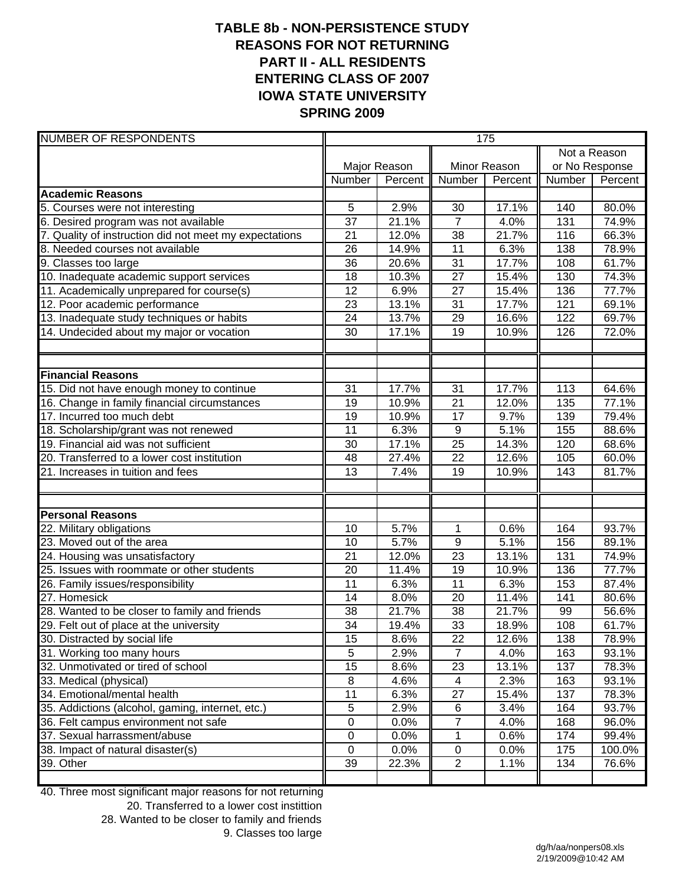## **TABLE 8b - NON-PERSISTENCE STUDY REASONS FOR NOT RETURNING PART II - ALL RESIDENTS ENTERING CLASS OF 2007 IOWA STATE UNIVERSITY SPRING 2009**

| <b>NUMBER OF RESPONDENTS</b>                           | 175             |         |                  |         |                |         |
|--------------------------------------------------------|-----------------|---------|------------------|---------|----------------|---------|
|                                                        |                 |         |                  |         | Not a Reason   |         |
|                                                        | Major Reason    |         | Minor Reason     |         | or No Response |         |
|                                                        | Number          | Percent | Number           | Percent | Number         | Percent |
| <b>Academic Reasons</b>                                |                 |         |                  |         |                |         |
| 5. Courses were not interesting                        | 5               | 2.9%    | 30               | 17.1%   | 140            | 80.0%   |
| 6. Desired program was not available                   | 37              | 21.1%   | $\overline{7}$   | 4.0%    | 131            | 74.9%   |
| 7. Quality of instruction did not meet my expectations | $\overline{21}$ | 12.0%   | $\overline{38}$  | 21.7%   | 116            | 66.3%   |
| 8. Needed courses not available                        | 26              | 14.9%   | $\overline{11}$  | 6.3%    | 138            | 78.9%   |
| 9. Classes too large                                   | 36              | 20.6%   | $\overline{31}$  | 17.7%   | 108            | 61.7%   |
| 10. Inadequate academic support services               | 18              | 10.3%   | 27               | 15.4%   | 130            | 74.3%   |
| 11. Academically unprepared for course(s)              | 12              | 6.9%    | 27               | 15.4%   | 136            | 77.7%   |
| 12. Poor academic performance                          | 23              | 13.1%   | 31               | 17.7%   | 121            | 69.1%   |
| 13. Inadequate study techniques or habits              | 24              | 13.7%   | 29               | 16.6%   | 122            | 69.7%   |
| 14. Undecided about my major or vocation               | 30              | 17.1%   | 19               | 10.9%   | 126            | 72.0%   |
|                                                        |                 |         |                  |         |                |         |
| <b>Financial Reasons</b>                               |                 |         |                  |         |                |         |
| 15. Did not have enough money to continue              | 31              | 17.7%   | 31               | 17.7%   | 113            | 64.6%   |
| 16. Change in family financial circumstances           | 19              | 10.9%   | $\overline{21}$  | 12.0%   | 135            | 77.1%   |
| 17. Incurred too much debt                             | 19              | 10.9%   | $\overline{17}$  | 9.7%    | 139            | 79.4%   |
| 18. Scholarship/grant was not renewed                  | 11              | 6.3%    | $\boldsymbol{9}$ | 5.1%    | 155            | 88.6%   |
| 19. Financial aid was not sufficient                   | 30              | 17.1%   | $\overline{25}$  | 14.3%   | 120            | 68.6%   |
| 20. Transferred to a lower cost institution            | 48              | 27.4%   | 22               | 12.6%   | 105            | 60.0%   |
| 21. Increases in tuition and fees                      | 13              | 7.4%    | 19               | 10.9%   | 143            | 81.7%   |
| <b>Personal Reasons</b>                                |                 |         |                  |         |                |         |
| 22. Military obligations                               | 10              | 5.7%    | $\mathbf{1}$     | 0.6%    | 164            | 93.7%   |
| 23. Moved out of the area                              | 10              | 5.7%    | 9                | 5.1%    | 156            | 89.1%   |
| 24. Housing was unsatisfactory                         | 21              | 12.0%   | $\overline{23}$  | 13.1%   | 131            | 74.9%   |
| 25. Issues with roommate or other students             | 20              | 11.4%   | 19               | 10.9%   | 136            | 77.7%   |
| 26. Family issues/responsibility                       | 11              | 6.3%    | $\overline{11}$  | 6.3%    | 153            | 87.4%   |
| 27. Homesick                                           | 14              | 8.0%    | 20               | 11.4%   | 141            | 80.6%   |
| 28. Wanted to be closer to family and friends          | 38              | 21.7%   | 38               | 21.7%   | 99             | 56.6%   |
| 29. Felt out of place at the university                | $\overline{34}$ | 19.4%   | 33               | 18.9%   | 108            | 61.7%   |
| 30. Distracted by social life                          | 15              | 8.6%    | $\overline{22}$  | 12.6%   | 138            | 78.9%   |
| 31. Working too many hours                             | 5               | 2.9%    | $\overline{7}$   | 4.0%    | 163            | 93.1%   |
| 32. Unmotivated or tired of school                     | 15              | 8.6%    | 23               | 13.1%   | 137            | 78.3%   |
| 33. Medical (physical)                                 | 8               | 4.6%    | 4                | 2.3%    | 163            | 93.1%   |
| 34. Emotional/mental health                            | 11              | 6.3%    | 27               | 15.4%   | 137            | 78.3%   |
| 35. Addictions (alcohol, gaming, internet, etc.)       | $\sqrt{5}$      | 2.9%    | 6                | 3.4%    | 164            | 93.7%   |
| 36. Felt campus environment not safe                   | $\pmb{0}$       | 0.0%    | $\overline{7}$   | 4.0%    | 168            | 96.0%   |
| 37. Sexual harrassment/abuse                           | 0               | 0.0%    | 1                | 0.6%    | 174            | 99.4%   |
| 38. Impact of natural disaster(s)                      | 0               | 0.0%    | 0                | 0.0%    | 175            | 100.0%  |
| 39. Other                                              | 39              | 22.3%   | $\overline{2}$   | 1.1%    | 134            | 76.6%   |
|                                                        |                 |         |                  |         |                |         |

40. Three most significant major reasons for not returning

20. Transferred to a lower cost instittion

28. Wanted to be closer to family and friends

9. Classes too large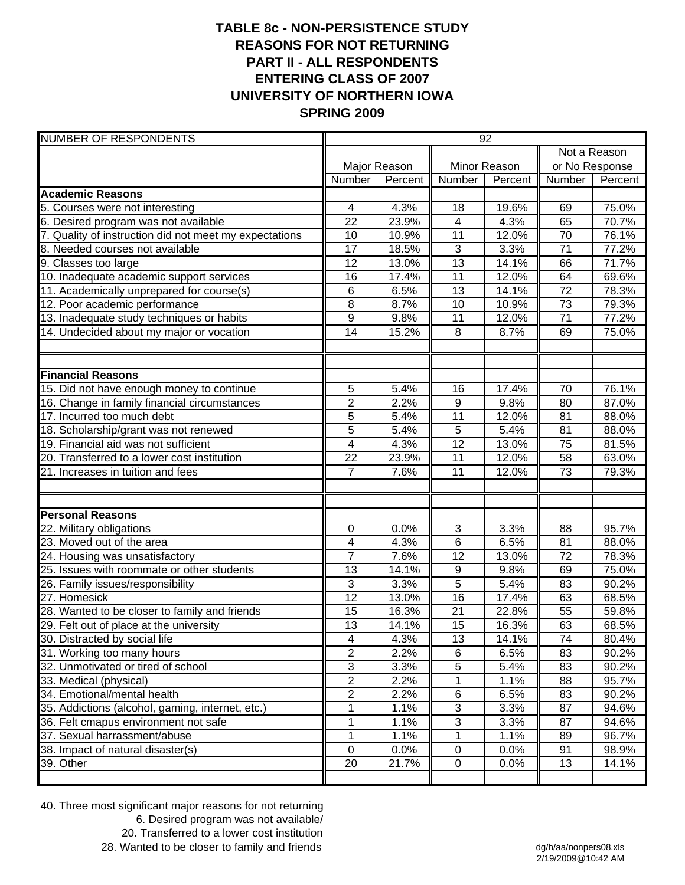## **TABLE 8c - NON-PERSISTENCE STUDY REASONS FOR NOT RETURNING PART II - ALL RESPONDENTS ENTERING CLASS OF 2007 UNIVERSITY OF NORTHERN IOWA SPRING 2009**

| <b>NUMBER OF RESPONDENTS</b>                           | 92               |         |                  |         |                 |              |  |
|--------------------------------------------------------|------------------|---------|------------------|---------|-----------------|--------------|--|
|                                                        |                  |         |                  |         |                 | Not a Reason |  |
|                                                        | Major Reason     |         | Minor Reason     |         | or No Response  |              |  |
|                                                        | Number           | Percent | Number           | Percent | Number          | Percent      |  |
| <b>Academic Reasons</b>                                |                  |         |                  |         |                 |              |  |
| 5. Courses were not interesting                        | 4                | 4.3%    | 18               | 19.6%   | 69              | 75.0%        |  |
| 6. Desired program was not available                   | 22               | 23.9%   | $\overline{4}$   | 4.3%    | 65              | 70.7%        |  |
| 7. Quality of instruction did not meet my expectations | 10               | 10.9%   | 11               | 12.0%   | 70              | 76.1%        |  |
| 8. Needed courses not available                        | $\overline{17}$  | 18.5%   | $\overline{3}$   | 3.3%    | $\overline{71}$ | 77.2%        |  |
| 9. Classes too large                                   | 12               | 13.0%   | $\overline{13}$  | 14.1%   | 66              | 71.7%        |  |
| 10. Inadequate academic support services               | 16               | 17.4%   | 11               | 12.0%   | 64              | 69.6%        |  |
| 11. Academically unprepared for course(s)              | 6                | 6.5%    | 13               | 14.1%   | 72              | 78.3%        |  |
| 12. Poor academic performance                          | 8                | 8.7%    | 10               | 10.9%   | 73              | 79.3%        |  |
| 13. Inadequate study techniques or habits              | $\boldsymbol{9}$ | 9.8%    | 11               | 12.0%   | 71              | 77.2%        |  |
| 14. Undecided about my major or vocation               | 14               | 15.2%   | 8                | 8.7%    | 69              | 75.0%        |  |
|                                                        |                  |         |                  |         |                 |              |  |
| <b>Financial Reasons</b>                               |                  |         |                  |         |                 |              |  |
| 15. Did not have enough money to continue              | 5                | 5.4%    | 16               | 17.4%   | 70              | 76.1%        |  |
| 16. Change in family financial circumstances           | $\overline{2}$   | 2.2%    | $\overline{9}$   | 9.8%    | 80              | 87.0%        |  |
| 17. Incurred too much debt                             | 5                | 5.4%    | 11               | 12.0%   | 81              | 88.0%        |  |
| 18. Scholarship/grant was not renewed                  | $\overline{5}$   | 5.4%    | $\overline{5}$   | 5.4%    | 81              | 88.0%        |  |
| 19. Financial aid was not sufficient                   | 4                | 4.3%    | $\overline{12}$  | 13.0%   | 75              | 81.5%        |  |
| 20. Transferred to a lower cost institution            | 22               | 23.9%   | 11               | 12.0%   | 58              | 63.0%        |  |
| 21. Increases in tuition and fees                      | $\overline{7}$   | 7.6%    | 11               | 12.0%   | 73              | 79.3%        |  |
|                                                        |                  |         |                  |         |                 |              |  |
| <b>Personal Reasons</b>                                |                  |         |                  |         |                 |              |  |
| 22. Military obligations                               | 0                | 0.0%    | $\mathbf{3}$     | 3.3%    | 88              | 95.7%        |  |
| 23. Moved out of the area                              | 4                | 4.3%    | $6\phantom{1}6$  | 6.5%    | 81              | 88.0%        |  |
| 24. Housing was unsatisfactory                         | $\overline{7}$   | 7.6%    | 12               | 13.0%   | 72              | 78.3%        |  |
| 25. Issues with roommate or other students             | 13               | 14.1%   | $\boldsymbol{9}$ | 9.8%    | 69              | 75.0%        |  |
| 26. Family issues/responsibility                       | 3                | 3.3%    | $\overline{5}$   | 5.4%    | 83              | 90.2%        |  |
| 27. Homesick                                           | $\overline{12}$  | 13.0%   | $\overline{16}$  | 17.4%   | 63              | 68.5%        |  |
| 28. Wanted to be closer to family and friends          | 15               | 16.3%   | 21               | 22.8%   | 55              | 59.8%        |  |
| 29. Felt out of place at the university                | 13               | 14.1%   | 15               | 16.3%   | 63              | 68.5%        |  |
| 30. Distracted by social life                          | 4                | 4.3%    | 13               | 14.1%   | 74              | 80.4%        |  |
| 31. Working too many hours                             | $\overline{2}$   | 2.2%    | 6                | 6.5%    | 83              | 90.2%        |  |
| 32. Unmotivated or tired of school                     | 3                | 3.3%    | $\sqrt{5}$       | 5.4%    | 83              | 90.2%        |  |
| 33. Medical (physical)                                 | $\overline{c}$   | 2.2%    | 1                | 1.1%    | 88              | 95.7%        |  |
| 34. Emotional/mental health                            | $\overline{2}$   | 2.2%    | 6                | 6.5%    | 83              | 90.2%        |  |
| 35. Addictions (alcohol, gaming, internet, etc.)       | 1                | 1.1%    | 3                | 3.3%    | 87              | 94.6%        |  |
| 36. Felt cmapus environment not safe                   | 1                | 1.1%    | 3                | 3.3%    | 87              | 94.6%        |  |
| 37. Sexual harrassment/abuse                           | 1                | 1.1%    | 1                | 1.1%    | 89              | 96.7%        |  |
| 38. Impact of natural disaster(s)                      | $\mathbf 0$      | 0.0%    | $\pmb{0}$        | 0.0%    | 91              | 98.9%        |  |
| 39. Other                                              | 20               | 21.7%   | $\pmb{0}$        | 0.0%    | 13              | 14.1%        |  |

40. Three most significant major reasons for not returning 6. Desired program was not available/ 20. Transferred to a lower cost institution

28. Wanted to be closer to family and friends